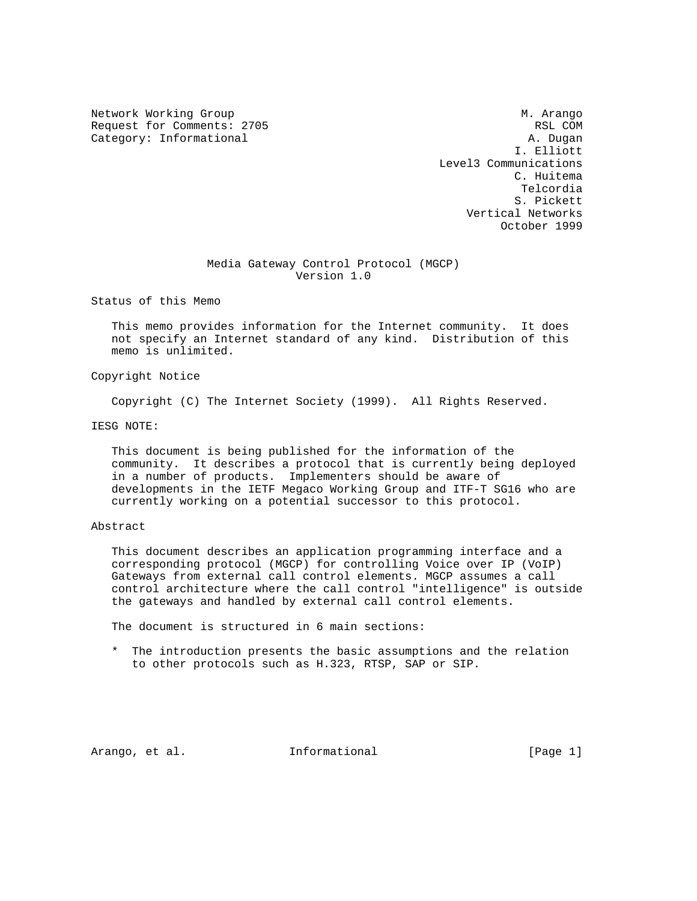Network Working Group Methods and Museum Museum Museum Museum Museum Museum Museum Museum Museum Museum Museum Request for Comments: 2705 RSL COM Category: Informational and A. Dugan A. Dugan

 I. Elliott Level3 Communications C. Huitema Telcordia S. Pickett Vertical Networks October 1999

# Media Gateway Control Protocol (MGCP) Version 1.0

Status of this Memo

 This memo provides information for the Internet community. It does not specify an Internet standard of any kind. Distribution of this memo is unlimited.

# Copyright Notice

Copyright (C) The Internet Society (1999). All Rights Reserved.

IESG NOTE:

 This document is being published for the information of the community. It describes a protocol that is currently being deployed in a number of products. Implementers should be aware of developments in the IETF Megaco Working Group and ITF-T SG16 who are currently working on a potential successor to this protocol.

### Abstract

 This document describes an application programming interface and a corresponding protocol (MGCP) for controlling Voice over IP (VoIP) Gateways from external call control elements. MGCP assumes a call control architecture where the call control "intelligence" is outside the gateways and handled by external call control elements.

The document is structured in 6 main sections:

 \* The introduction presents the basic assumptions and the relation to other protocols such as H.323, RTSP, SAP or SIP.

Arango, et al. **Informational** [Page 1]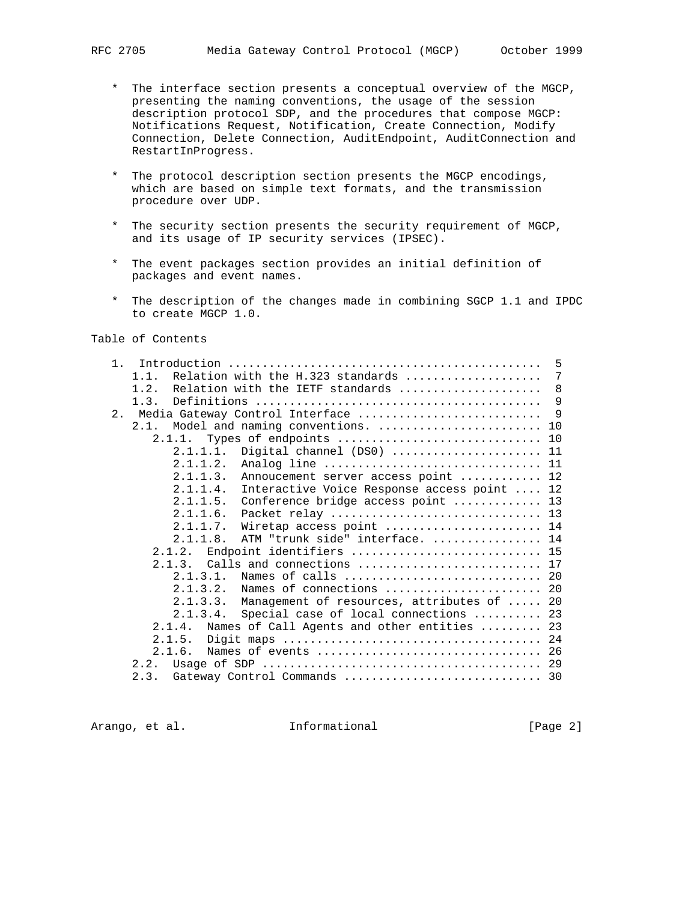- \* The interface section presents a conceptual overview of the MGCP, presenting the naming conventions, the usage of the session description protocol SDP, and the procedures that compose MGCP: Notifications Request, Notification, Create Connection, Modify Connection, Delete Connection, AuditEndpoint, AuditConnection and RestartInProgress.
- \* The protocol description section presents the MGCP encodings, which are based on simple text formats, and the transmission procedure over UDP.
- \* The security section presents the security requirement of MGCP, and its usage of IP security services (IPSEC).
- \* The event packages section provides an initial definition of packages and event names.
- \* The description of the changes made in combining SGCP 1.1 and IPDC to create MGCP 1.0.

Table of Contents

| 1 <sup>1</sup>                                          | 5 |  |  |  |
|---------------------------------------------------------|---|--|--|--|
| 1.1.                                                    | 7 |  |  |  |
| Relation with the IETF standards<br>1.2.                | 8 |  |  |  |
| 1.3.                                                    |   |  |  |  |
|                                                         |   |  |  |  |
| 2.1. Model and naming conventions.  10                  |   |  |  |  |
|                                                         |   |  |  |  |
| $2.1.1.1$ .<br>Digital channel (DS0)  11                |   |  |  |  |
| 2.1.1.2.<br>Analog line  11                             |   |  |  |  |
| 2.1.1.3.<br>Annoucement server access point  12         |   |  |  |  |
| Interactive Voice Response access point  12<br>2.1.1.4. |   |  |  |  |
| 2.1.1.5.<br>Conference bridge access point  13          |   |  |  |  |
| 2.1.1.6.<br>Packet relay  13                            |   |  |  |  |
| Wiretap access point  14<br>2.1.1.7.                    |   |  |  |  |
| ATM "trunk side" interface.  14<br>2.1.1.8.             |   |  |  |  |
| Endpoint identifiers  15<br>2.1.2.                      |   |  |  |  |
|                                                         |   |  |  |  |
| Names of calls  20<br>2.1.3.1.                          |   |  |  |  |
| Names of connections  20<br>2.1.3.2.                    |   |  |  |  |
| 2.1.3.3. Management of resources, attributes of  20     |   |  |  |  |
| Special case of local connections  23<br>2.1.3.4.       |   |  |  |  |
| Names of Call Agents and other entities  23<br>2.1.4.   |   |  |  |  |
| 2.1.5.                                                  |   |  |  |  |
| Names of events  26<br>2.1.6.                           |   |  |  |  |
| 2.2.                                                    |   |  |  |  |
| 2.3. Gateway Control Commands  30                       |   |  |  |  |

Arango, et al. 1nformational 1999 [Page 2]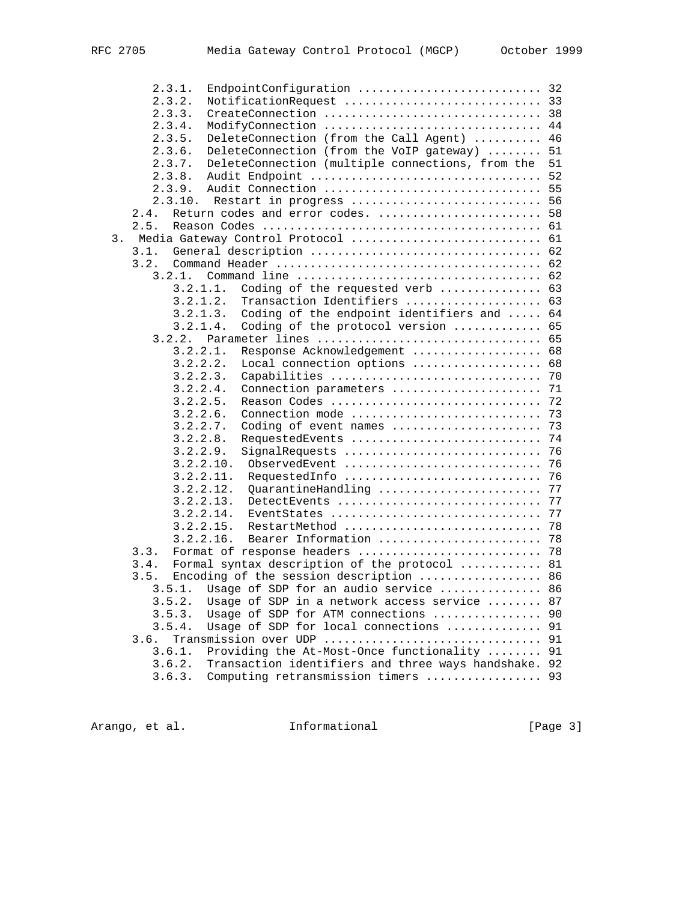| EndpointConfiguration  32<br>2.3.1.                            |    |  |  |  |
|----------------------------------------------------------------|----|--|--|--|
| 2.3.2.<br>NotificationRequest  33                              |    |  |  |  |
| 2.3.3.                                                         |    |  |  |  |
| 2.3.4.<br>ModifyConnection  44                                 |    |  |  |  |
| DeleteConnection (from the Call Agent)  46<br>2.3.5.           |    |  |  |  |
| 2.3.6.<br>DeleteConnection (from the VoIP gateway)             | 51 |  |  |  |
| DeleteConnection (multiple connections, from the<br>2.3.7.     | 51 |  |  |  |
| 2.3.8.                                                         |    |  |  |  |
| 2.3.9.                                                         |    |  |  |  |
| 2.3.10.<br>Restart in progress  56                             |    |  |  |  |
| Return codes and error codes.  58<br>2.4.                      |    |  |  |  |
| 2.5.                                                           |    |  |  |  |
| 3.                                                             |    |  |  |  |
| 3.1.                                                           |    |  |  |  |
| 3.2.                                                           |    |  |  |  |
| 3.2.1.                                                         |    |  |  |  |
| Coding of the requested verb  63<br>3.2.1.1.                   |    |  |  |  |
| Transaction Identifiers  63<br>3.2.1.2.                        |    |  |  |  |
| Coding of the endpoint identifiers and  64<br>3.2.1.3.         |    |  |  |  |
| 3.2.1.4.<br>Coding of the protocol version  65                 |    |  |  |  |
| 3.2.2.                                                         |    |  |  |  |
| 3.2.2.1.<br>Response Acknowledgement  68                       |    |  |  |  |
| 3.2.2.2.<br>Local connection options  68                       |    |  |  |  |
| 3.2.2.3.                                                       |    |  |  |  |
| 3.2.2.4.<br>Connection parameters                              | 71 |  |  |  |
| 3.2.2.5.<br>Reason Codes                                       | 72 |  |  |  |
| 3.2.2.6.<br>Connection mode                                    | 73 |  |  |  |
| 3.2.2.7.<br>Coding of event names                              | 73 |  |  |  |
| 3.2.2.8.<br>RequestedEvents                                    | 74 |  |  |  |
| 3.2.2.9.<br>SignalRequests                                     | 76 |  |  |  |
| 3.2.2.10.<br>ObservedEvent                                     | 76 |  |  |  |
| 3.2.2.11.<br>RequestedInfo                                     | 76 |  |  |  |
| 3.2.2.12.<br>QuarantineHandling                                | 77 |  |  |  |
| 3.2.2.13.<br>DetectEvents                                      | 77 |  |  |  |
| 3.2.2.14.<br>EventStates                                       | 77 |  |  |  |
| 3.2.2.15.<br>RestartMethod                                     | 78 |  |  |  |
| Bearer Information<br>3.2.2.16.                                | 78 |  |  |  |
| Format of response headers<br>3.3.                             | 78 |  |  |  |
|                                                                |    |  |  |  |
| Formal syntax description of the protocol  81<br>3.4.          |    |  |  |  |
| 3.5.<br>Encoding of the session description  86                |    |  |  |  |
| 3.5.1. Usage of SDP for an audio service  86                   |    |  |  |  |
| 3.5.2.<br>Usage of SDP in a network access service  87         |    |  |  |  |
| 3.5.3.<br>Usage of SDP for ATM connections                     | 90 |  |  |  |
| 3.5.4.<br>Usage of SDP for local connections  91               |    |  |  |  |
| 3.6.                                                           |    |  |  |  |
| Providing the At-Most-Once functionality<br>3.6.1.             | 91 |  |  |  |
| 3.6.2.<br>Transaction identifiers and three ways handshake. 92 |    |  |  |  |
| Computing retransmission timers  93<br>3.6.3.                  |    |  |  |  |

Arango, et al. 1nformational 1999 [Page 3]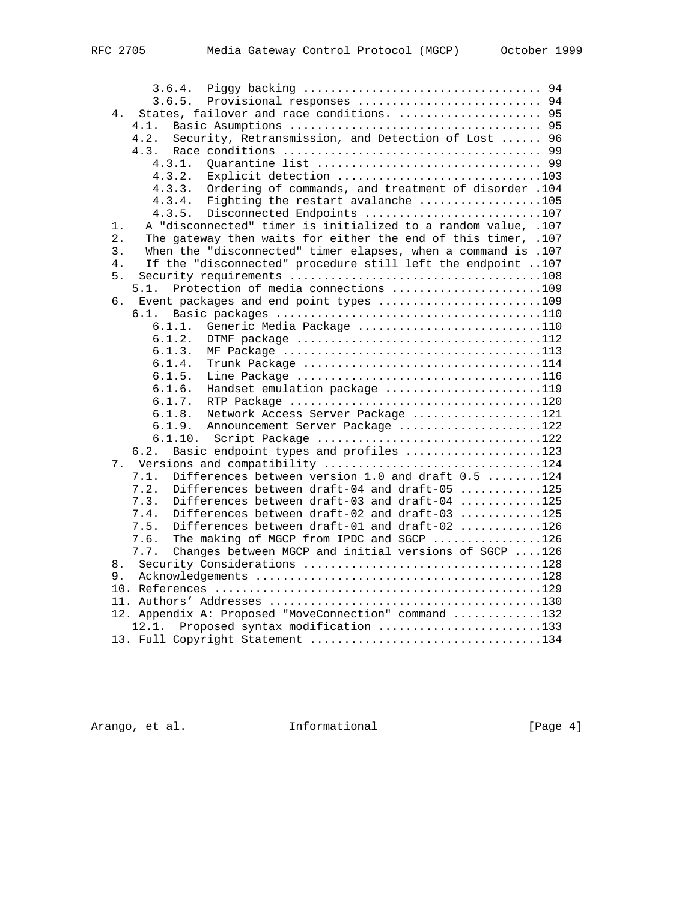| Provisional responses  94<br>3.6.5.                                                |
|------------------------------------------------------------------------------------|
| States, failover and race conditions.  95<br>4.                                    |
| 4.1.                                                                               |
| Security, Retransmission, and Detection of Lost  96<br>4.2.                        |
| 4.3.                                                                               |
| 4.3.1.                                                                             |
| 4.3.2.<br>Explicit detection 103                                                   |
| Ordering of commands, and treatment of disorder .104<br>4.3.3.                     |
| 4.3.4.<br>Fighting the restart avalanche 105                                       |
| 4.3.5.<br>Disconnected Endpoints 107                                               |
| A "disconnected" timer is initialized to a random value, .107<br>1.                |
| The gateway then waits for either the end of this timer, .107<br>$2$ .             |
| 3.<br>When the "disconnected" timer elapses, when a command is .107                |
| If the "disconnected" procedure still left the endpoint 107<br>4.                  |
| 5.                                                                                 |
| Protection of media connections 109<br>5.1.                                        |
| Event packages and end point types 109<br>б.                                       |
| 6.1.                                                                               |
| Generic Media Package 110<br>6.1.1.                                                |
| 6.1.2.<br>DTMF package 112                                                         |
| 6.1.3.                                                                             |
| 6.1.4.<br>Trunk Package 114                                                        |
| 6.1.5.<br>Line Package 116                                                         |
| 6.1.6.<br>Handset emulation package 119                                            |
| 6.1.7.                                                                             |
| Network Access Server Package 121<br>6.1.8.                                        |
| Announcement Server Package 122<br>6.1.9.                                          |
| 6.1.10. Script Package 122                                                         |
| Basic endpoint types and profiles 123<br>6.2.<br>7. Versions and compatibility 124 |
| Differences between version 1.0 and draft 0.5 124<br>7.1.                          |
| 7.2.<br>Differences between draft-04 and draft-05 125                              |
| Differences between draft-03 and draft-04 125<br>7.3.                              |
| 7.4.<br>Differences between draft-02 and draft-03 125                              |
| 7.5.<br>Differences between draft-01 and draft-02 126                              |
| The making of MGCP from IPDC and SGCP 126<br>7.6.                                  |
| Changes between MGCP and initial versions of SGCP 126<br>7.7.                      |
| 8.                                                                                 |
|                                                                                    |
|                                                                                    |
|                                                                                    |
| 12. Appendix A: Proposed "MoveConnection" command 132                              |
| Proposed syntax modification 133<br>12.1.                                          |
| 13. Full Copyright Statement 134                                                   |

Arango, et al. 1nformational 1999 [Page 4]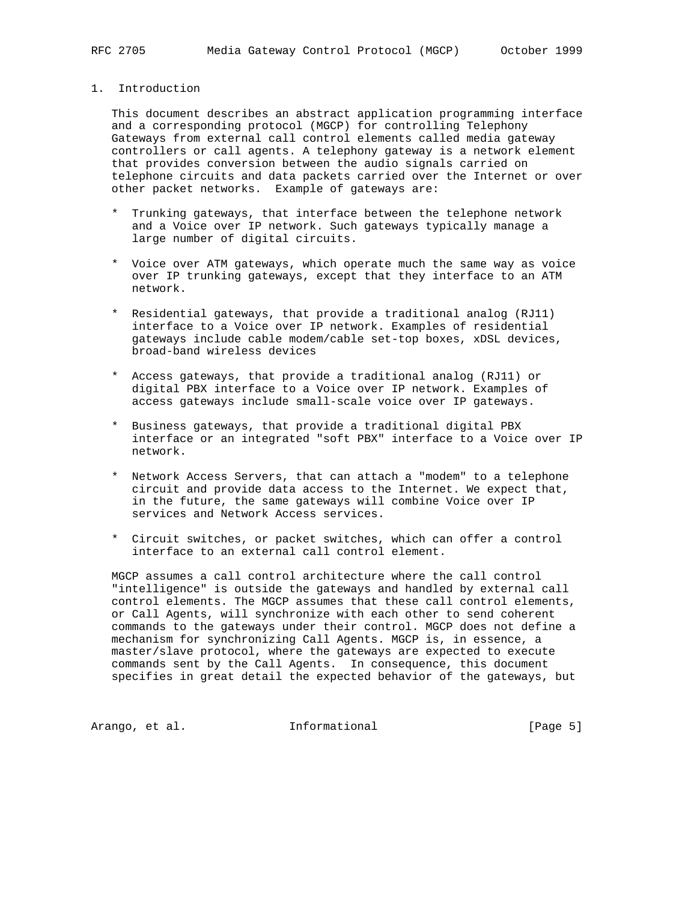# 1. Introduction

 This document describes an abstract application programming interface and a corresponding protocol (MGCP) for controlling Telephony Gateways from external call control elements called media gateway controllers or call agents. A telephony gateway is a network element that provides conversion between the audio signals carried on telephone circuits and data packets carried over the Internet or over other packet networks. Example of gateways are:

- \* Trunking gateways, that interface between the telephone network and a Voice over IP network. Such gateways typically manage a large number of digital circuits.
- \* Voice over ATM gateways, which operate much the same way as voice over IP trunking gateways, except that they interface to an ATM network.
- \* Residential gateways, that provide a traditional analog (RJ11) interface to a Voice over IP network. Examples of residential gateways include cable modem/cable set-top boxes, xDSL devices, broad-band wireless devices
- \* Access gateways, that provide a traditional analog (RJ11) or digital PBX interface to a Voice over IP network. Examples of access gateways include small-scale voice over IP gateways.
- \* Business gateways, that provide a traditional digital PBX interface or an integrated "soft PBX" interface to a Voice over IP network.
- \* Network Access Servers, that can attach a "modem" to a telephone circuit and provide data access to the Internet. We expect that, in the future, the same gateways will combine Voice over IP services and Network Access services.
- \* Circuit switches, or packet switches, which can offer a control interface to an external call control element.

 MGCP assumes a call control architecture where the call control "intelligence" is outside the gateways and handled by external call control elements. The MGCP assumes that these call control elements, or Call Agents, will synchronize with each other to send coherent commands to the gateways under their control. MGCP does not define a mechanism for synchronizing Call Agents. MGCP is, in essence, a master/slave protocol, where the gateways are expected to execute commands sent by the Call Agents. In consequence, this document specifies in great detail the expected behavior of the gateways, but

Arango, et al. 1nformational 1999 [Page 5]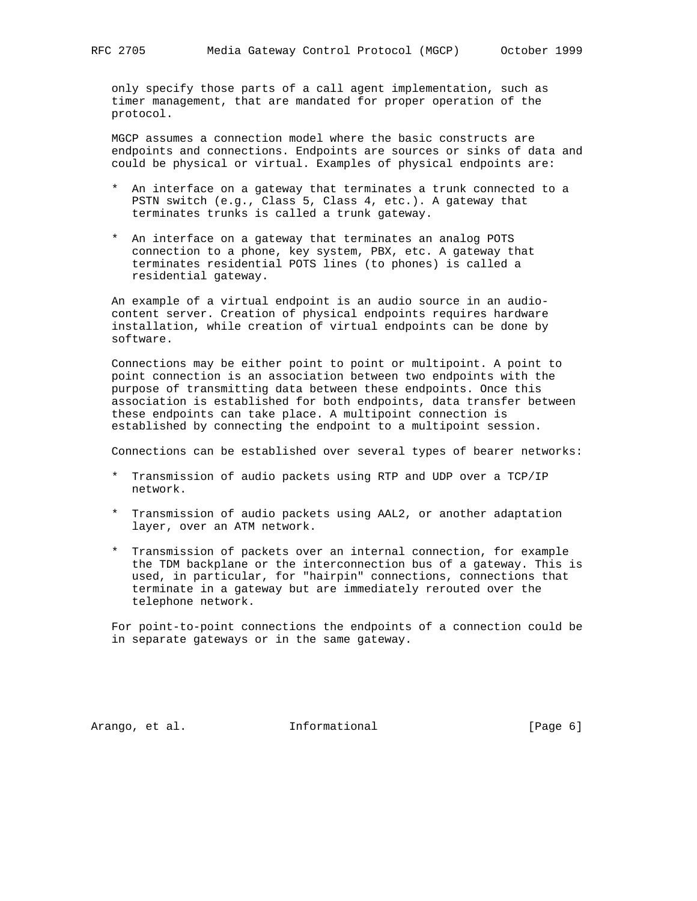only specify those parts of a call agent implementation, such as timer management, that are mandated for proper operation of the protocol.

 MGCP assumes a connection model where the basic constructs are endpoints and connections. Endpoints are sources or sinks of data and could be physical or virtual. Examples of physical endpoints are:

- \* An interface on a gateway that terminates a trunk connected to a PSTN switch (e.g., Class 5, Class 4, etc.). A gateway that terminates trunks is called a trunk gateway.
- \* An interface on a gateway that terminates an analog POTS connection to a phone, key system, PBX, etc. A gateway that terminates residential POTS lines (to phones) is called a residential gateway.

 An example of a virtual endpoint is an audio source in an audio content server. Creation of physical endpoints requires hardware installation, while creation of virtual endpoints can be done by software.

 Connections may be either point to point or multipoint. A point to point connection is an association between two endpoints with the purpose of transmitting data between these endpoints. Once this association is established for both endpoints, data transfer between these endpoints can take place. A multipoint connection is established by connecting the endpoint to a multipoint session.

Connections can be established over several types of bearer networks:

- \* Transmission of audio packets using RTP and UDP over a TCP/IP network.
- \* Transmission of audio packets using AAL2, or another adaptation layer, over an ATM network.
- \* Transmission of packets over an internal connection, for example the TDM backplane or the interconnection bus of a gateway. This is used, in particular, for "hairpin" connections, connections that terminate in a gateway but are immediately rerouted over the telephone network.

 For point-to-point connections the endpoints of a connection could be in separate gateways or in the same gateway.

Arango, et al. **Informational** [Page 6]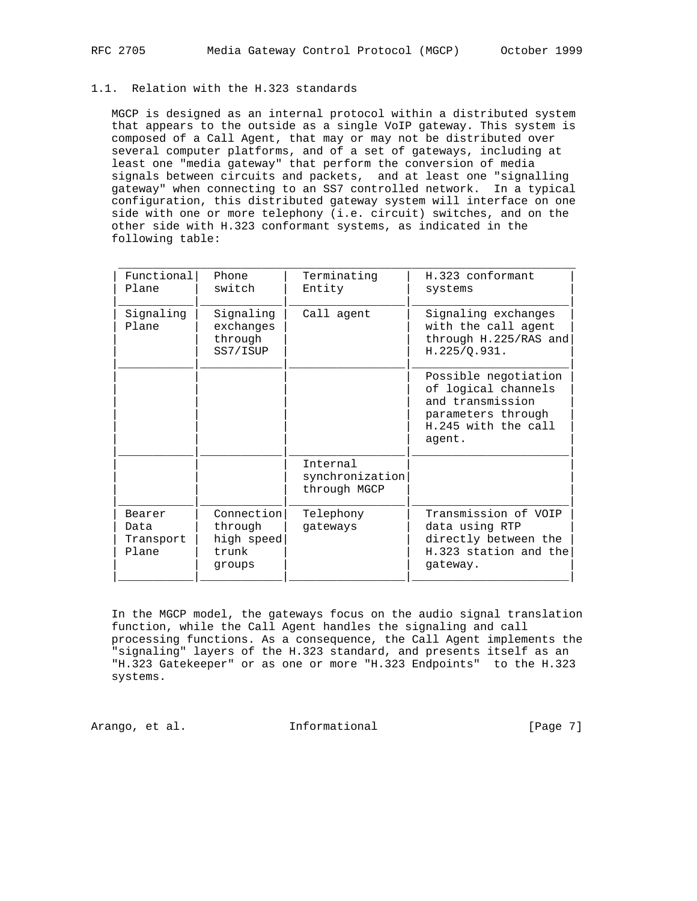# 1.1. Relation with the H.323 standards

 MGCP is designed as an internal protocol within a distributed system that appears to the outside as a single VoIP gateway. This system is composed of a Call Agent, that may or may not be distributed over several computer platforms, and of a set of gateways, including at least one "media gateway" that perform the conversion of media signals between circuits and packets, and at least one "signalling gateway" when connecting to an SS7 controlled network. In a typical configuration, this distributed gateway system will interface on one side with one or more telephony (i.e. circuit) switches, and on the other side with H.323 conformant systems, as indicated in the following table:

| Functional                           | Phone                                                  | Terminating                                        | H.323 conformant                                                                                                       |
|--------------------------------------|--------------------------------------------------------|----------------------------------------------------|------------------------------------------------------------------------------------------------------------------------|
| Plane                                | switch                                                 | Entity                                             | systems                                                                                                                |
| Signaling<br>Plane                   | Signaling<br>exchanges<br>through<br>SS7/ISUP          | Call agent                                         | Signaling exchanges<br>with the call agent<br>through H.225/RAS and<br>H.225/O.931.                                    |
|                                      |                                                        |                                                    | Possible negotiation<br>of logical channels<br>and transmission<br>parameters through<br>H.245 with the call<br>agent. |
|                                      |                                                        | <b>Tnternal</b><br>synchronization<br>through MGCP |                                                                                                                        |
| Bearer<br>Data<br>Transport<br>Plane | Connection<br>through<br>high speed<br>trunk<br>groups | Telephony<br>qateways                              | Transmission of VOIP<br>data using RTP<br>directly between the<br>H.323 station and the<br>gateway.                    |

 In the MGCP model, the gateways focus on the audio signal translation function, while the Call Agent handles the signaling and call processing functions. As a consequence, the Call Agent implements the "signaling" layers of the H.323 standard, and presents itself as an "H.323 Gatekeeper" or as one or more "H.323 Endpoints" to the H.323 systems.

Arango, et al. 1nformational 1999 [Page 7]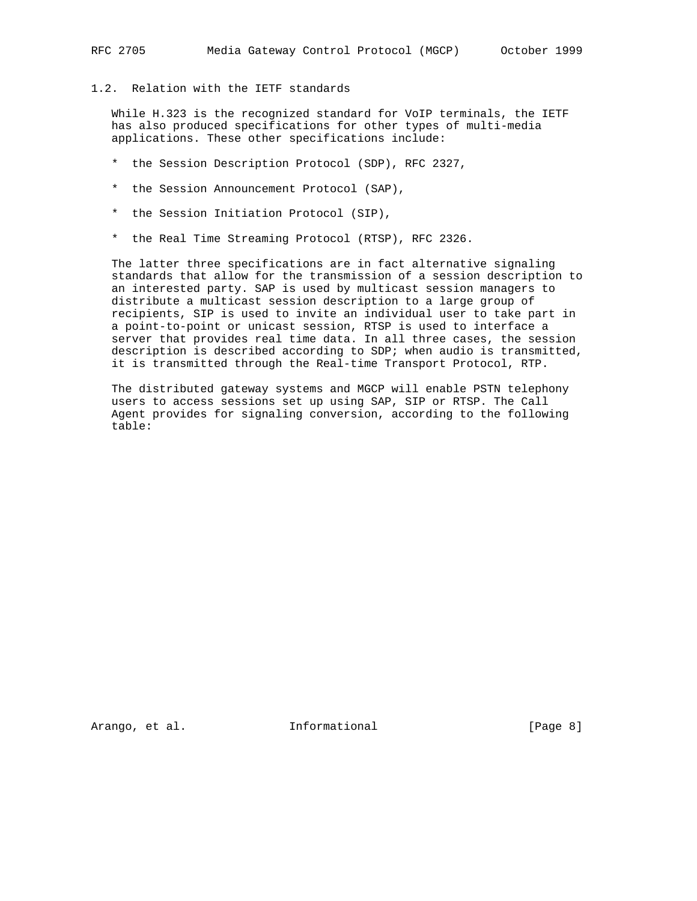# 1.2. Relation with the IETF standards

 While H.323 is the recognized standard for VoIP terminals, the IETF has also produced specifications for other types of multi-media applications. These other specifications include:

- \* the Session Description Protocol (SDP), RFC 2327,
- \* the Session Announcement Protocol (SAP),
- \* the Session Initiation Protocol (SIP),
- \* the Real Time Streaming Protocol (RTSP), RFC 2326.

 The latter three specifications are in fact alternative signaling standards that allow for the transmission of a session description to an interested party. SAP is used by multicast session managers to distribute a multicast session description to a large group of recipients, SIP is used to invite an individual user to take part in a point-to-point or unicast session, RTSP is used to interface a server that provides real time data. In all three cases, the session description is described according to SDP; when audio is transmitted, it is transmitted through the Real-time Transport Protocol, RTP.

 The distributed gateway systems and MGCP will enable PSTN telephony users to access sessions set up using SAP, SIP or RTSP. The Call Agent provides for signaling conversion, according to the following table:

Arango, et al. **Informational** [Page 8]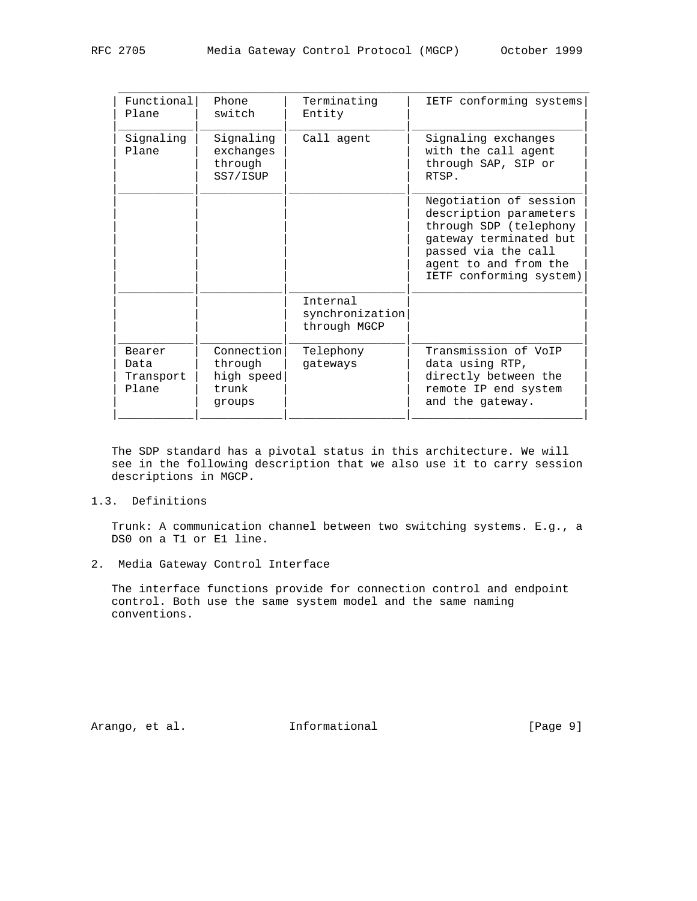| Functional                           | Phone                                                  | Terminating                                 | IETF conforming systems                                                                                                                                                         |
|--------------------------------------|--------------------------------------------------------|---------------------------------------------|---------------------------------------------------------------------------------------------------------------------------------------------------------------------------------|
| Plane                                | switch                                                 | Entity                                      |                                                                                                                                                                                 |
| Signaling<br>Plane                   | Signaling<br>exchanges<br>through<br>SS7/ISUP          | Call agent                                  | Signaling exchanges<br>with the call agent<br>through SAP, SIP or<br>RTSP.                                                                                                      |
|                                      |                                                        |                                             | Negotiation of session<br>description parameters<br>through SDP (telephony<br>gateway terminated but<br>passed via the call<br>agent to and from the<br>IETF conforming system) |
|                                      |                                                        | Internal<br>synchronization<br>through MGCP |                                                                                                                                                                                 |
| Bearer<br>Data<br>Transport<br>Plane | Connection<br>through<br>high speed<br>trunk<br>groups | Telephony<br>gateways                       | Transmission of VoIP<br>data using RTP,<br>directly between the<br>remote IP end system<br>and the gateway.                                                                     |

 The SDP standard has a pivotal status in this architecture. We will see in the following description that we also use it to carry session descriptions in MGCP.

1.3. Definitions

 Trunk: A communication channel between two switching systems. E.g., a DS0 on a T1 or E1 line.

2. Media Gateway Control Interface

 The interface functions provide for connection control and endpoint control. Both use the same system model and the same naming conventions.

Arango, et al. 1nformational 1999 [Page 9]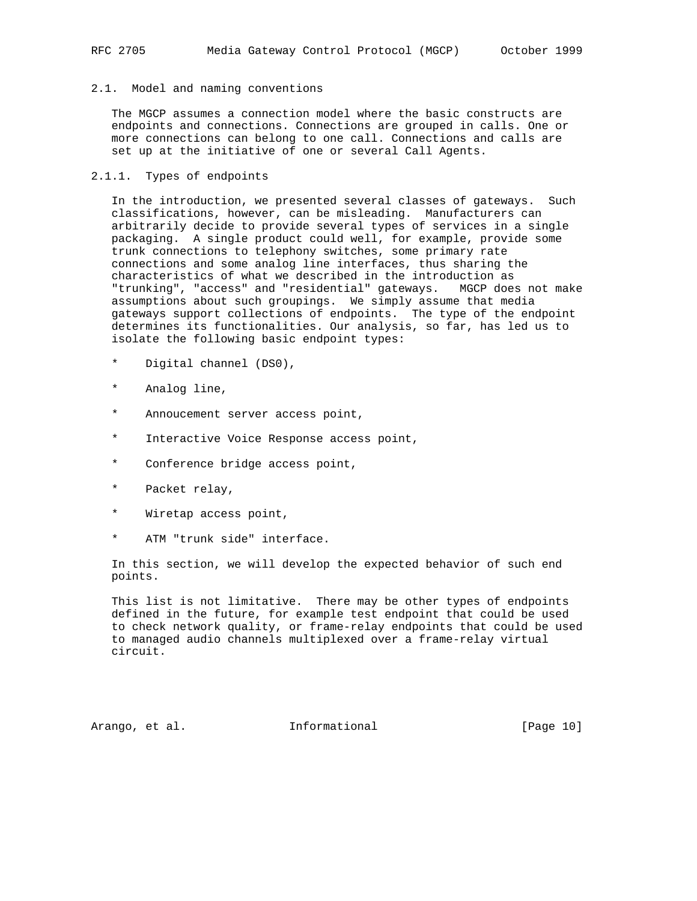# 2.1. Model and naming conventions

 The MGCP assumes a connection model where the basic constructs are endpoints and connections. Connections are grouped in calls. One or more connections can belong to one call. Connections and calls are set up at the initiative of one or several Call Agents.

# 2.1.1. Types of endpoints

 In the introduction, we presented several classes of gateways. Such classifications, however, can be misleading. Manufacturers can arbitrarily decide to provide several types of services in a single packaging. A single product could well, for example, provide some trunk connections to telephony switches, some primary rate connections and some analog line interfaces, thus sharing the characteristics of what we described in the introduction as "trunking", "access" and "residential" gateways. MGCP does not make assumptions about such groupings. We simply assume that media gateways support collections of endpoints. The type of the endpoint determines its functionalities. Our analysis, so far, has led us to isolate the following basic endpoint types:

- \* Digital channel (DS0),
- \* Analog line,
- \* Annoucement server access point,
- \* Interactive Voice Response access point,
- \* Conference bridge access point,
- \* Packet relay,
- \* Wiretap access point,
- ATM "trunk side" interface.

 In this section, we will develop the expected behavior of such end points.

 This list is not limitative. There may be other types of endpoints defined in the future, for example test endpoint that could be used to check network quality, or frame-relay endpoints that could be used to managed audio channels multiplexed over a frame-relay virtual circuit.

Arango, et al. **Informational** [Page 10]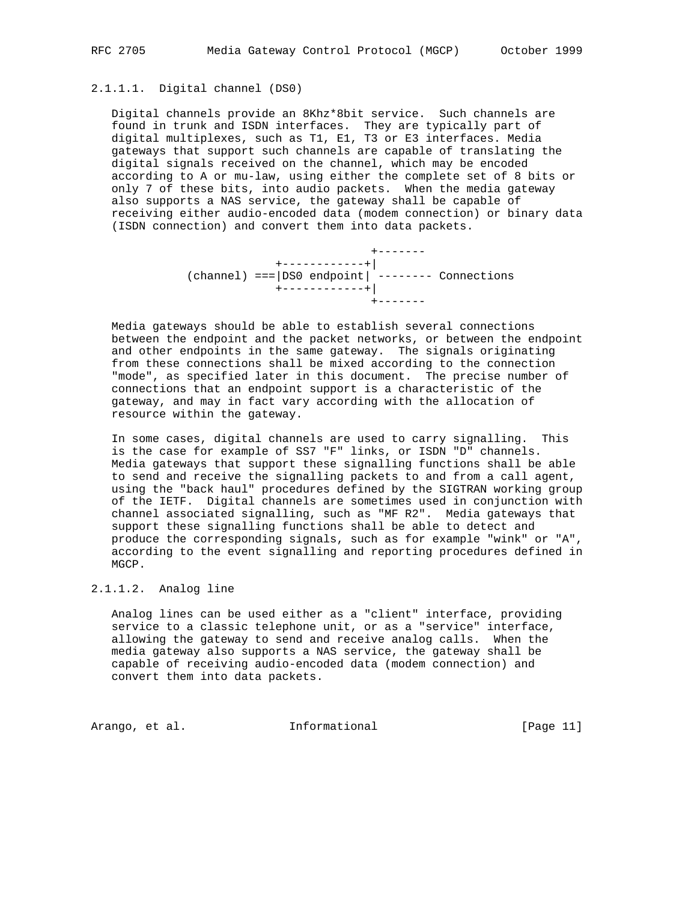# 2.1.1.1. Digital channel (DS0)

 Digital channels provide an 8Khz\*8bit service. Such channels are found in trunk and ISDN interfaces. They are typically part of digital multiplexes, such as T1, E1, T3 or E3 interfaces. Media gateways that support such channels are capable of translating the digital signals received on the channel, which may be encoded according to A or mu-law, using either the complete set of 8 bits or only 7 of these bits, into audio packets. When the media gateway also supports a NAS service, the gateway shall be capable of receiving either audio-encoded data (modem connection) or binary data (ISDN connection) and convert them into data packets.



 Media gateways should be able to establish several connections between the endpoint and the packet networks, or between the endpoint and other endpoints in the same gateway. The signals originating from these connections shall be mixed according to the connection "mode", as specified later in this document. The precise number of connections that an endpoint support is a characteristic of the gateway, and may in fact vary according with the allocation of resource within the gateway.

 In some cases, digital channels are used to carry signalling. This is the case for example of SS7 "F" links, or ISDN "D" channels. Media gateways that support these signalling functions shall be able to send and receive the signalling packets to and from a call agent, using the "back haul" procedures defined by the SIGTRAN working group of the IETF. Digital channels are sometimes used in conjunction with channel associated signalling, such as "MF R2". Media gateways that support these signalling functions shall be able to detect and produce the corresponding signals, such as for example "wink" or "A", according to the event signalling and reporting procedures defined in MGCP.

### 2.1.1.2. Analog line

 Analog lines can be used either as a "client" interface, providing service to a classic telephone unit, or as a "service" interface, allowing the gateway to send and receive analog calls. When the media gateway also supports a NAS service, the gateway shall be capable of receiving audio-encoded data (modem connection) and convert them into data packets.

Arango, et al. 1nformational [Page 11]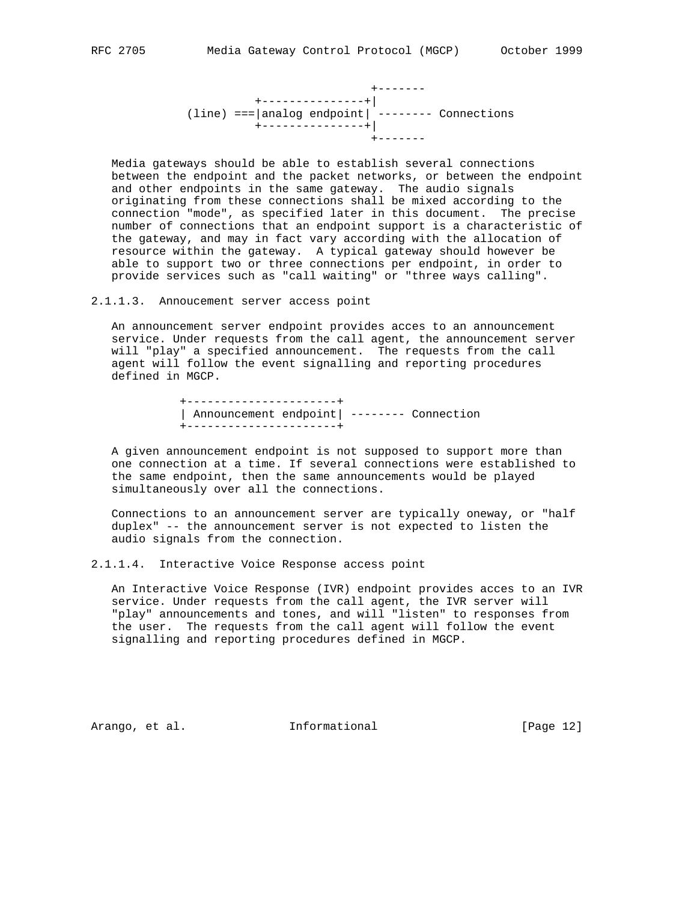

 Media gateways should be able to establish several connections between the endpoint and the packet networks, or between the endpoint and other endpoints in the same gateway. The audio signals originating from these connections shall be mixed according to the connection "mode", as specified later in this document. The precise number of connections that an endpoint support is a characteristic of the gateway, and may in fact vary according with the allocation of resource within the gateway. A typical gateway should however be able to support two or three connections per endpoint, in order to provide services such as "call waiting" or "three ways calling".

2.1.1.3. Annoucement server access point

 An announcement server endpoint provides acces to an announcement service. Under requests from the call agent, the announcement server will "play" a specified announcement. The requests from the call agent will follow the event signalling and reporting procedures defined in MGCP.

> +----------------------+ | Announcement endpoint| -------- Connection +----------------------+

 A given announcement endpoint is not supposed to support more than one connection at a time. If several connections were established to the same endpoint, then the same announcements would be played simultaneously over all the connections.

 Connections to an announcement server are typically oneway, or "half duplex" -- the announcement server is not expected to listen the audio signals from the connection.

2.1.1.4. Interactive Voice Response access point

 An Interactive Voice Response (IVR) endpoint provides acces to an IVR service. Under requests from the call agent, the IVR server will "play" announcements and tones, and will "listen" to responses from the user. The requests from the call agent will follow the event signalling and reporting procedures defined in MGCP.

Arango, et al. 1nformational [Page 12]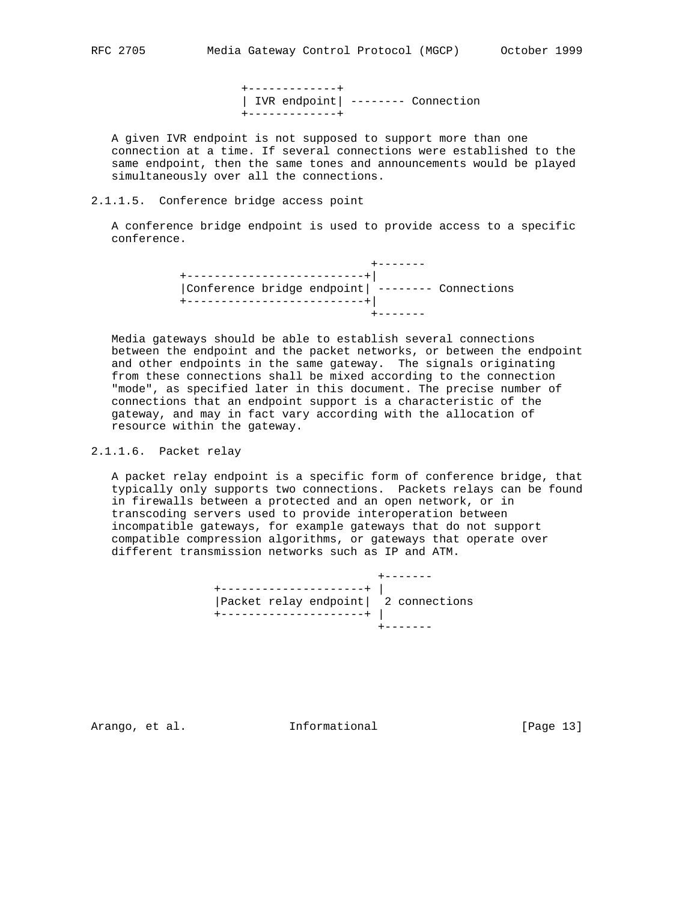+-------------+ | IVR endpoint| -------- Connection +-------------+

 A given IVR endpoint is not supposed to support more than one connection at a time. If several connections were established to the same endpoint, then the same tones and announcements would be played simultaneously over all the connections.

# 2.1.1.5. Conference bridge access point

 A conference bridge endpoint is used to provide access to a specific conference.

 +------- +--------------------------+| |Conference bridge endpoint| -------- Connections +--------------------------+| +-------

 Media gateways should be able to establish several connections between the endpoint and the packet networks, or between the endpoint and other endpoints in the same gateway. The signals originating from these connections shall be mixed according to the connection "mode", as specified later in this document. The precise number of connections that an endpoint support is a characteristic of the gateway, and may in fact vary according with the allocation of resource within the gateway.

# 2.1.1.6. Packet relay

 A packet relay endpoint is a specific form of conference bridge, that typically only supports two connections. Packets relays can be found in firewalls between a protected and an open network, or in transcoding servers used to provide interoperation between incompatible gateways, for example gateways that do not support compatible compression algorithms, or gateways that operate over different transmission networks such as IP and ATM.

> +------- +---------------------+ | |Packet relay endpoint| 2 connections +---------------------+ | +-------

Arango, et al. **Informational** [Page 13]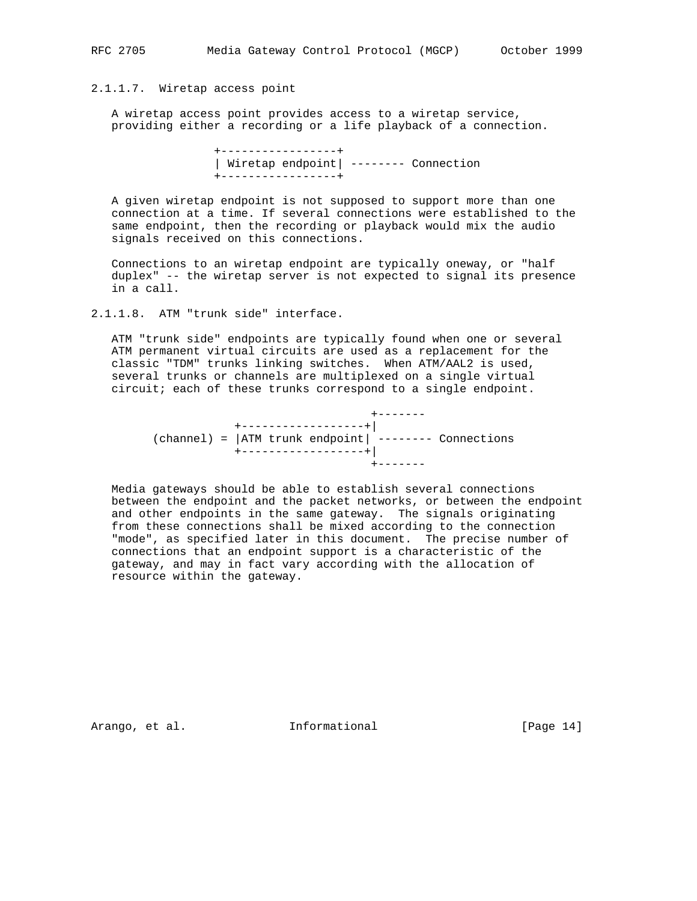### 2.1.1.7. Wiretap access point

 A wiretap access point provides access to a wiretap service, providing either a recording or a life playback of a connection.

> +-----------------+ | Wiretap endpoint| -------- Connection +-----------------+

 A given wiretap endpoint is not supposed to support more than one connection at a time. If several connections were established to the same endpoint, then the recording or playback would mix the audio signals received on this connections.

 Connections to an wiretap endpoint are typically oneway, or "half duplex" -- the wiretap server is not expected to signal its presence in a call.

2.1.1.8. ATM "trunk side" interface.

 ATM "trunk side" endpoints are typically found when one or several ATM permanent virtual circuits are used as a replacement for the classic "TDM" trunks linking switches. When ATM/AAL2 is used, several trunks or channels are multiplexed on a single virtual circuit; each of these trunks correspond to a single endpoint.

 +------- +------------------+|  $(charnel) = |ATM trunk endpoint|$  ------- Connections +------------------+| +-------

 Media gateways should be able to establish several connections between the endpoint and the packet networks, or between the endpoint and other endpoints in the same gateway. The signals originating from these connections shall be mixed according to the connection "mode", as specified later in this document. The precise number of connections that an endpoint support is a characteristic of the gateway, and may in fact vary according with the allocation of resource within the gateway.

Arango, et al. **Informational** [Page 14]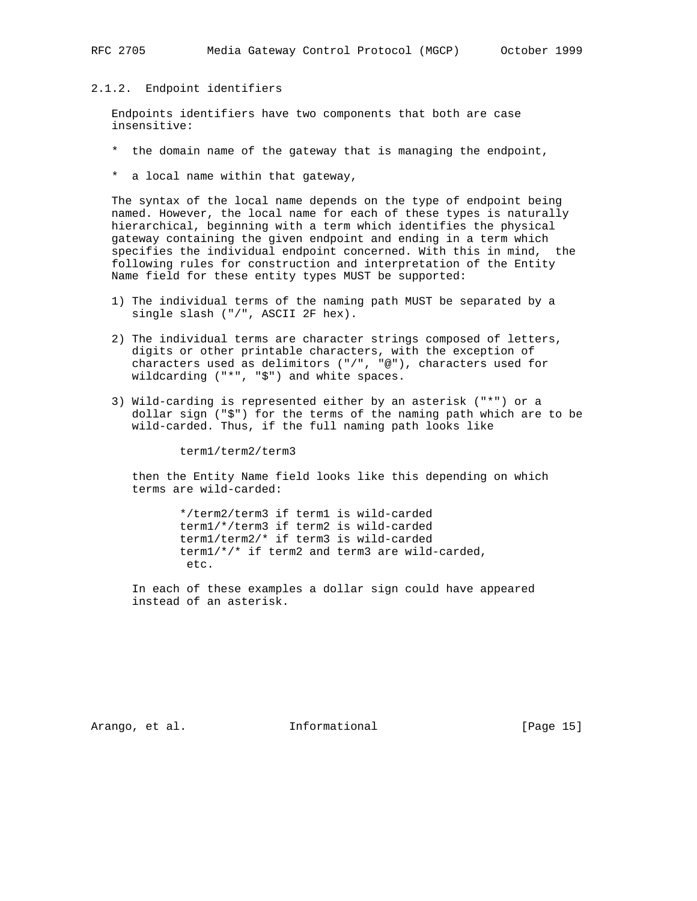# 2.1.2. Endpoint identifiers

 Endpoints identifiers have two components that both are case insensitive:

- \* the domain name of the gateway that is managing the endpoint,
- \* a local name within that gateway,

 The syntax of the local name depends on the type of endpoint being named. However, the local name for each of these types is naturally hierarchical, beginning with a term which identifies the physical gateway containing the given endpoint and ending in a term which specifies the individual endpoint concerned. With this in mind, the following rules for construction and interpretation of the Entity Name field for these entity types MUST be supported:

- 1) The individual terms of the naming path MUST be separated by a single slash ("/", ASCII 2F hex).
- 2) The individual terms are character strings composed of letters, digits or other printable characters, with the exception of characters used as delimitors ("/", "@"), characters used for wildcarding ("\*", "\$") and white spaces.
- 3) Wild-carding is represented either by an asterisk ("\*") or a dollar sign ("\$") for the terms of the naming path which are to be wild-carded. Thus, if the full naming path looks like

term1/term2/term3

 then the Entity Name field looks like this depending on which terms are wild-carded:

> \*/term2/term3 if term1 is wild-carded term1/\*/term3 if term2 is wild-carded term1/term2/\* if term3 is wild-carded term1/\*/\* if term2 and term3 are wild-carded, etc.

 In each of these examples a dollar sign could have appeared instead of an asterisk.

Arango, et al. 1nformational [Page 15]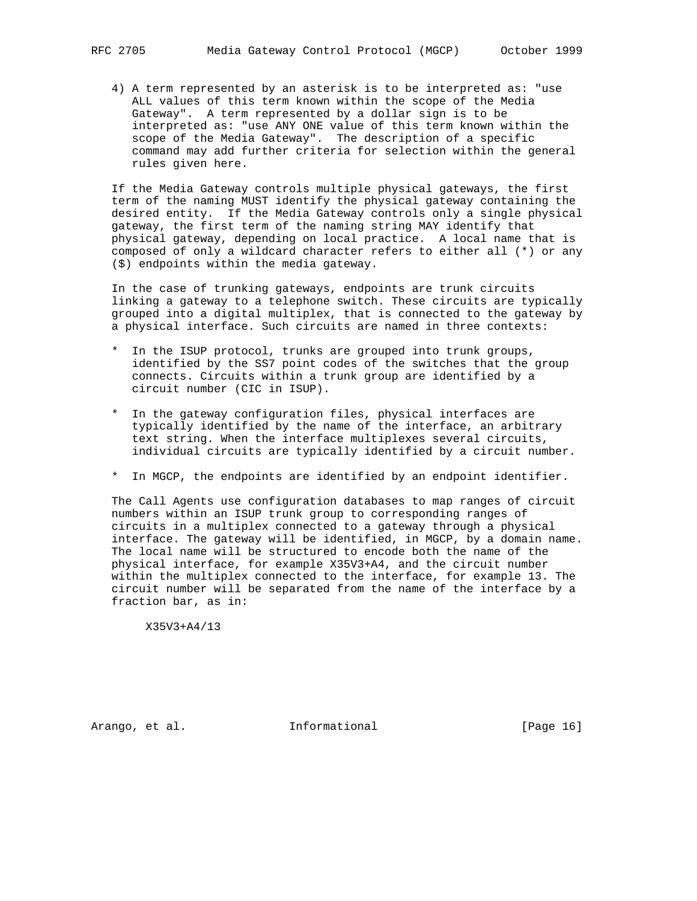4) A term represented by an asterisk is to be interpreted as: "use ALL values of this term known within the scope of the Media Gateway". A term represented by a dollar sign is to be interpreted as: "use ANY ONE value of this term known within the scope of the Media Gateway". The description of a specific command may add further criteria for selection within the general rules given here.

 If the Media Gateway controls multiple physical gateways, the first term of the naming MUST identify the physical gateway containing the desired entity. If the Media Gateway controls only a single physical gateway, the first term of the naming string MAY identify that physical gateway, depending on local practice. A local name that is composed of only a wildcard character refers to either all (\*) or any (\$) endpoints within the media gateway.

 In the case of trunking gateways, endpoints are trunk circuits linking a gateway to a telephone switch. These circuits are typically grouped into a digital multiplex, that is connected to the gateway by a physical interface. Such circuits are named in three contexts:

- \* In the ISUP protocol, trunks are grouped into trunk groups, identified by the SS7 point codes of the switches that the group connects. Circuits within a trunk group are identified by a circuit number (CIC in ISUP).
- \* In the gateway configuration files, physical interfaces are typically identified by the name of the interface, an arbitrary text string. When the interface multiplexes several circuits, individual circuits are typically identified by a circuit number.
- \* In MGCP, the endpoints are identified by an endpoint identifier.

 The Call Agents use configuration databases to map ranges of circuit numbers within an ISUP trunk group to corresponding ranges of circuits in a multiplex connected to a gateway through a physical interface. The gateway will be identified, in MGCP, by a domain name. The local name will be structured to encode both the name of the physical interface, for example X35V3+A4, and the circuit number within the multiplex connected to the interface, for example 13. The circuit number will be separated from the name of the interface by a fraction bar, as in:

X35V3+A4/13

Arango, et al. 1nformational [Page 16]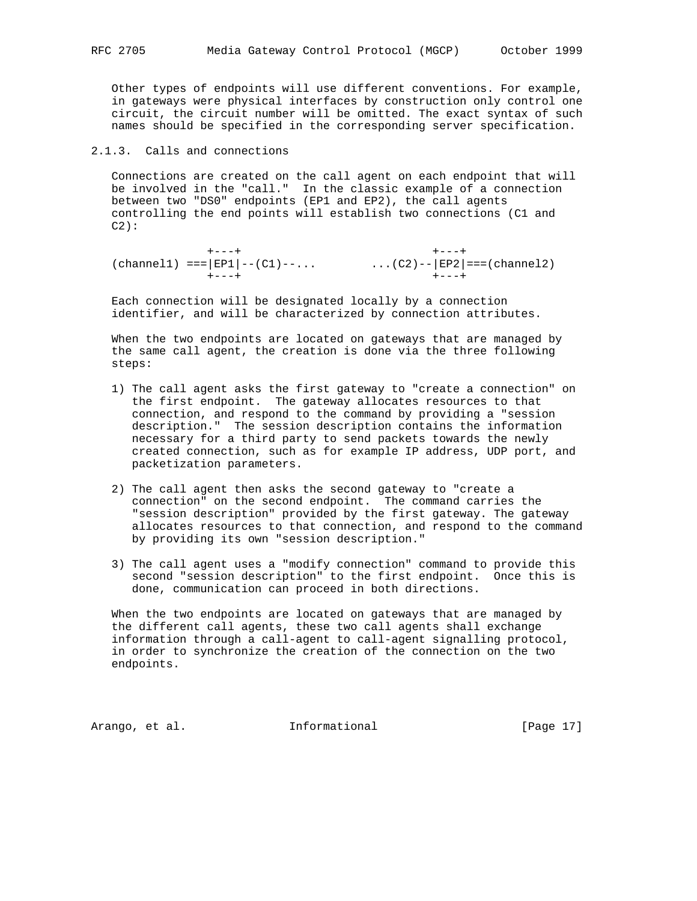Other types of endpoints will use different conventions. For example, in gateways were physical interfaces by construction only control one circuit, the circuit number will be omitted. The exact syntax of such names should be specified in the corresponding server specification.

# 2.1.3. Calls and connections

 Connections are created on the call agent on each endpoint that will be involved in the "call." In the classic example of a connection between two "DS0" endpoints (EP1 and EP2), the call agents controlling the end points will establish two connections (C1 and  $C2$ ):

 +---+ +---+ (channel1) === $|EPI|$ --(C1)--... ...(C2)-- $|EPI|$ ===(channel2) +---+ +---+

 Each connection will be designated locally by a connection identifier, and will be characterized by connection attributes.

 When the two endpoints are located on gateways that are managed by the same call agent, the creation is done via the three following steps:

- 1) The call agent asks the first gateway to "create a connection" on the first endpoint. The gateway allocates resources to that connection, and respond to the command by providing a "session description." The session description contains the information necessary for a third party to send packets towards the newly created connection, such as for example IP address, UDP port, and packetization parameters.
- 2) The call agent then asks the second gateway to "create a connection" on the second endpoint. The command carries the "session description" provided by the first gateway. The gateway allocates resources to that connection, and respond to the command by providing its own "session description."
- 3) The call agent uses a "modify connection" command to provide this second "session description" to the first endpoint. Once this is done, communication can proceed in both directions.

 When the two endpoints are located on gateways that are managed by the different call agents, these two call agents shall exchange information through a call-agent to call-agent signalling protocol, in order to synchronize the creation of the connection on the two endpoints.

Arango, et al. **Informational** [Page 17]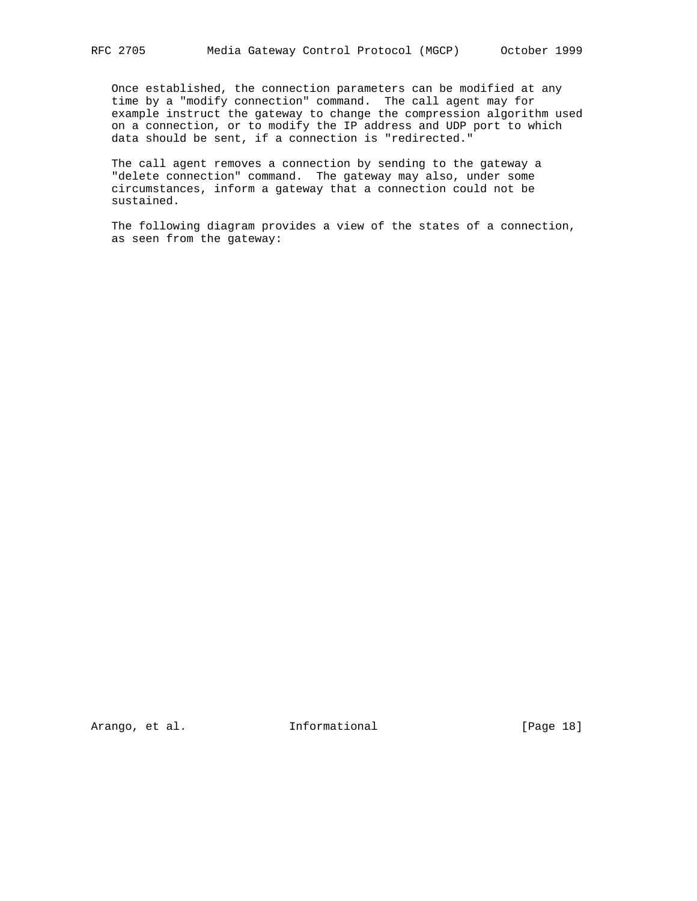Once established, the connection parameters can be modified at any time by a "modify connection" command. The call agent may for example instruct the gateway to change the compression algorithm used on a connection, or to modify the IP address and UDP port to which data should be sent, if a connection is "redirected."

 The call agent removes a connection by sending to the gateway a "delete connection" command. The gateway may also, under some circumstances, inform a gateway that a connection could not be sustained.

 The following diagram provides a view of the states of a connection, as seen from the gateway: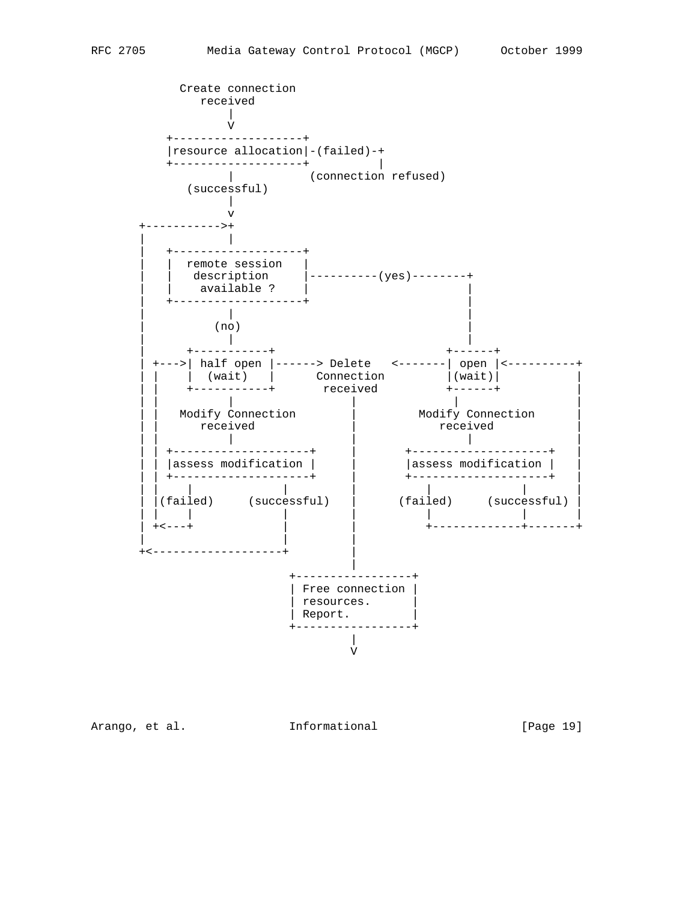

Arango, et al. 1nformational [Page 19]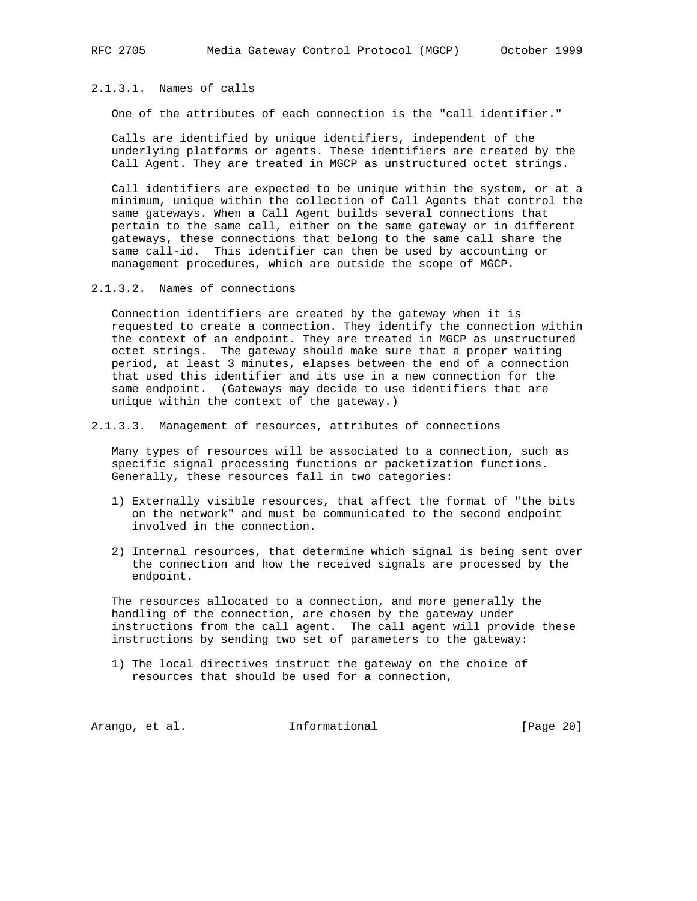# 2.1.3.1. Names of calls

One of the attributes of each connection is the "call identifier."

 Calls are identified by unique identifiers, independent of the underlying platforms or agents. These identifiers are created by the Call Agent. They are treated in MGCP as unstructured octet strings.

 Call identifiers are expected to be unique within the system, or at a minimum, unique within the collection of Call Agents that control the same gateways. When a Call Agent builds several connections that pertain to the same call, either on the same gateway or in different gateways, these connections that belong to the same call share the same call-id. This identifier can then be used by accounting or management procedures, which are outside the scope of MGCP.

2.1.3.2. Names of connections

 Connection identifiers are created by the gateway when it is requested to create a connection. They identify the connection within the context of an endpoint. They are treated in MGCP as unstructured octet strings. The gateway should make sure that a proper waiting period, at least 3 minutes, elapses between the end of a connection that used this identifier and its use in a new connection for the same endpoint. (Gateways may decide to use identifiers that are unique within the context of the gateway.)

2.1.3.3. Management of resources, attributes of connections

 Many types of resources will be associated to a connection, such as specific signal processing functions or packetization functions. Generally, these resources fall in two categories:

- 1) Externally visible resources, that affect the format of "the bits on the network" and must be communicated to the second endpoint involved in the connection.
- 2) Internal resources, that determine which signal is being sent over the connection and how the received signals are processed by the endpoint.

 The resources allocated to a connection, and more generally the handling of the connection, are chosen by the gateway under instructions from the call agent. The call agent will provide these instructions by sending two set of parameters to the gateway:

 1) The local directives instruct the gateway on the choice of resources that should be used for a connection,

Arango, et al. 1nformational [Page 20]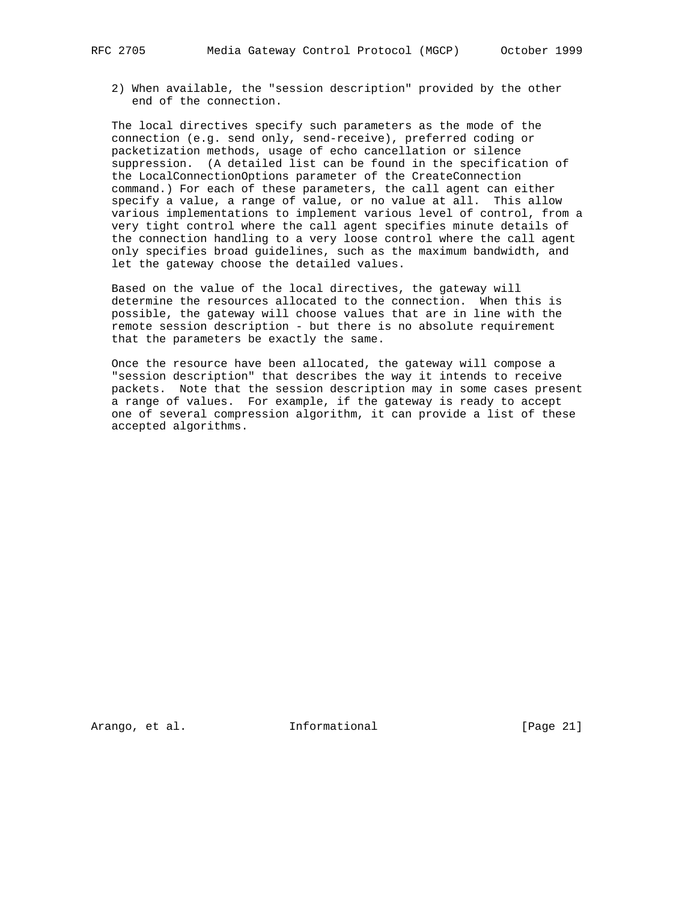2) When available, the "session description" provided by the other end of the connection.

 The local directives specify such parameters as the mode of the connection (e.g. send only, send-receive), preferred coding or packetization methods, usage of echo cancellation or silence suppression. (A detailed list can be found in the specification of the LocalConnectionOptions parameter of the CreateConnection command.) For each of these parameters, the call agent can either specify a value, a range of value, or no value at all. This allow various implementations to implement various level of control, from a very tight control where the call agent specifies minute details of the connection handling to a very loose control where the call agent only specifies broad guidelines, such as the maximum bandwidth, and let the gateway choose the detailed values.

 Based on the value of the local directives, the gateway will determine the resources allocated to the connection. When this is possible, the gateway will choose values that are in line with the remote session description - but there is no absolute requirement that the parameters be exactly the same.

 Once the resource have been allocated, the gateway will compose a "session description" that describes the way it intends to receive packets. Note that the session description may in some cases present a range of values. For example, if the gateway is ready to accept one of several compression algorithm, it can provide a list of these accepted algorithms.

Arango, et al. **Informational** [Page 21]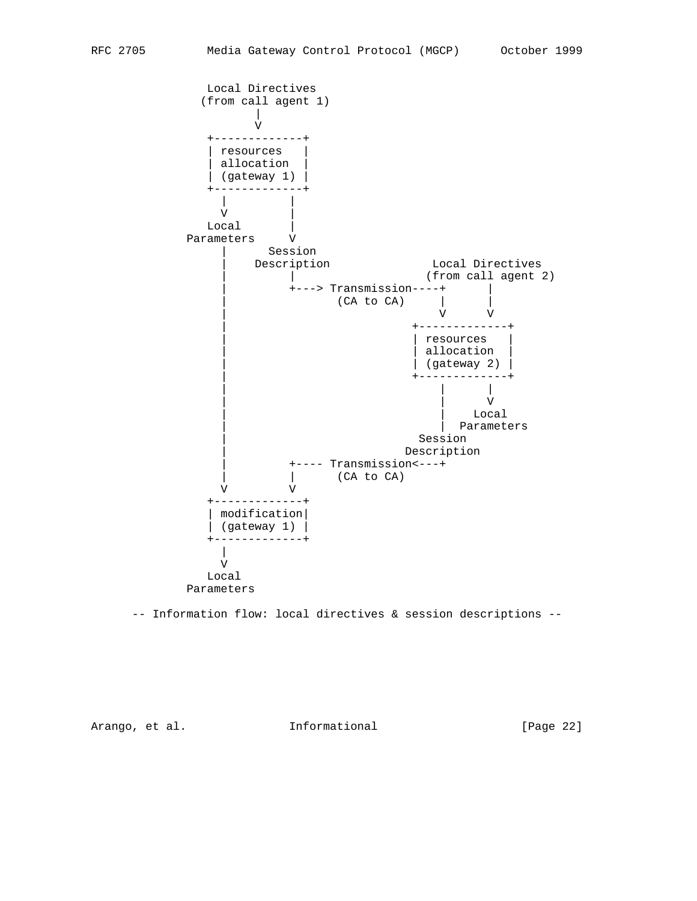

-- Information flow: local directives & session descriptions --

Arango, et al. 1nformational [Page 22]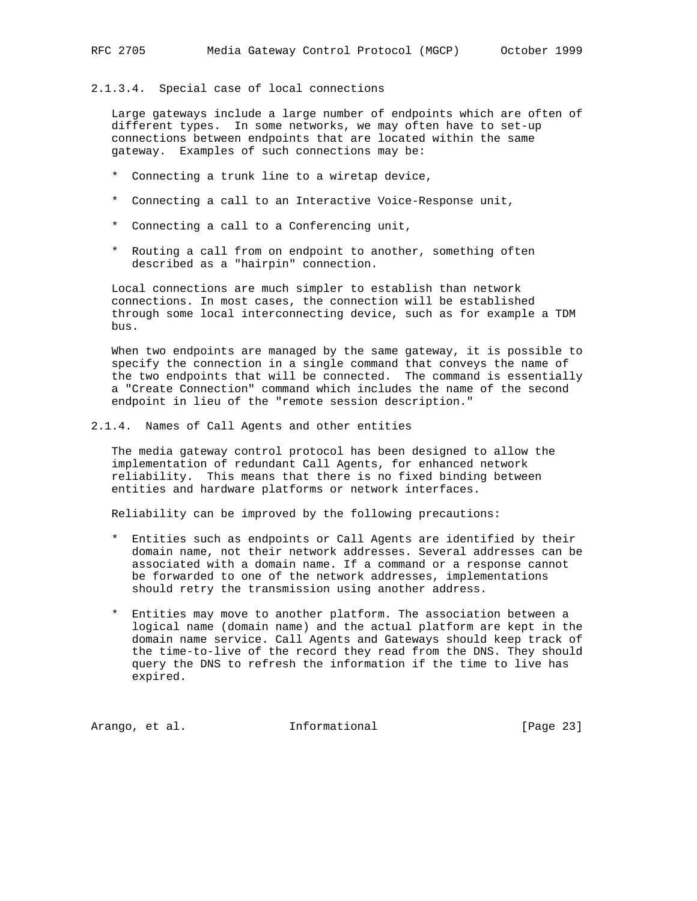# 2.1.3.4. Special case of local connections

 Large gateways include a large number of endpoints which are often of different types. In some networks, we may often have to set-up connections between endpoints that are located within the same gateway. Examples of such connections may be:

- \* Connecting a trunk line to a wiretap device,
- \* Connecting a call to an Interactive Voice-Response unit,
- \* Connecting a call to a Conferencing unit,
- \* Routing a call from on endpoint to another, something often described as a "hairpin" connection.

 Local connections are much simpler to establish than network connections. In most cases, the connection will be established through some local interconnecting device, such as for example a TDM bus.

 When two endpoints are managed by the same gateway, it is possible to specify the connection in a single command that conveys the name of the two endpoints that will be connected. The command is essentially a "Create Connection" command which includes the name of the second endpoint in lieu of the "remote session description."

2.1.4. Names of Call Agents and other entities

 The media gateway control protocol has been designed to allow the implementation of redundant Call Agents, for enhanced network reliability. This means that there is no fixed binding between entities and hardware platforms or network interfaces.

Reliability can be improved by the following precautions:

- \* Entities such as endpoints or Call Agents are identified by their domain name, not their network addresses. Several addresses can be associated with a domain name. If a command or a response cannot be forwarded to one of the network addresses, implementations should retry the transmission using another address.
- \* Entities may move to another platform. The association between a logical name (domain name) and the actual platform are kept in the domain name service. Call Agents and Gateways should keep track of the time-to-live of the record they read from the DNS. They should query the DNS to refresh the information if the time to live has expired.

Arango, et al. 1nformational [Page 23]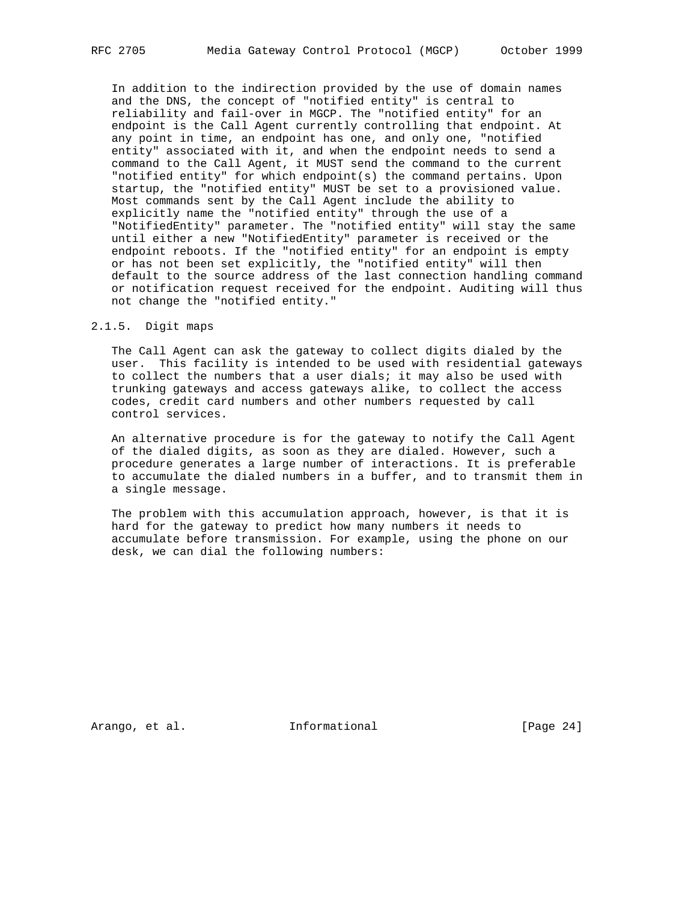In addition to the indirection provided by the use of domain names and the DNS, the concept of "notified entity" is central to reliability and fail-over in MGCP. The "notified entity" for an endpoint is the Call Agent currently controlling that endpoint. At any point in time, an endpoint has one, and only one, "notified entity" associated with it, and when the endpoint needs to send a command to the Call Agent, it MUST send the command to the current "notified entity" for which endpoint(s) the command pertains. Upon startup, the "notified entity" MUST be set to a provisioned value. Most commands sent by the Call Agent include the ability to explicitly name the "notified entity" through the use of a "NotifiedEntity" parameter. The "notified entity" will stay the same until either a new "NotifiedEntity" parameter is received or the endpoint reboots. If the "notified entity" for an endpoint is empty or has not been set explicitly, the "notified entity" will then default to the source address of the last connection handling command or notification request received for the endpoint. Auditing will thus not change the "notified entity."

#### 2.1.5. Digit maps

 The Call Agent can ask the gateway to collect digits dialed by the user. This facility is intended to be used with residential gateways to collect the numbers that a user dials; it may also be used with trunking gateways and access gateways alike, to collect the access codes, credit card numbers and other numbers requested by call control services.

 An alternative procedure is for the gateway to notify the Call Agent of the dialed digits, as soon as they are dialed. However, such a procedure generates a large number of interactions. It is preferable to accumulate the dialed numbers in a buffer, and to transmit them in a single message.

 The problem with this accumulation approach, however, is that it is hard for the gateway to predict how many numbers it needs to accumulate before transmission. For example, using the phone on our desk, we can dial the following numbers:

Arango, et al. 1nformational [Page 24]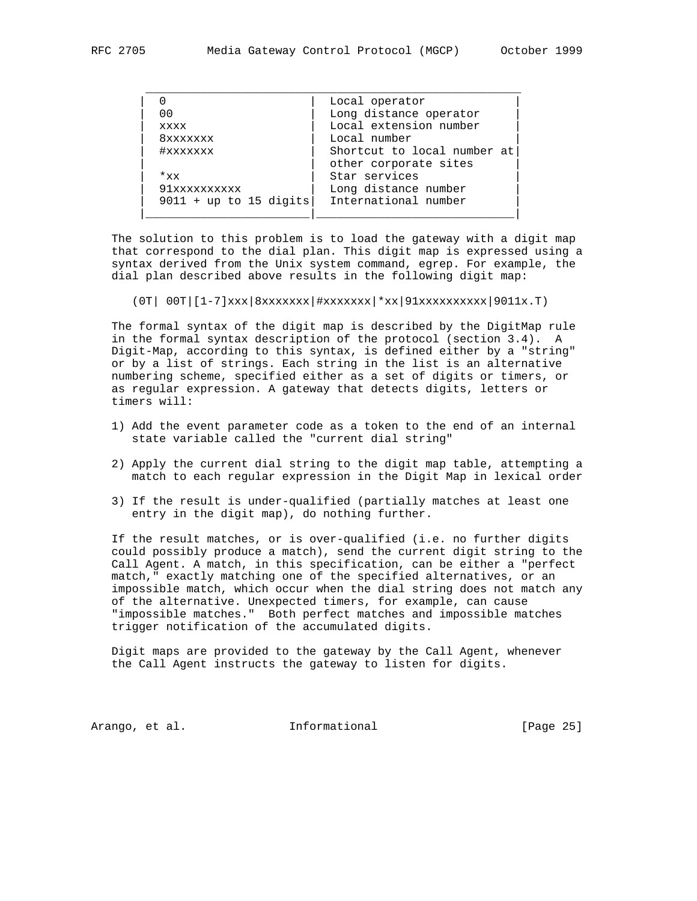| LFC 2705 |  |  |
|----------|--|--|
|          |  |  |

|                          | Local operator              |
|--------------------------|-----------------------------|
| 0 <sub>0</sub>           | Long distance operator      |
| <b>XXXX</b>              | Local extension number      |
| 8xxxxxxx                 | Local number                |
| #xxxxxxx                 | Shortcut to local number at |
|                          | other corporate sites       |
| $*_{xx}$                 | Star services               |
| 91xxxxxxxxxx             | Long distance number        |
| $9011 + up to 15 digits$ | International number        |
|                          |                             |

 The solution to this problem is to load the gateway with a digit map that correspond to the dial plan. This digit map is expressed using a syntax derived from the Unix system command, egrep. For example, the dial plan described above results in the following digit map:

 $(0T| 00T| [1-7]xxx| 8xxxxxx| 4xxxxxxx| 4xx| 91xxxxxxxxxx| 9011x.T)$ 

 The formal syntax of the digit map is described by the DigitMap rule in the formal syntax description of the protocol (section 3.4). A Digit-Map, according to this syntax, is defined either by a "string" or by a list of strings. Each string in the list is an alternative numbering scheme, specified either as a set of digits or timers, or as regular expression. A gateway that detects digits, letters or timers will:

- 1) Add the event parameter code as a token to the end of an internal state variable called the "current dial string"
- 2) Apply the current dial string to the digit map table, attempting a match to each regular expression in the Digit Map in lexical order
- 3) If the result is under-qualified (partially matches at least one entry in the digit map), do nothing further.

 If the result matches, or is over-qualified (i.e. no further digits could possibly produce a match), send the current digit string to the Call Agent. A match, in this specification, can be either a "perfect match," exactly matching one of the specified alternatives, or an impossible match, which occur when the dial string does not match any of the alternative. Unexpected timers, for example, can cause "impossible matches." Both perfect matches and impossible matches trigger notification of the accumulated digits.

 Digit maps are provided to the gateway by the Call Agent, whenever the Call Agent instructs the gateway to listen for digits.

Arango, et al. 1nformational [Page 25]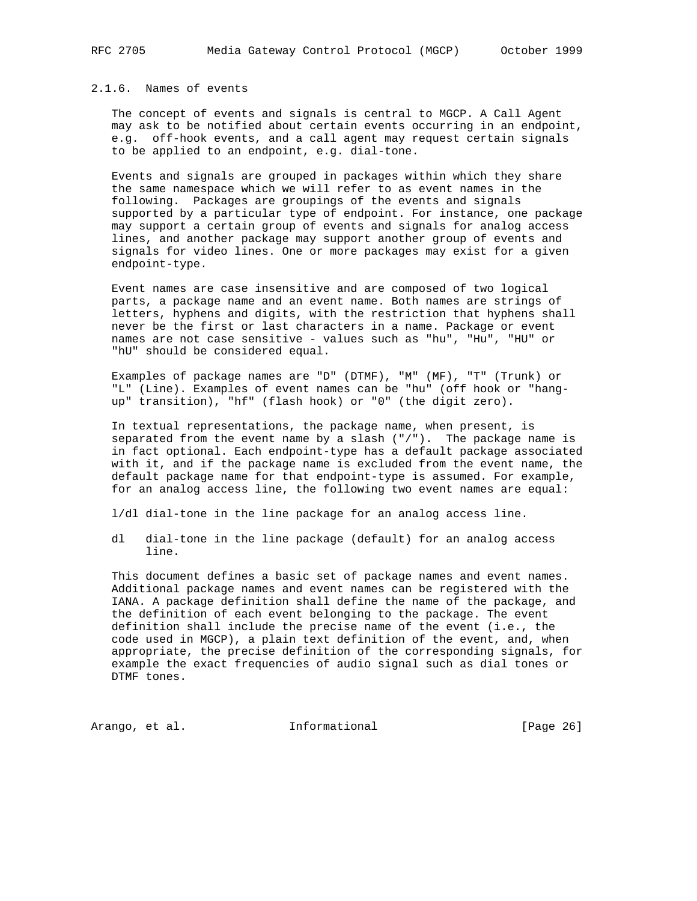# 2.1.6. Names of events

 The concept of events and signals is central to MGCP. A Call Agent may ask to be notified about certain events occurring in an endpoint, e.g. off-hook events, and a call agent may request certain signals to be applied to an endpoint, e.g. dial-tone.

 Events and signals are grouped in packages within which they share the same namespace which we will refer to as event names in the following. Packages are groupings of the events and signals supported by a particular type of endpoint. For instance, one package may support a certain group of events and signals for analog access lines, and another package may support another group of events and signals for video lines. One or more packages may exist for a given endpoint-type.

 Event names are case insensitive and are composed of two logical parts, a package name and an event name. Both names are strings of letters, hyphens and digits, with the restriction that hyphens shall never be the first or last characters in a name. Package or event names are not case sensitive - values such as "hu", "Hu", "HU" or "hU" should be considered equal.

 Examples of package names are "D" (DTMF), "M" (MF), "T" (Trunk) or "L" (Line). Examples of event names can be "hu" (off hook or "hang up" transition), "hf" (flash hook) or "0" (the digit zero).

 In textual representations, the package name, when present, is separated from the event name by a slash ("/"). The package name is in fact optional. Each endpoint-type has a default package associated with it, and if the package name is excluded from the event name, the default package name for that endpoint-type is assumed. For example, for an analog access line, the following two event names are equal:

l/dl dial-tone in the line package for an analog access line.

 dl dial-tone in the line package (default) for an analog access line.

 This document defines a basic set of package names and event names. Additional package names and event names can be registered with the IANA. A package definition shall define the name of the package, and the definition of each event belonging to the package. The event definition shall include the precise name of the event (i.e., the code used in MGCP), a plain text definition of the event, and, when appropriate, the precise definition of the corresponding signals, for example the exact frequencies of audio signal such as dial tones or DTMF tones.

Arango, et al. 1nformational [Page 26]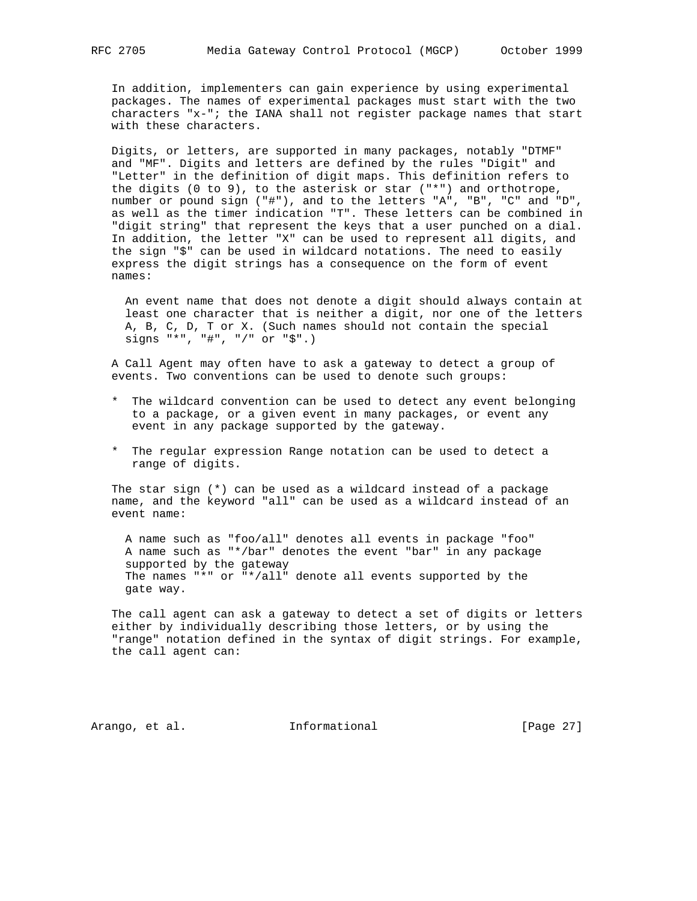In addition, implementers can gain experience by using experimental packages. The names of experimental packages must start with the two characters "x-"; the IANA shall not register package names that start with these characters.

 Digits, or letters, are supported in many packages, notably "DTMF" and "MF". Digits and letters are defined by the rules "Digit" and "Letter" in the definition of digit maps. This definition refers to the digits (0 to 9), to the asterisk or star ("\*") and orthotrope, number or pound sign ("#"), and to the letters "A", "B", "C" and "D", as well as the timer indication "T". These letters can be combined in "digit string" that represent the keys that a user punched on a dial. In addition, the letter "X" can be used to represent all digits, and the sign "\$" can be used in wildcard notations. The need to easily express the digit strings has a consequence on the form of event names:

 An event name that does not denote a digit should always contain at least one character that is neither a digit, nor one of the letters A, B, C, D, T or X. (Such names should not contain the special  $signs$  "\*", "#", "/" or "\$".)

 A Call Agent may often have to ask a gateway to detect a group of events. Two conventions can be used to denote such groups:

- \* The wildcard convention can be used to detect any event belonging to a package, or a given event in many packages, or event any event in any package supported by the gateway.
- \* The regular expression Range notation can be used to detect a range of digits.

 The star sign (\*) can be used as a wildcard instead of a package name, and the keyword "all" can be used as a wildcard instead of an event name:

 A name such as "foo/all" denotes all events in package "foo" A name such as "\*/bar" denotes the event "bar" in any package supported by the gateway The names "\*" or "\*/all" denote all events supported by the gate way.

 The call agent can ask a gateway to detect a set of digits or letters either by individually describing those letters, or by using the "range" notation defined in the syntax of digit strings. For example, the call agent can:

Arango, et al. **Informational** [Page 27]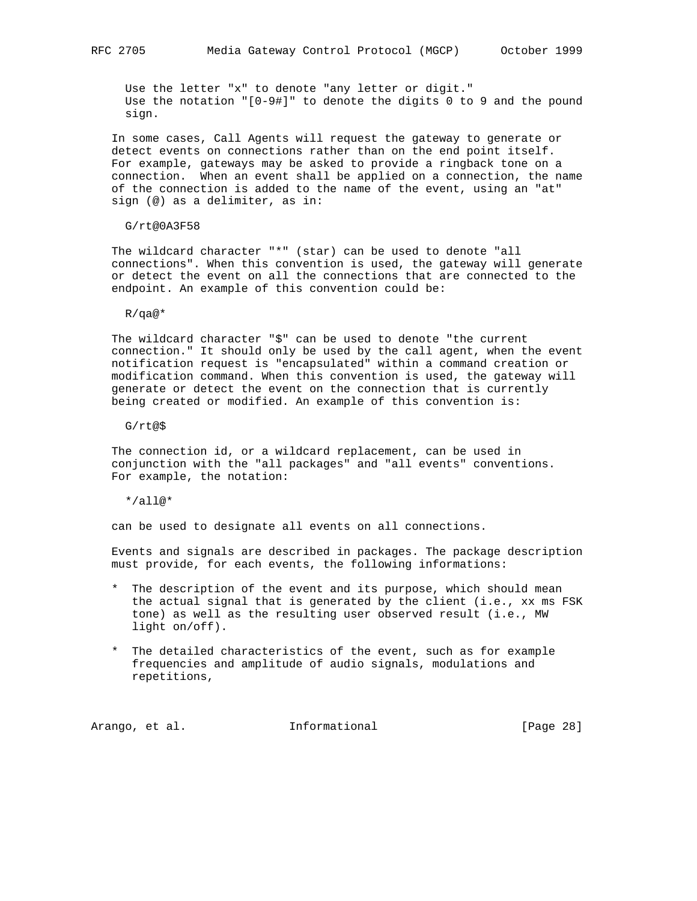Use the letter "x" to denote "any letter or digit." Use the notation "[0-9#]" to denote the digits 0 to 9 and the pound sign.

 In some cases, Call Agents will request the gateway to generate or detect events on connections rather than on the end point itself. For example, gateways may be asked to provide a ringback tone on a connection. When an event shall be applied on a connection, the name of the connection is added to the name of the event, using an "at" sign (@) as a delimiter, as in:

G/rt@0A3F58

 The wildcard character "\*" (star) can be used to denote "all connections". When this convention is used, the gateway will generate or detect the event on all the connections that are connected to the endpoint. An example of this convention could be:

R/qa@\*

 The wildcard character "\$" can be used to denote "the current connection." It should only be used by the call agent, when the event notification request is "encapsulated" within a command creation or modification command. When this convention is used, the gateway will generate or detect the event on the connection that is currently being created or modified. An example of this convention is:

G/rt@\$

 The connection id, or a wildcard replacement, can be used in conjunction with the "all packages" and "all events" conventions. For example, the notation:

\*/all@\*

can be used to designate all events on all connections.

 Events and signals are described in packages. The package description must provide, for each events, the following informations:

- \* The description of the event and its purpose, which should mean the actual signal that is generated by the client (i.e., xx ms FSK tone) as well as the resulting user observed result (i.e., MW light on/off).
- \* The detailed characteristics of the event, such as for example frequencies and amplitude of audio signals, modulations and repetitions,

Arango, et al. **Informational** [Page 28]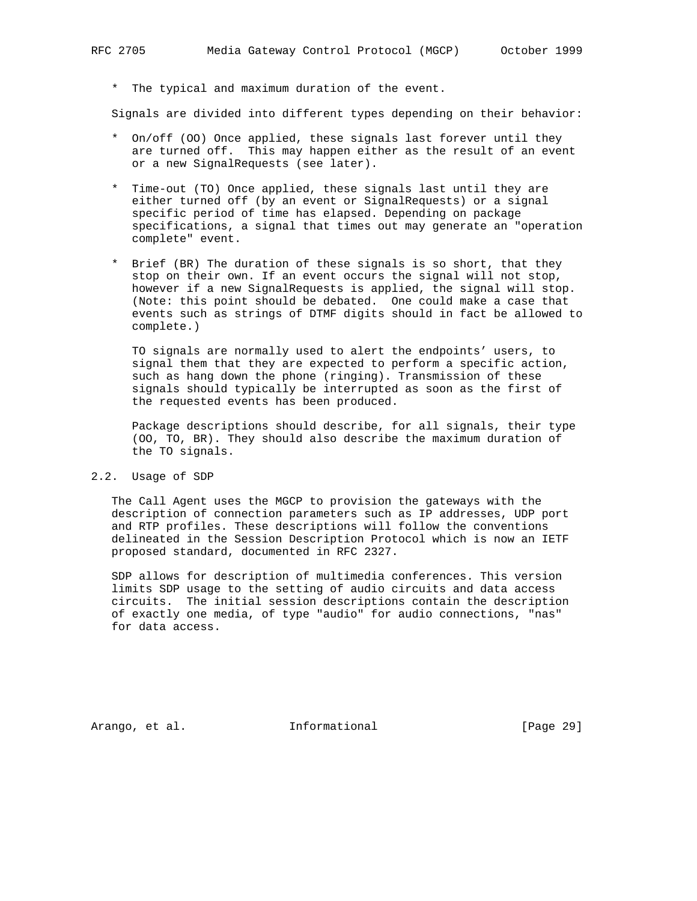\* The typical and maximum duration of the event.

Signals are divided into different types depending on their behavior:

- \* On/off (OO) Once applied, these signals last forever until they are turned off. This may happen either as the result of an event or a new SignalRequests (see later).
- \* Time-out (TO) Once applied, these signals last until they are either turned off (by an event or SignalRequests) or a signal specific period of time has elapsed. Depending on package specifications, a signal that times out may generate an "operation complete" event.
- \* Brief (BR) The duration of these signals is so short, that they stop on their own. If an event occurs the signal will not stop, however if a new SignalRequests is applied, the signal will stop. (Note: this point should be debated. One could make a case that events such as strings of DTMF digits should in fact be allowed to complete.)

 TO signals are normally used to alert the endpoints' users, to signal them that they are expected to perform a specific action, such as hang down the phone (ringing). Transmission of these signals should typically be interrupted as soon as the first of the requested events has been produced.

 Package descriptions should describe, for all signals, their type (OO, TO, BR). They should also describe the maximum duration of the TO signals.

#### 2.2. Usage of SDP

 The Call Agent uses the MGCP to provision the gateways with the description of connection parameters such as IP addresses, UDP port and RTP profiles. These descriptions will follow the conventions delineated in the Session Description Protocol which is now an IETF proposed standard, documented in RFC 2327.

 SDP allows for description of multimedia conferences. This version limits SDP usage to the setting of audio circuits and data access circuits. The initial session descriptions contain the description of exactly one media, of type "audio" for audio connections, "nas" for data access.

Arango, et al. **Informational** [Page 29]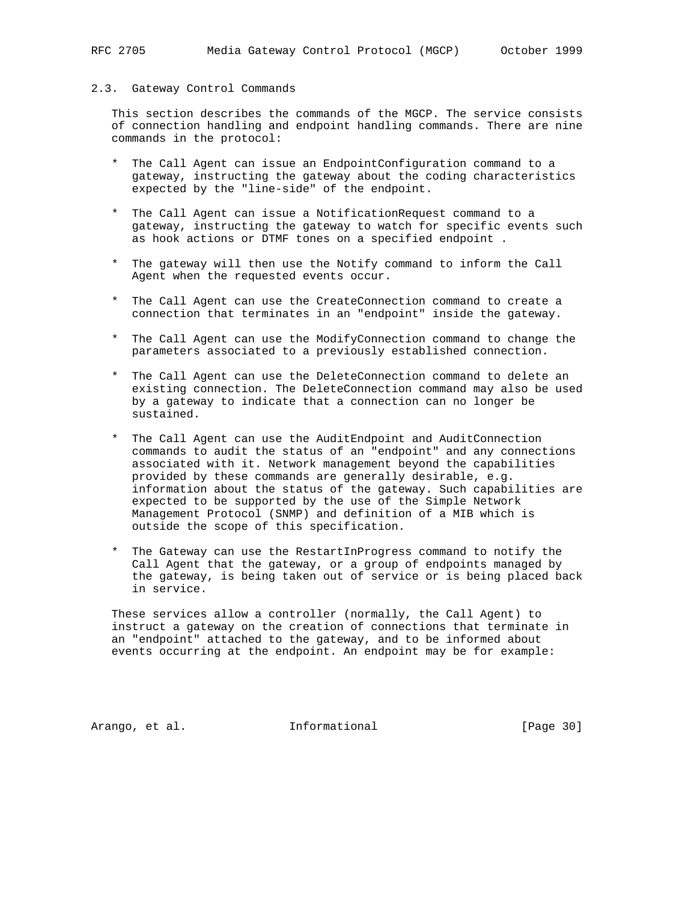#### 2.3. Gateway Control Commands

 This section describes the commands of the MGCP. The service consists of connection handling and endpoint handling commands. There are nine commands in the protocol:

- \* The Call Agent can issue an EndpointConfiguration command to a gateway, instructing the gateway about the coding characteristics expected by the "line-side" of the endpoint.
- \* The Call Agent can issue a NotificationRequest command to a gateway, instructing the gateway to watch for specific events such as hook actions or DTMF tones on a specified endpoint .
- \* The gateway will then use the Notify command to inform the Call Agent when the requested events occur.
- \* The Call Agent can use the CreateConnection command to create a connection that terminates in an "endpoint" inside the gateway.
- \* The Call Agent can use the ModifyConnection command to change the parameters associated to a previously established connection.
- \* The Call Agent can use the DeleteConnection command to delete an existing connection. The DeleteConnection command may also be used by a gateway to indicate that a connection can no longer be sustained.
- \* The Call Agent can use the AuditEndpoint and AuditConnection commands to audit the status of an "endpoint" and any connections associated with it. Network management beyond the capabilities provided by these commands are generally desirable, e.g. information about the status of the gateway. Such capabilities are expected to be supported by the use of the Simple Network Management Protocol (SNMP) and definition of a MIB which is outside the scope of this specification.
- \* The Gateway can use the RestartInProgress command to notify the Call Agent that the gateway, or a group of endpoints managed by the gateway, is being taken out of service or is being placed back in service.

 These services allow a controller (normally, the Call Agent) to instruct a gateway on the creation of connections that terminate in an "endpoint" attached to the gateway, and to be informed about events occurring at the endpoint. An endpoint may be for example:

Arango, et al. **Informational** [Page 30]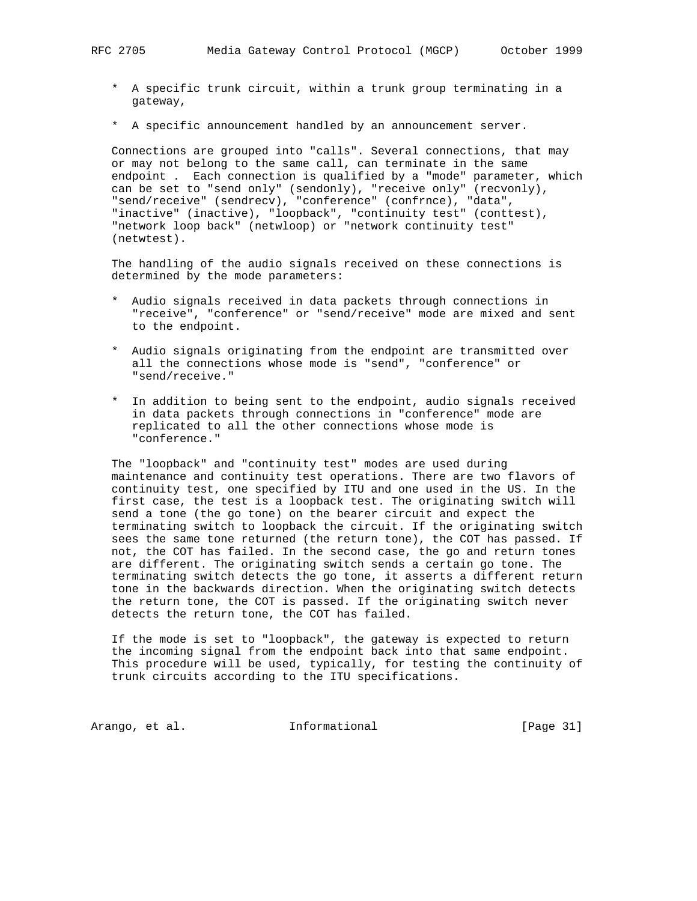- \* A specific trunk circuit, within a trunk group terminating in a gateway,
- \* A specific announcement handled by an announcement server.

 Connections are grouped into "calls". Several connections, that may or may not belong to the same call, can terminate in the same endpoint . Each connection is qualified by a "mode" parameter, which can be set to "send only" (sendonly), "receive only" (recvonly), "send/receive" (sendrecv), "conference" (confrnce), "data", "inactive" (inactive), "loopback", "continuity test" (conttest), "network loop back" (netwloop) or "network continuity test" (netwtest).

 The handling of the audio signals received on these connections is determined by the mode parameters:

- \* Audio signals received in data packets through connections in "receive", "conference" or "send/receive" mode are mixed and sent to the endpoint.
- \* Audio signals originating from the endpoint are transmitted over all the connections whose mode is "send", "conference" or "send/receive."
- \* In addition to being sent to the endpoint, audio signals received in data packets through connections in "conference" mode are replicated to all the other connections whose mode is "conference."

 The "loopback" and "continuity test" modes are used during maintenance and continuity test operations. There are two flavors of continuity test, one specified by ITU and one used in the US. In the first case, the test is a loopback test. The originating switch will send a tone (the go tone) on the bearer circuit and expect the terminating switch to loopback the circuit. If the originating switch sees the same tone returned (the return tone), the COT has passed. If not, the COT has failed. In the second case, the go and return tones are different. The originating switch sends a certain go tone. The terminating switch detects the go tone, it asserts a different return tone in the backwards direction. When the originating switch detects the return tone, the COT is passed. If the originating switch never detects the return tone, the COT has failed.

 If the mode is set to "loopback", the gateway is expected to return the incoming signal from the endpoint back into that same endpoint. This procedure will be used, typically, for testing the continuity of trunk circuits according to the ITU specifications.

Arango, et al. 1nformational 1999 [Page 31]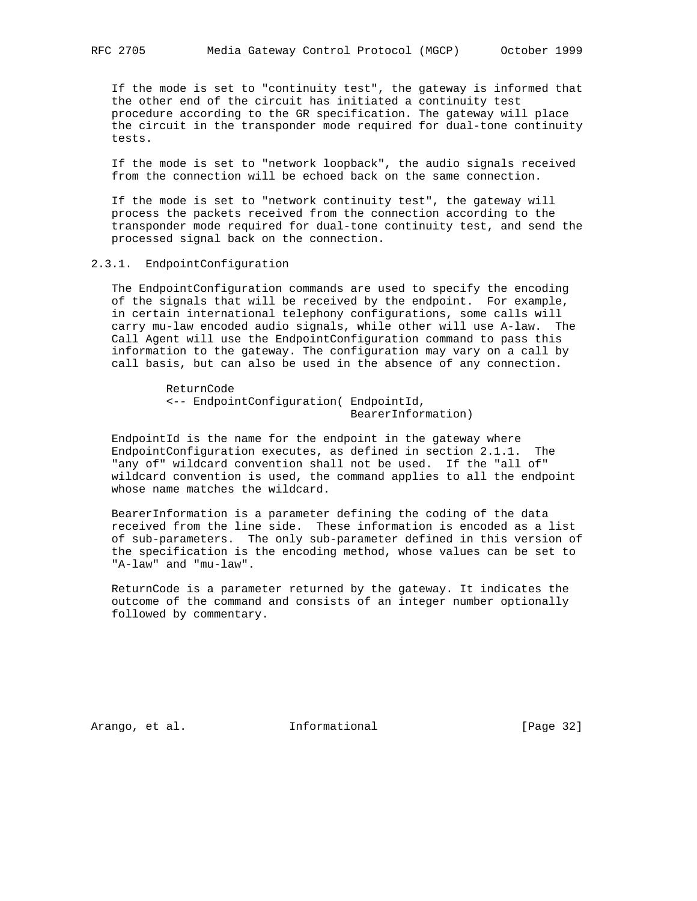If the mode is set to "continuity test", the gateway is informed that the other end of the circuit has initiated a continuity test procedure according to the GR specification. The gateway will place the circuit in the transponder mode required for dual-tone continuity tests.

 If the mode is set to "network loopback", the audio signals received from the connection will be echoed back on the same connection.

 If the mode is set to "network continuity test", the gateway will process the packets received from the connection according to the transponder mode required for dual-tone continuity test, and send the processed signal back on the connection.

2.3.1. EndpointConfiguration

 The EndpointConfiguration commands are used to specify the encoding of the signals that will be received by the endpoint. For example, in certain international telephony configurations, some calls will carry mu-law encoded audio signals, while other will use A-law. The Call Agent will use the EndpointConfiguration command to pass this information to the gateway. The configuration may vary on a call by call basis, but can also be used in the absence of any connection.

> ReturnCode <-- EndpointConfiguration( EndpointId, BearerInformation)

 EndpointId is the name for the endpoint in the gateway where EndpointConfiguration executes, as defined in section 2.1.1. The "any of" wildcard convention shall not be used. If the "all of" wildcard convention is used, the command applies to all the endpoint whose name matches the wildcard.

 BearerInformation is a parameter defining the coding of the data received from the line side. These information is encoded as a list of sub-parameters. The only sub-parameter defined in this version of the specification is the encoding method, whose values can be set to "A-law" and "mu-law".

 ReturnCode is a parameter returned by the gateway. It indicates the outcome of the command and consists of an integer number optionally followed by commentary.

Arango, et al. **Informational** [Page 32]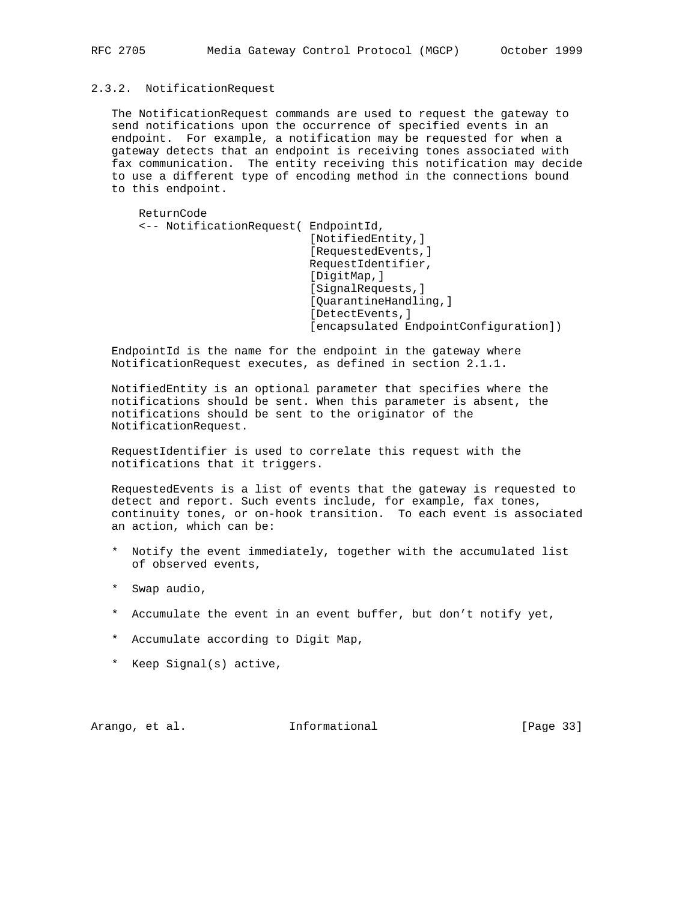# 2.3.2. NotificationRequest

 The NotificationRequest commands are used to request the gateway to send notifications upon the occurrence of specified events in an endpoint. For example, a notification may be requested for when a gateway detects that an endpoint is receiving tones associated with fax communication. The entity receiving this notification may decide to use a different type of encoding method in the connections bound to this endpoint.

 ReturnCode <-- NotificationRequest( EndpointId, [NotifiedEntity,] [RequestedEvents,] RequestIdentifier, [DigitMap,] [SignalRequests,] [QuarantineHandling,] [DetectEvents,] [encapsulated EndpointConfiguration])

 EndpointId is the name for the endpoint in the gateway where NotificationRequest executes, as defined in section 2.1.1.

 NotifiedEntity is an optional parameter that specifies where the notifications should be sent. When this parameter is absent, the notifications should be sent to the originator of the NotificationRequest.

 RequestIdentifier is used to correlate this request with the notifications that it triggers.

 RequestedEvents is a list of events that the gateway is requested to detect and report. Such events include, for example, fax tones, continuity tones, or on-hook transition. To each event is associated an action, which can be:

- \* Notify the event immediately, together with the accumulated list of observed events,
- \* Swap audio,
- \* Accumulate the event in an event buffer, but don't notify yet,
- \* Accumulate according to Digit Map,
- \* Keep Signal(s) active,

Arango, et al. **Informational** [Page 33]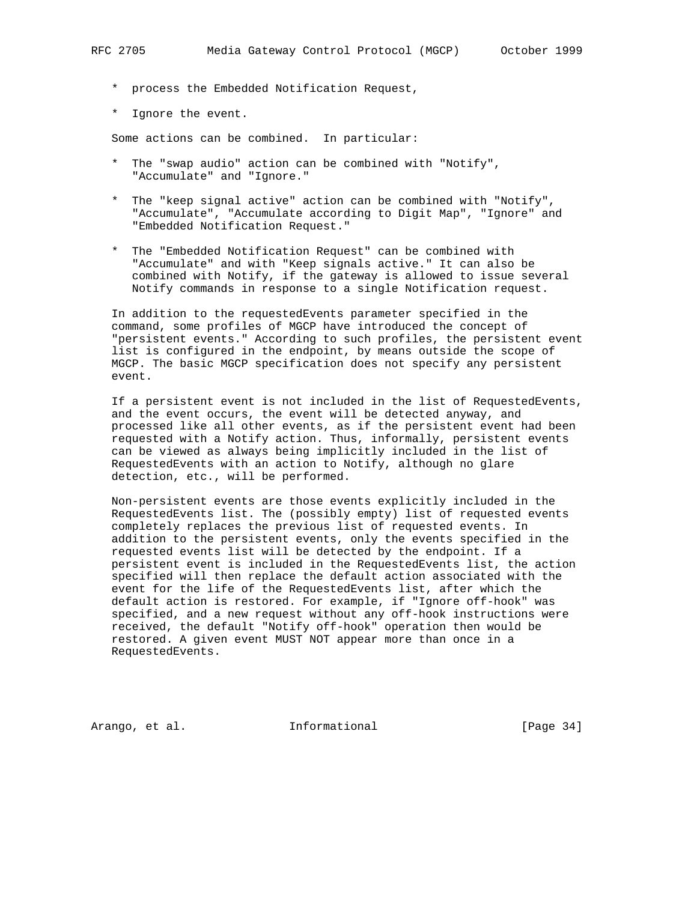- \* process the Embedded Notification Request,
- \* Ignore the event.

Some actions can be combined. In particular:

- \* The "swap audio" action can be combined with "Notify", "Accumulate" and "Ignore."
- \* The "keep signal active" action can be combined with "Notify", "Accumulate", "Accumulate according to Digit Map", "Ignore" and "Embedded Notification Request."
- \* The "Embedded Notification Request" can be combined with "Accumulate" and with "Keep signals active." It can also be combined with Notify, if the gateway is allowed to issue several Notify commands in response to a single Notification request.

 In addition to the requestedEvents parameter specified in the command, some profiles of MGCP have introduced the concept of "persistent events." According to such profiles, the persistent event list is configured in the endpoint, by means outside the scope of MGCP. The basic MGCP specification does not specify any persistent event.

 If a persistent event is not included in the list of RequestedEvents, and the event occurs, the event will be detected anyway, and processed like all other events, as if the persistent event had been requested with a Notify action. Thus, informally, persistent events can be viewed as always being implicitly included in the list of RequestedEvents with an action to Notify, although no glare detection, etc., will be performed.

 Non-persistent events are those events explicitly included in the RequestedEvents list. The (possibly empty) list of requested events completely replaces the previous list of requested events. In addition to the persistent events, only the events specified in the requested events list will be detected by the endpoint. If a persistent event is included in the RequestedEvents list, the action specified will then replace the default action associated with the event for the life of the RequestedEvents list, after which the default action is restored. For example, if "Ignore off-hook" was specified, and a new request without any off-hook instructions were received, the default "Notify off-hook" operation then would be restored. A given event MUST NOT appear more than once in a RequestedEvents.

Arango, et al. 1nformational [Page 34]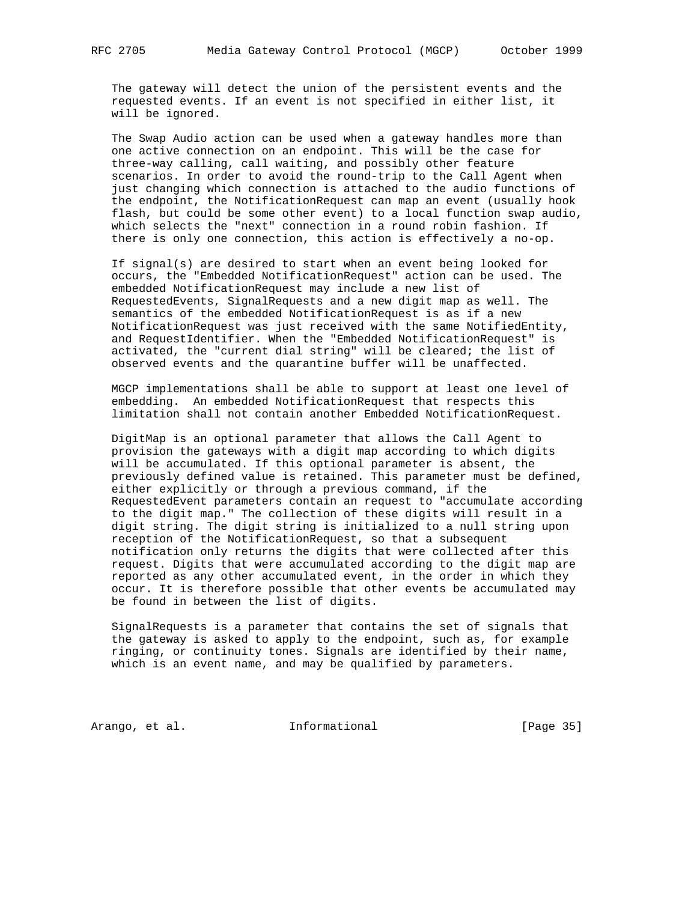The gateway will detect the union of the persistent events and the requested events. If an event is not specified in either list, it will be ignored.

 The Swap Audio action can be used when a gateway handles more than one active connection on an endpoint. This will be the case for three-way calling, call waiting, and possibly other feature scenarios. In order to avoid the round-trip to the Call Agent when just changing which connection is attached to the audio functions of the endpoint, the NotificationRequest can map an event (usually hook flash, but could be some other event) to a local function swap audio, which selects the "next" connection in a round robin fashion. If there is only one connection, this action is effectively a no-op.

 If signal(s) are desired to start when an event being looked for occurs, the "Embedded NotificationRequest" action can be used. The embedded NotificationRequest may include a new list of RequestedEvents, SignalRequests and a new digit map as well. The semantics of the embedded NotificationRequest is as if a new NotificationRequest was just received with the same NotifiedEntity, and RequestIdentifier. When the "Embedded NotificationRequest" is activated, the "current dial string" will be cleared; the list of observed events and the quarantine buffer will be unaffected.

 MGCP implementations shall be able to support at least one level of embedding. An embedded NotificationRequest that respects this limitation shall not contain another Embedded NotificationRequest.

 DigitMap is an optional parameter that allows the Call Agent to provision the gateways with a digit map according to which digits will be accumulated. If this optional parameter is absent, the previously defined value is retained. This parameter must be defined, either explicitly or through a previous command, if the RequestedEvent parameters contain an request to "accumulate according to the digit map." The collection of these digits will result in a digit string. The digit string is initialized to a null string upon reception of the NotificationRequest, so that a subsequent notification only returns the digits that were collected after this request. Digits that were accumulated according to the digit map are reported as any other accumulated event, in the order in which they occur. It is therefore possible that other events be accumulated may be found in between the list of digits.

 SignalRequests is a parameter that contains the set of signals that the gateway is asked to apply to the endpoint, such as, for example ringing, or continuity tones. Signals are identified by their name, which is an event name, and may be qualified by parameters.

Arango, et al. 1nformational [Page 35]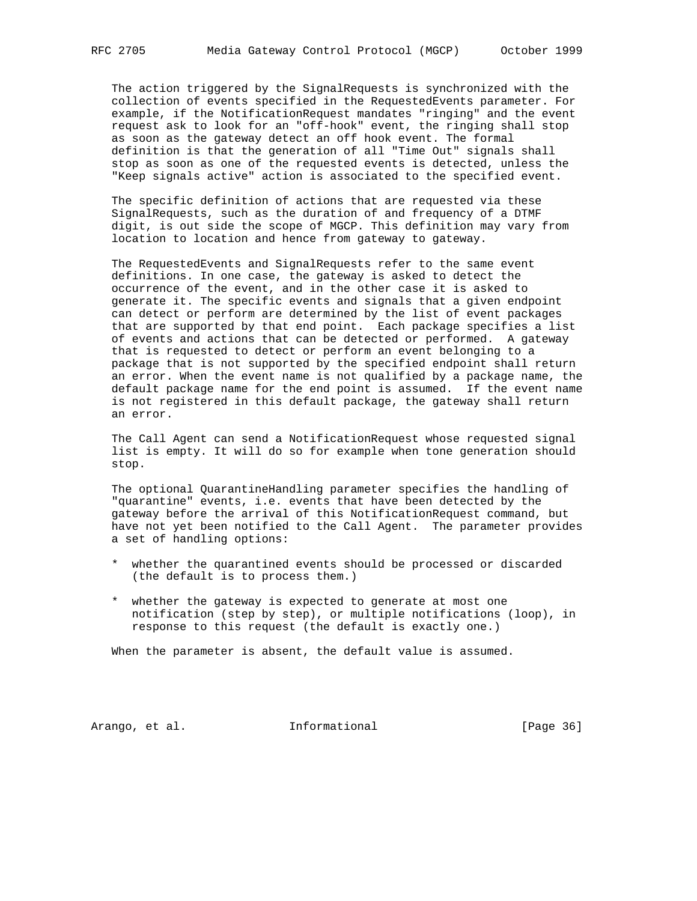The action triggered by the SignalRequests is synchronized with the collection of events specified in the RequestedEvents parameter. For example, if the NotificationRequest mandates "ringing" and the event request ask to look for an "off-hook" event, the ringing shall stop as soon as the gateway detect an off hook event. The formal definition is that the generation of all "Time Out" signals shall stop as soon as one of the requested events is detected, unless the "Keep signals active" action is associated to the specified event.

 The specific definition of actions that are requested via these SignalRequests, such as the duration of and frequency of a DTMF digit, is out side the scope of MGCP. This definition may vary from location to location and hence from gateway to gateway.

 The RequestedEvents and SignalRequests refer to the same event definitions. In one case, the gateway is asked to detect the occurrence of the event, and in the other case it is asked to generate it. The specific events and signals that a given endpoint can detect or perform are determined by the list of event packages that are supported by that end point. Each package specifies a list of events and actions that can be detected or performed. A gateway that is requested to detect or perform an event belonging to a package that is not supported by the specified endpoint shall return an error. When the event name is not qualified by a package name, the default package name for the end point is assumed. If the event name is not registered in this default package, the gateway shall return an error.

 The Call Agent can send a NotificationRequest whose requested signal list is empty. It will do so for example when tone generation should stop.

 The optional QuarantineHandling parameter specifies the handling of "quarantine" events, i.e. events that have been detected by the gateway before the arrival of this NotificationRequest command, but have not yet been notified to the Call Agent. The parameter provides a set of handling options:

- \* whether the quarantined events should be processed or discarded (the default is to process them.)
- \* whether the gateway is expected to generate at most one notification (step by step), or multiple notifications (loop), in response to this request (the default is exactly one.)

When the parameter is absent, the default value is assumed.

Arango, et al. **Informational** [Page 36]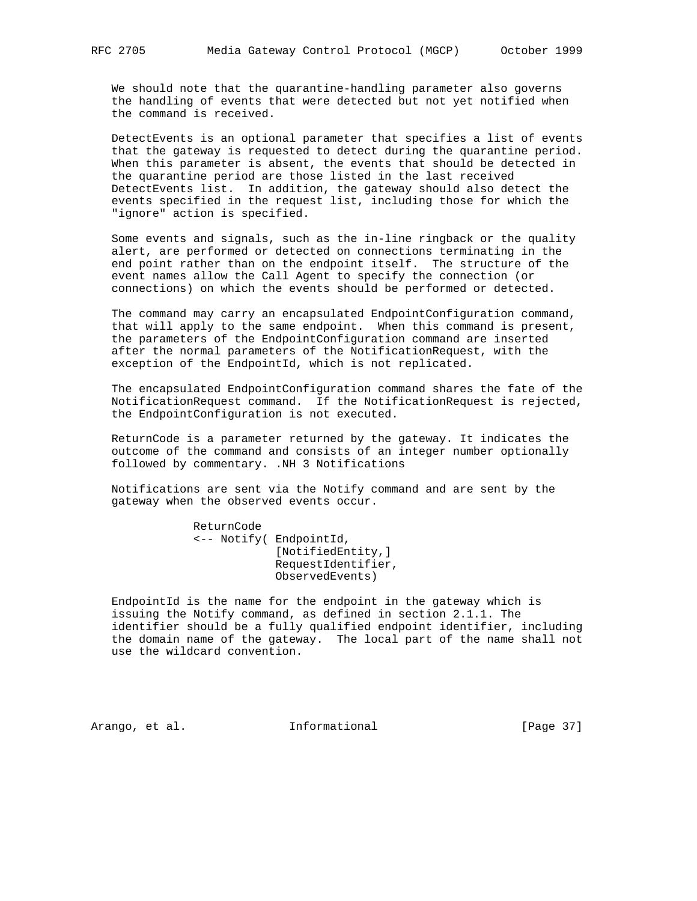We should note that the quarantine-handling parameter also governs the handling of events that were detected but not yet notified when the command is received.

 DetectEvents is an optional parameter that specifies a list of events that the gateway is requested to detect during the quarantine period. When this parameter is absent, the events that should be detected in the quarantine period are those listed in the last received DetectEvents list. In addition, the gateway should also detect the events specified in the request list, including those for which the "ignore" action is specified.

 Some events and signals, such as the in-line ringback or the quality alert, are performed or detected on connections terminating in the end point rather than on the endpoint itself. The structure of the event names allow the Call Agent to specify the connection (or connections) on which the events should be performed or detected.

 The command may carry an encapsulated EndpointConfiguration command, that will apply to the same endpoint. When this command is present, the parameters of the EndpointConfiguration command are inserted after the normal parameters of the NotificationRequest, with the exception of the EndpointId, which is not replicated.

 The encapsulated EndpointConfiguration command shares the fate of the NotificationRequest command. If the NotificationRequest is rejected, the EndpointConfiguration is not executed.

 ReturnCode is a parameter returned by the gateway. It indicates the outcome of the command and consists of an integer number optionally followed by commentary. .NH 3 Notifications

 Notifications are sent via the Notify command and are sent by the gateway when the observed events occur.

> ReturnCode <-- Notify( EndpointId, [NotifiedEntity,] RequestIdentifier, ObservedEvents)

 EndpointId is the name for the endpoint in the gateway which is issuing the Notify command, as defined in section 2.1.1. The identifier should be a fully qualified endpoint identifier, including the domain name of the gateway. The local part of the name shall not use the wildcard convention.

Arango, et al. **Informational** [Page 37]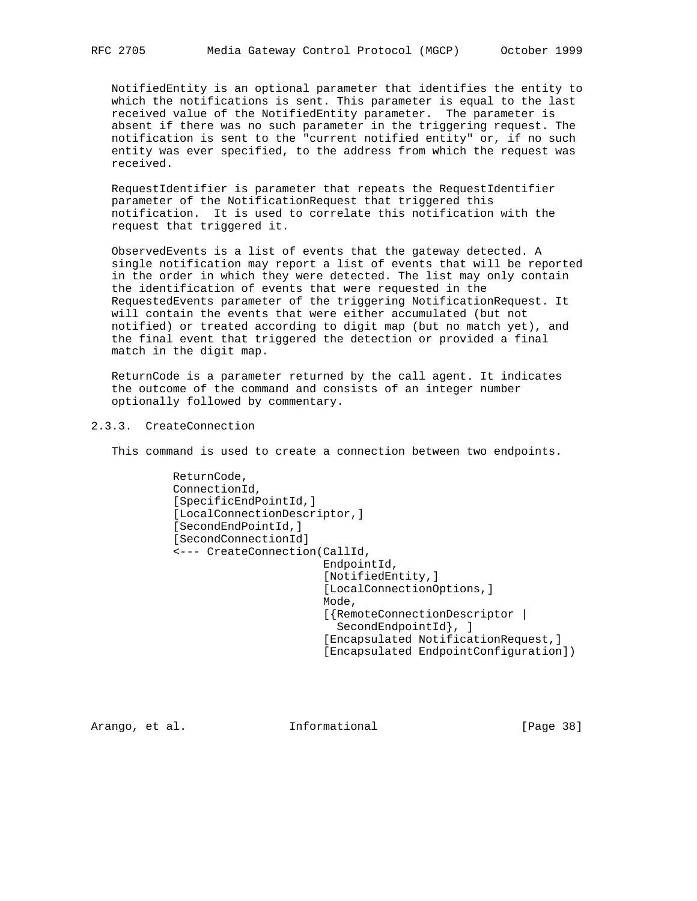NotifiedEntity is an optional parameter that identifies the entity to which the notifications is sent. This parameter is equal to the last received value of the NotifiedEntity parameter. The parameter is absent if there was no such parameter in the triggering request. The notification is sent to the "current notified entity" or, if no such entity was ever specified, to the address from which the request was received.

 RequestIdentifier is parameter that repeats the RequestIdentifier parameter of the NotificationRequest that triggered this notification. It is used to correlate this notification with the request that triggered it.

 ObservedEvents is a list of events that the gateway detected. A single notification may report a list of events that will be reported in the order in which they were detected. The list may only contain the identification of events that were requested in the RequestedEvents parameter of the triggering NotificationRequest. It will contain the events that were either accumulated (but not notified) or treated according to digit map (but no match yet), and the final event that triggered the detection or provided a final match in the digit map.

 ReturnCode is a parameter returned by the call agent. It indicates the outcome of the command and consists of an integer number optionally followed by commentary.

2.3.3. CreateConnection

This command is used to create a connection between two endpoints.

```
 ReturnCode,
ConnectionId,
[SpecificEndPointId,]
[LocalConnectionDescriptor,]
[SecondEndPointId,]
[SecondConnectionId]
<--- CreateConnection(CallId,
                       EndpointId,
                       [NotifiedEntity,]
                       [LocalConnectionOptions,]
                       Mode,
                       [{RemoteConnectionDescriptor |
                         SecondEndpointId}, ]
                       [Encapsulated NotificationRequest,]
                       [Encapsulated EndpointConfiguration])
```
Arango, et al. **Informational** [Page 38]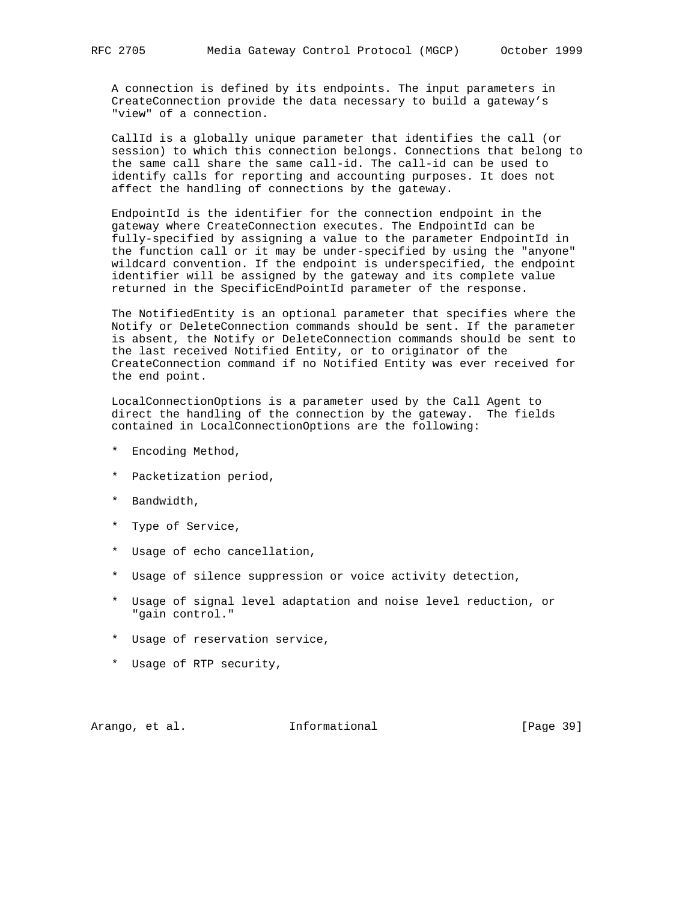A connection is defined by its endpoints. The input parameters in CreateConnection provide the data necessary to build a gateway's "view" of a connection.

 CallId is a globally unique parameter that identifies the call (or session) to which this connection belongs. Connections that belong to the same call share the same call-id. The call-id can be used to identify calls for reporting and accounting purposes. It does not affect the handling of connections by the gateway.

 EndpointId is the identifier for the connection endpoint in the gateway where CreateConnection executes. The EndpointId can be fully-specified by assigning a value to the parameter EndpointId in the function call or it may be under-specified by using the "anyone" wildcard convention. If the endpoint is underspecified, the endpoint identifier will be assigned by the gateway and its complete value returned in the SpecificEndPointId parameter of the response.

 The NotifiedEntity is an optional parameter that specifies where the Notify or DeleteConnection commands should be sent. If the parameter is absent, the Notify or DeleteConnection commands should be sent to the last received Notified Entity, or to originator of the CreateConnection command if no Notified Entity was ever received for the end point.

 LocalConnectionOptions is a parameter used by the Call Agent to direct the handling of the connection by the gateway. The fields contained in LocalConnectionOptions are the following:

- \* Encoding Method,
- \* Packetization period,
- \* Bandwidth,
- \* Type of Service,
- \* Usage of echo cancellation,
- \* Usage of silence suppression or voice activity detection,
- \* Usage of signal level adaptation and noise level reduction, or "gain control."
- \* Usage of reservation service,
- \* Usage of RTP security,

Arango, et al. **Informational** [Page 39]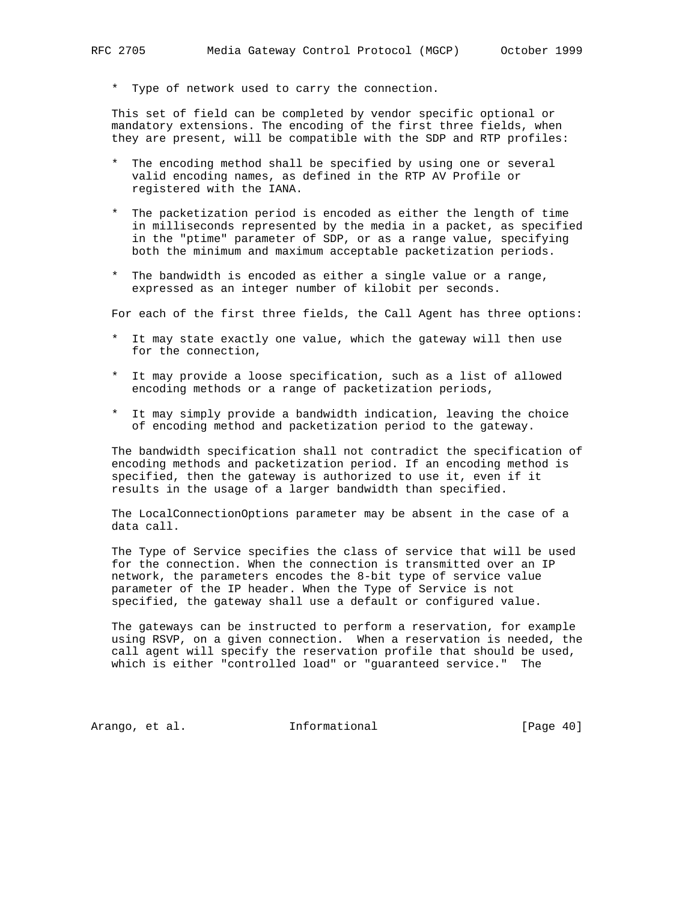\* Type of network used to carry the connection.

 This set of field can be completed by vendor specific optional or mandatory extensions. The encoding of the first three fields, when they are present, will be compatible with the SDP and RTP profiles:

- \* The encoding method shall be specified by using one or several valid encoding names, as defined in the RTP AV Profile or registered with the IANA.
- \* The packetization period is encoded as either the length of time in milliseconds represented by the media in a packet, as specified in the "ptime" parameter of SDP, or as a range value, specifying both the minimum and maximum acceptable packetization periods.
- \* The bandwidth is encoded as either a single value or a range, expressed as an integer number of kilobit per seconds.

For each of the first three fields, the Call Agent has three options:

- \* It may state exactly one value, which the gateway will then use for the connection,
- \* It may provide a loose specification, such as a list of allowed encoding methods or a range of packetization periods,
- \* It may simply provide a bandwidth indication, leaving the choice of encoding method and packetization period to the gateway.

 The bandwidth specification shall not contradict the specification of encoding methods and packetization period. If an encoding method is specified, then the gateway is authorized to use it, even if it results in the usage of a larger bandwidth than specified.

 The LocalConnectionOptions parameter may be absent in the case of a data call.

 The Type of Service specifies the class of service that will be used for the connection. When the connection is transmitted over an IP network, the parameters encodes the 8-bit type of service value parameter of the IP header. When the Type of Service is not specified, the gateway shall use a default or configured value.

 The gateways can be instructed to perform a reservation, for example using RSVP, on a given connection. When a reservation is needed, the call agent will specify the reservation profile that should be used, which is either "controlled load" or "guaranteed service." The

Arango, et al. 1nformational [Page 40]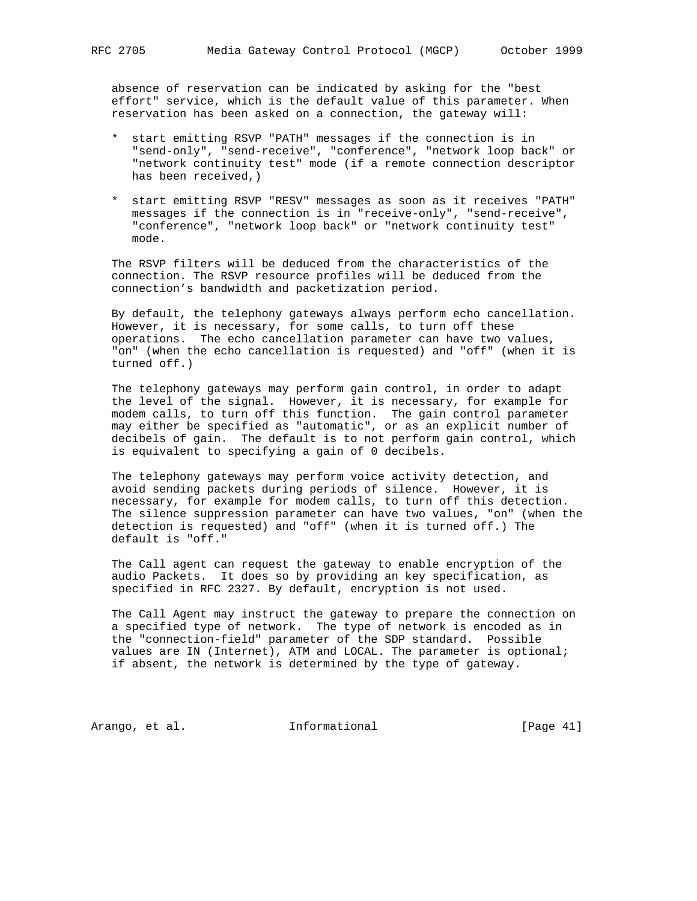absence of reservation can be indicated by asking for the "best effort" service, which is the default value of this parameter. When reservation has been asked on a connection, the gateway will:

- \* start emitting RSVP "PATH" messages if the connection is in "send-only", "send-receive", "conference", "network loop back" or "network continuity test" mode (if a remote connection descriptor has been received,)
- \* start emitting RSVP "RESV" messages as soon as it receives "PATH" messages if the connection is in "receive-only", "send-receive", "conference", "network loop back" or "network continuity test" mode.

 The RSVP filters will be deduced from the characteristics of the connection. The RSVP resource profiles will be deduced from the connection's bandwidth and packetization period.

 By default, the telephony gateways always perform echo cancellation. However, it is necessary, for some calls, to turn off these operations. The echo cancellation parameter can have two values, "on" (when the echo cancellation is requested) and "off" (when it is turned off.)

 The telephony gateways may perform gain control, in order to adapt the level of the signal. However, it is necessary, for example for modem calls, to turn off this function. The gain control parameter may either be specified as "automatic", or as an explicit number of decibels of gain. The default is to not perform gain control, which is equivalent to specifying a gain of 0 decibels.

 The telephony gateways may perform voice activity detection, and avoid sending packets during periods of silence. However, it is necessary, for example for modem calls, to turn off this detection. The silence suppression parameter can have two values, "on" (when the detection is requested) and "off" (when it is turned off.) The default is "off."

 The Call agent can request the gateway to enable encryption of the audio Packets. It does so by providing an key specification, as specified in RFC 2327. By default, encryption is not used.

 The Call Agent may instruct the gateway to prepare the connection on a specified type of network. The type of network is encoded as in the "connection-field" parameter of the SDP standard. Possible values are IN (Internet), ATM and LOCAL. The parameter is optional; if absent, the network is determined by the type of gateway.

Arango, et al. 1nformational 1999 [Page 41]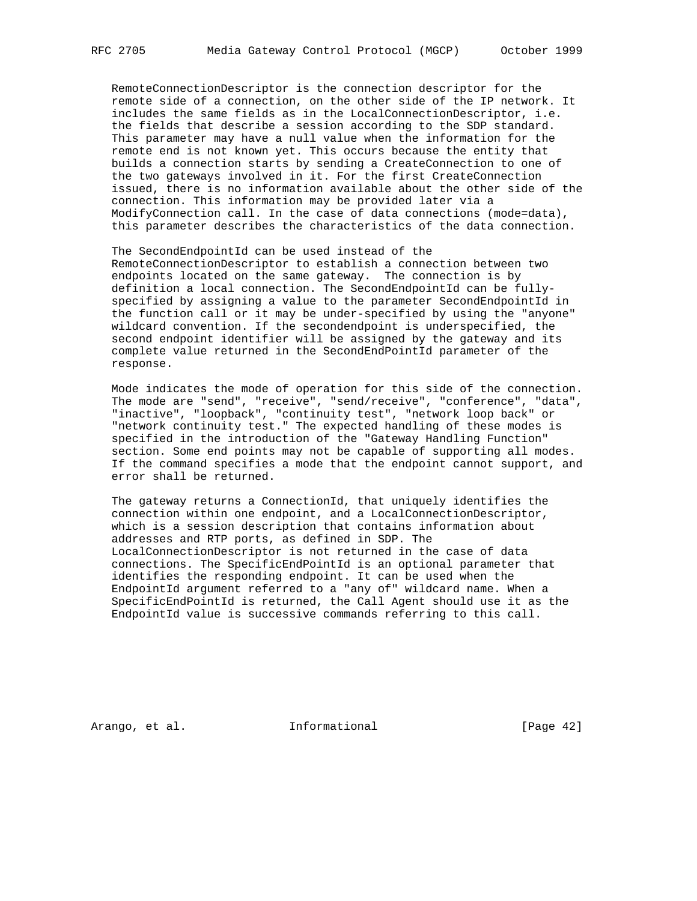RemoteConnectionDescriptor is the connection descriptor for the remote side of a connection, on the other side of the IP network. It includes the same fields as in the LocalConnectionDescriptor, i.e. the fields that describe a session according to the SDP standard. This parameter may have a null value when the information for the remote end is not known yet. This occurs because the entity that builds a connection starts by sending a CreateConnection to one of the two gateways involved in it. For the first CreateConnection issued, there is no information available about the other side of the connection. This information may be provided later via a ModifyConnection call. In the case of data connections (mode=data), this parameter describes the characteristics of the data connection.

 The SecondEndpointId can be used instead of the RemoteConnectionDescriptor to establish a connection between two endpoints located on the same gateway. The connection is by definition a local connection. The SecondEndpointId can be fully specified by assigning a value to the parameter SecondEndpointId in the function call or it may be under-specified by using the "anyone" wildcard convention. If the secondendpoint is underspecified, the second endpoint identifier will be assigned by the gateway and its complete value returned in the SecondEndPointId parameter of the response.

 Mode indicates the mode of operation for this side of the connection. The mode are "send", "receive", "send/receive", "conference", "data", "inactive", "loopback", "continuity test", "network loop back" or "network continuity test." The expected handling of these modes is specified in the introduction of the "Gateway Handling Function" section. Some end points may not be capable of supporting all modes. If the command specifies a mode that the endpoint cannot support, and error shall be returned.

 The gateway returns a ConnectionId, that uniquely identifies the connection within one endpoint, and a LocalConnectionDescriptor, which is a session description that contains information about addresses and RTP ports, as defined in SDP. The LocalConnectionDescriptor is not returned in the case of data connections. The SpecificEndPointId is an optional parameter that identifies the responding endpoint. It can be used when the EndpointId argument referred to a "any of" wildcard name. When a SpecificEndPointId is returned, the Call Agent should use it as the EndpointId value is successive commands referring to this call.

Arango, et al. **Informational** [Page 42]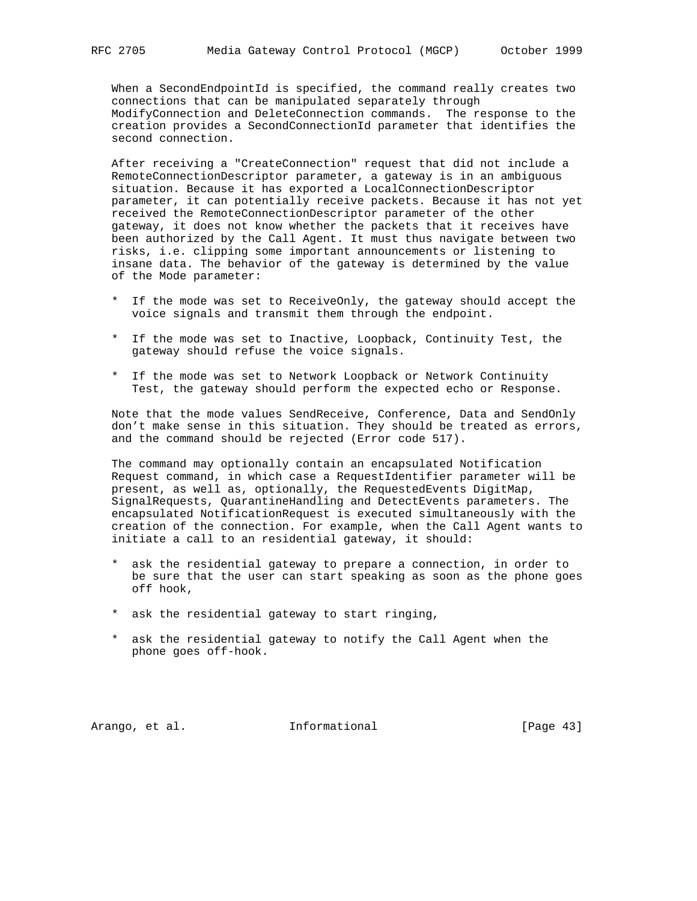When a SecondEndpointId is specified, the command really creates two connections that can be manipulated separately through ModifyConnection and DeleteConnection commands. The response to the creation provides a SecondConnectionId parameter that identifies the second connection.

 After receiving a "CreateConnection" request that did not include a RemoteConnectionDescriptor parameter, a gateway is in an ambiguous situation. Because it has exported a LocalConnectionDescriptor parameter, it can potentially receive packets. Because it has not yet received the RemoteConnectionDescriptor parameter of the other gateway, it does not know whether the packets that it receives have been authorized by the Call Agent. It must thus navigate between two risks, i.e. clipping some important announcements or listening to insane data. The behavior of the gateway is determined by the value of the Mode parameter:

- \* If the mode was set to ReceiveOnly, the gateway should accept the voice signals and transmit them through the endpoint.
- \* If the mode was set to Inactive, Loopback, Continuity Test, the gateway should refuse the voice signals.
- \* If the mode was set to Network Loopback or Network Continuity Test, the gateway should perform the expected echo or Response.

 Note that the mode values SendReceive, Conference, Data and SendOnly don't make sense in this situation. They should be treated as errors, and the command should be rejected (Error code 517).

 The command may optionally contain an encapsulated Notification Request command, in which case a RequestIdentifier parameter will be present, as well as, optionally, the RequestedEvents DigitMap, SignalRequests, QuarantineHandling and DetectEvents parameters. The encapsulated NotificationRequest is executed simultaneously with the creation of the connection. For example, when the Call Agent wants to initiate a call to an residential gateway, it should:

- \* ask the residential gateway to prepare a connection, in order to be sure that the user can start speaking as soon as the phone goes off hook,
- \* ask the residential gateway to start ringing,
- \* ask the residential gateway to notify the Call Agent when the phone goes off-hook.

Arango, et al. **Informational** [Page 43]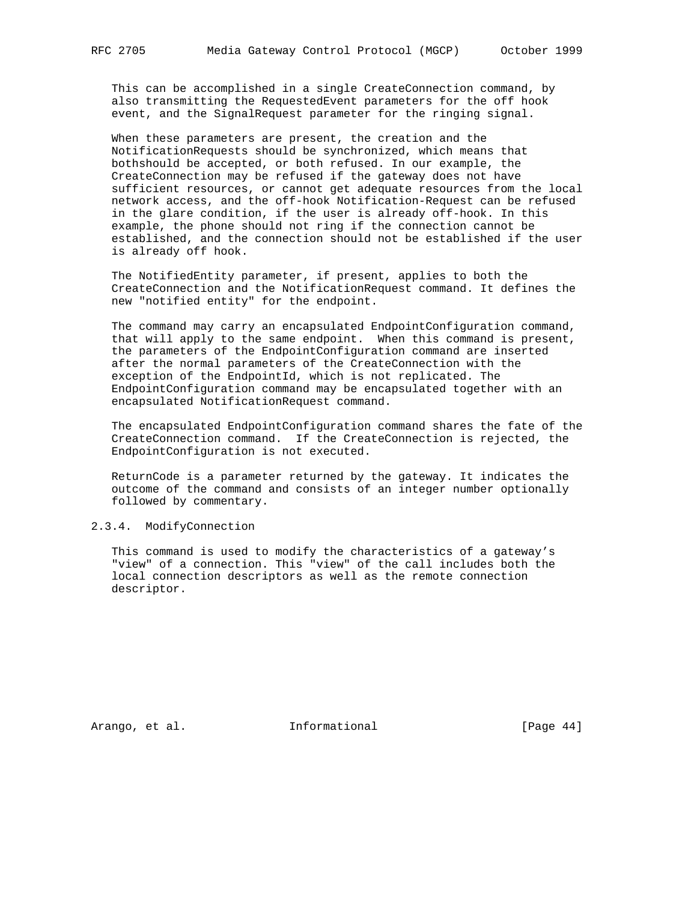This can be accomplished in a single CreateConnection command, by also transmitting the RequestedEvent parameters for the off hook event, and the SignalRequest parameter for the ringing signal.

 When these parameters are present, the creation and the NotificationRequests should be synchronized, which means that bothshould be accepted, or both refused. In our example, the CreateConnection may be refused if the gateway does not have sufficient resources, or cannot get adequate resources from the local network access, and the off-hook Notification-Request can be refused in the glare condition, if the user is already off-hook. In this example, the phone should not ring if the connection cannot be established, and the connection should not be established if the user is already off hook.

 The NotifiedEntity parameter, if present, applies to both the CreateConnection and the NotificationRequest command. It defines the new "notified entity" for the endpoint.

 The command may carry an encapsulated EndpointConfiguration command, that will apply to the same endpoint. When this command is present, the parameters of the EndpointConfiguration command are inserted after the normal parameters of the CreateConnection with the exception of the EndpointId, which is not replicated. The EndpointConfiguration command may be encapsulated together with an encapsulated NotificationRequest command.

 The encapsulated EndpointConfiguration command shares the fate of the CreateConnection command. If the CreateConnection is rejected, the EndpointConfiguration is not executed.

 ReturnCode is a parameter returned by the gateway. It indicates the outcome of the command and consists of an integer number optionally followed by commentary.

## 2.3.4. ModifyConnection

 This command is used to modify the characteristics of a gateway's "view" of a connection. This "view" of the call includes both the local connection descriptors as well as the remote connection descriptor.

Arango, et al. **Informational** [Page 44]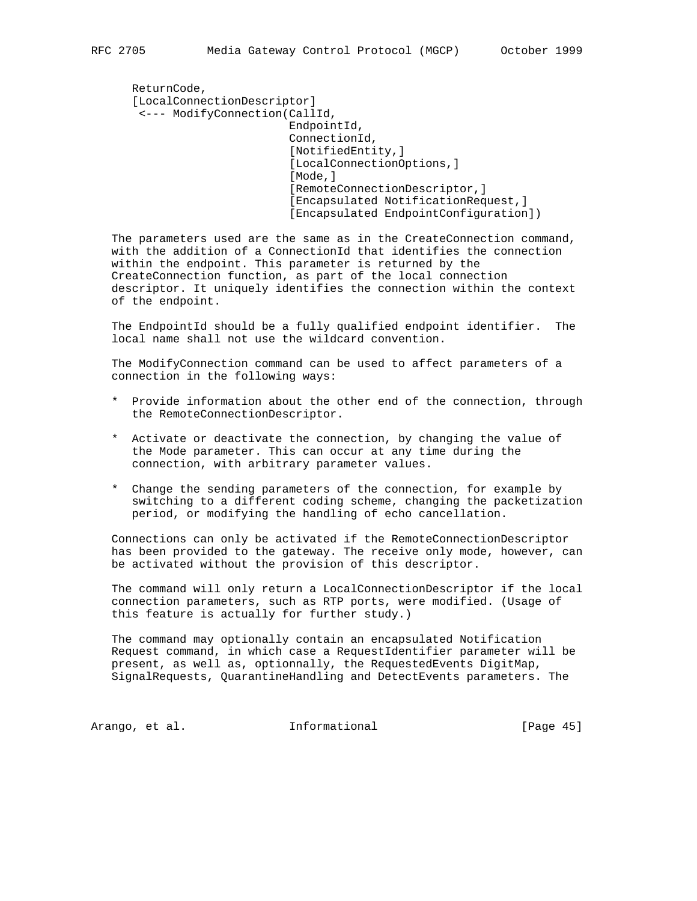ReturnCode, [LocalConnectionDescriptor] <--- ModifyConnection(CallId, EndpointId, ConnectionId, [NotifiedEntity,] [LocalConnectionOptions,] [Mode,] [RemoteConnectionDescriptor,] [Encapsulated NotificationRequest,] [Encapsulated EndpointConfiguration])

 The parameters used are the same as in the CreateConnection command, with the addition of a ConnectionId that identifies the connection within the endpoint. This parameter is returned by the CreateConnection function, as part of the local connection descriptor. It uniquely identifies the connection within the context of the endpoint.

 The EndpointId should be a fully qualified endpoint identifier. The local name shall not use the wildcard convention.

 The ModifyConnection command can be used to affect parameters of a connection in the following ways:

- \* Provide information about the other end of the connection, through the RemoteConnectionDescriptor.
- \* Activate or deactivate the connection, by changing the value of the Mode parameter. This can occur at any time during the connection, with arbitrary parameter values.
- \* Change the sending parameters of the connection, for example by switching to a different coding scheme, changing the packetization period, or modifying the handling of echo cancellation.

 Connections can only be activated if the RemoteConnectionDescriptor has been provided to the gateway. The receive only mode, however, can be activated without the provision of this descriptor.

 The command will only return a LocalConnectionDescriptor if the local connection parameters, such as RTP ports, were modified. (Usage of this feature is actually for further study.)

 The command may optionally contain an encapsulated Notification Request command, in which case a RequestIdentifier parameter will be present, as well as, optionnally, the RequestedEvents DigitMap, SignalRequests, QuarantineHandling and DetectEvents parameters. The

Arango, et al. 1nformational [Page 45]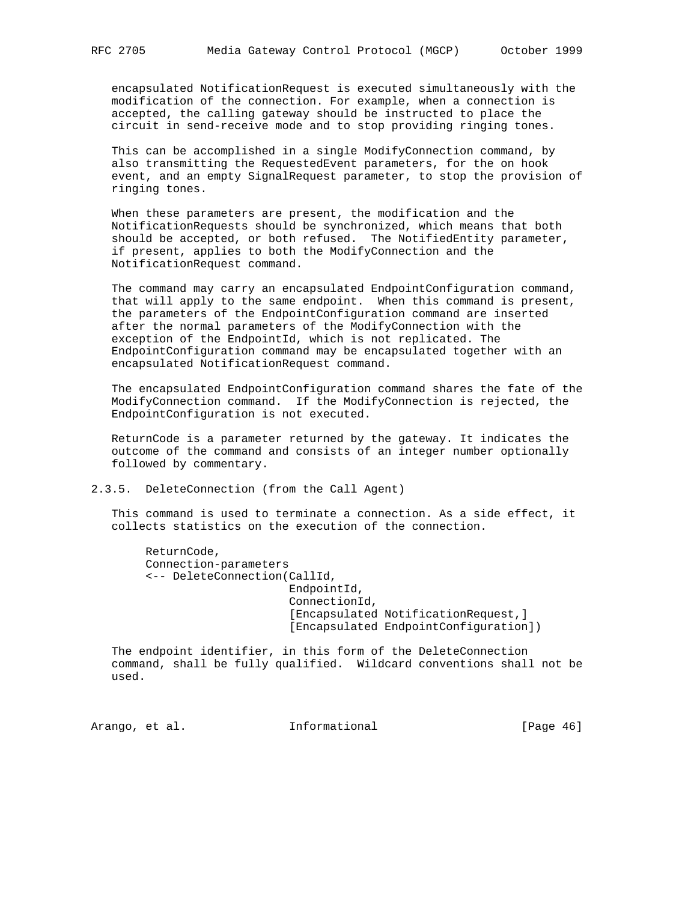encapsulated NotificationRequest is executed simultaneously with the modification of the connection. For example, when a connection is accepted, the calling gateway should be instructed to place the circuit in send-receive mode and to stop providing ringing tones.

 This can be accomplished in a single ModifyConnection command, by also transmitting the RequestedEvent parameters, for the on hook event, and an empty SignalRequest parameter, to stop the provision of ringing tones.

 When these parameters are present, the modification and the NotificationRequests should be synchronized, which means that both should be accepted, or both refused. The NotifiedEntity parameter, if present, applies to both the ModifyConnection and the NotificationRequest command.

 The command may carry an encapsulated EndpointConfiguration command, that will apply to the same endpoint. When this command is present, the parameters of the EndpointConfiguration command are inserted after the normal parameters of the ModifyConnection with the exception of the EndpointId, which is not replicated. The EndpointConfiguration command may be encapsulated together with an encapsulated NotificationRequest command.

 The encapsulated EndpointConfiguration command shares the fate of the ModifyConnection command. If the ModifyConnection is rejected, the EndpointConfiguration is not executed.

 ReturnCode is a parameter returned by the gateway. It indicates the outcome of the command and consists of an integer number optionally followed by commentary.

2.3.5. DeleteConnection (from the Call Agent)

 This command is used to terminate a connection. As a side effect, it collects statistics on the execution of the connection.

 ReturnCode, Connection-parameters <-- DeleteConnection(CallId, EndpointId, ConnectionId, [Encapsulated NotificationRequest,] [Encapsulated EndpointConfiguration])

 The endpoint identifier, in this form of the DeleteConnection command, shall be fully qualified. Wildcard conventions shall not be used.

Arango, et al. 1nformational [Page 46]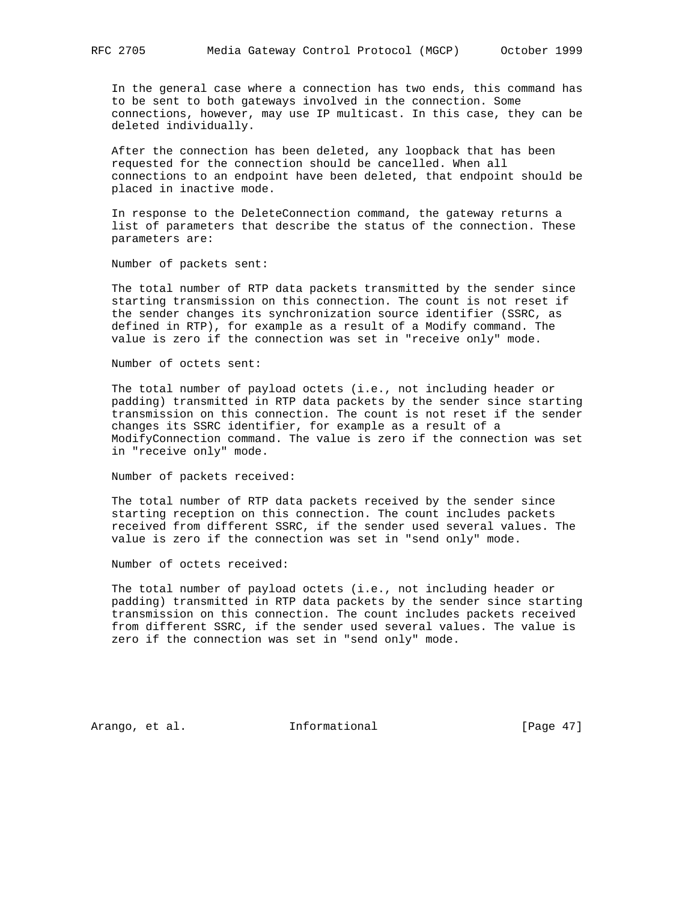In the general case where a connection has two ends, this command has to be sent to both gateways involved in the connection. Some connections, however, may use IP multicast. In this case, they can be deleted individually.

 After the connection has been deleted, any loopback that has been requested for the connection should be cancelled. When all connections to an endpoint have been deleted, that endpoint should be placed in inactive mode.

 In response to the DeleteConnection command, the gateway returns a list of parameters that describe the status of the connection. These parameters are:

Number of packets sent:

 The total number of RTP data packets transmitted by the sender since starting transmission on this connection. The count is not reset if the sender changes its synchronization source identifier (SSRC, as defined in RTP), for example as a result of a Modify command. The value is zero if the connection was set in "receive only" mode.

Number of octets sent:

 The total number of payload octets (i.e., not including header or padding) transmitted in RTP data packets by the sender since starting transmission on this connection. The count is not reset if the sender changes its SSRC identifier, for example as a result of a ModifyConnection command. The value is zero if the connection was set in "receive only" mode.

Number of packets received:

 The total number of RTP data packets received by the sender since starting reception on this connection. The count includes packets received from different SSRC, if the sender used several values. The value is zero if the connection was set in "send only" mode.

Number of octets received:

 The total number of payload octets (i.e., not including header or padding) transmitted in RTP data packets by the sender since starting transmission on this connection. The count includes packets received from different SSRC, if the sender used several values. The value is zero if the connection was set in "send only" mode.

Arango, et al. **Informational** [Page 47]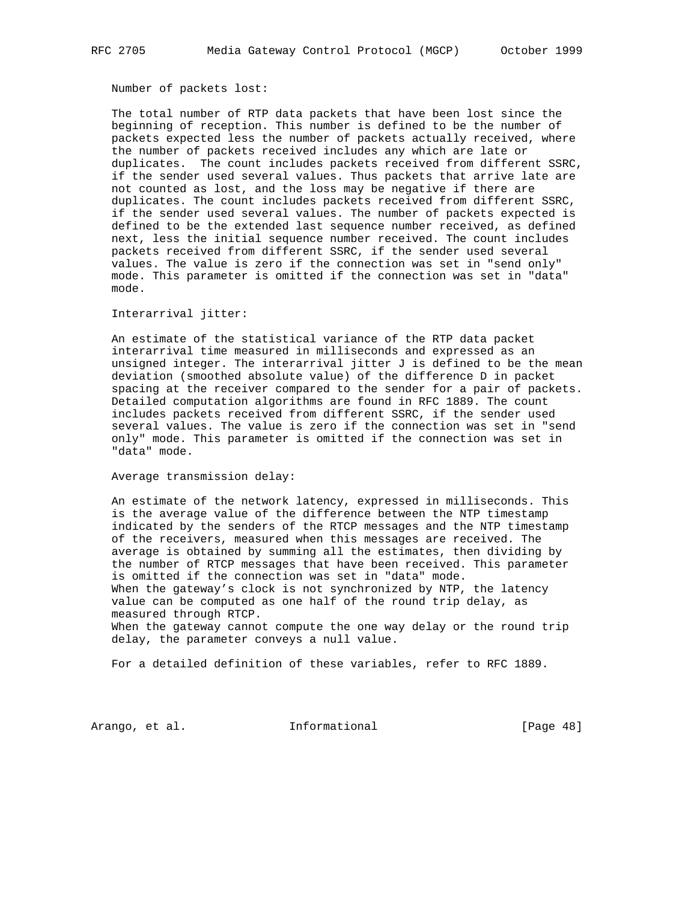## Number of packets lost:

 The total number of RTP data packets that have been lost since the beginning of reception. This number is defined to be the number of packets expected less the number of packets actually received, where the number of packets received includes any which are late or duplicates. The count includes packets received from different SSRC, if the sender used several values. Thus packets that arrive late are not counted as lost, and the loss may be negative if there are duplicates. The count includes packets received from different SSRC, if the sender used several values. The number of packets expected is defined to be the extended last sequence number received, as defined next, less the initial sequence number received. The count includes packets received from different SSRC, if the sender used several values. The value is zero if the connection was set in "send only" mode. This parameter is omitted if the connection was set in "data" mode.

#### Interarrival jitter:

 An estimate of the statistical variance of the RTP data packet interarrival time measured in milliseconds and expressed as an unsigned integer. The interarrival jitter J is defined to be the mean deviation (smoothed absolute value) of the difference D in packet spacing at the receiver compared to the sender for a pair of packets. Detailed computation algorithms are found in RFC 1889. The count includes packets received from different SSRC, if the sender used several values. The value is zero if the connection was set in "send only" mode. This parameter is omitted if the connection was set in "data" mode.

Average transmission delay:

 An estimate of the network latency, expressed in milliseconds. This is the average value of the difference between the NTP timestamp indicated by the senders of the RTCP messages and the NTP timestamp of the receivers, measured when this messages are received. The average is obtained by summing all the estimates, then dividing by the number of RTCP messages that have been received. This parameter is omitted if the connection was set in "data" mode. When the gateway's clock is not synchronized by NTP, the latency value can be computed as one half of the round trip delay, as measured through RTCP. When the gateway cannot compute the one way delay or the round trip delay, the parameter conveys a null value.

For a detailed definition of these variables, refer to RFC 1889.

Arango, et al. **Informational** [Page 48]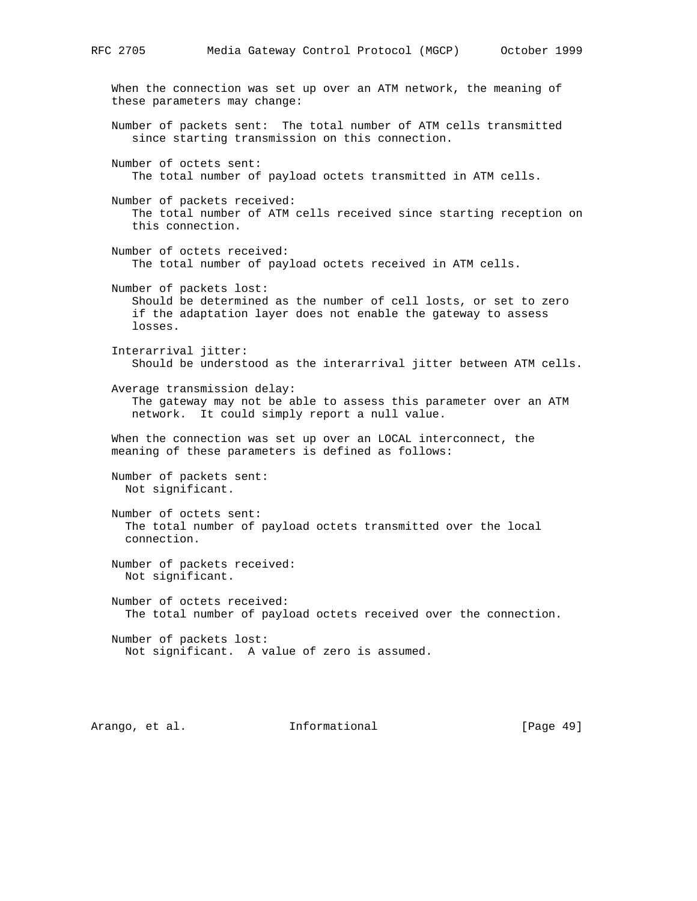When the connection was set up over an ATM network, the meaning of these parameters may change: Number of packets sent: The total number of ATM cells transmitted since starting transmission on this connection. Number of octets sent: The total number of payload octets transmitted in ATM cells. Number of packets received: The total number of ATM cells received since starting reception on this connection. Number of octets received: The total number of payload octets received in ATM cells. Number of packets lost: Should be determined as the number of cell losts, or set to zero if the adaptation layer does not enable the gateway to assess losses. Interarrival jitter: Should be understood as the interarrival jitter between ATM cells. Average transmission delay: The gateway may not be able to assess this parameter over an ATM network. It could simply report a null value. When the connection was set up over an LOCAL interconnect, the meaning of these parameters is defined as follows: Number of packets sent: Not significant. Number of octets sent: The total number of payload octets transmitted over the local connection. Number of packets received: Not significant. Number of octets received: The total number of payload octets received over the connection. Number of packets lost: Not significant. A value of zero is assumed.

Arango, et al. **Informational** [Page 49]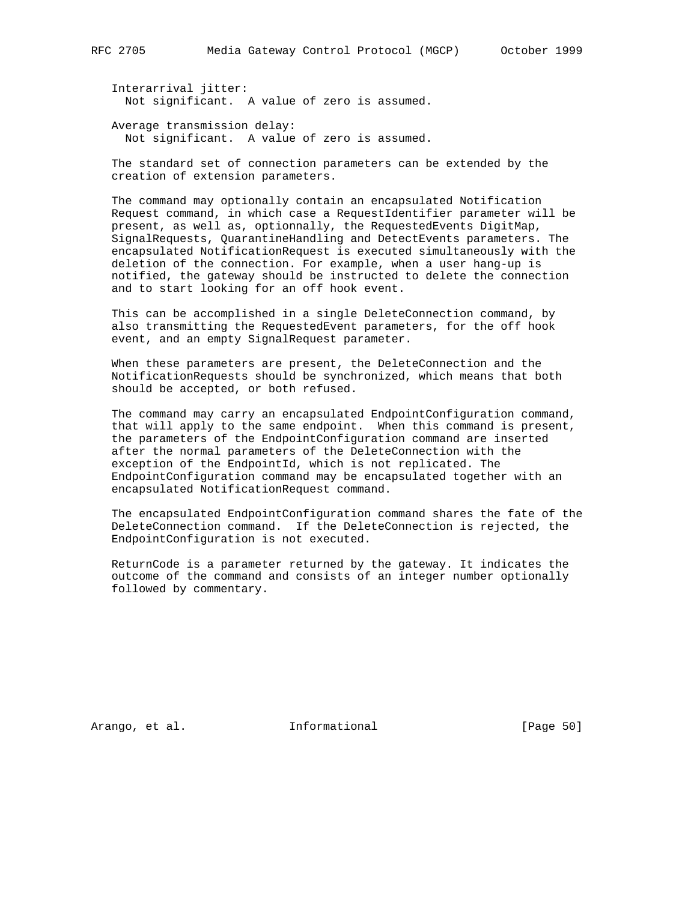Interarrival jitter: Not significant. A value of zero is assumed.

 Average transmission delay: Not significant. A value of zero is assumed.

 The standard set of connection parameters can be extended by the creation of extension parameters.

 The command may optionally contain an encapsulated Notification Request command, in which case a RequestIdentifier parameter will be present, as well as, optionnally, the RequestedEvents DigitMap, SignalRequests, QuarantineHandling and DetectEvents parameters. The encapsulated NotificationRequest is executed simultaneously with the deletion of the connection. For example, when a user hang-up is notified, the gateway should be instructed to delete the connection and to start looking for an off hook event.

 This can be accomplished in a single DeleteConnection command, by also transmitting the RequestedEvent parameters, for the off hook event, and an empty SignalRequest parameter.

 When these parameters are present, the DeleteConnection and the NotificationRequests should be synchronized, which means that both should be accepted, or both refused.

 The command may carry an encapsulated EndpointConfiguration command, that will apply to the same endpoint. When this command is present, the parameters of the EndpointConfiguration command are inserted after the normal parameters of the DeleteConnection with the exception of the EndpointId, which is not replicated. The EndpointConfiguration command may be encapsulated together with an encapsulated NotificationRequest command.

 The encapsulated EndpointConfiguration command shares the fate of the DeleteConnection command. If the DeleteConnection is rejected, the EndpointConfiguration is not executed.

 ReturnCode is a parameter returned by the gateway. It indicates the outcome of the command and consists of an integer number optionally followed by commentary.

Arango, et al. **Informational** [Page 50]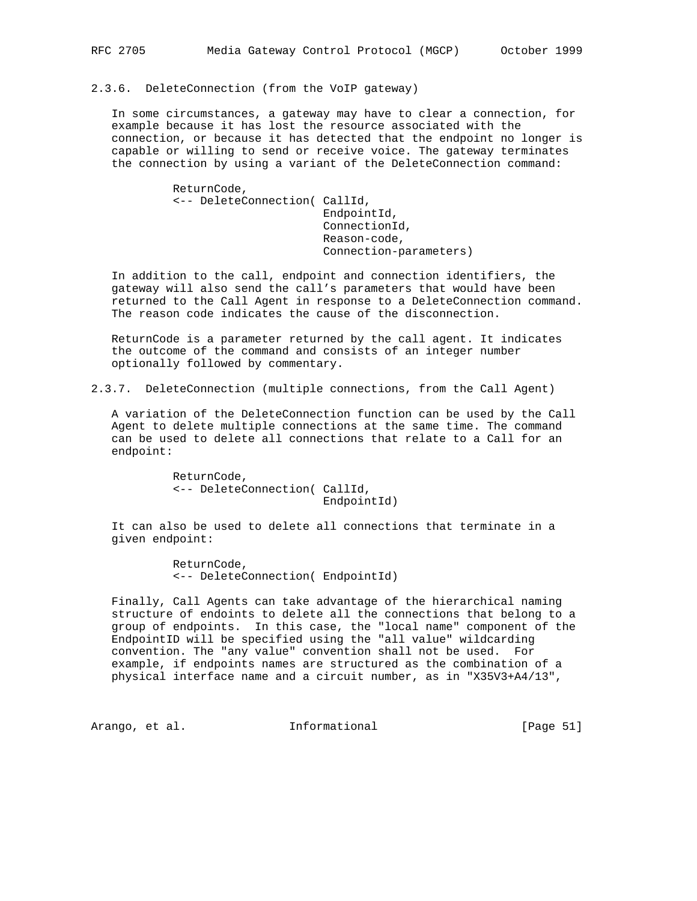2.3.6. DeleteConnection (from the VoIP gateway)

 In some circumstances, a gateway may have to clear a connection, for example because it has lost the resource associated with the connection, or because it has detected that the endpoint no longer is capable or willing to send or receive voice. The gateway terminates the connection by using a variant of the DeleteConnection command:

> ReturnCode, <-- DeleteConnection( CallId, EndpointId, ConnectionId, Reason-code, Connection-parameters)

 In addition to the call, endpoint and connection identifiers, the gateway will also send the call's parameters that would have been returned to the Call Agent in response to a DeleteConnection command. The reason code indicates the cause of the disconnection.

 ReturnCode is a parameter returned by the call agent. It indicates the outcome of the command and consists of an integer number optionally followed by commentary.

2.3.7. DeleteConnection (multiple connections, from the Call Agent)

 A variation of the DeleteConnection function can be used by the Call Agent to delete multiple connections at the same time. The command can be used to delete all connections that relate to a Call for an endpoint:

> ReturnCode, <-- DeleteConnection( CallId, EndpointId)

 It can also be used to delete all connections that terminate in a given endpoint:

> ReturnCode, <-- DeleteConnection( EndpointId)

 Finally, Call Agents can take advantage of the hierarchical naming structure of endoints to delete all the connections that belong to a group of endpoints. In this case, the "local name" component of the EndpointID will be specified using the "all value" wildcarding convention. The "any value" convention shall not be used. For example, if endpoints names are structured as the combination of a physical interface name and a circuit number, as in "X35V3+A4/13",

Arango, et al. **Informational** [Page 51]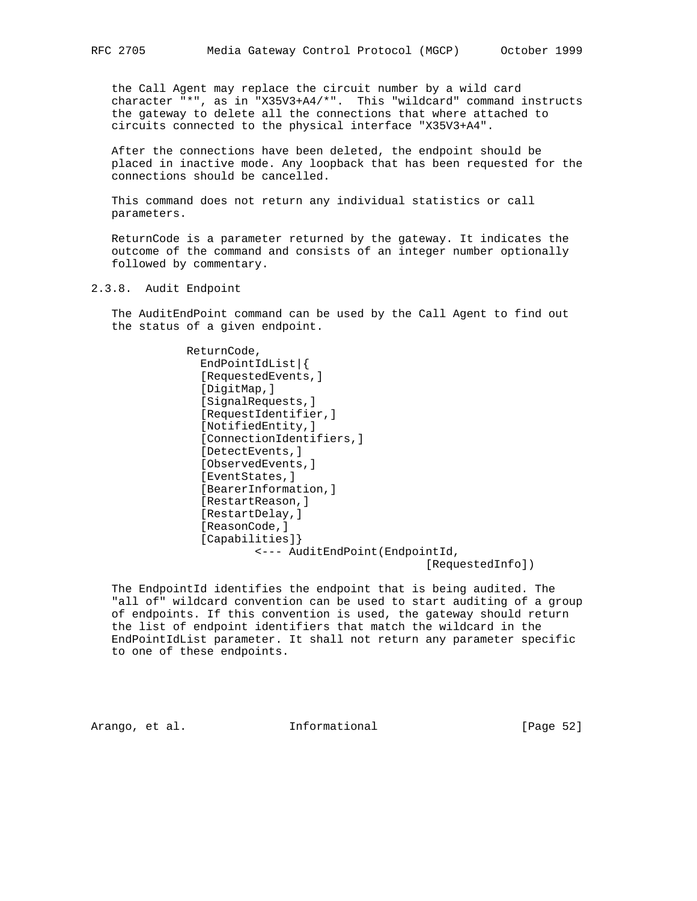the Call Agent may replace the circuit number by a wild card character "\*", as in "X35V3+A4/\*". This "wildcard" command instructs the gateway to delete all the connections that where attached to circuits connected to the physical interface "X35V3+A4".

 After the connections have been deleted, the endpoint should be placed in inactive mode. Any loopback that has been requested for the connections should be cancelled.

 This command does not return any individual statistics or call parameters.

 ReturnCode is a parameter returned by the gateway. It indicates the outcome of the command and consists of an integer number optionally followed by commentary.

2.3.8. Audit Endpoint

 The AuditEndPoint command can be used by the Call Agent to find out the status of a given endpoint.

> ReturnCode, EndPointIdList|{ [RequestedEvents,] [DigitMap,] [SignalRequests,] [RequestIdentifier,] [NotifiedEntity,] [ConnectionIdentifiers,] [DetectEvents,] [ObservedEvents,] [EventStates,] [BearerInformation,] [RestartReason,] [RestartDelay,] [ReasonCode,] [Capabilities]} <--- AuditEndPoint(EndpointId, [RequestedInfo])

 The EndpointId identifies the endpoint that is being audited. The "all of" wildcard convention can be used to start auditing of a group of endpoints. If this convention is used, the gateway should return the list of endpoint identifiers that match the wildcard in the EndPointIdList parameter. It shall not return any parameter specific to one of these endpoints.

Arango, et al. **Informational** [Page 52]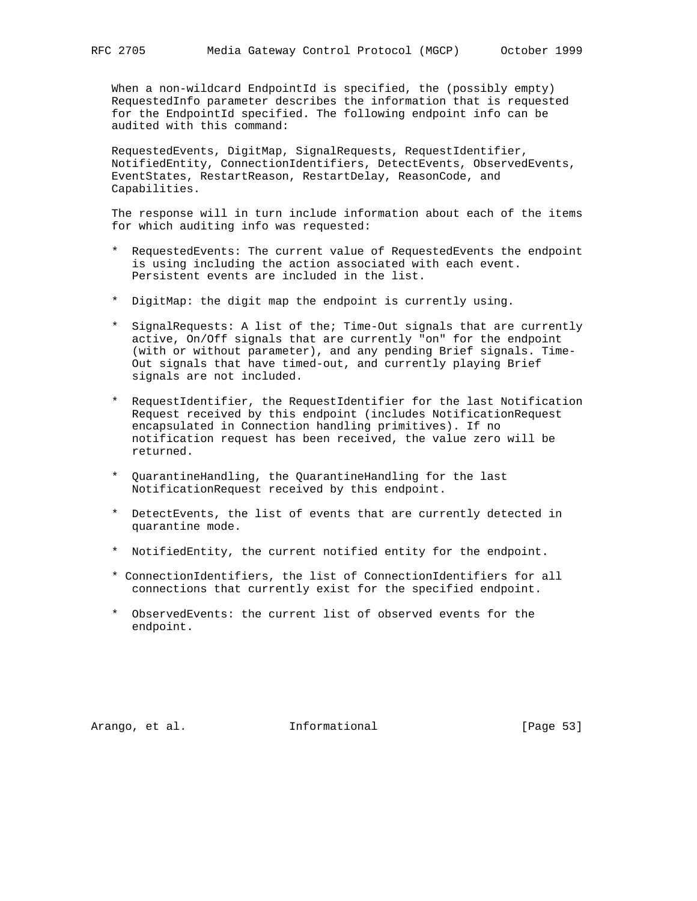When a non-wildcard EndpointId is specified, the (possibly empty) RequestedInfo parameter describes the information that is requested for the EndpointId specified. The following endpoint info can be audited with this command:

 RequestedEvents, DigitMap, SignalRequests, RequestIdentifier, NotifiedEntity, ConnectionIdentifiers, DetectEvents, ObservedEvents, EventStates, RestartReason, RestartDelay, ReasonCode, and Capabilities.

 The response will in turn include information about each of the items for which auditing info was requested:

- \* RequestedEvents: The current value of RequestedEvents the endpoint is using including the action associated with each event. Persistent events are included in the list.
- \* DigitMap: the digit map the endpoint is currently using.
- \* SignalRequests: A list of the; Time-Out signals that are currently active, On/Off signals that are currently "on" for the endpoint (with or without parameter), and any pending Brief signals. Time- Out signals that have timed-out, and currently playing Brief signals are not included.
- \* RequestIdentifier, the RequestIdentifier for the last Notification Request received by this endpoint (includes NotificationRequest encapsulated in Connection handling primitives). If no notification request has been received, the value zero will be returned.
- \* QuarantineHandling, the QuarantineHandling for the last NotificationRequest received by this endpoint.
- \* DetectEvents, the list of events that are currently detected in quarantine mode.
- \* NotifiedEntity, the current notified entity for the endpoint.
- \* ConnectionIdentifiers, the list of ConnectionIdentifiers for all connections that currently exist for the specified endpoint.
- \* ObservedEvents: the current list of observed events for the endpoint.

Arango, et al. 1nformational [Page 53]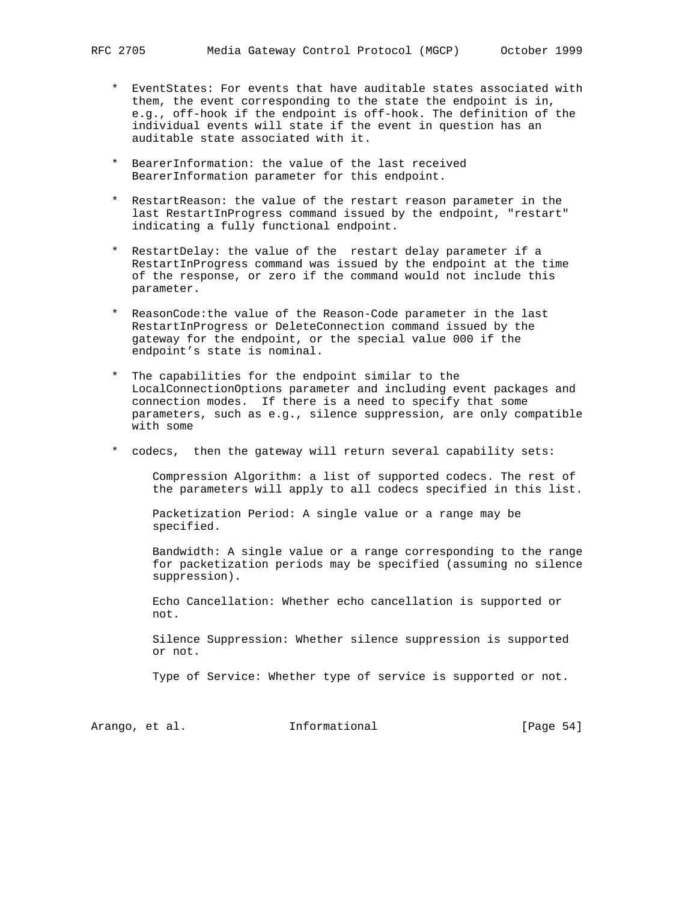- \* EventStates: For events that have auditable states associated with them, the event corresponding to the state the endpoint is in, e.g., off-hook if the endpoint is off-hook. The definition of the individual events will state if the event in question has an auditable state associated with it.
- \* BearerInformation: the value of the last received BearerInformation parameter for this endpoint.
- \* RestartReason: the value of the restart reason parameter in the last RestartInProgress command issued by the endpoint, "restart" indicating a fully functional endpoint.
- \* RestartDelay: the value of the restart delay parameter if a RestartInProgress command was issued by the endpoint at the time of the response, or zero if the command would not include this parameter.
- \* ReasonCode:the value of the Reason-Code parameter in the last RestartInProgress or DeleteConnection command issued by the gateway for the endpoint, or the special value 000 if the endpoint's state is nominal.
- \* The capabilities for the endpoint similar to the LocalConnectionOptions parameter and including event packages and connection modes. If there is a need to specify that some parameters, such as e.g., silence suppression, are only compatible with some
- \* codecs, then the gateway will return several capability sets:

 Compression Algorithm: a list of supported codecs. The rest of the parameters will apply to all codecs specified in this list.

 Packetization Period: A single value or a range may be specified.

 Bandwidth: A single value or a range corresponding to the range for packetization periods may be specified (assuming no silence suppression).

 Echo Cancellation: Whether echo cancellation is supported or not.

 Silence Suppression: Whether silence suppression is supported or not.

Type of Service: Whether type of service is supported or not.

Arango, et al. 1nformational [Page 54]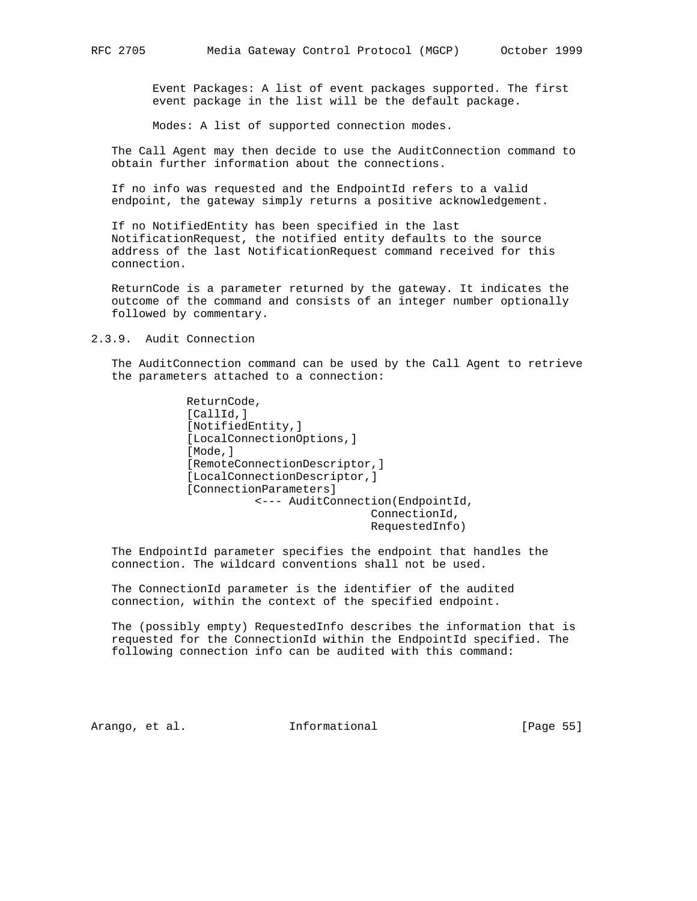Event Packages: A list of event packages supported. The first event package in the list will be the default package.

Modes: A list of supported connection modes.

 The Call Agent may then decide to use the AuditConnection command to obtain further information about the connections.

 If no info was requested and the EndpointId refers to a valid endpoint, the gateway simply returns a positive acknowledgement.

 If no NotifiedEntity has been specified in the last NotificationRequest, the notified entity defaults to the source address of the last NotificationRequest command received for this connection.

 ReturnCode is a parameter returned by the gateway. It indicates the outcome of the command and consists of an integer number optionally followed by commentary.

#### 2.3.9. Audit Connection

 The AuditConnection command can be used by the Call Agent to retrieve the parameters attached to a connection:

> ReturnCode, [CallId,] [NotifiedEntity,] [LocalConnectionOptions,] [Mode,] [RemoteConnectionDescriptor,] [LocalConnectionDescriptor,] [ConnectionParameters] <--- AuditConnection(EndpointId, ConnectionId, RequestedInfo)

 The EndpointId parameter specifies the endpoint that handles the connection. The wildcard conventions shall not be used.

 The ConnectionId parameter is the identifier of the audited connection, within the context of the specified endpoint.

 The (possibly empty) RequestedInfo describes the information that is requested for the ConnectionId within the EndpointId specified. The following connection info can be audited with this command:

Arango, et al. **Informational** [Page 55]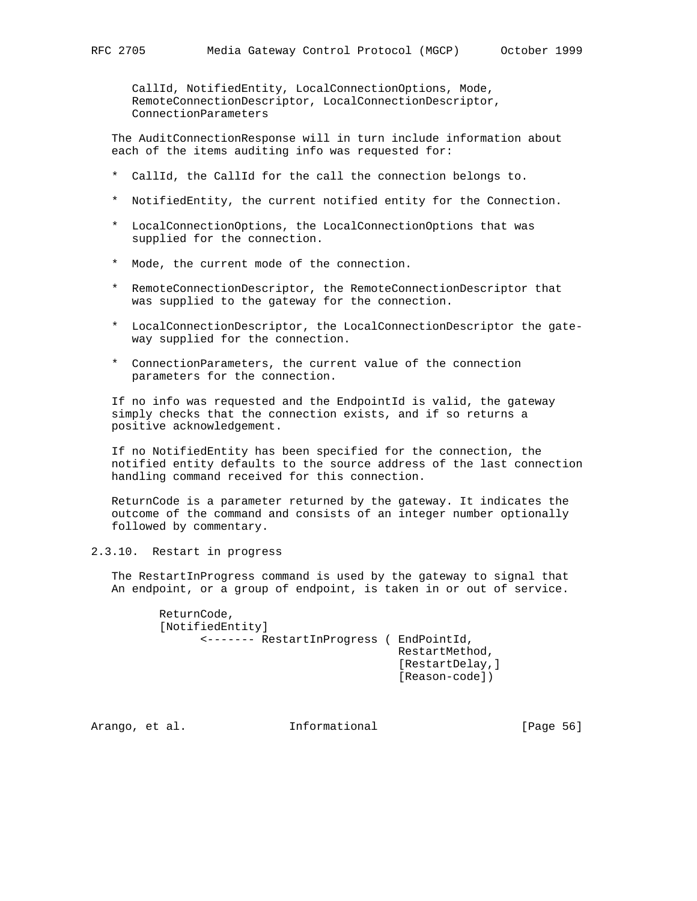CallId, NotifiedEntity, LocalConnectionOptions, Mode, RemoteConnectionDescriptor, LocalConnectionDescriptor, ConnectionParameters

 The AuditConnectionResponse will in turn include information about each of the items auditing info was requested for:

- \* CallId, the CallId for the call the connection belongs to.
- \* NotifiedEntity, the current notified entity for the Connection.
- \* LocalConnectionOptions, the LocalConnectionOptions that was supplied for the connection.
- \* Mode, the current mode of the connection.
- \* RemoteConnectionDescriptor, the RemoteConnectionDescriptor that was supplied to the gateway for the connection.
- \* LocalConnectionDescriptor, the LocalConnectionDescriptor the gate way supplied for the connection.
- \* ConnectionParameters, the current value of the connection parameters for the connection.

 If no info was requested and the EndpointId is valid, the gateway simply checks that the connection exists, and if so returns a positive acknowledgement.

 If no NotifiedEntity has been specified for the connection, the notified entity defaults to the source address of the last connection handling command received for this connection.

 ReturnCode is a parameter returned by the gateway. It indicates the outcome of the command and consists of an integer number optionally followed by commentary.

#### 2.3.10. Restart in progress

 The RestartInProgress command is used by the gateway to signal that An endpoint, or a group of endpoint, is taken in or out of service.

> ReturnCode, [NotifiedEntity] <------- RestartInProgress ( EndPointId, RestartMethod, [RestartDelay,] [Reason-code])

Arango, et al. 1nformational [Page 56]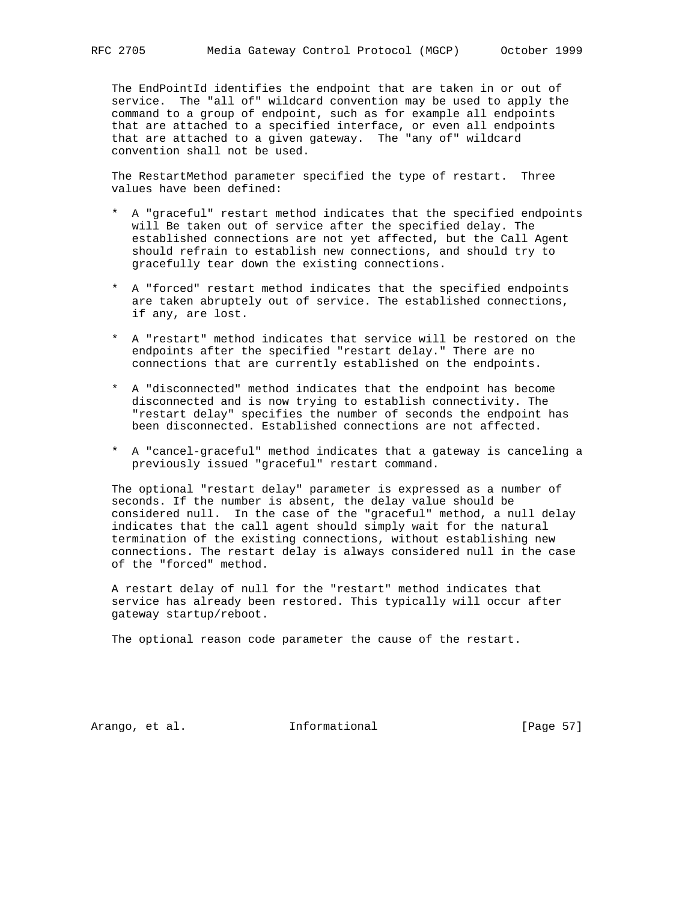The EndPointId identifies the endpoint that are taken in or out of service. The "all of" wildcard convention may be used to apply the command to a group of endpoint, such as for example all endpoints that are attached to a specified interface, or even all endpoints that are attached to a given gateway. The "any of" wildcard convention shall not be used.

 The RestartMethod parameter specified the type of restart. Three values have been defined:

- \* A "graceful" restart method indicates that the specified endpoints will Be taken out of service after the specified delay. The established connections are not yet affected, but the Call Agent should refrain to establish new connections, and should try to gracefully tear down the existing connections.
- \* A "forced" restart method indicates that the specified endpoints are taken abruptely out of service. The established connections, if any, are lost.
- \* A "restart" method indicates that service will be restored on the endpoints after the specified "restart delay." There are no connections that are currently established on the endpoints.
- \* A "disconnected" method indicates that the endpoint has become disconnected and is now trying to establish connectivity. The "restart delay" specifies the number of seconds the endpoint has been disconnected. Established connections are not affected.
- \* A "cancel-graceful" method indicates that a gateway is canceling a previously issued "graceful" restart command.

 The optional "restart delay" parameter is expressed as a number of seconds. If the number is absent, the delay value should be considered null. In the case of the "graceful" method, a null delay indicates that the call agent should simply wait for the natural termination of the existing connections, without establishing new connections. The restart delay is always considered null in the case of the "forced" method.

 A restart delay of null for the "restart" method indicates that service has already been restored. This typically will occur after gateway startup/reboot.

The optional reason code parameter the cause of the restart.

Arango, et al. 1nformational [Page 57]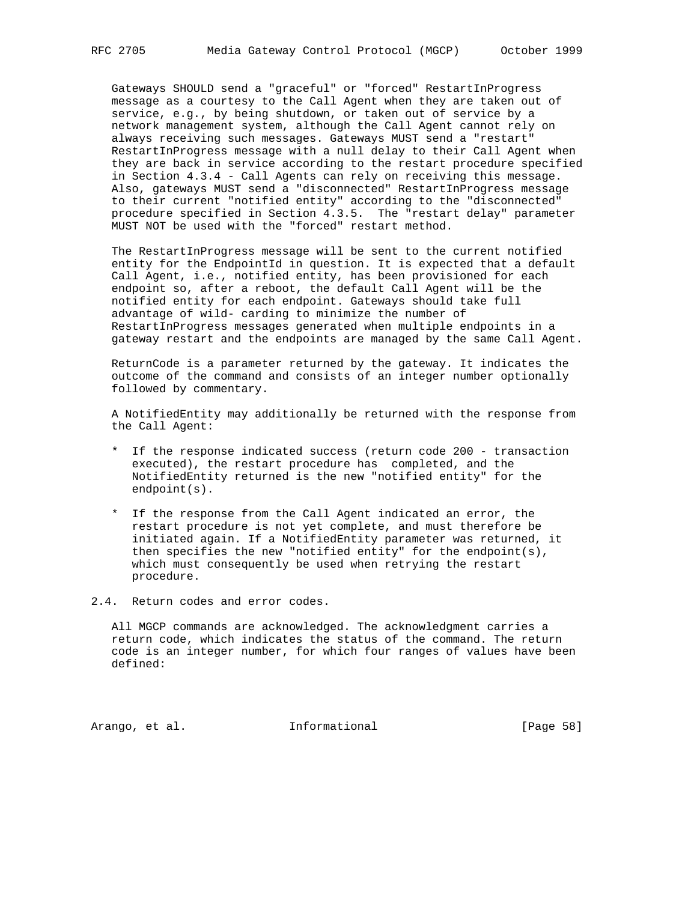Gateways SHOULD send a "graceful" or "forced" RestartInProgress message as a courtesy to the Call Agent when they are taken out of service, e.g., by being shutdown, or taken out of service by a network management system, although the Call Agent cannot rely on always receiving such messages. Gateways MUST send a "restart" RestartInProgress message with a null delay to their Call Agent when they are back in service according to the restart procedure specified in Section 4.3.4 - Call Agents can rely on receiving this message. Also, gateways MUST send a "disconnected" RestartInProgress message to their current "notified entity" according to the "disconnected" procedure specified in Section 4.3.5. The "restart delay" parameter MUST NOT be used with the "forced" restart method.

 The RestartInProgress message will be sent to the current notified entity for the EndpointId in question. It is expected that a default Call Agent, i.e., notified entity, has been provisioned for each endpoint so, after a reboot, the default Call Agent will be the notified entity for each endpoint. Gateways should take full advantage of wild- carding to minimize the number of RestartInProgress messages generated when multiple endpoints in a gateway restart and the endpoints are managed by the same Call Agent.

 ReturnCode is a parameter returned by the gateway. It indicates the outcome of the command and consists of an integer number optionally followed by commentary.

 A NotifiedEntity may additionally be returned with the response from the Call Agent:

- \* If the response indicated success (return code 200 transaction executed), the restart procedure has completed, and the NotifiedEntity returned is the new "notified entity" for the endpoint(s).
- \* If the response from the Call Agent indicated an error, the restart procedure is not yet complete, and must therefore be initiated again. If a NotifiedEntity parameter was returned, it then specifies the new "notified entity" for the endpoint(s), which must consequently be used when retrying the restart procedure.
- 2.4. Return codes and error codes.

 All MGCP commands are acknowledged. The acknowledgment carries a return code, which indicates the status of the command. The return code is an integer number, for which four ranges of values have been defined:

Arango, et al. 1nformational [Page 58]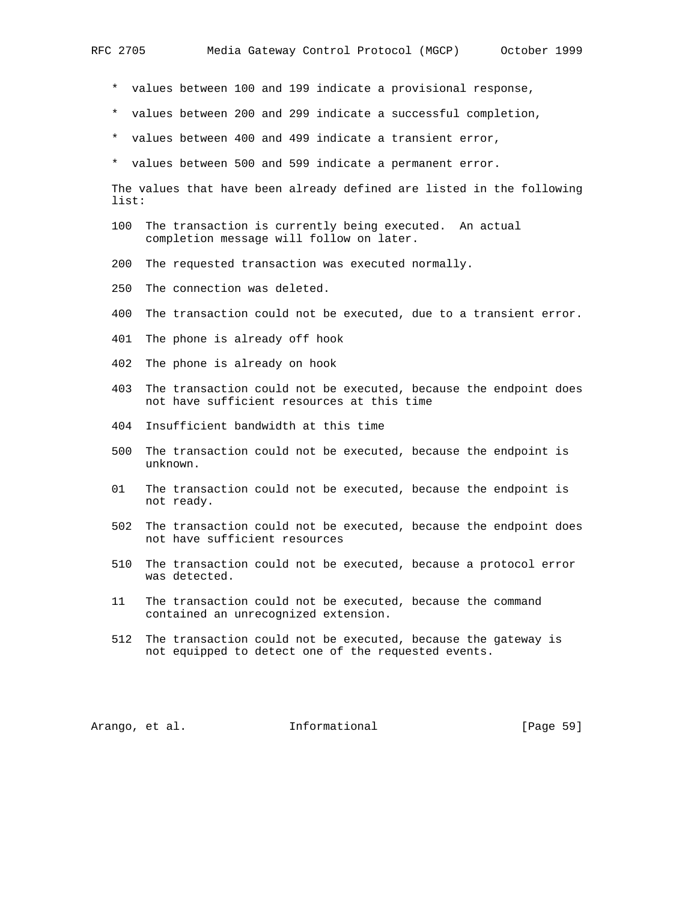- \* values between 100 and 199 indicate a provisional response,
- \* values between 200 and 299 indicate a successful completion,
- \* values between 400 and 499 indicate a transient error,
- \* values between 500 and 599 indicate a permanent error.

 The values that have been already defined are listed in the following list:

- 100 The transaction is currently being executed. An actual completion message will follow on later.
- 200 The requested transaction was executed normally.
- 250 The connection was deleted.
- 400 The transaction could not be executed, due to a transient error.
- 401 The phone is already off hook
- 402 The phone is already on hook
- 403 The transaction could not be executed, because the endpoint does not have sufficient resources at this time
- 404 Insufficient bandwidth at this time
- 500 The transaction could not be executed, because the endpoint is unknown.
- 01 The transaction could not be executed, because the endpoint is not ready.
- 502 The transaction could not be executed, because the endpoint does not have sufficient resources
- 510 The transaction could not be executed, because a protocol error was detected.
- 11 The transaction could not be executed, because the command contained an unrecognized extension.
- 512 The transaction could not be executed, because the gateway is not equipped to detect one of the requested events.

Arango, et al. 1nformational [Page 59]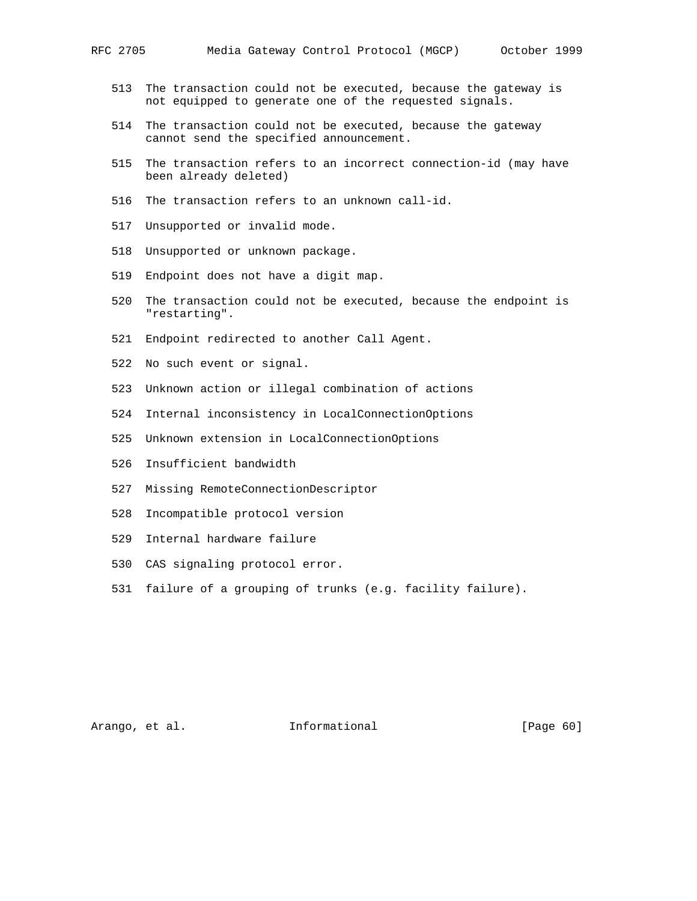- 513 The transaction could not be executed, because the gateway is not equipped to generate one of the requested signals.
- 514 The transaction could not be executed, because the gateway cannot send the specified announcement.
- 515 The transaction refers to an incorrect connection-id (may have been already deleted)
- 516 The transaction refers to an unknown call-id.
- 517 Unsupported or invalid mode.
- 518 Unsupported or unknown package.
- 519 Endpoint does not have a digit map.
- 520 The transaction could not be executed, because the endpoint is "restarting".
- 521 Endpoint redirected to another Call Agent.
- 522 No such event or signal.
- 523 Unknown action or illegal combination of actions
- 524 Internal inconsistency in LocalConnectionOptions
- 525 Unknown extension in LocalConnectionOptions
- 526 Insufficient bandwidth
- 527 Missing RemoteConnectionDescriptor
- 528 Incompatible protocol version
- 529 Internal hardware failure
- 530 CAS signaling protocol error.
- 531 failure of a grouping of trunks (e.g. facility failure).

Arango, et al. 1nformational [Page 60]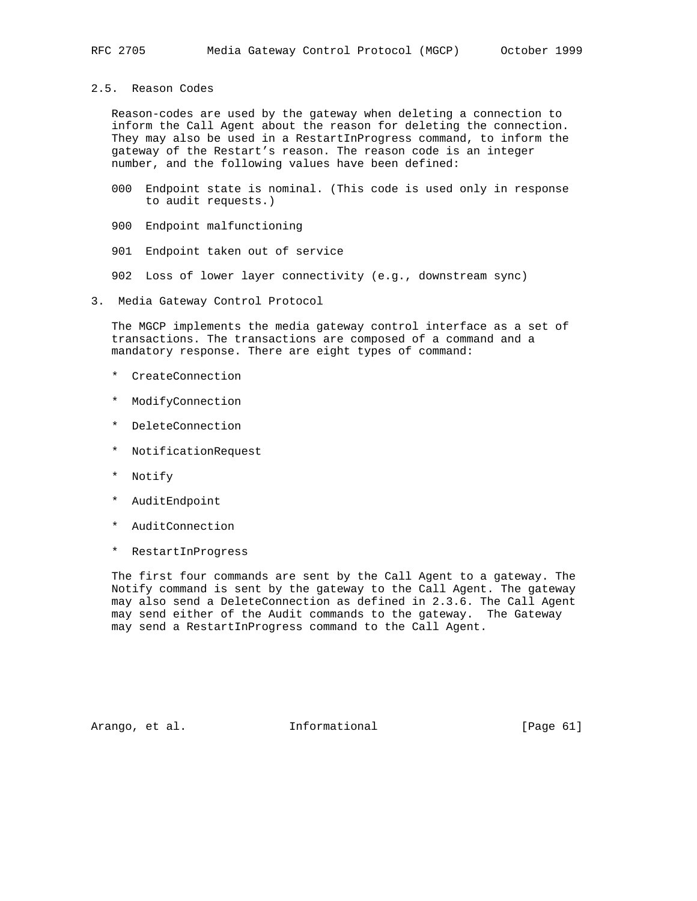#### 2.5. Reason Codes

 Reason-codes are used by the gateway when deleting a connection to inform the Call Agent about the reason for deleting the connection. They may also be used in a RestartInProgress command, to inform the gateway of the Restart's reason. The reason code is an integer number, and the following values have been defined:

- 000 Endpoint state is nominal. (This code is used only in response to audit requests.)
- 900 Endpoint malfunctioning
- 901 Endpoint taken out of service
- 902 Loss of lower layer connectivity (e.g., downstream sync)
- 3. Media Gateway Control Protocol

 The MGCP implements the media gateway control interface as a set of transactions. The transactions are composed of a command and a mandatory response. There are eight types of command:

- \* CreateConnection
- \* ModifyConnection
- \* DeleteConnection
- \* NotificationRequest
- \* Notify
- \* AuditEndpoint
- \* AuditConnection
- \* RestartInProgress

 The first four commands are sent by the Call Agent to a gateway. The Notify command is sent by the gateway to the Call Agent. The gateway may also send a DeleteConnection as defined in 2.3.6. The Call Agent may send either of the Audit commands to the gateway. The Gateway may send a RestartInProgress command to the Call Agent.

Arango, et al. **Informational** [Page 61]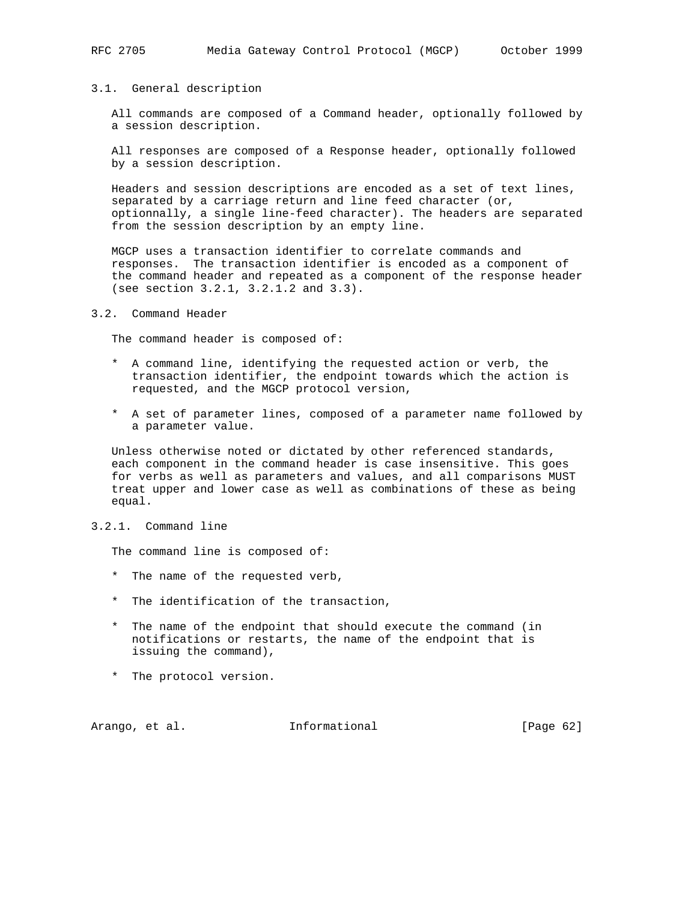# 3.1. General description

 All commands are composed of a Command header, optionally followed by a session description.

 All responses are composed of a Response header, optionally followed by a session description.

 Headers and session descriptions are encoded as a set of text lines, separated by a carriage return and line feed character (or, optionnally, a single line-feed character). The headers are separated from the session description by an empty line.

 MGCP uses a transaction identifier to correlate commands and responses. The transaction identifier is encoded as a component of the command header and repeated as a component of the response header (see section 3.2.1, 3.2.1.2 and 3.3).

#### 3.2. Command Header

The command header is composed of:

- \* A command line, identifying the requested action or verb, the transaction identifier, the endpoint towards which the action is requested, and the MGCP protocol version,
- \* A set of parameter lines, composed of a parameter name followed by a parameter value.

 Unless otherwise noted or dictated by other referenced standards, each component in the command header is case insensitive. This goes for verbs as well as parameters and values, and all comparisons MUST treat upper and lower case as well as combinations of these as being equal.

## 3.2.1. Command line

The command line is composed of:

- \* The name of the requested verb,
- \* The identification of the transaction,
- \* The name of the endpoint that should execute the command (in notifications or restarts, the name of the endpoint that is issuing the command),
- \* The protocol version.

Arango, et al. **Informational** [Page 62]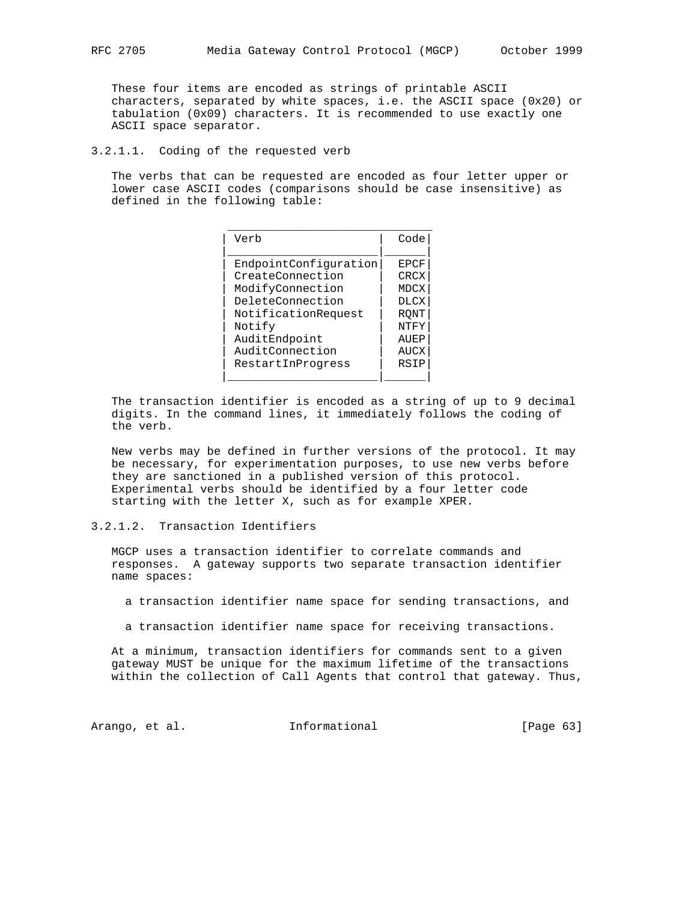These four items are encoded as strings of printable ASCII characters, separated by white spaces, i.e. the ASCII space (0x20) or tabulation (0x09) characters. It is recommended to use exactly one ASCII space separator.

## 3.2.1.1. Coding of the requested verb

 The verbs that can be requested are encoded as four letter upper or lower case ASCII codes (comparisons should be case insensitive) as defined in the following table:

| Verb                  | Code        |
|-----------------------|-------------|
|                       |             |
| EndpointConfiguration | <b>EPCF</b> |
| CreateConnection      | CRCX        |
| ModifyConnection      | MDCX        |
| DeleteConnection      | <b>DLCX</b> |
| NotificationRequest   | RONT        |
| Notify                | NTFY        |
| AuditEndpoint         | AUEP        |
| AuditConnection       | AUCX        |
| RestartInProgress     | RSIP        |
|                       |             |
|                       |             |

 The transaction identifier is encoded as a string of up to 9 decimal digits. In the command lines, it immediately follows the coding of the verb.

 New verbs may be defined in further versions of the protocol. It may be necessary, for experimentation purposes, to use new verbs before they are sanctioned in a published version of this protocol. Experimental verbs should be identified by a four letter code starting with the letter X, such as for example XPER.

## 3.2.1.2. Transaction Identifiers

 MGCP uses a transaction identifier to correlate commands and responses. A gateway supports two separate transaction identifier name spaces:

a transaction identifier name space for sending transactions, and

a transaction identifier name space for receiving transactions.

 At a minimum, transaction identifiers for commands sent to a given gateway MUST be unique for the maximum lifetime of the transactions within the collection of Call Agents that control that gateway. Thus,

Arango, et al. **Informational** [Page 63]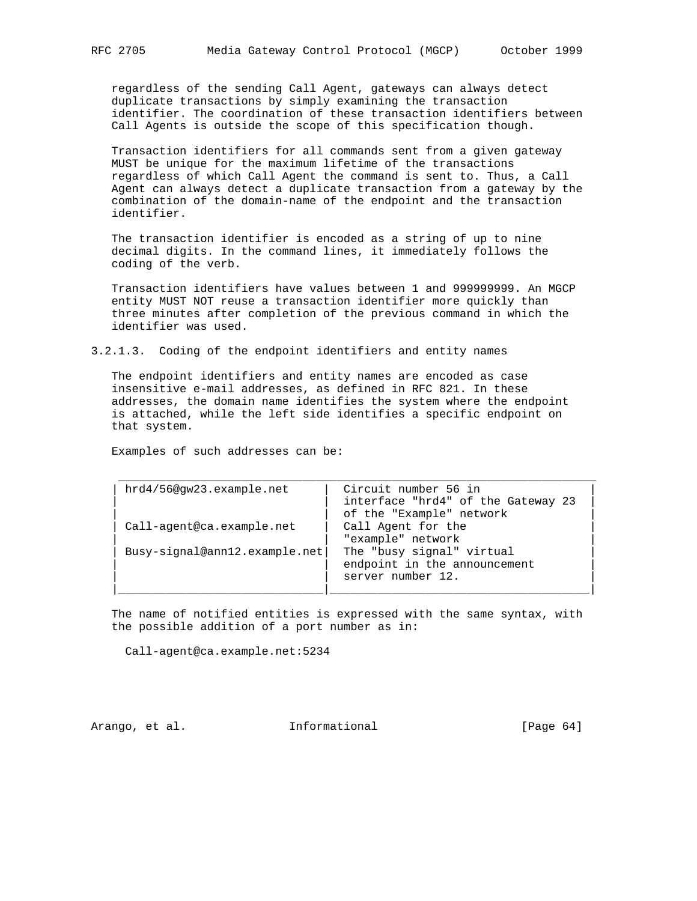regardless of the sending Call Agent, gateways can always detect duplicate transactions by simply examining the transaction identifier. The coordination of these transaction identifiers between Call Agents is outside the scope of this specification though.

 Transaction identifiers for all commands sent from a given gateway MUST be unique for the maximum lifetime of the transactions regardless of which Call Agent the command is sent to. Thus, a Call Agent can always detect a duplicate transaction from a gateway by the combination of the domain-name of the endpoint and the transaction identifier.

 The transaction identifier is encoded as a string of up to nine decimal digits. In the command lines, it immediately follows the coding of the verb.

 Transaction identifiers have values between 1 and 999999999. An MGCP entity MUST NOT reuse a transaction identifier more quickly than three minutes after completion of the previous command in which the identifier was used.

3.2.1.3. Coding of the endpoint identifiers and entity names

 The endpoint identifiers and entity names are encoded as case insensitive e-mail addresses, as defined in RFC 821. In these addresses, the domain name identifies the system where the endpoint is attached, while the left side identifies a specific endpoint on that system.

Examples of such addresses can be:

| Circuit number 56 in               |
|------------------------------------|
| interface "hrd4" of the Gateway 23 |
| of the "Example" network           |
| Call Agent for the                 |
| "example" network                  |
| The "busy signal" virtual          |
| endpoint in the announcement       |
| server number 12.                  |
|                                    |
|                                    |

 The name of notified entities is expressed with the same syntax, with the possible addition of a port number as in:

Call-agent@ca.example.net:5234

Arango, et al. 1nformational [Page 64]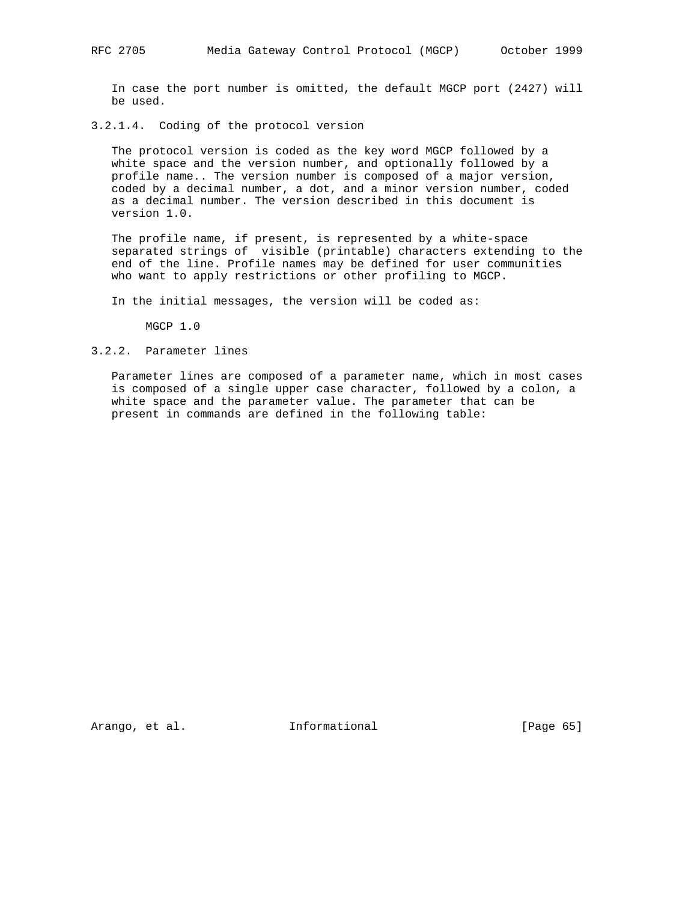In case the port number is omitted, the default MGCP port (2427) will be used.

## 3.2.1.4. Coding of the protocol version

 The protocol version is coded as the key word MGCP followed by a white space and the version number, and optionally followed by a profile name.. The version number is composed of a major version, coded by a decimal number, a dot, and a minor version number, coded as a decimal number. The version described in this document is version 1.0.

 The profile name, if present, is represented by a white-space separated strings of visible (printable) characters extending to the end of the line. Profile names may be defined for user communities who want to apply restrictions or other profiling to MGCP.

In the initial messages, the version will be coded as:

MGCP 1.0

## 3.2.2. Parameter lines

 Parameter lines are composed of a parameter name, which in most cases is composed of a single upper case character, followed by a colon, a white space and the parameter value. The parameter that can be present in commands are defined in the following table:

Arango, et al. 1nformational [Page 65]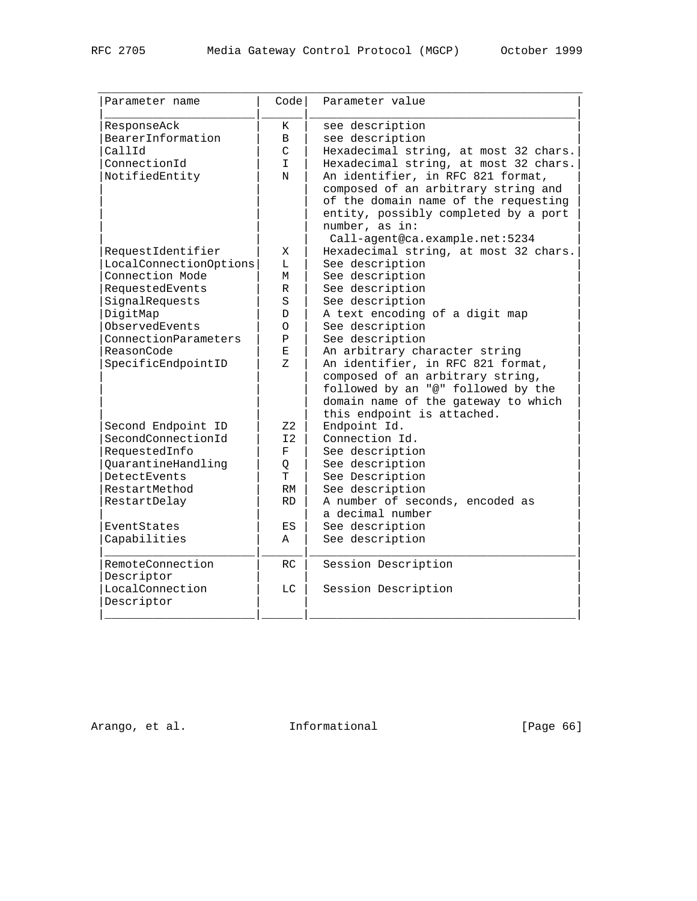| ResponseAck<br>BearerInformation<br>CallId<br>ConnectionId<br>NotifiedEntity | K<br>B<br>C<br>$\mathbf{I}$<br>N | see description<br>see description<br>Hexadecimal string, at most 32 chars.<br>Hexadecimal string, at most 32 chars.<br>An identifier, in RFC 821 format,                        |
|------------------------------------------------------------------------------|----------------------------------|----------------------------------------------------------------------------------------------------------------------------------------------------------------------------------|
|                                                                              |                                  |                                                                                                                                                                                  |
|                                                                              |                                  |                                                                                                                                                                                  |
|                                                                              |                                  |                                                                                                                                                                                  |
|                                                                              |                                  |                                                                                                                                                                                  |
|                                                                              |                                  | composed of an arbitrary string and<br>of the domain name of the requesting<br>entity, possibly completed by a port<br>number, as in:<br>Call-agent@ca.example.net:5234          |
|                                                                              |                                  |                                                                                                                                                                                  |
| RequestIdentifier                                                            | Χ<br>T.                          | Hexadecimal string, at most 32 chars.                                                                                                                                            |
| LocalConnectionOptions                                                       |                                  | See description                                                                                                                                                                  |
| Connection Mode                                                              | М                                | See description                                                                                                                                                                  |
| RequestedEvents                                                              | R                                | See description                                                                                                                                                                  |
| SignalRequests                                                               | S                                | See description                                                                                                                                                                  |
| DigitMap                                                                     | D                                | A text encoding of a digit map                                                                                                                                                   |
| ObservedEvents                                                               | $\Omega$                         | See description                                                                                                                                                                  |
| ConnectionParameters                                                         | P                                | See description                                                                                                                                                                  |
| ReasonCode                                                                   | Е                                | An arbitrary character string                                                                                                                                                    |
| SpecificEndpointID                                                           | Z.                               | An identifier, in RFC 821 format,<br>composed of an arbitrary string,<br>followed by an "@" followed by the<br>domain name of the gateway to which<br>this endpoint is attached. |
| Second Endpoint ID                                                           | Z2                               | Endpoint Id.                                                                                                                                                                     |
| SecondConnectionId                                                           | I <sub>2</sub>                   | Connection Id.                                                                                                                                                                   |
| RequestedInfo                                                                | F                                | See description                                                                                                                                                                  |
| OuarantineHandling                                                           | Q                                | See description                                                                                                                                                                  |
| DetectEvents                                                                 | T                                | See Description                                                                                                                                                                  |
| RestartMethod                                                                | RM                               | See description                                                                                                                                                                  |
| RestartDelay                                                                 | <b>RD</b>                        | A number of seconds, encoded as<br>a decimal number                                                                                                                              |
| EventStates                                                                  | ES                               | See description                                                                                                                                                                  |
| Capabilities                                                                 | $\mathbb A$                      | See description                                                                                                                                                                  |
| RemoteConnection<br>Descriptor                                               | RC                               | Session Description                                                                                                                                                              |
| LocalConnection<br>Descriptor                                                | LC.                              | Session Description                                                                                                                                                              |

Arango, et al. 1nformational 1999 [Page 66]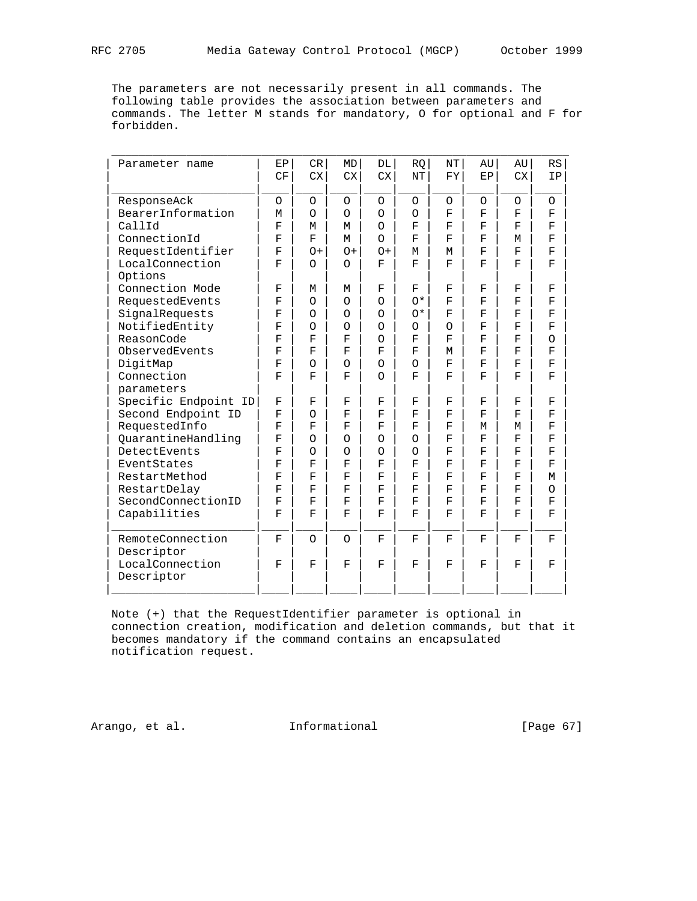The parameters are not necessarily present in all commands. The following table provides the association between parameters and commands. The letter M stands for mandatory, O for optional and F for forbidden.

| Parameter name       | EP                 | CR                 | MD                 | DL                 | RQ           | NT                 | AU                 | AU                 | RS                 |
|----------------------|--------------------|--------------------|--------------------|--------------------|--------------|--------------------|--------------------|--------------------|--------------------|
|                      | CF                 | <b>CX</b>          | <b>CX</b>          | CX                 | NT           | FY                 | EP                 | CX                 | IP                 |
| ResponseAck          | Ο                  | $\circ$            | $\circ$            | $\Omega$           | $\circ$      | $\circ$            | $\Omega$           | $\circ$            | $\circ$            |
| BearerInformation    | М                  | $\Omega$           | $\Omega$           | $\Omega$           | $\Omega$     | F                  | F                  | F                  | $\mathbf{F}% _{0}$ |
| CallId               | F                  | М                  | М                  | $\Omega$           | $\mathbf F$  | F                  | F                  | F                  | $\mathbf{F}% _{0}$ |
| ConnectionId         | F                  | F                  | M                  | $\Omega$           | F            | F                  | F                  | М                  | $\mathbf{F}% _{0}$ |
| RequestIdentifier    | F                  | $O +$              | $O+$               | $O +$              | M            | M                  | F                  | F                  | F                  |
| LocalConnection      | F                  | $\Omega$           | $\Omega$           | F                  | F            | F                  | F                  | F                  | F                  |
| Options              |                    |                    |                    |                    |              |                    |                    |                    |                    |
| Connection Mode      | F                  | M                  | М                  | F                  | F            | F                  | F                  | F                  | F                  |
| RequestedEvents      | F                  | $\Omega$           | $\Omega$           | $\Omega$           | $0*$         | $\mathbf{F}% _{0}$ | F                  | F                  | F                  |
| SignalRequests       | F                  | $\circ$            | $\circ$            | $\Omega$           | $O*$         | $\mathbf{F}% _{0}$ | F                  | F                  | $\mathbf{F}% _{0}$ |
| NotifiedEntity       | F                  | $\circ$            | $\circ$            | $\Omega$           | $\circ$      | $\circ$            | F                  | $\mathbf{F}% _{0}$ | $_{\rm F}$         |
| ReasonCode           | F                  | $\mathbf{F}% _{0}$ | F                  | $\Omega$           | $\mathbf{F}$ | F                  | F                  | $\mathbf{F}% _{0}$ | $\circ$            |
| ObservedEvents       | F                  | $\mathbf{F}% _{0}$ | F                  | F                  | $\mathbf{F}$ | М                  | F                  | $\mathbf{F}% _{0}$ | $\mathbf{F}% _{0}$ |
| DigitMap             | F                  | $\circ$            | $\Omega$           | $\Omega$           | Ο            | F                  | F                  | $\mathbf{F}% _{0}$ | F                  |
| Connection           | F                  | $_{\rm F}$         | F                  | $\Omega$           | F            | F                  | F                  | F                  | F                  |
| parameters           |                    |                    |                    |                    |              |                    |                    |                    |                    |
| Specific Endpoint ID | F                  | F                  | F                  | F                  | $\mathbf F$  | F                  | F                  | $\mathbf F$        | F                  |
| Second Endpoint ID   | F                  | $\Omega$           | F                  | F                  | $\mathbf F$  | F                  | F                  | F                  | $\mathbf{F}% _{0}$ |
| RequestedInfo        | F                  | $\mathbf{F}% _{0}$ | F                  | F                  | F            | F                  | М                  | М                  | $\mathbf{F}% _{0}$ |
| OuarantineHandling   | F                  | $\Omega$           | $\Omega$           | $\Omega$           | $\Omega$     | F                  | F                  | F                  | F                  |
| DetectEvents         | F                  | $\Omega$           | $\Omega$           | $\Omega$           | $\Omega$     | F                  | F                  | $\mathbf F$        | $_{\rm F}$         |
| EventStates          | F                  | $\mathbf F$        | F                  | F                  | $\mathbf F$  | F                  | F                  | F                  | F                  |
| RestartMethod        | F                  | $\mathbf F$        | $\mathbf{F}% _{0}$ | F                  | $\mathbf F$  | $\mathbf F$        | F                  | F                  | М                  |
| RestartDelay         | $\mathbf{F}% _{0}$ | $\mathbf F$        | $\mathbf{F}% _{0}$ | $\mathbf{F}% _{0}$ | $\mathbf F$  | F                  | $\mathbf{F}% _{0}$ | $\mathbf{F}% _{0}$ | Ο                  |
| SecondConnectionID   | F                  | $_{\rm F}$         | $\mathbf{F}% _{0}$ | F                  | $\mathbf F$  | F                  | F                  | $\mathbf F$        | $\mathbf F$        |
| Capabilities         | F                  | F                  | F                  | F                  | F            | F                  | F                  | F                  | F                  |
| RemoteConnection     | F                  | $\Omega$           | $\Omega$           | F                  | F            | F                  | F                  | F                  | F                  |
| Descriptor           |                    |                    |                    |                    |              |                    |                    |                    |                    |
| LocalConnection      | F                  | $\mathbf{F}% _{0}$ | F                  | F                  | F            | F                  | F                  | F                  | F                  |
| Descriptor           |                    |                    |                    |                    |              |                    |                    |                    |                    |
|                      |                    |                    |                    |                    |              |                    |                    |                    |                    |

 Note (+) that the RequestIdentifier parameter is optional in connection creation, modification and deletion commands, but that it becomes mandatory if the command contains an encapsulated notification request.

Arango, et al. 1nformational 1999 [Page 67]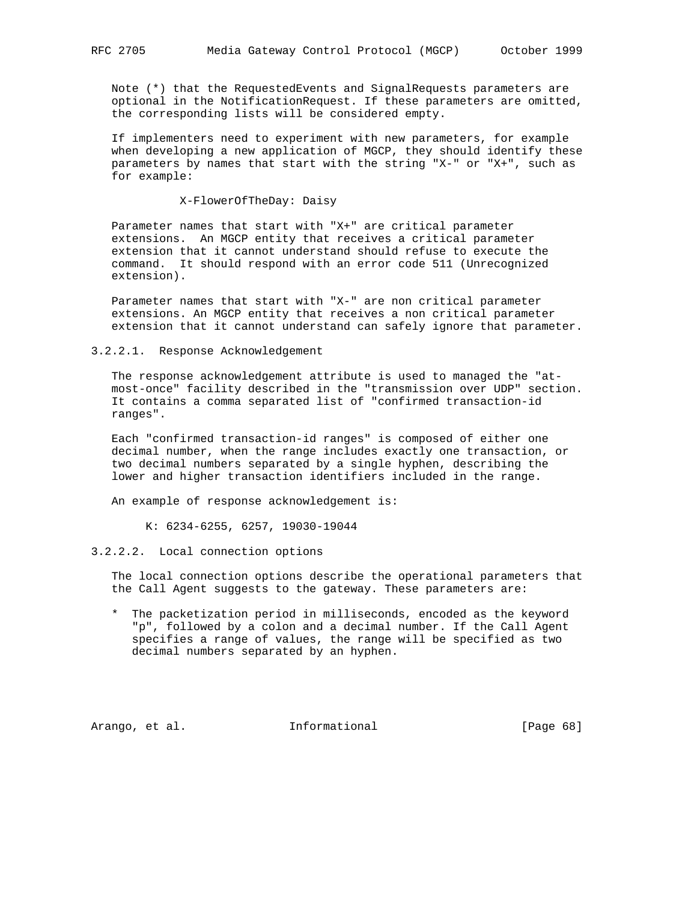Note (\*) that the RequestedEvents and SignalRequests parameters are optional in the NotificationRequest. If these parameters are omitted, the corresponding lists will be considered empty.

 If implementers need to experiment with new parameters, for example when developing a new application of MGCP, they should identify these parameters by names that start with the string "X-" or "X+", such as for example:

X-FlowerOfTheDay: Daisy

 Parameter names that start with "X+" are critical parameter extensions. An MGCP entity that receives a critical parameter extension that it cannot understand should refuse to execute the command. It should respond with an error code 511 (Unrecognized extension).

 Parameter names that start with "X-" are non critical parameter extensions. An MGCP entity that receives a non critical parameter extension that it cannot understand can safely ignore that parameter.

3.2.2.1. Response Acknowledgement

 The response acknowledgement attribute is used to managed the "at most-once" facility described in the "transmission over UDP" section. It contains a comma separated list of "confirmed transaction-id ranges".

 Each "confirmed transaction-id ranges" is composed of either one decimal number, when the range includes exactly one transaction, or two decimal numbers separated by a single hyphen, describing the lower and higher transaction identifiers included in the range.

An example of response acknowledgement is:

K: 6234-6255, 6257, 19030-19044

3.2.2.2. Local connection options

 The local connection options describe the operational parameters that the Call Agent suggests to the gateway. These parameters are:

 \* The packetization period in milliseconds, encoded as the keyword "p", followed by a colon and a decimal number. If the Call Agent specifies a range of values, the range will be specified as two decimal numbers separated by an hyphen.

Arango, et al. **Informational** [Page 68]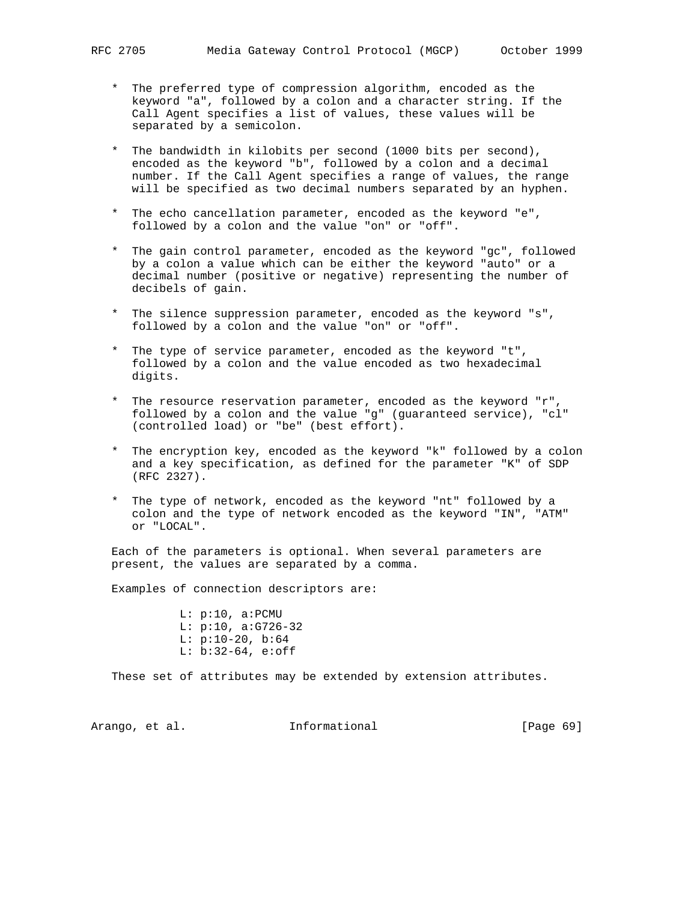- \* The preferred type of compression algorithm, encoded as the keyword "a", followed by a colon and a character string. If the Call Agent specifies a list of values, these values will be separated by a semicolon.
- \* The bandwidth in kilobits per second (1000 bits per second), encoded as the keyword "b", followed by a colon and a decimal number. If the Call Agent specifies a range of values, the range will be specified as two decimal numbers separated by an hyphen.
- \* The echo cancellation parameter, encoded as the keyword "e", followed by a colon and the value "on" or "off".
- \* The gain control parameter, encoded as the keyword "gc", followed by a colon a value which can be either the keyword "auto" or a decimal number (positive or negative) representing the number of decibels of gain.
- \* The silence suppression parameter, encoded as the keyword "s", followed by a colon and the value "on" or "off".
- \* The type of service parameter, encoded as the keyword "t", followed by a colon and the value encoded as two hexadecimal digits.
- \* The resource reservation parameter, encoded as the keyword "r", followed by a colon and the value "g" (guaranteed service), "cl" (controlled load) or "be" (best effort).
- \* The encryption key, encoded as the keyword "k" followed by a colon and a key specification, as defined for the parameter "K" of SDP (RFC 2327).
- \* The type of network, encoded as the keyword "nt" followed by a colon and the type of network encoded as the keyword "IN", "ATM" or "LOCAL".

 Each of the parameters is optional. When several parameters are present, the values are separated by a comma.

Examples of connection descriptors are:

 L: p:10, a:PCMU L: p:10, a:G726-32 L: p:10-20, b:64 L: b:32-64, e:off

These set of attributes may be extended by extension attributes.

Arango, et al. **Informational** [Page 69]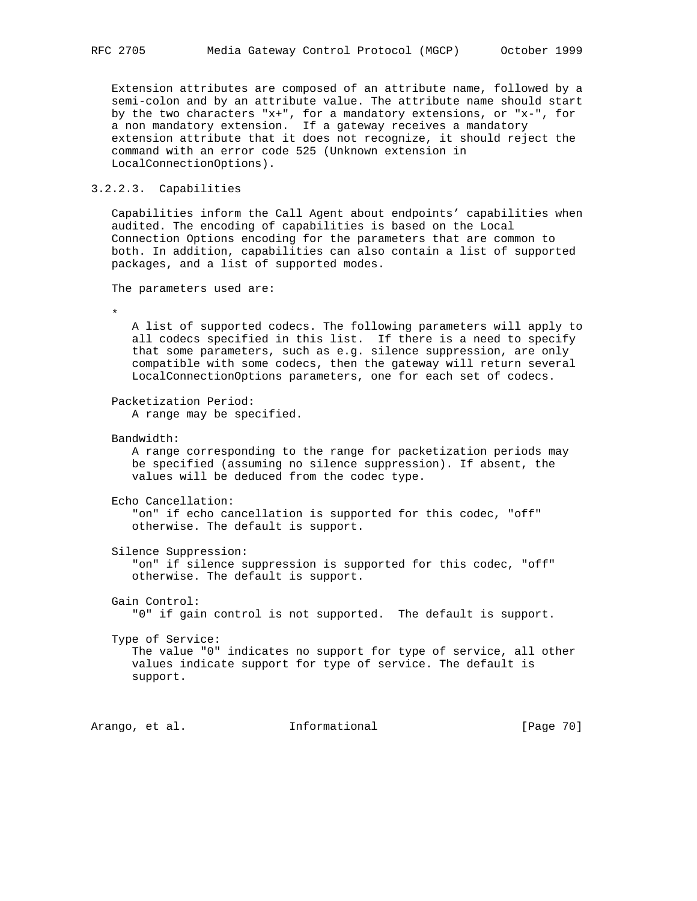Extension attributes are composed of an attribute name, followed by a semi-colon and by an attribute value. The attribute name should start by the two characters "x+", for a mandatory extensions, or "x-", for a non mandatory extension. If a gateway receives a mandatory extension attribute that it does not recognize, it should reject the command with an error code 525 (Unknown extension in LocalConnectionOptions).

## 3.2.2.3. Capabilities

 Capabilities inform the Call Agent about endpoints' capabilities when audited. The encoding of capabilities is based on the Local Connection Options encoding for the parameters that are common to both. In addition, capabilities can also contain a list of supported packages, and a list of supported modes.

The parameters used are:

 $\star$ 

 A list of supported codecs. The following parameters will apply to all codecs specified in this list. If there is a need to specify that some parameters, such as e.g. silence suppression, are only compatible with some codecs, then the gateway will return several LocalConnectionOptions parameters, one for each set of codecs.

Packetization Period:

A range may be specified.

Bandwidth:

 A range corresponding to the range for packetization periods may be specified (assuming no silence suppression). If absent, the values will be deduced from the codec type.

Echo Cancellation:

 "on" if echo cancellation is supported for this codec, "off" otherwise. The default is support.

Silence Suppression:

 "on" if silence suppression is supported for this codec, "off" otherwise. The default is support.

 Gain Control: "0" if gain control is not supported. The default is support.

 Type of Service: The value "0" indicates no support for type of service, all other values indicate support for type of service. The default is support.

Arango, et al. 1nformational [Page 70]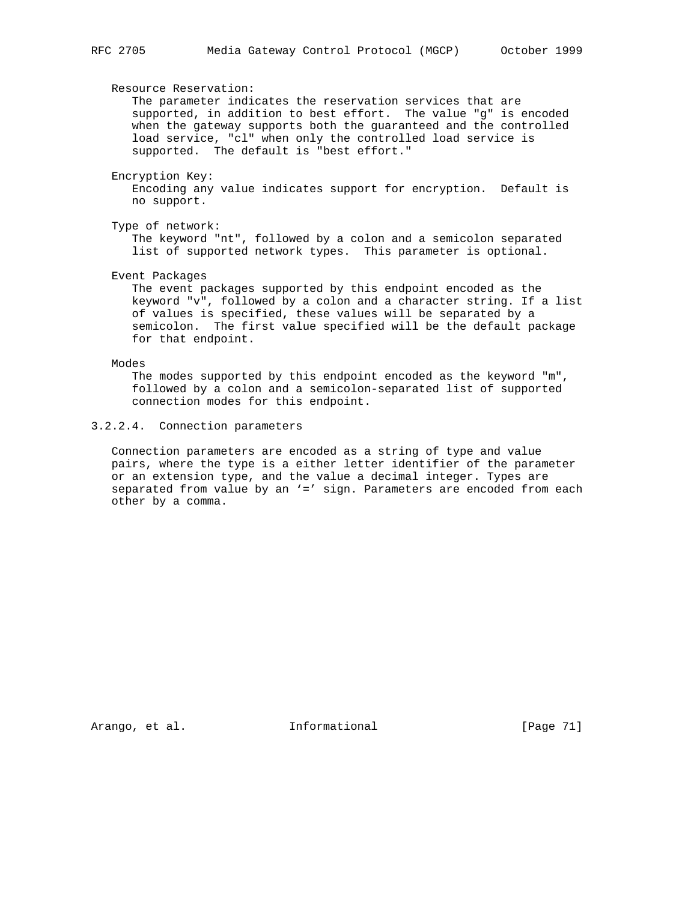Resource Reservation:

 The parameter indicates the reservation services that are supported, in addition to best effort. The value "g" is encoded when the gateway supports both the guaranteed and the controlled load service, "cl" when only the controlled load service is supported. The default is "best effort."

#### Encryption Key:

 Encoding any value indicates support for encryption. Default is no support.

Type of network:

 The keyword "nt", followed by a colon and a semicolon separated list of supported network types. This parameter is optional.

Event Packages

 The event packages supported by this endpoint encoded as the keyword "v", followed by a colon and a character string. If a list of values is specified, these values will be separated by a semicolon. The first value specified will be the default package for that endpoint.

#### Modes

 The modes supported by this endpoint encoded as the keyword "m", followed by a colon and a semicolon-separated list of supported connection modes for this endpoint.

#### 3.2.2.4. Connection parameters

 Connection parameters are encoded as a string of type and value pairs, where the type is a either letter identifier of the parameter or an extension type, and the value a decimal integer. Types are separated from value by an '=' sign. Parameters are encoded from each other by a comma.

Arango, et al. **Informational** [Page 71]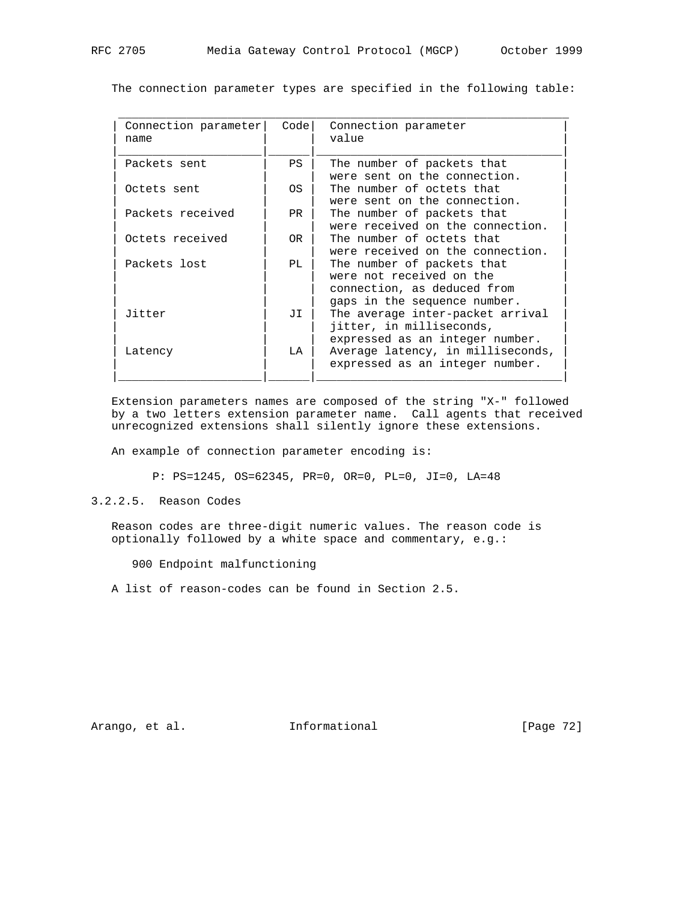The connection parameter types are specified in the following table:

| Connection parameter | Code | Connection parameter                                                                                                  |
|----------------------|------|-----------------------------------------------------------------------------------------------------------------------|
| name                 |      | value                                                                                                                 |
| Packets sent         | PS   | The number of packets that<br>were sent on the connection.                                                            |
| Octets sent          | OS.  | The number of octets that<br>were sent on the connection.                                                             |
| Packets received     | PR   | The number of packets that<br>were received on the connection.                                                        |
| Octets received      | OR.  | The number of octets that<br>were received on the connection.                                                         |
| Packets lost         | PT.  | The number of packets that<br>were not received on the<br>connection, as deduced from<br>gaps in the sequence number. |
| Jitter               | JI   | The average inter-packet arrival<br>jitter, in milliseconds,<br>expressed as an integer number.                       |
| Latency              | LA   | Average latency, in milliseconds,<br>expressed as an integer number.                                                  |

 Extension parameters names are composed of the string "X-" followed by a two letters extension parameter name. Call agents that received unrecognized extensions shall silently ignore these extensions.

An example of connection parameter encoding is:

P: PS=1245, OS=62345, PR=0, OR=0, PL=0, JI=0, LA=48

3.2.2.5. Reason Codes

 Reason codes are three-digit numeric values. The reason code is optionally followed by a white space and commentary, e.g.:

900 Endpoint malfunctioning

A list of reason-codes can be found in Section 2.5.

Arango, et al. 1nformational 1999 [Page 72]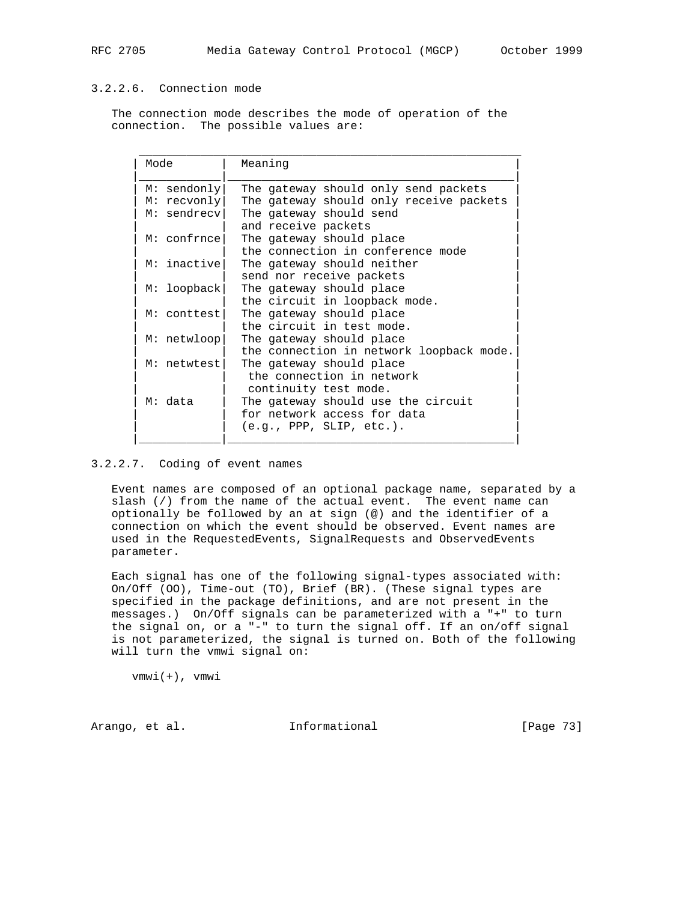# 3.2.2.6. Connection mode

 The connection mode describes the mode of operation of the connection. The possible values are:

| Mode          | Meaning                                  |
|---------------|------------------------------------------|
| $M:$ sendonly | The gateway should only send packets     |
| M: recvonly   | The gateway should only receive packets  |
| M: sendrecy   | The gateway should send                  |
|               | and receive packets                      |
| M: confrnce   | The gateway should place                 |
|               | the connection in conference mode        |
| M: inactive   | The gateway should neither               |
|               | send nor receive packets                 |
| M: loopback   | The gateway should place                 |
|               | the circuit in loopback mode.            |
| M: conttest   | The gateway should place                 |
|               | the circuit in test mode.                |
| M: netwloop   | The gateway should place                 |
|               | the connection in network loopback mode. |
| M: netwtest   | The gateway should place                 |
|               | the connection in network                |
|               | continuity test mode.                    |
| M: data       | The gateway should use the circuit       |
|               | for network access for data              |
|               | (e.q., PPP, SLIP, etc.).                 |
|               |                                          |

# 3.2.2.7. Coding of event names

 Event names are composed of an optional package name, separated by a slash (/) from the name of the actual event. The event name can optionally be followed by an at sign (@) and the identifier of a connection on which the event should be observed. Event names are used in the RequestedEvents, SignalRequests and ObservedEvents parameter.

 Each signal has one of the following signal-types associated with: On/Off (OO), Time-out (TO), Brief (BR). (These signal types are specified in the package definitions, and are not present in the messages.) On/Off signals can be parameterized with a "+" to turn the signal on, or a "-" to turn the signal off. If an on/off signal is not parameterized, the signal is turned on. Both of the following will turn the vmwi signal on:

vmwi(+), vmwi

Arango, et al. **Informational** [Page 73]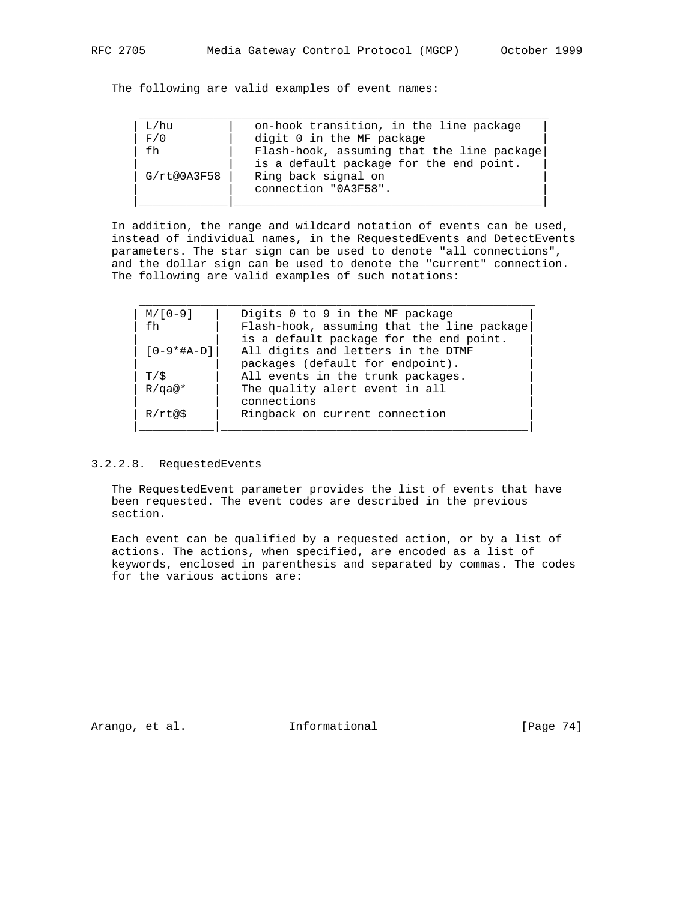The following are valid examples of event names:

| L/hu        | on-hook transition, in the line package    |
|-------------|--------------------------------------------|
| F/0         | digit 0 in the MF package                  |
| fh          | Flash-hook, assuming that the line package |
|             | is a default package for the end point.    |
| G/rt@0A3F58 | Ring back signal on                        |
|             | connection "0A3F58".                       |
|             |                                            |

 In addition, the range and wildcard notation of events can be used, instead of individual names, in the RequestedEvents and DetectEvents parameters. The star sign can be used to denote "all connections", and the dollar sign can be used to denote the "current" connection. The following are valid examples of such notations:

| $M/[0-9]$      | Digits 0 to 9 in the MF package            |
|----------------|--------------------------------------------|
| fh             | Flash-hook, assuming that the line package |
|                | is a default package for the end point.    |
| $[0-9*#A-D]$   | All digits and letters in the DTMF         |
|                | packages (default for endpoint).           |
| $T/\texttt{S}$ | All events in the trunk packages.          |
| $R/qa@*$       | The quality alert event in all             |
|                | connections                                |
| R/rt@\$        | Ringback on current connection             |
|                |                                            |

# 3.2.2.8. RequestedEvents

 The RequestedEvent parameter provides the list of events that have been requested. The event codes are described in the previous section.

 Each event can be qualified by a requested action, or by a list of actions. The actions, when specified, are encoded as a list of keywords, enclosed in parenthesis and separated by commas. The codes for the various actions are:

Arango, et al. **Informational** [Page 74]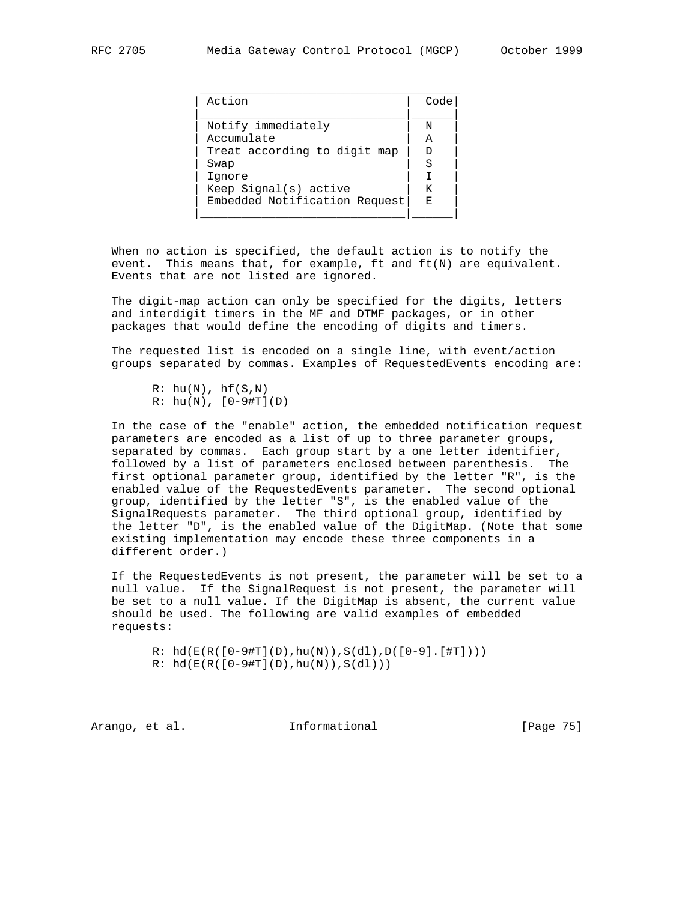| Action                        | Code |
|-------------------------------|------|
| Notify immediately            | N    |
| Accumulate                    | A    |
| Treat according to digit map  |      |
| Swap                          | S    |
| Ignore                        |      |
| Keep Signal(s) active         | Κ    |
| Embedded Notification Request | Е    |
|                               |      |

 When no action is specified, the default action is to notify the event. This means that, for example, ft and  $ft(N)$  are equivalent. Events that are not listed are ignored.

 The digit-map action can only be specified for the digits, letters and interdigit timers in the MF and DTMF packages, or in other packages that would define the encoding of digits and timers.

 The requested list is encoded on a single line, with event/action groups separated by commas. Examples of RequestedEvents encoding are:

 $R: hu(N), hf(S,N)$  $R: hu(N), [0-9#T](D)$ 

 In the case of the "enable" action, the embedded notification request parameters are encoded as a list of up to three parameter groups, separated by commas. Each group start by a one letter identifier, followed by a list of parameters enclosed between parenthesis. The first optional parameter group, identified by the letter "R", is the enabled value of the RequestedEvents parameter. The second optional group, identified by the letter "S", is the enabled value of the SignalRequests parameter. The third optional group, identified by the letter "D", is the enabled value of the DigitMap. (Note that some existing implementation may encode these three components in a different order.)

 If the RequestedEvents is not present, the parameter will be set to a null value. If the SignalRequest is not present, the parameter will be set to a null value. If the DigitMap is absent, the current value should be used. The following are valid examples of embedded requests:

 $R: hd(E(R([0-9#T](D),hu(N)),S(d1),D([0-9],[#T]))$  $R: hd(E(R([0-9#T](D),hu(N)),S(d1)))$ 

Arango, et al. **Informational** [Page 75]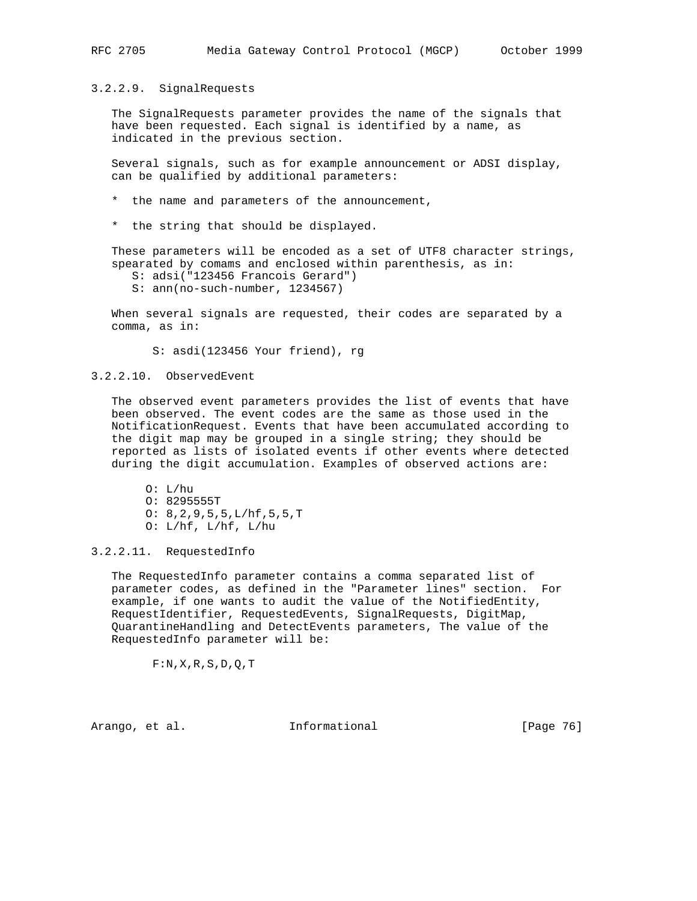### 3.2.2.9. SignalRequests

 The SignalRequests parameter provides the name of the signals that have been requested. Each signal is identified by a name, as indicated in the previous section.

 Several signals, such as for example announcement or ADSI display, can be qualified by additional parameters:

- \* the name and parameters of the announcement,
- \* the string that should be displayed.

 These parameters will be encoded as a set of UTF8 character strings, spearated by comams and enclosed within parenthesis, as in:

- S: adsi("123456 Francois Gerard") S: ann(no-such-number, 1234567)
- When several signals are requested, their codes are separated by a

comma, as in:

S: asdi(123456 Your friend), rg

3.2.2.10. ObservedEvent

 The observed event parameters provides the list of events that have been observed. The event codes are the same as those used in the NotificationRequest. Events that have been accumulated according to the digit map may be grouped in a single string; they should be reported as lists of isolated events if other events where detected during the digit accumulation. Examples of observed actions are:

 O: L/hu O: 8295555T O: 8,2,9,5,5,L/hf,5,5,T O:  $L/hf$ ,  $L/hf$ ,  $L/hu$ 

### 3.2.2.11. RequestedInfo

 The RequestedInfo parameter contains a comma separated list of parameter codes, as defined in the "Parameter lines" section. For example, if one wants to audit the value of the NotifiedEntity, RequestIdentifier, RequestedEvents, SignalRequests, DigitMap, QuarantineHandling and DetectEvents parameters, The value of the RequestedInfo parameter will be:

 $F:N,X,R,S,D,Q,T$ 

Arango, et al. **Informational** [Page 76]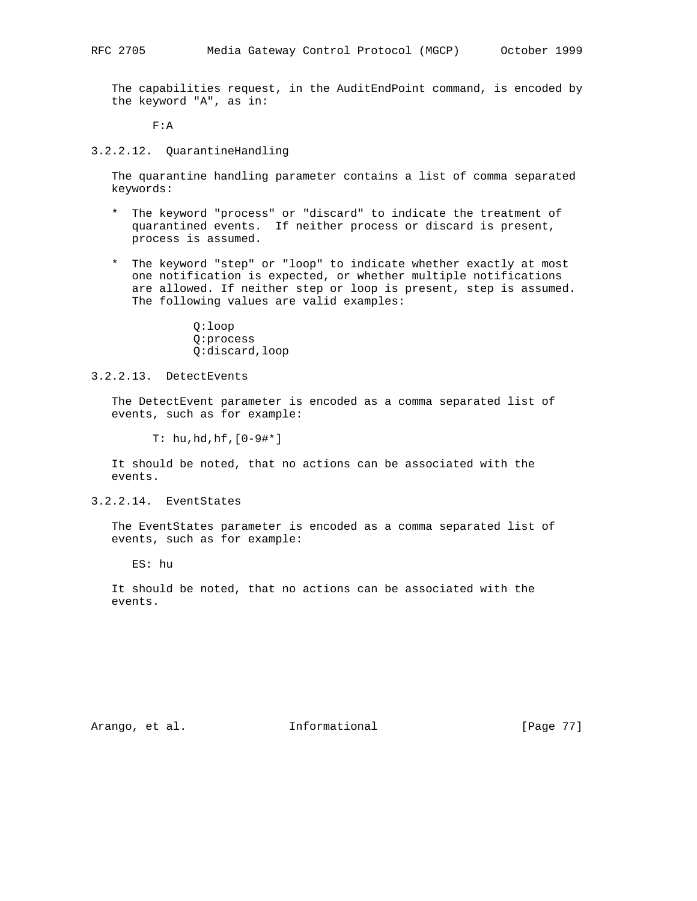The capabilities request, in the AuditEndPoint command, is encoded by the keyword "A", as in:

F:A

3.2.2.12. QuarantineHandling

 The quarantine handling parameter contains a list of comma separated keywords:

- \* The keyword "process" or "discard" to indicate the treatment of quarantined events. If neither process or discard is present, process is assumed.
- \* The keyword "step" or "loop" to indicate whether exactly at most one notification is expected, or whether multiple notifications are allowed. If neither step or loop is present, step is assumed. The following values are valid examples:

 Q:loop Q:process Q:discard,loop

3.2.2.13. DetectEvents

 The DetectEvent parameter is encoded as a comma separated list of events, such as for example:

T: hu,hd,hf,[0-9#\*]

 It should be noted, that no actions can be associated with the events.

3.2.2.14. EventStates

 The EventStates parameter is encoded as a comma separated list of events, such as for example:

ES: hu

 It should be noted, that no actions can be associated with the events.

Arango, et al. **Informational** [Page 77]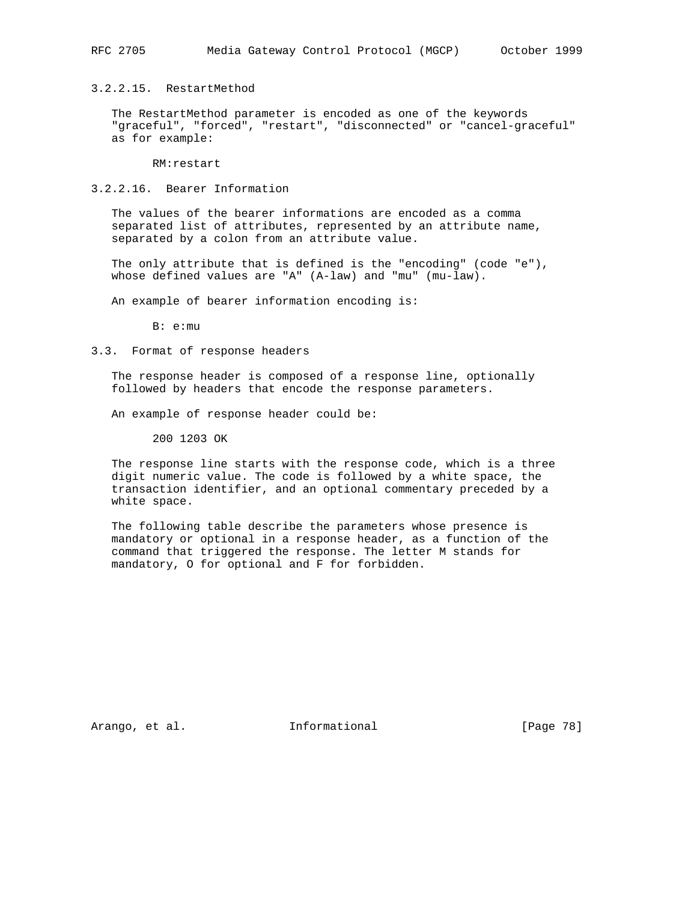3.2.2.15. RestartMethod

 The RestartMethod parameter is encoded as one of the keywords "graceful", "forced", "restart", "disconnected" or "cancel-graceful" as for example:

RM:restart

3.2.2.16. Bearer Information

 The values of the bearer informations are encoded as a comma separated list of attributes, represented by an attribute name, separated by a colon from an attribute value.

 The only attribute that is defined is the "encoding" (code "e"), whose defined values are "A" (A-law) and "mu" (mu-law).

An example of bearer information encoding is:

B: e:mu

3.3. Format of response headers

 The response header is composed of a response line, optionally followed by headers that encode the response parameters.

An example of response header could be:

200 1203 OK

 The response line starts with the response code, which is a three digit numeric value. The code is followed by a white space, the transaction identifier, and an optional commentary preceded by a white space.

 The following table describe the parameters whose presence is mandatory or optional in a response header, as a function of the command that triggered the response. The letter M stands for mandatory, O for optional and F for forbidden.

Arango, et al. **Informational** [Page 78]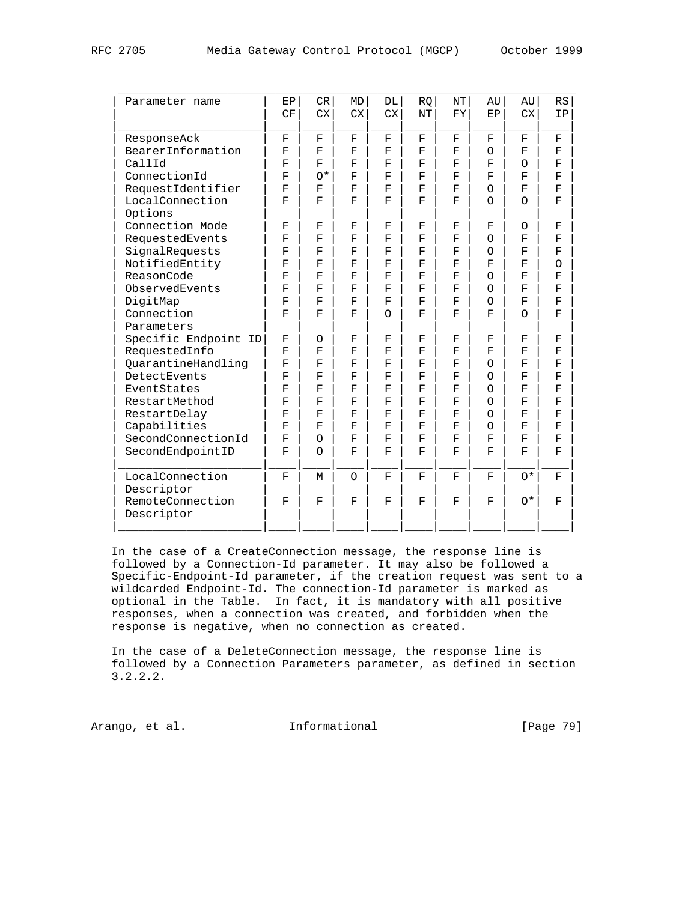| Parameter name                               | EP                 | CR                      | MD                 | DL          | <b>RO</b>          | NT                 | AU                 | AU                      | RS                 |
|----------------------------------------------|--------------------|-------------------------|--------------------|-------------|--------------------|--------------------|--------------------|-------------------------|--------------------|
|                                              | CF                 | CX                      | <b>CX</b>          | <b>CX</b>   | NT                 | FY                 | EP                 | <b>CX</b>               | IP                 |
| ResponseAck                                  | F                  | F                       | $\mathbf F$        | F           | F                  | F                  | F                  | F                       | $\mathbf F$        |
| BearerInformation                            | F                  | F                       | $\mathbf F$        | F           | $\mathbf F$        | F                  | $\Omega$           | F                       | $\mathbf F$        |
| CallId                                       | F                  | F                       | $\mathbf{F}% _{0}$ | F           | F                  | F                  | $\mathbf F$        | $\Omega$                | $\mathbf{F}% _{0}$ |
| ConnectionId                                 | F                  | $^{\wedge}$             | F                  | F           | F                  | F                  | F                  | F                       | F                  |
| RequestIdentifier                            | F                  | F                       | F                  | F           | F                  | F                  | $\Omega$           | F                       | F                  |
| LocalConnection<br>Options                   | F                  | F                       | F                  | F           | F                  | F                  | $\Omega$           | $\Omega$                | F                  |
| Connection Mode                              | F                  | F                       | F                  | F           | F                  | F                  | F                  | $\Omega$                | F                  |
| RequestedEvents                              | $\mathbf{F}% _{0}$ | F                       | F                  | F           | $\mathbf{F}% _{0}$ | F                  | $\Omega$           | F                       | F                  |
| SignalRequests                               | $\mathbf{F}% _{0}$ | F                       | $\mathbf{F}% _{0}$ | F           | F                  | F                  | $\Omega$           | $\mathbf F$             | $\mathbf{F}% _{0}$ |
| NotifiedEntity                               | $_{\rm F}$         | F                       | F                  | F           | $\mathbf{F}% _{0}$ | F                  | $\mathbf{F}% _{0}$ | $\mathbf{F}% _{0}$      | $\circ$            |
| ReasonCode                                   | $\mathbf F$        | F                       | $\mathbf{F}% _{0}$ | F           | $\mathbf{F}% _{0}$ | $\mathbf{F}% _{0}$ | $\Omega$           | $\mathbf F$             | $\mathbf{F}% _{0}$ |
| ObservedEvents                               | F                  | $\overline{\mathbf{F}}$ | $\mathbf{F}% _{0}$ | F           | $\mathbf F$        | $_{\rm F}$         | $\Omega$           | $\overline{\mathbf{F}}$ | $\mathbf{F}% _{0}$ |
| DigitMap                                     | F                  | F                       | $\mathbf{F}% _{0}$ | F           | F                  | F                  | $\Omega$           | F                       | $\mathbf{F}% _{0}$ |
| Connection                                   | $\mathbf{F}$       | F                       | $\mathbf F$        | $\Omega$    | F                  | F                  | F                  | $\Omega$                | F                  |
| Parameters                                   |                    |                         |                    |             |                    |                    |                    |                         |                    |
| Specific Endpoint ID                         | F                  | $\Omega$                | F                  | F           | F                  | F                  | F                  | F                       | F                  |
| RequestedInfo                                | F                  | F                       | $\mathbf{F}% _{0}$ | F           | F                  | $\mathbf{F}% _{0}$ | F                  | F                       | $\mathbf{F}% _{0}$ |
| QuarantineHandling                           | F                  | F                       | F                  | F           | F                  | F                  | $\Omega$           | F                       | F                  |
| DetectEvents                                 | F                  | F                       | F                  | F           | F                  | F                  | $\Omega$           | F                       | F                  |
| EventStates                                  | F                  | F                       | F                  | F           | F                  | F                  | $\Omega$           | F                       | F                  |
| RestartMethod                                | $\mathbf{F}% _{0}$ | F                       | F                  | F           | $\mathbf F$        | F                  | $\Omega$           | $\mathbf F$             | F                  |
| RestartDelay                                 | $\mathbf{F}% _{0}$ | F                       | F                  | F           | $\mathbf{F}% _{0}$ | F                  | $\Omega$           | $\mathbf F$             | F                  |
| Capabilities                                 | $_{\rm F}$         | F                       | F                  | F           | $\mathbf{F}% _{0}$ | F                  | $\circ$            | $\mathbf F$             | $\mathbf{F}% _{0}$ |
| SecondConnectionId                           | $\mathbf{F}% _{0}$ | $\Omega$                | $\mathbf F$        | $\mathbf F$ | $\mathbf{F}% _{0}$ | $\mathbf F$        | $\mathbf{F}% _{0}$ | $\mathbf F$             | $\mathbf{F}% _{0}$ |
| SecondEndpointID                             | F                  | $\Omega$                | F                  | F           | F                  | F                  | F                  | F                       | F                  |
| LocalConnection                              | F                  | M                       | $\Omega$           | F           | F                  | F                  | F                  | $^{\wedge}$             | $\mathbf F$        |
| Descriptor<br>RemoteConnection<br>Descriptor | F                  | F                       | $\mathbf F$        | F           | F                  | $\mathbf{F}% _{0}$ | F                  | $^{\wedge}$             | $\mathbf F$        |

 In the case of a CreateConnection message, the response line is followed by a Connection-Id parameter. It may also be followed a Specific-Endpoint-Id parameter, if the creation request was sent to a wildcarded Endpoint-Id. The connection-Id parameter is marked as optional in the Table. In fact, it is mandatory with all positive responses, when a connection was created, and forbidden when the response is negative, when no connection as created.

 In the case of a DeleteConnection message, the response line is followed by a Connection Parameters parameter, as defined in section 3.2.2.2.

Arango, et al. 1nformational [Page 79]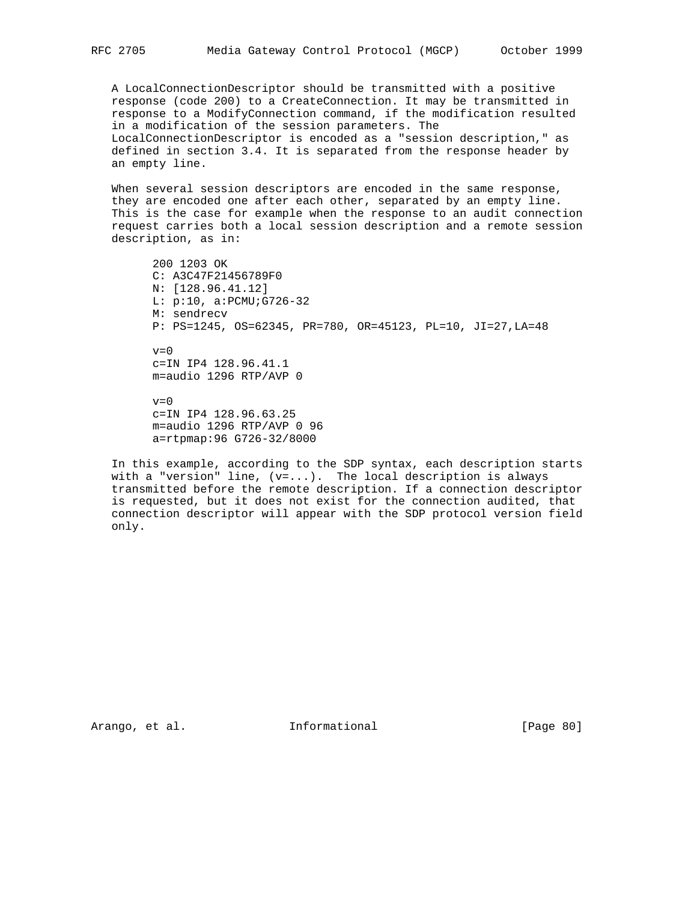A LocalConnectionDescriptor should be transmitted with a positive response (code 200) to a CreateConnection. It may be transmitted in response to a ModifyConnection command, if the modification resulted in a modification of the session parameters. The LocalConnectionDescriptor is encoded as a "session description," as defined in section 3.4. It is separated from the response header by an empty line.

 When several session descriptors are encoded in the same response, they are encoded one after each other, separated by an empty line. This is the case for example when the response to an audit connection request carries both a local session description and a remote session description, as in:

 200 1203 OK C: A3C47F21456789F0 N: [128.96.41.12] L: p:10, a:PCMU;G726-32 M: sendrecv P: PS=1245, OS=62345, PR=780, OR=45123, PL=10, JI=27,LA=48  $v=0$  c=IN IP4 128.96.41.1 m=audio 1296 RTP/AVP 0  $v=0$  c=IN IP4 128.96.63.25 m=audio 1296 RTP/AVP 0 96 a=rtpmap:96 G726-32/8000

 In this example, according to the SDP syntax, each description starts with a "version" line,  $(v=...)$ . The local description is always transmitted before the remote description. If a connection descriptor is requested, but it does not exist for the connection audited, that connection descriptor will appear with the SDP protocol version field only.

Arango, et al. **Informational** [Page 80]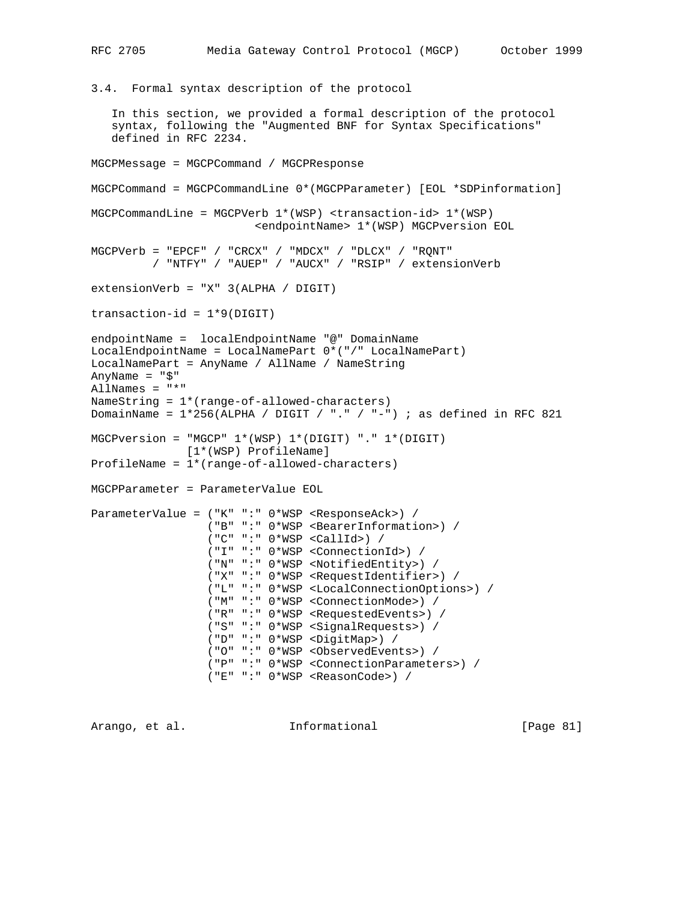3.4. Formal syntax description of the protocol

 In this section, we provided a formal description of the protocol syntax, following the "Augmented BNF for Syntax Specifications" defined in RFC 2234.

MGCPMessage = MGCPCommand / MGCPResponse

MGCPCommand = MGCPCommandLine 0\*(MGCPParameter) [EOL \*SDPinformation]

MGCPCommandLine = MGCPVerb 1\*(WSP) <transaction-id> 1\*(WSP) <endpointName> 1\*(WSP) MGCPversion EOL

MGCPVerb = "EPCF" / "CRCX" / "MDCX" / "DLCX" / "RQNT" / "NTFY" / "AUEP" / "AUCX" / "RSIP" / extensionVerb

extensionVerb = "X" 3(ALPHA / DIGIT)

transaction-id = 1\*9(DIGIT)

```
endpointName = localEndpointName "@" DomainName
LocalEndpointName = LocalNamePart 0*("/" LocalNamePart)
LocalNamePart = AnyName / AllName / NameString
AnyName = "\$"AllNames = "*"
NameString = 1*(range-of-allowed-characters)
DomainName = 1*256(ALPHA / DIGIT / "." / "-") ; as defined in RFC 821
```

```
MGCPversion = "MGCP" 1*(WSP) 1*(DIGIT) "." 1*(DIGIT)
               [1*(WSP) ProfileName]
```

```
ProfileName = 1*(range-of-allowed-characters)
```
MGCPParameter = ParameterValue EOL

```
ParameterValue = ("K" ":" 0*WSP <ResponseAck>) /
                  ("B" ":" 0*WSP <BearerInformation>) /
                  ("C" ":" 0*WSP <CallId>) /
                  ("I" ":" 0*WSP <ConnectionId>) /
                  ("N" ":" 0*WSP <NotifiedEntity>) /
                  ("X" ":" 0*WSP <RequestIdentifier>) /
                  ("L" ":" 0*WSP <LocalConnectionOptions>) /
                  ("M" ":" 0*WSP <ConnectionMode>) /
                  ("R" ":" 0*WSP <RequestedEvents>) /
                  ("S" ":" 0*WSP <SignalRequests>) /
                  ("D" ":" 0*WSP <DigitMap>) /
                  ("O" ":" 0*WSP <ObservedEvents>) /
                  ("P" ":" 0*WSP <ConnectionParameters>) /
                  ("E" ":" 0*WSP <ReasonCode>) /
```
Arango, et al. **Informational** [Page 81]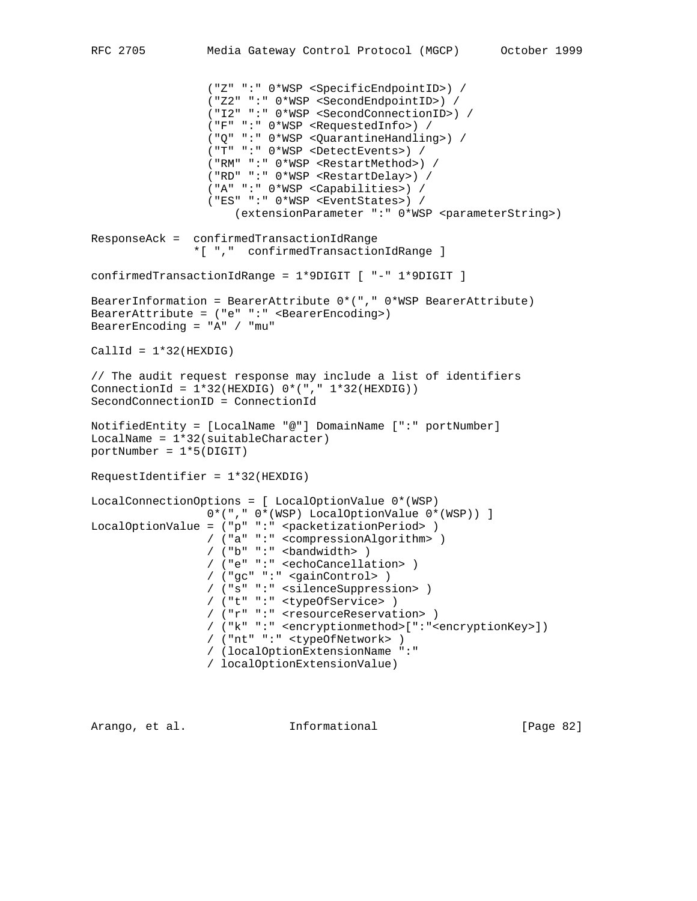```
 ("Z" ":" 0*WSP <SpecificEndpointID>) /
                  ("Z2" ":" 0*WSP <SecondEndpointID>) /
                  ("I2" ":" 0*WSP <SecondConnectionID>) /
                  ("F" ":" 0*WSP <RequestedInfo>) /
                  ("Q" ":" 0*WSP <QuarantineHandling>) /
                  ("T" ":" 0*WSP <DetectEvents>) /
                  ("RM" ":" 0*WSP <RestartMethod>) /
                  ("RD" ":" 0*WSP <RestartDelay>) /
                  ("A" ":" 0*WSP <Capabilities>) /
                  ("ES" ":" 0*WSP <EventStates>) /
                      (extensionParameter ":" 0*WSP <parameterString>)
ResponseAck = confirmedTransactionIdRange
                *[ "," confirmedTransactionIdRange ]
confirmedTransactionIdRange = 1*9DIGIT [ "-" 1*9DIGIT ]
BearerInformation = BearerAttribute 0*("," 0*WSP BearerAttribute)
BearerAttribute = ("e" ":" <BearerEncoding>)
BearerEncoding = "A" / "mu"
CallId = 1*32(HEXDIG)// The audit request response may include a list of identifiers
ConnectionId = 1*32(HEXDIG) 0*( ", "1*32(HEXDIG))
SecondConnectionID = ConnectionId
NotifiedEntity = [LocalName "@"] DomainName [":" portNumber]
LocalName = 1*32(suitableCharacter)
portNumber = 1*5(DIGIT)RequestIdentifier = 1*32(HEXDIG)LocalConnectionOptions = [ LocalOptionValue 0*(WSP)
                  0*("," 0*(WSP) LocalOptionValue 0*(WSP)) ]
LocalOptionValue = ("p" ":" <packetizationPeriod> )
                  / ("a" ":" <compressionAlgorithm> )
                 / ("b" ":" <br/> \verb|<| )
                  / ("e" ":" <echoCancellation> )
                  / ("gc" ":" <gainControl> )
                  / ("s" ":" <silenceSuppression> )
                  / ("t" ":" <typeOfService> )
                  / ("r" ":" <resourceReservation> )
                  / ("k" ":" <encryptionmethod>[":"<encryptionKey>])
                  / ("nt" ":" <typeOfNetwork> )
                  / (localOptionExtensionName ":"
                  / localOptionExtensionValue)
```
Arango, et al. **Informational** [Page 82]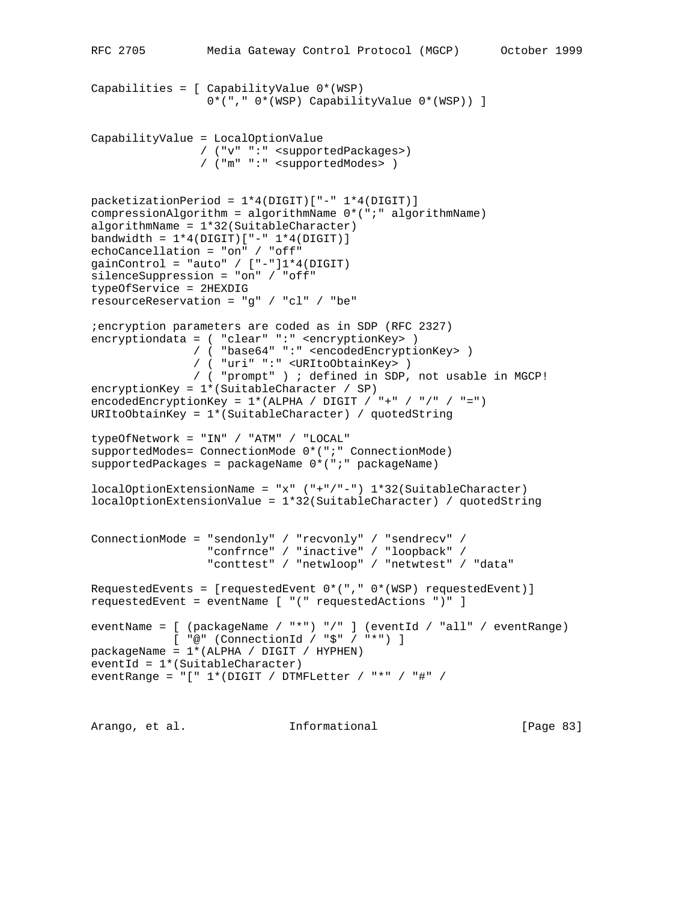```
RFC 2705 Media Gateway Control Protocol (MGCP) October 1999
Capabilities = [ CapabilityValue 0*(WSP)
                 0*("," 0*(WSP) CapabilityValue 0*(WSP)) ]
CapabilityValue = LocalOptionValue
                / ("v" ":" <supportedPackages>)
                / ("m" ":" <supportedModes> )
packetizationPeriod = 1*4(DIGIT)["-" 1*4(DIGIT)]
compressionAlgorithm = algorithmName 0*(";" algorithmName)
algorithmName = 1*32(SuitableCharacter)bandwidth = 1*4(DIGIT) ["-" 1*4(DIGIT)]
echoCancellation = "on" / "off"
gainControl = "auto" / ["-"]1*4(DIGIT)silenceSuppression = "on" / "off"
typeOfService = 2HEXDIG
resourceReservation = "g" / "cl" / "be"
;encryption parameters are coded as in SDP (RFC 2327)
encryptiondata = ( "clear" ":" <encryptionKey> )
               / ( "base64" ":" <encodedEncryptionKey> )
               / ( "uri" ":" <URItoObtainKey> )
               / ( "prompt" ) ; defined in SDP, not usable in MGCP!
encryptionKey = 1*(SuitableCharacter / SP)
encodedEncryptionKey = 1*(ALPHA / DIGIT / "+" / "/" / "=")URItoObtainKey = 1*(SuitableCharacter) / quotedString
typeOfNetwork = "IN" / "ATM" / "LOCAL"
supportedModes= ConnectionMode 0*(";" ConnectionMode)
supportedPackages = packageName 0*(";" packageName)
localOptionExtensionName = "x" ("+"/"-") 1*32(SuitableCharacter)
localOptionExtensionValue = 1*32(SuitableCharacter) / quotedString
ConnectionMode = "sendonly" / "recvonly" / "sendrecv" /
                  "confrnce" / "inactive" / "loopback" /
                  "conttest" / "netwloop" / "netwtest" / "data"
RequestedEvents = [requestedEvent 0*("," 0*(WSP) requestedEvent)]
requestedEvent = eventName [ "(" requestedActions ")" ]
eventName = [ (packageName / "*") "/" ] (eventId / "all" / eventRange)
            [ "@" (ConnectionId / "$" / "*") ]
packageName = 1*(ALPHA / DIGIT / HYPHEN)eventId = 1*(SuitableCharacter)
eventRange = "[' 1*(DIGIT / DTMFLetter / " * " / " #" /Arango, et al. 1nformational [Page 83]
```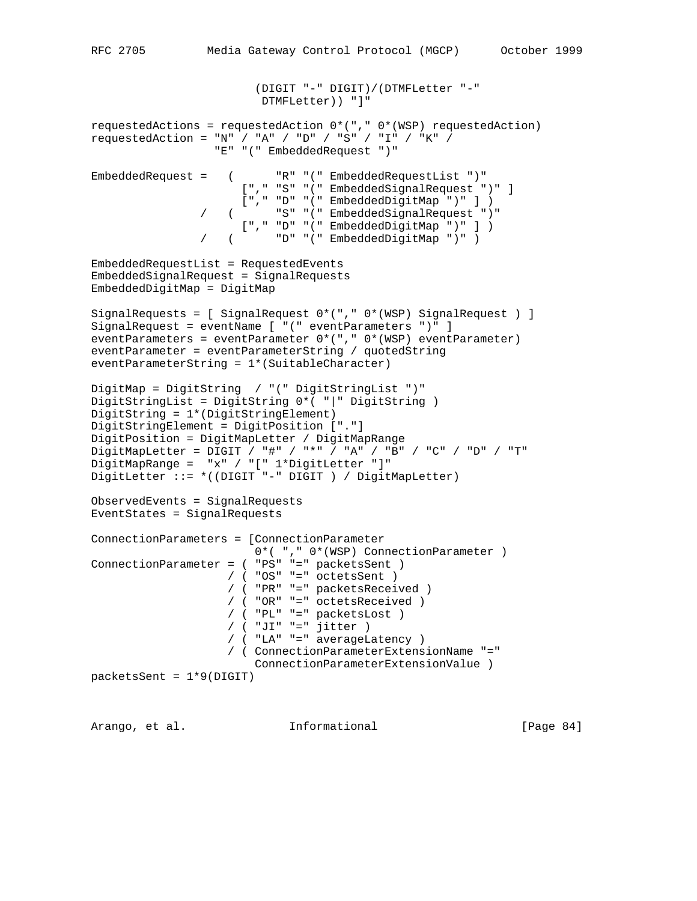```
 (DIGIT "-" DIGIT)/(DTMFLetter "-"
                          DTMFLetter)) "]"
requestedActions = requestedAction 0*("," 0*(WSP) requestedAction)
requestedAction = "N" / "A" / "D" / "S" / "I" / "K" /
                   "E" "(" EmbeddedRequest ")"
EmbeddedRequest = ( "R" "(" EmbeddedRequestList ")"
                        ["," "S" "(" EmbeddedSignalRequest ")" ]
                       ["," "D" "(" EmbeddedDigitMap ")" ] )
                   / ( "S" "(" EmbeddedSignalRequest ")"
                ["," "D" "(" EmbeddedDigitMap ")" ] )<br>/ ( "D" "(" EmbeddedDigitMap ")" )
                           / ( "D" "(" EmbeddedDigitMap ")" )
EmbeddedRequestList = RequestedEvents
EmbeddedSignalRequest = SignalRequests
EmbeddedDigitMap = DigitMap
SignalRequests = [ SignalRequest 0*("," 0*(WSP) SignalRequest ) ]
SignalRequest = eventName [ "(" eventParameters ")" ]
eventParameters = eventParameter 0*("," 0*(WSP) eventParameter)
eventParameter = eventParameterString / quotedString
eventParameterString = 1*(SuitableCharacter)
DigitMap = DigitString / "(" DigitStringList ")"
DigitStringList = DigitString 0*( "|" DigitString )
DigitString = 1*(DigitStringElement)
DigitStringElement = DigitPosition ["."]
DigitPosition = DigitMapLetter / DigitMapRange
DigitMapLetter = DIGIT / "#" / "*" / "A" / "B" / "C" / "D" / "T"
DigitMapRange = "x" / "[" 1*DigitLetter "]"
DigitLetter ::= *((DIGIT "-" DIGIT ) / DigitMapLetter)
ObservedEvents = SignalRequests
EventStates = SignalRequests
ConnectionParameters = [ConnectionParameter
                         0*( "," 0*(WSP) ConnectionParameter )
ConnectionParameter = ( "PS" "=" packetsSent )
                     / ( "OS" "=" octetsSent )
                     / ( "PR" "=" packetsReceived )
                     / ( "OR" "=" octetsReceived )
                     / ( "PL" "=" packetsLost )
                     / ( "JI" "=" jitter )
                     / ( "LA" "=" averageLatency )
                     / ( ConnectionParameterExtensionName "="
                          ConnectionParameterExtensionValue )
packetsSent = 1*9(DIGIT)
```
Arango, et al. **Informational** [Page 84]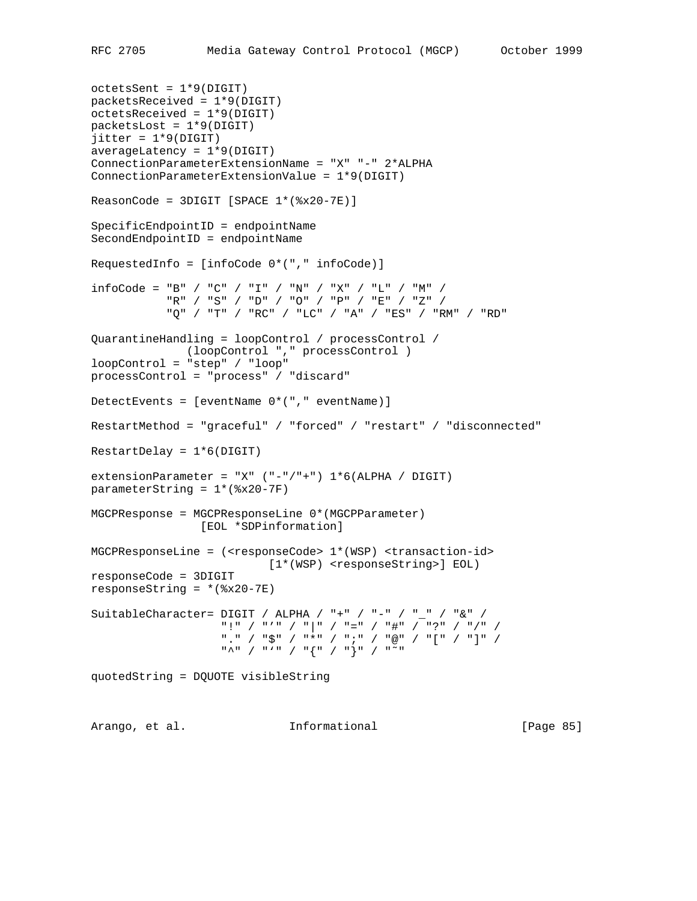```
octetsSent = 1*9(DIGIT)
packetsReceived = 1*9(DIGIT)
octetsReceived = 1*9(DIGIT)
packetsLost = 1*9(DIGIT)
jitter = 1*9(DIGIT)averageLatency = 1*9(DIGIT)
ConnectionParameterExtensionName = "X" "-" 2*ALPHA
ConnectionParameterExtensionValue = 1*9(DIGIT)
ReasonCode = 3DIGIT [SPACE 1*(%x20-7E)]
SpecificEndpointID = endpointName
SecondEndpointID = endpointName
RequestedInfo = [infoCode 0*("," infoCode)]
infoCode = "B" / "C" / "I" / "N" / "X" / "L" / "M" /
               "R" / "S" / "D" / "O" / "P" / "E" / "Z" /
               "Q" / "T" / "RC" / "LC" / "A" / "ES" / "RM" / "RD"
QuarantineHandling = loopControl / processControl /
                  (loopControl "," processControl )
loopControl = "step" / "loop"
processControl = "process" / "discard"
DetectEvents = [eventName 0*("," eventName)]
RestartMethod = "graceful" / "forced" / "restart" / "disconnected"
RestartDelay = 1*6(DIGIT)
extensionParameter = "X" ("-"/*") 1*6(ALPHA / DIGIT)parameterString = 1*(8x20-7F)MGCPResponse = MGCPResponseLine 0*(MGCPParameter)
                     [EOL *SDPinformation]
MGCPResponseLine = (<responseCode> 1*(WSP) <transaction-id>
                                  [1*(WSP) <responseString>] EOL)
responseCode = 3DIGIT
responseString = *(*x20-7E)SuitableCharacter= DIGIT / ALPHA / "+" / "-" / "_" / "&" /
                          "!" / "'" / "|" / "=" / "#" / "?" / "/" /
                          "." / "$" / "*" / ";" / "@" / "[" / "]" /
                         \mathbb{R}^n \times \mathbb{R}^n \quad \text{and} \quad \mathbb{R}^n \times \mathbb{R}^n \times \mathbb{R}^n \times \mathbb{R}^n \times \mathbb{R}^n \times \mathbb{R}^n \times \mathbb{R}^n \times \mathbb{R}^n \times \mathbb{R}^n \times \mathbb{R}^n \times \mathbb{R}^n \times \mathbb{R}^n \times \mathbb{R}^n \times \mathbb{R}^n \times \mathbb{R}^n \times \mathbb{R}^n \times \mathbb{R}^n \times \mathbb{R}^n \times \mathbb{R}^n \times \mathbbquotedString = DQUOTE visibleString
```
Arango, et al. **Informational** [Page 85]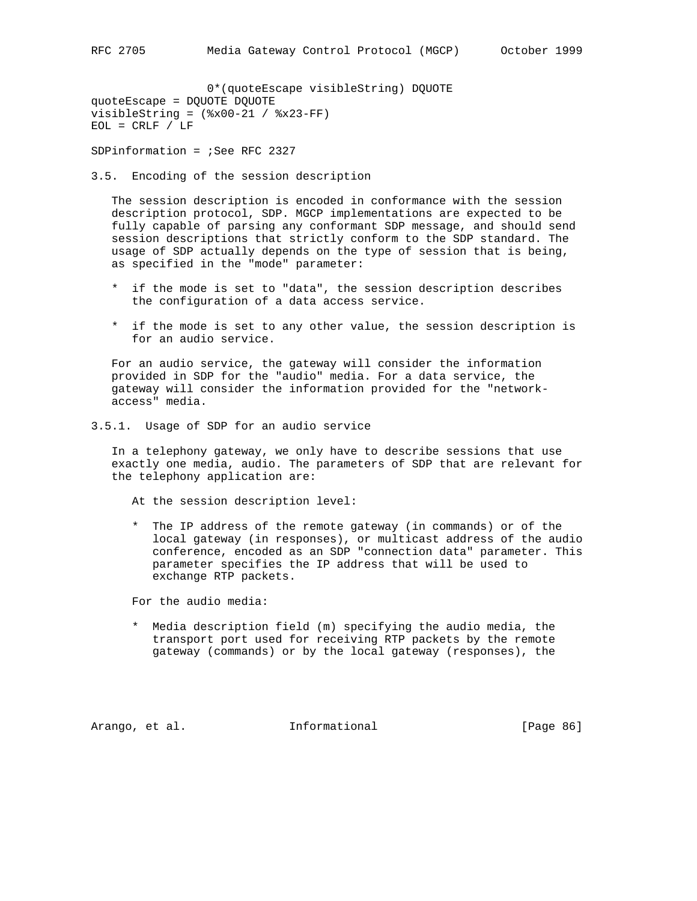0\*(quoteEscape visibleString) DQUOTE quoteEscape = DQUOTE DQUOTE  $visibleString = ( $$x00-21 / $x23-FF$ )$  $EOL = CRLF / LF$ 

SDPinformation =  $i$ See RFC 2327

3.5. Encoding of the session description

 The session description is encoded in conformance with the session description protocol, SDP. MGCP implementations are expected to be fully capable of parsing any conformant SDP message, and should send session descriptions that strictly conform to the SDP standard. The usage of SDP actually depends on the type of session that is being, as specified in the "mode" parameter:

- \* if the mode is set to "data", the session description describes the configuration of a data access service.
- \* if the mode is set to any other value, the session description is for an audio service.

 For an audio service, the gateway will consider the information provided in SDP for the "audio" media. For a data service, the gateway will consider the information provided for the "network access" media.

3.5.1. Usage of SDP for an audio service

 In a telephony gateway, we only have to describe sessions that use exactly one media, audio. The parameters of SDP that are relevant for the telephony application are:

At the session description level:

 \* The IP address of the remote gateway (in commands) or of the local gateway (in responses), or multicast address of the audio conference, encoded as an SDP "connection data" parameter. This parameter specifies the IP address that will be used to exchange RTP packets.

For the audio media:

 \* Media description field (m) specifying the audio media, the transport port used for receiving RTP packets by the remote gateway (commands) or by the local gateway (responses), the

Arango, et al. **Informational** [Page 86]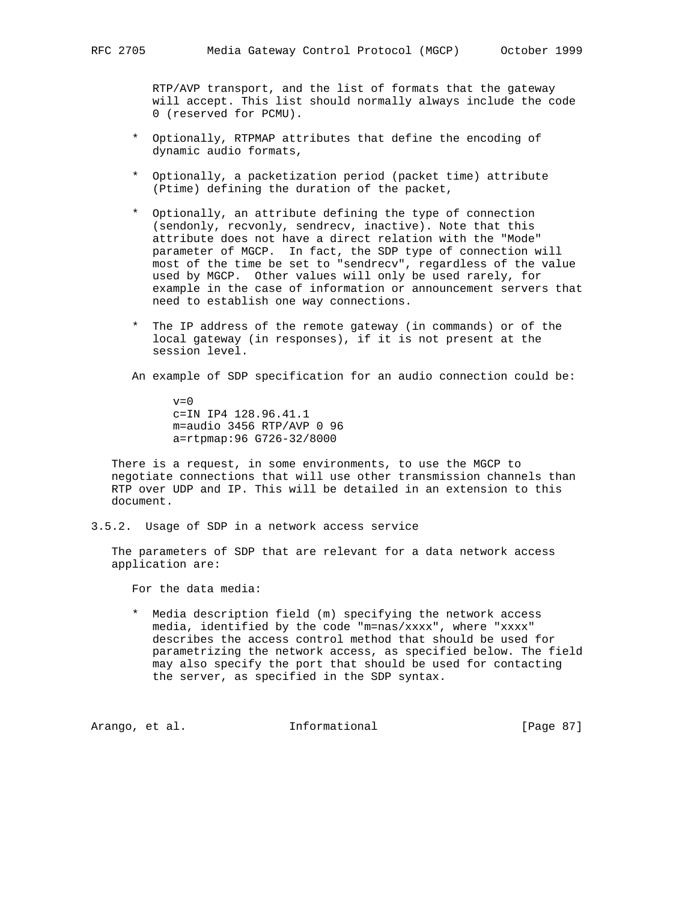RTP/AVP transport, and the list of formats that the gateway will accept. This list should normally always include the code 0 (reserved for PCMU).

- \* Optionally, RTPMAP attributes that define the encoding of dynamic audio formats,
- \* Optionally, a packetization period (packet time) attribute (Ptime) defining the duration of the packet,
- \* Optionally, an attribute defining the type of connection (sendonly, recvonly, sendrecv, inactive). Note that this attribute does not have a direct relation with the "Mode" parameter of MGCP. In fact, the SDP type of connection will most of the time be set to "sendrecv", regardless of the value used by MGCP. Other values will only be used rarely, for example in the case of information or announcement servers that need to establish one way connections.
- \* The IP address of the remote gateway (in commands) or of the local gateway (in responses), if it is not present at the session level.

An example of SDP specification for an audio connection could be:

 $v=0$  c=IN IP4 128.96.41.1 m=audio 3456 RTP/AVP 0 96 a=rtpmap:96 G726-32/8000

 There is a request, in some environments, to use the MGCP to negotiate connections that will use other transmission channels than RTP over UDP and IP. This will be detailed in an extension to this document.

3.5.2. Usage of SDP in a network access service

 The parameters of SDP that are relevant for a data network access application are:

For the data media:

 \* Media description field (m) specifying the network access media, identified by the code "m=nas/xxxx", where "xxxx" describes the access control method that should be used for parametrizing the network access, as specified below. The field may also specify the port that should be used for contacting the server, as specified in the SDP syntax.

Arango, et al. 1nformational [Page 87]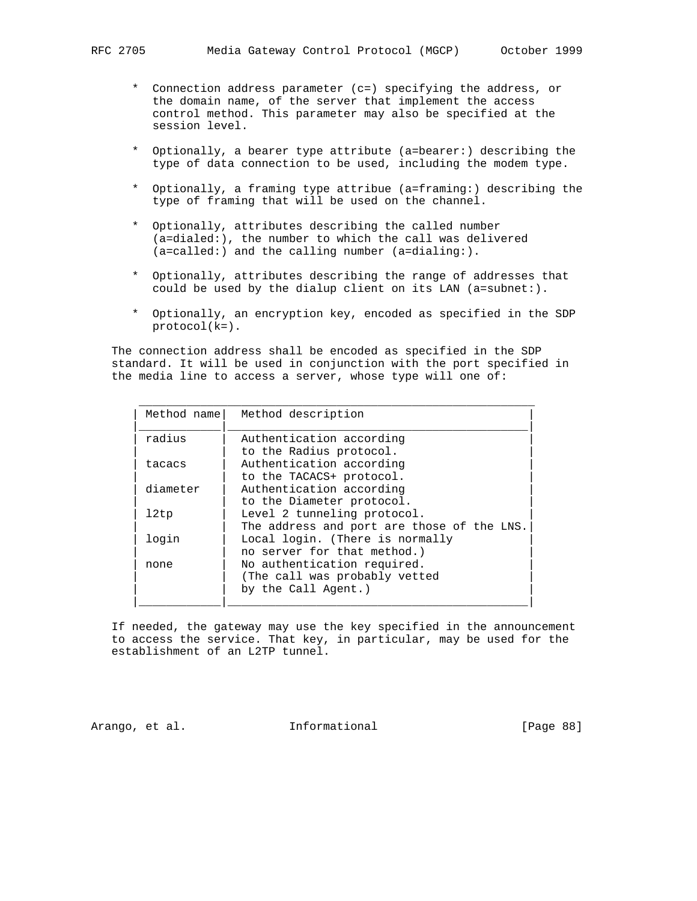- \* Connection address parameter (c=) specifying the address, or the domain name, of the server that implement the access control method. This parameter may also be specified at the session level.
- \* Optionally, a bearer type attribute (a=bearer:) describing the type of data connection to be used, including the modem type.
- \* Optionally, a framing type attribue (a=framing:) describing the type of framing that will be used on the channel.
- \* Optionally, attributes describing the called number (a=dialed:), the number to which the call was delivered (a=called:) and the calling number (a=dialing:).
- \* Optionally, attributes describing the range of addresses that could be used by the dialup client on its LAN (a=subnet:).
- \* Optionally, an encryption key, encoded as specified in the SDP protocol(k=).

 The connection address shall be encoded as specified in the SDP standard. It will be used in conjunction with the port specified in the media line to access a server, whose type will one of:

| Method name | Method description                         |
|-------------|--------------------------------------------|
| radius      | Authentication according                   |
|             | to the Radius protocol.                    |
| tacacs      | Authentication according                   |
|             | to the TACACS+ protocol.                   |
| diameter    | Authentication according                   |
|             | to the Diameter protocol.                  |
| 12tp        | Level 2 tunneling protocol.                |
|             | The address and port are those of the LNS. |
| login       | Local login. (There is normally            |
|             | no server for that method.)                |
| none        | No authentication required.                |
|             | (The call was probably vetted              |
|             | by the Call Agent.)                        |
|             |                                            |

 If needed, the gateway may use the key specified in the announcement to access the service. That key, in particular, may be used for the establishment of an L2TP tunnel.

Arango, et al. 1nformational 1999 [Page 88]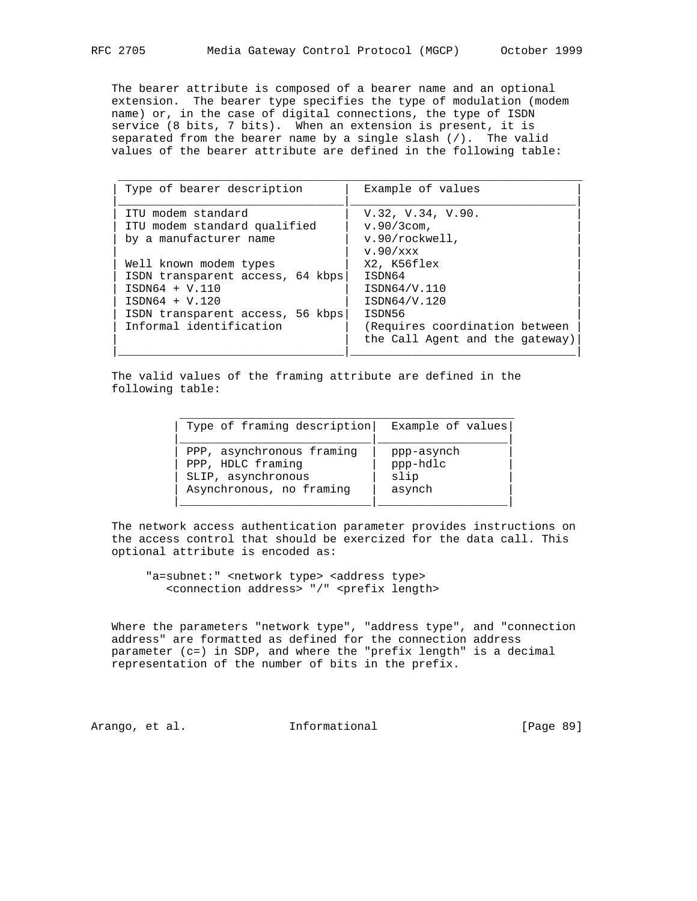The bearer attribute is composed of a bearer name and an optional extension. The bearer type specifies the type of modulation (modem name) or, in the case of digital connections, the type of ISDN service (8 bits, 7 bits). When an extension is present, it is separated from the bearer name by a single slash (/). The valid values of the bearer attribute are defined in the following table:

| Type of bearer description                                                                                                                                        | Example of values                                                                                                                    |
|-------------------------------------------------------------------------------------------------------------------------------------------------------------------|--------------------------------------------------------------------------------------------------------------------------------------|
| ITU modem standard<br>ITU modem standard qualified                                                                                                                | V.32, V.34, V.90.<br>$v.90/3$ com,                                                                                                   |
| by a manufacturer name                                                                                                                                            | v.90/rockwell,<br>v.90/xxx                                                                                                           |
| Well known modem types<br>ISDN transparent access, 64 kbps<br>$ISDN64 + V.110$<br>$ISDN64 + V.120$<br>ISDN transparent access, 56 kbps<br>Informal identification | X2, K56flex<br>TSDN64<br>ISDN64/V.110<br>ISDN64/V.120<br>ISDN56<br>(Requires coordination between<br>the Call Agent and the gateway) |

 The valid values of the framing attribute are defined in the following table:

| Type of framing description                                                                      | Example of values                        |
|--------------------------------------------------------------------------------------------------|------------------------------------------|
| PPP, asynchronous framing<br>PPP, HDLC framing<br>SLIP, asynchronous<br>Asynchronous, no framing | ppp-asynch<br>ppp-hdlc<br>slip<br>asynch |
|                                                                                                  |                                          |

 The network access authentication parameter provides instructions on the access control that should be exercized for the data call. This optional attribute is encoded as:

 "a=subnet:" <network type> <address type> <connection address> "/" <prefix length>

 Where the parameters "network type", "address type", and "connection address" are formatted as defined for the connection address parameter (c=) in SDP, and where the "prefix length" is a decimal representation of the number of bits in the prefix.

Arango, et al. 1nformational [Page 89]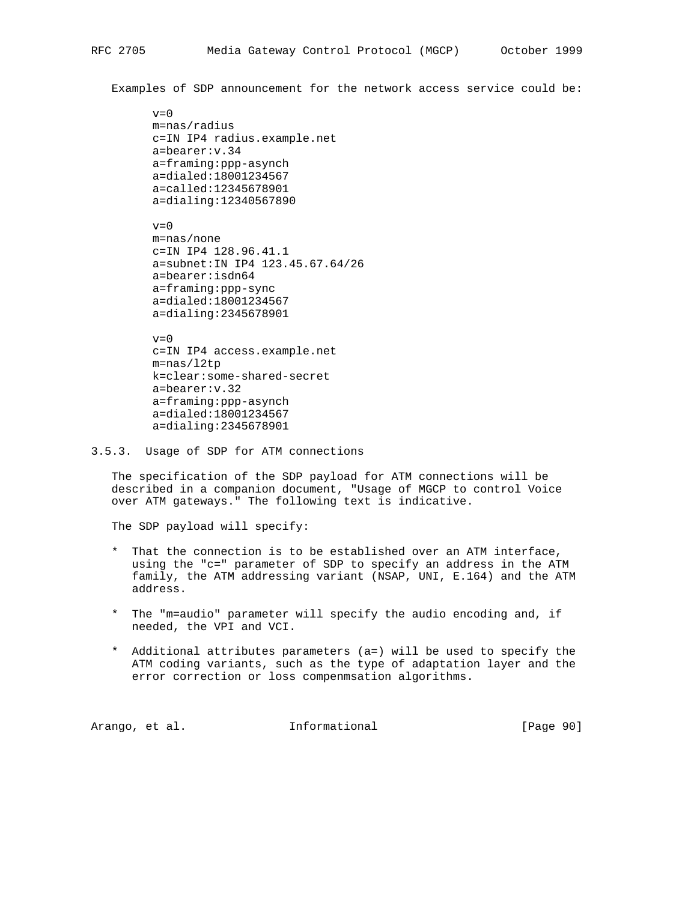Examples of SDP announcement for the network access service could be:

```
v=0 m=nas/radius
 c=IN IP4 radius.example.net
 a=bearer:v.34
 a=framing:ppp-asynch
 a=dialed:18001234567
 a=called:12345678901
 a=dialing:12340567890
```

```
v=0 m=nas/none
 c=IN IP4 128.96.41.1
 a=subnet:IN IP4 123.45.67.64/26
 a=bearer:isdn64
 a=framing:ppp-sync
 a=dialed:18001234567
 a=dialing:2345678901
```

```
v=0 c=IN IP4 access.example.net
 m=nas/l2tp
 k=clear:some-shared-secret
 a=bearer:v.32
 a=framing:ppp-asynch
 a=dialed:18001234567
 a=dialing:2345678901
```
3.5.3. Usage of SDP for ATM connections

 The specification of the SDP payload for ATM connections will be described in a companion document, "Usage of MGCP to control Voice over ATM gateways." The following text is indicative.

The SDP payload will specify:

- \* That the connection is to be established over an ATM interface, using the "c=" parameter of SDP to specify an address in the ATM family, the ATM addressing variant (NSAP, UNI, E.164) and the ATM address.
- \* The "m=audio" parameter will specify the audio encoding and, if needed, the VPI and VCI.
- \* Additional attributes parameters (a=) will be used to specify the ATM coding variants, such as the type of adaptation layer and the error correction or loss compenmsation algorithms.

Arango, et al. **Informational** [Page 90]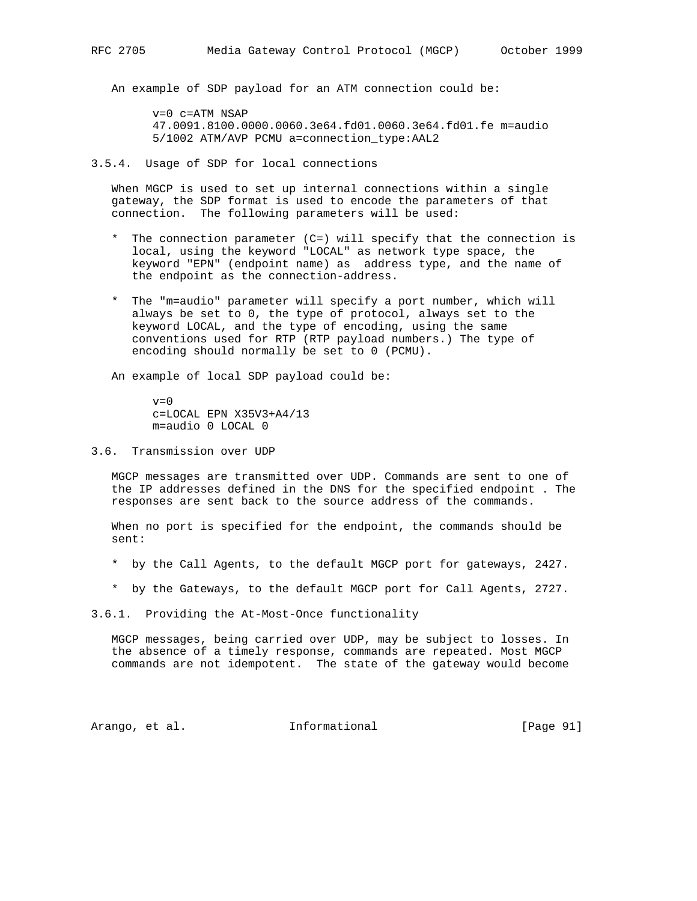An example of SDP payload for an ATM connection could be:

 v=0 c=ATM NSAP 47.0091.8100.0000.0060.3e64.fd01.0060.3e64.fd01.fe m=audio 5/1002 ATM/AVP PCMU a=connection\_type:AAL2

3.5.4. Usage of SDP for local connections

 When MGCP is used to set up internal connections within a single gateway, the SDP format is used to encode the parameters of that connection. The following parameters will be used:

- \* The connection parameter (C=) will specify that the connection is local, using the keyword "LOCAL" as network type space, the keyword "EPN" (endpoint name) as address type, and the name of the endpoint as the connection-address.
- \* The "m=audio" parameter will specify a port number, which will always be set to 0, the type of protocol, always set to the keyword LOCAL, and the type of encoding, using the same conventions used for RTP (RTP payload numbers.) The type of encoding should normally be set to 0 (PCMU).

An example of local SDP payload could be:

 $v=0$  c=LOCAL EPN X35V3+A4/13 m=audio 0 LOCAL 0

3.6. Transmission over UDP

 MGCP messages are transmitted over UDP. Commands are sent to one of the IP addresses defined in the DNS for the specified endpoint . The responses are sent back to the source address of the commands.

 When no port is specified for the endpoint, the commands should be sent:

- \* by the Call Agents, to the default MGCP port for gateways, 2427.
- \* by the Gateways, to the default MGCP port for Call Agents, 2727.
- 3.6.1. Providing the At-Most-Once functionality

 MGCP messages, being carried over UDP, may be subject to losses. In the absence of a timely response, commands are repeated. Most MGCP commands are not idempotent. The state of the gateway would become

Arango, et al. **Informational** [Page 91]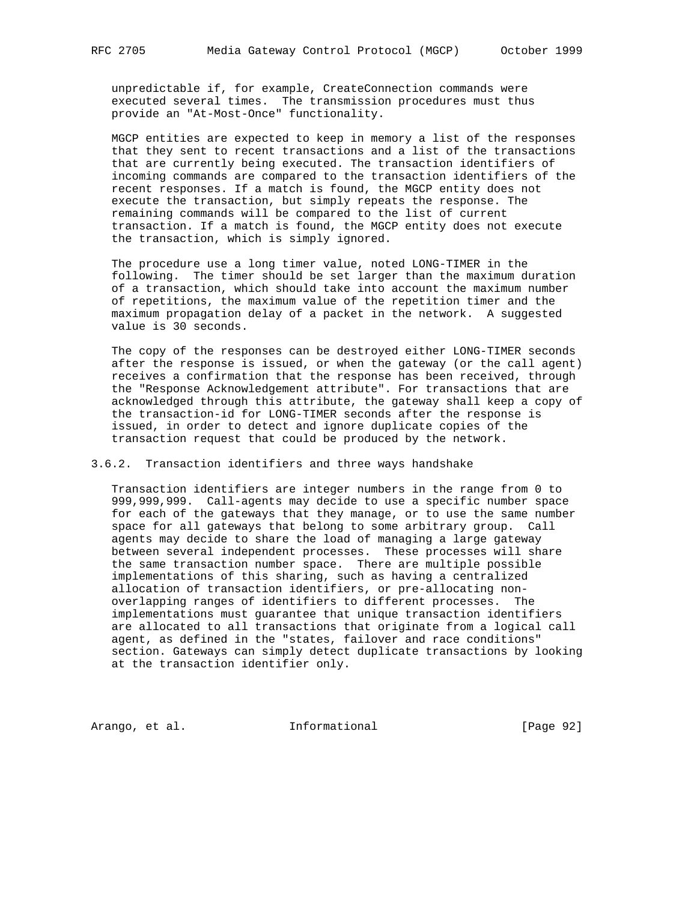unpredictable if, for example, CreateConnection commands were executed several times. The transmission procedures must thus provide an "At-Most-Once" functionality.

 MGCP entities are expected to keep in memory a list of the responses that they sent to recent transactions and a list of the transactions that are currently being executed. The transaction identifiers of incoming commands are compared to the transaction identifiers of the recent responses. If a match is found, the MGCP entity does not execute the transaction, but simply repeats the response. The remaining commands will be compared to the list of current transaction. If a match is found, the MGCP entity does not execute the transaction, which is simply ignored.

 The procedure use a long timer value, noted LONG-TIMER in the following. The timer should be set larger than the maximum duration of a transaction, which should take into account the maximum number of repetitions, the maximum value of the repetition timer and the maximum propagation delay of a packet in the network. A suggested value is 30 seconds.

 The copy of the responses can be destroyed either LONG-TIMER seconds after the response is issued, or when the gateway (or the call agent) receives a confirmation that the response has been received, through the "Response Acknowledgement attribute". For transactions that are acknowledged through this attribute, the gateway shall keep a copy of the transaction-id for LONG-TIMER seconds after the response is issued, in order to detect and ignore duplicate copies of the transaction request that could be produced by the network.

### 3.6.2. Transaction identifiers and three ways handshake

 Transaction identifiers are integer numbers in the range from 0 to 999,999,999. Call-agents may decide to use a specific number space for each of the gateways that they manage, or to use the same number space for all gateways that belong to some arbitrary group. Call agents may decide to share the load of managing a large gateway between several independent processes. These processes will share the same transaction number space. There are multiple possible implementations of this sharing, such as having a centralized allocation of transaction identifiers, or pre-allocating non overlapping ranges of identifiers to different processes. The implementations must guarantee that unique transaction identifiers are allocated to all transactions that originate from a logical call agent, as defined in the "states, failover and race conditions" section. Gateways can simply detect duplicate transactions by looking at the transaction identifier only.

Arango, et al. 1nformational [Page 92]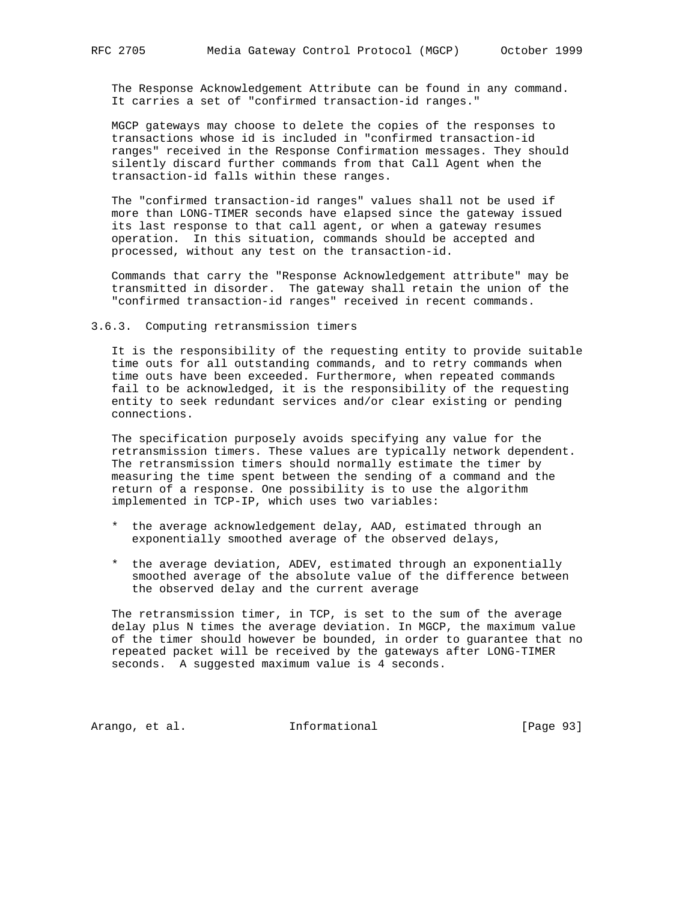The Response Acknowledgement Attribute can be found in any command. It carries a set of "confirmed transaction-id ranges."

 MGCP gateways may choose to delete the copies of the responses to transactions whose id is included in "confirmed transaction-id ranges" received in the Response Confirmation messages. They should silently discard further commands from that Call Agent when the transaction-id falls within these ranges.

 The "confirmed transaction-id ranges" values shall not be used if more than LONG-TIMER seconds have elapsed since the gateway issued its last response to that call agent, or when a gateway resumes operation. In this situation, commands should be accepted and processed, without any test on the transaction-id.

 Commands that carry the "Response Acknowledgement attribute" may be transmitted in disorder. The gateway shall retain the union of the "confirmed transaction-id ranges" received in recent commands.

#### 3.6.3. Computing retransmission timers

 It is the responsibility of the requesting entity to provide suitable time outs for all outstanding commands, and to retry commands when time outs have been exceeded. Furthermore, when repeated commands fail to be acknowledged, it is the responsibility of the requesting entity to seek redundant services and/or clear existing or pending connections.

 The specification purposely avoids specifying any value for the retransmission timers. These values are typically network dependent. The retransmission timers should normally estimate the timer by measuring the time spent between the sending of a command and the return of a response. One possibility is to use the algorithm implemented in TCP-IP, which uses two variables:

- \* the average acknowledgement delay, AAD, estimated through an exponentially smoothed average of the observed delays,
- \* the average deviation, ADEV, estimated through an exponentially smoothed average of the absolute value of the difference between the observed delay and the current average

 The retransmission timer, in TCP, is set to the sum of the average delay plus N times the average deviation. In MGCP, the maximum value of the timer should however be bounded, in order to guarantee that no repeated packet will be received by the gateways after LONG-TIMER seconds. A suggested maximum value is 4 seconds.

Arango, et al. 1nformational [Page 93]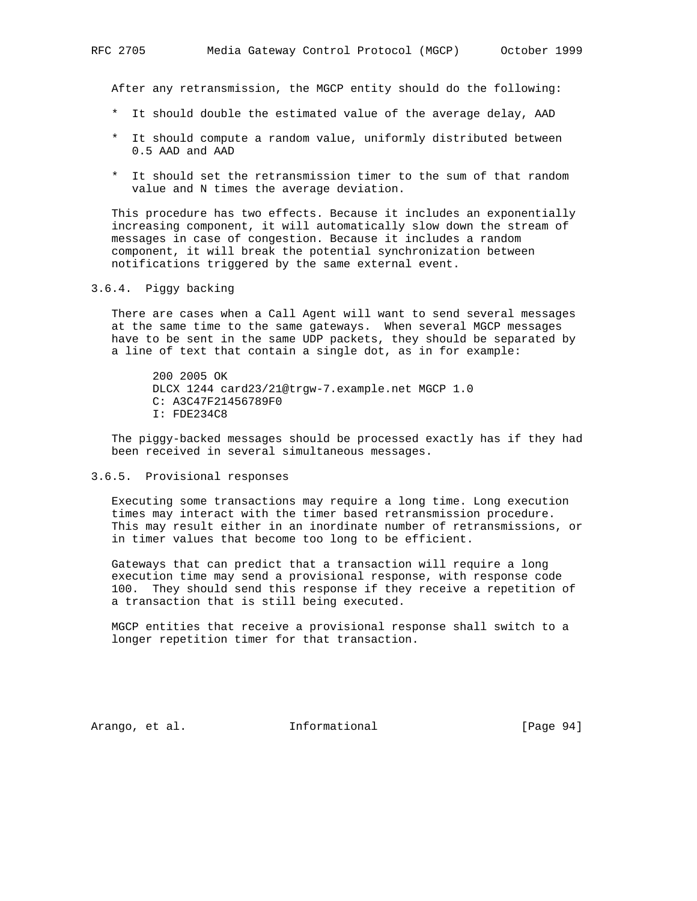After any retransmission, the MGCP entity should do the following:

- \* It should double the estimated value of the average delay, AAD
- \* It should compute a random value, uniformly distributed between 0.5 AAD and AAD
- \* It should set the retransmission timer to the sum of that random value and N times the average deviation.

 This procedure has two effects. Because it includes an exponentially increasing component, it will automatically slow down the stream of messages in case of congestion. Because it includes a random component, it will break the potential synchronization between notifications triggered by the same external event.

3.6.4. Piggy backing

 There are cases when a Call Agent will want to send several messages at the same time to the same gateways. When several MGCP messages have to be sent in the same UDP packets, they should be separated by a line of text that contain a single dot, as in for example:

 200 2005 OK DLCX 1244 card23/21@trgw-7.example.net MGCP 1.0 C: A3C47F21456789F0 I: FDE234C8

 The piggy-backed messages should be processed exactly has if they had been received in several simultaneous messages.

3.6.5. Provisional responses

 Executing some transactions may require a long time. Long execution times may interact with the timer based retransmission procedure. This may result either in an inordinate number of retransmissions, or in timer values that become too long to be efficient.

 Gateways that can predict that a transaction will require a long execution time may send a provisional response, with response code 100. They should send this response if they receive a repetition of a transaction that is still being executed.

 MGCP entities that receive a provisional response shall switch to a longer repetition timer for that transaction.

Arango, et al. **Informational** [Page 94]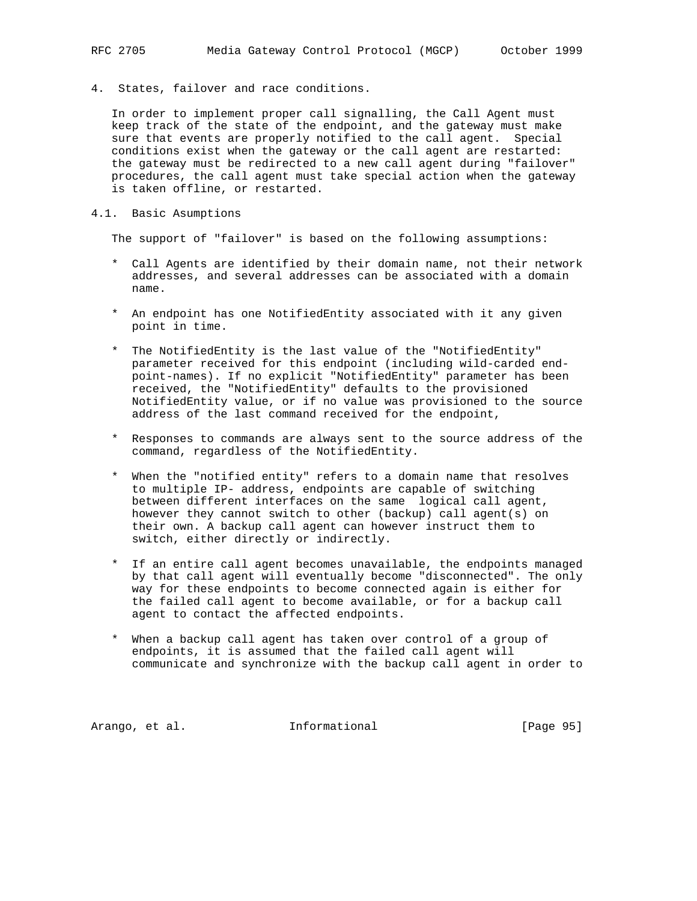4. States, failover and race conditions.

 In order to implement proper call signalling, the Call Agent must keep track of the state of the endpoint, and the gateway must make sure that events are properly notified to the call agent. Special conditions exist when the gateway or the call agent are restarted: the gateway must be redirected to a new call agent during "failover" procedures, the call agent must take special action when the gateway is taken offline, or restarted.

### 4.1. Basic Asumptions

The support of "failover" is based on the following assumptions:

- \* Call Agents are identified by their domain name, not their network addresses, and several addresses can be associated with a domain name.
- \* An endpoint has one NotifiedEntity associated with it any given point in time.
- \* The NotifiedEntity is the last value of the "NotifiedEntity" parameter received for this endpoint (including wild-carded end point-names). If no explicit "NotifiedEntity" parameter has been received, the "NotifiedEntity" defaults to the provisioned NotifiedEntity value, or if no value was provisioned to the source address of the last command received for the endpoint,
- \* Responses to commands are always sent to the source address of the command, regardless of the NotifiedEntity.
- \* When the "notified entity" refers to a domain name that resolves to multiple IP- address, endpoints are capable of switching between different interfaces on the same logical call agent, however they cannot switch to other (backup) call agent(s) on their own. A backup call agent can however instruct them to switch, either directly or indirectly.
- \* If an entire call agent becomes unavailable, the endpoints managed by that call agent will eventually become "disconnected". The only way for these endpoints to become connected again is either for the failed call agent to become available, or for a backup call agent to contact the affected endpoints.
- \* When a backup call agent has taken over control of a group of endpoints, it is assumed that the failed call agent will communicate and synchronize with the backup call agent in order to

Arango, et al. 1nformational [Page 95]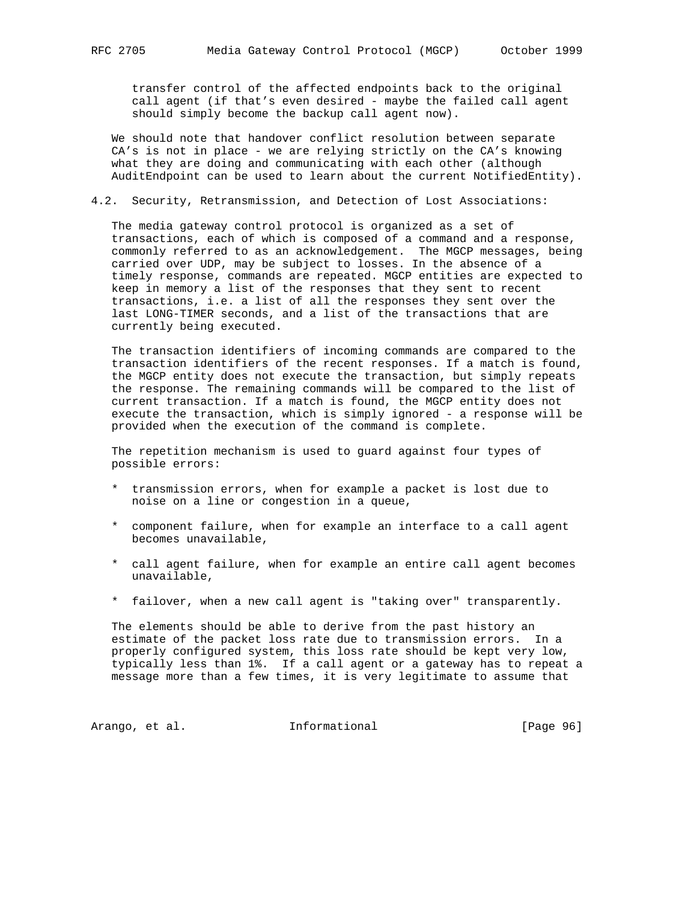transfer control of the affected endpoints back to the original call agent (if that's even desired - maybe the failed call agent should simply become the backup call agent now).

 We should note that handover conflict resolution between separate CA's is not in place - we are relying strictly on the CA's knowing what they are doing and communicating with each other (although AuditEndpoint can be used to learn about the current NotifiedEntity).

# 4.2. Security, Retransmission, and Detection of Lost Associations:

 The media gateway control protocol is organized as a set of transactions, each of which is composed of a command and a response, commonly referred to as an acknowledgement. The MGCP messages, being carried over UDP, may be subject to losses. In the absence of a timely response, commands are repeated. MGCP entities are expected to keep in memory a list of the responses that they sent to recent transactions, i.e. a list of all the responses they sent over the last LONG-TIMER seconds, and a list of the transactions that are currently being executed.

 The transaction identifiers of incoming commands are compared to the transaction identifiers of the recent responses. If a match is found, the MGCP entity does not execute the transaction, but simply repeats the response. The remaining commands will be compared to the list of current transaction. If a match is found, the MGCP entity does not execute the transaction, which is simply ignored - a response will be provided when the execution of the command is complete.

 The repetition mechanism is used to guard against four types of possible errors:

- \* transmission errors, when for example a packet is lost due to noise on a line or congestion in a queue,
- \* component failure, when for example an interface to a call agent becomes unavailable,
- \* call agent failure, when for example an entire call agent becomes unavailable,
- \* failover, when a new call agent is "taking over" transparently.

 The elements should be able to derive from the past history an estimate of the packet loss rate due to transmission errors. In a properly configured system, this loss rate should be kept very low, typically less than 1%. If a call agent or a gateway has to repeat a message more than a few times, it is very legitimate to assume that

Arango, et al. 1nformational [Page 96]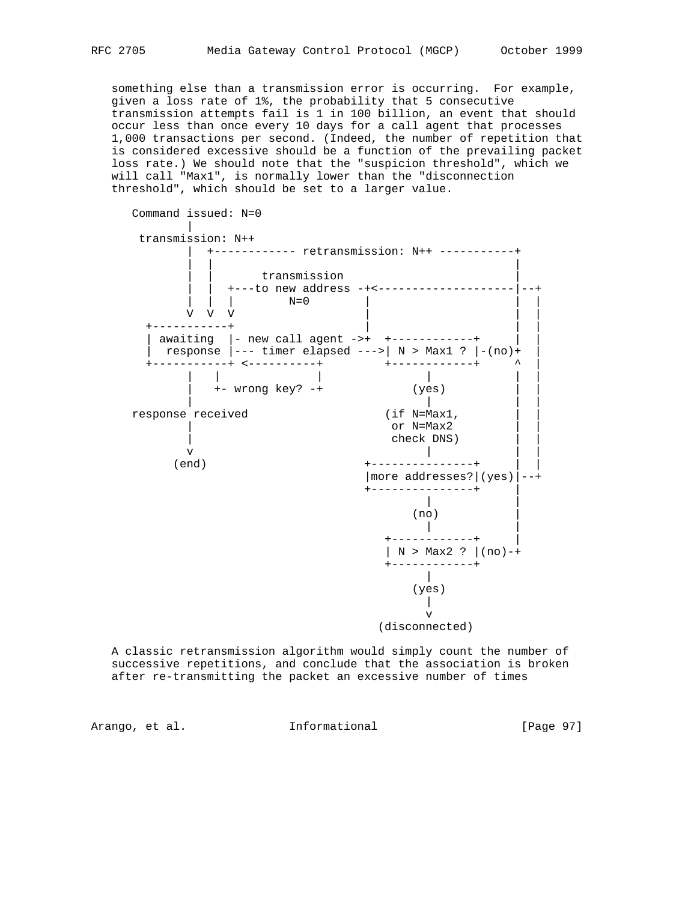something else than a transmission error is occurring. For example, given a loss rate of 1%, the probability that 5 consecutive transmission attempts fail is 1 in 100 billion, an event that should occur less than once every 10 days for a call agent that processes 1,000 transactions per second. (Indeed, the number of repetition that is considered excessive should be a function of the prevailing packet loss rate.) We should note that the "suspicion threshold", which we will call "Max1", is normally lower than the "disconnection threshold", which should be set to a larger value.



 A classic retransmission algorithm would simply count the number of successive repetitions, and conclude that the association is broken after re-transmitting the packet an excessive number of times

Arango, et al. 1nformational [Page 97]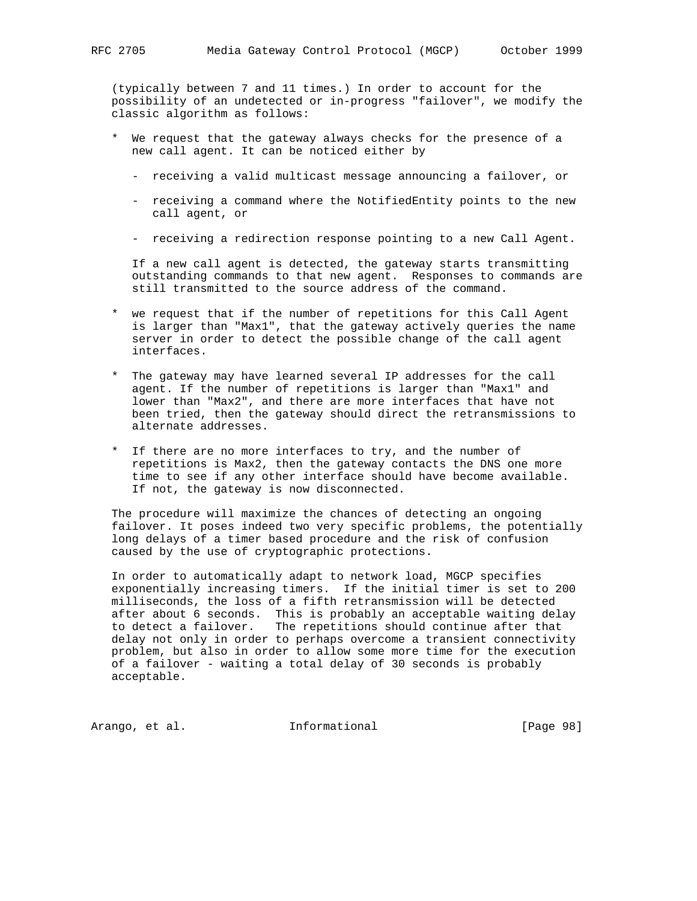(typically between 7 and 11 times.) In order to account for the possibility of an undetected or in-progress "failover", we modify the classic algorithm as follows:

- \* We request that the gateway always checks for the presence of a new call agent. It can be noticed either by
	- receiving a valid multicast message announcing a failover, or
	- receiving a command where the NotifiedEntity points to the new call agent, or
	- receiving a redirection response pointing to a new Call Agent.

 If a new call agent is detected, the gateway starts transmitting outstanding commands to that new agent. Responses to commands are still transmitted to the source address of the command.

- \* we request that if the number of repetitions for this Call Agent is larger than "Max1", that the gateway actively queries the name server in order to detect the possible change of the call agent interfaces.
- \* The gateway may have learned several IP addresses for the call agent. If the number of repetitions is larger than "Max1" and lower than "Max2", and there are more interfaces that have not been tried, then the gateway should direct the retransmissions to alternate addresses.
- \* If there are no more interfaces to try, and the number of repetitions is Max2, then the gateway contacts the DNS one more time to see if any other interface should have become available. If not, the gateway is now disconnected.

 The procedure will maximize the chances of detecting an ongoing failover. It poses indeed two very specific problems, the potentially long delays of a timer based procedure and the risk of confusion caused by the use of cryptographic protections.

 In order to automatically adapt to network load, MGCP specifies exponentially increasing timers. If the initial timer is set to 200 milliseconds, the loss of a fifth retransmission will be detected after about 6 seconds. This is probably an acceptable waiting delay to detect a failover. The repetitions should continue after that delay not only in order to perhaps overcome a transient connectivity problem, but also in order to allow some more time for the execution of a failover - waiting a total delay of 30 seconds is probably acceptable.

Arango, et al. 1nformational [Page 98]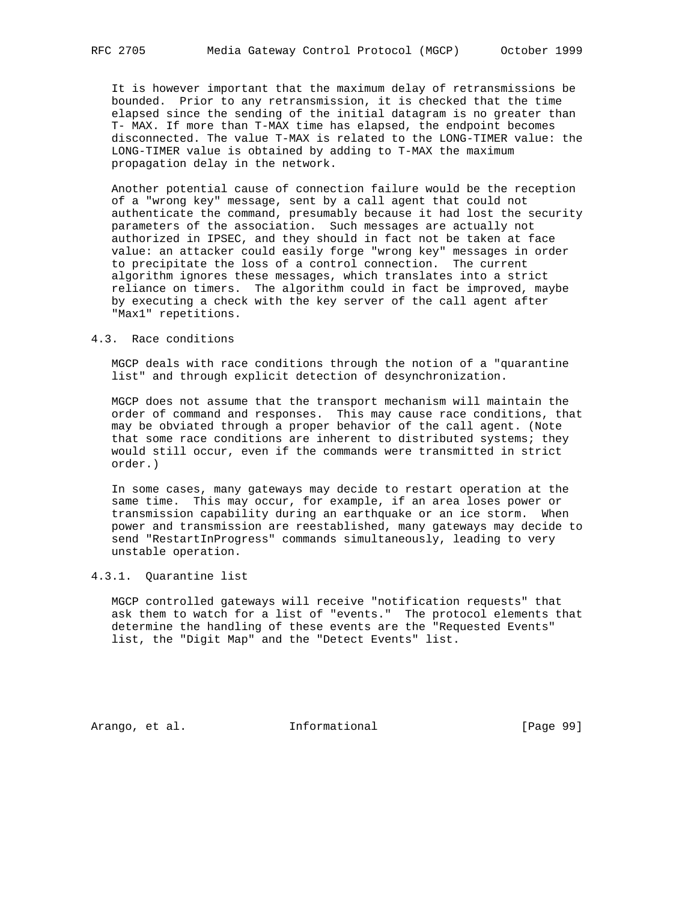It is however important that the maximum delay of retransmissions be bounded. Prior to any retransmission, it is checked that the time elapsed since the sending of the initial datagram is no greater than T- MAX. If more than T-MAX time has elapsed, the endpoint becomes disconnected. The value T-MAX is related to the LONG-TIMER value: the LONG-TIMER value is obtained by adding to T-MAX the maximum propagation delay in the network.

 Another potential cause of connection failure would be the reception of a "wrong key" message, sent by a call agent that could not authenticate the command, presumably because it had lost the security parameters of the association. Such messages are actually not authorized in IPSEC, and they should in fact not be taken at face value: an attacker could easily forge "wrong key" messages in order to precipitate the loss of a control connection. The current algorithm ignores these messages, which translates into a strict reliance on timers. The algorithm could in fact be improved, maybe by executing a check with the key server of the call agent after "Max1" repetitions.

#### 4.3. Race conditions

 MGCP deals with race conditions through the notion of a "quarantine list" and through explicit detection of desynchronization.

 MGCP does not assume that the transport mechanism will maintain the order of command and responses. This may cause race conditions, that may be obviated through a proper behavior of the call agent. (Note that some race conditions are inherent to distributed systems; they would still occur, even if the commands were transmitted in strict order.)

 In some cases, many gateways may decide to restart operation at the same time. This may occur, for example, if an area loses power or transmission capability during an earthquake or an ice storm. When power and transmission are reestablished, many gateways may decide to send "RestartInProgress" commands simultaneously, leading to very unstable operation.

### 4.3.1. Quarantine list

 MGCP controlled gateways will receive "notification requests" that ask them to watch for a list of "events." The protocol elements that determine the handling of these events are the "Requested Events" list, the "Digit Map" and the "Detect Events" list.

Arango, et al. **Informational** [Page 99]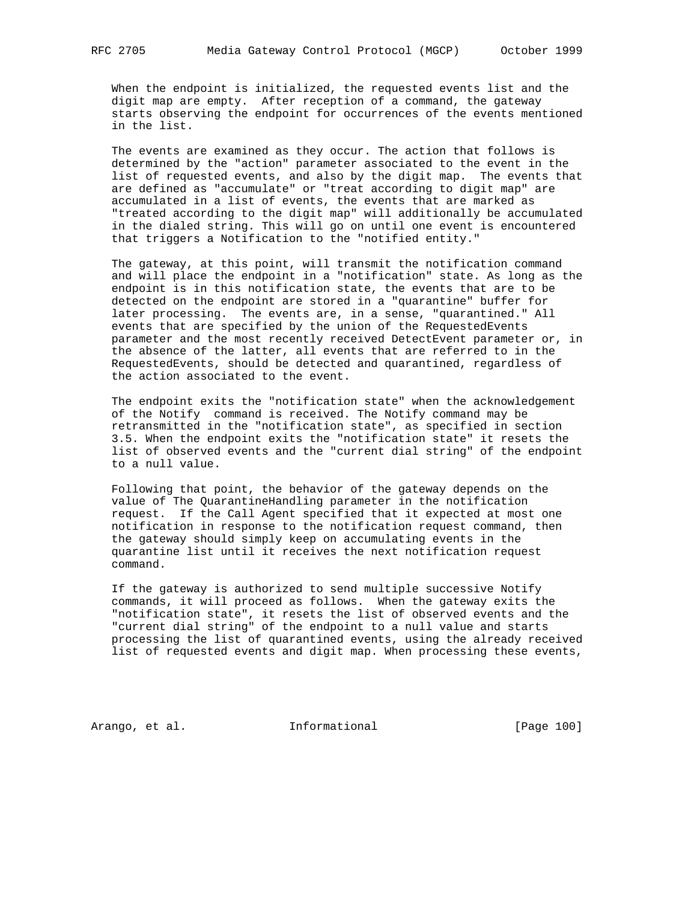When the endpoint is initialized, the requested events list and the digit map are empty. After reception of a command, the gateway starts observing the endpoint for occurrences of the events mentioned in the list.

 The events are examined as they occur. The action that follows is determined by the "action" parameter associated to the event in the list of requested events, and also by the digit map. The events that are defined as "accumulate" or "treat according to digit map" are accumulated in a list of events, the events that are marked as "treated according to the digit map" will additionally be accumulated in the dialed string. This will go on until one event is encountered that triggers a Notification to the "notified entity."

 The gateway, at this point, will transmit the notification command and will place the endpoint in a "notification" state. As long as the endpoint is in this notification state, the events that are to be detected on the endpoint are stored in a "quarantine" buffer for later processing. The events are, in a sense, "quarantined." All events that are specified by the union of the RequestedEvents parameter and the most recently received DetectEvent parameter or, in the absence of the latter, all events that are referred to in the RequestedEvents, should be detected and quarantined, regardless of the action associated to the event.

 The endpoint exits the "notification state" when the acknowledgement of the Notify command is received. The Notify command may be retransmitted in the "notification state", as specified in section 3.5. When the endpoint exits the "notification state" it resets the list of observed events and the "current dial string" of the endpoint to a null value.

 Following that point, the behavior of the gateway depends on the value of The QuarantineHandling parameter in the notification request. If the Call Agent specified that it expected at most one notification in response to the notification request command, then the gateway should simply keep on accumulating events in the quarantine list until it receives the next notification request command.

 If the gateway is authorized to send multiple successive Notify commands, it will proceed as follows. When the gateway exits the "notification state", it resets the list of observed events and the "current dial string" of the endpoint to a null value and starts processing the list of quarantined events, using the already received list of requested events and digit map. When processing these events,

Arango, et al. 1nformational [Page 100]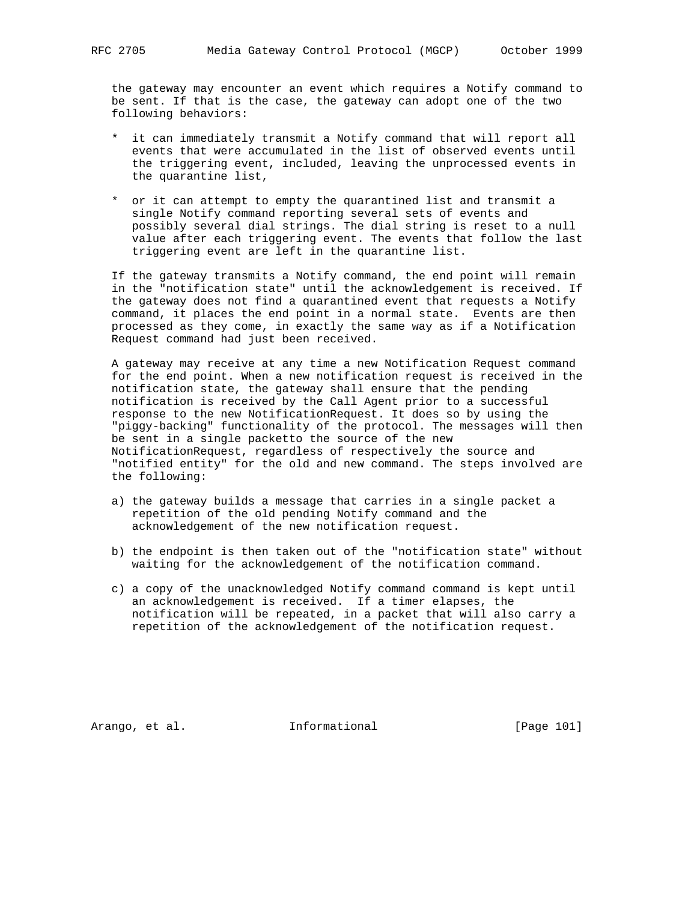the gateway may encounter an event which requires a Notify command to be sent. If that is the case, the gateway can adopt one of the two following behaviors:

- \* it can immediately transmit a Notify command that will report all events that were accumulated in the list of observed events until the triggering event, included, leaving the unprocessed events in the quarantine list,
- \* or it can attempt to empty the quarantined list and transmit a single Notify command reporting several sets of events and possibly several dial strings. The dial string is reset to a null value after each triggering event. The events that follow the last triggering event are left in the quarantine list.

 If the gateway transmits a Notify command, the end point will remain in the "notification state" until the acknowledgement is received. If the gateway does not find a quarantined event that requests a Notify command, it places the end point in a normal state. Events are then processed as they come, in exactly the same way as if a Notification Request command had just been received.

 A gateway may receive at any time a new Notification Request command for the end point. When a new notification request is received in the notification state, the gateway shall ensure that the pending notification is received by the Call Agent prior to a successful response to the new NotificationRequest. It does so by using the "piggy-backing" functionality of the protocol. The messages will then be sent in a single packetto the source of the new NotificationRequest, regardless of respectively the source and "notified entity" for the old and new command. The steps involved are the following:

- a) the gateway builds a message that carries in a single packet a repetition of the old pending Notify command and the acknowledgement of the new notification request.
- b) the endpoint is then taken out of the "notification state" without waiting for the acknowledgement of the notification command.
- c) a copy of the unacknowledged Notify command command is kept until an acknowledgement is received. If a timer elapses, the notification will be repeated, in a packet that will also carry a repetition of the acknowledgement of the notification request.

Arango, et al. **Informational** [Page 101]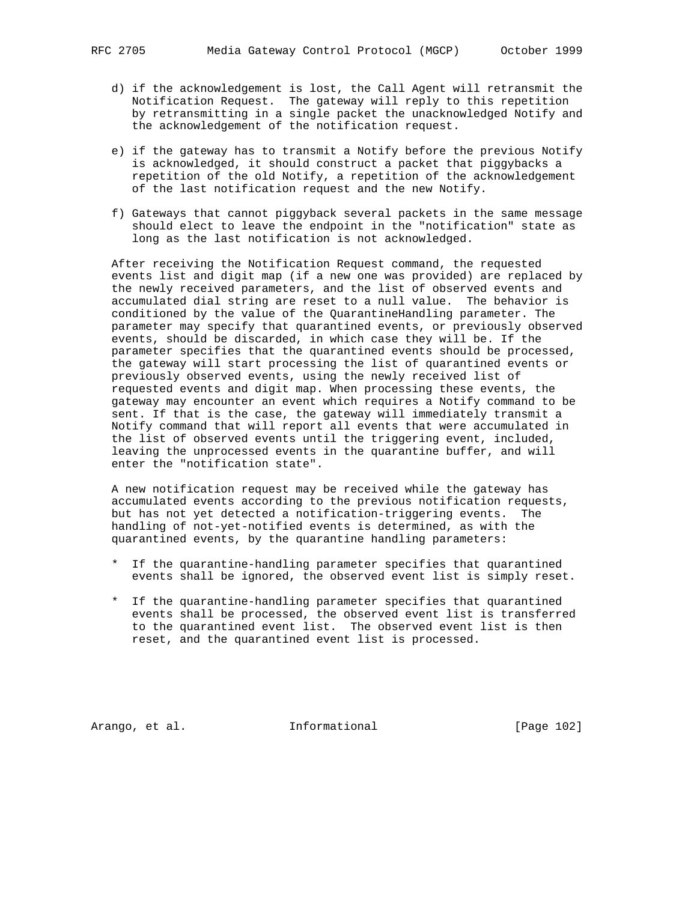- d) if the acknowledgement is lost, the Call Agent will retransmit the Notification Request. The gateway will reply to this repetition by retransmitting in a single packet the unacknowledged Notify and the acknowledgement of the notification request.
	- e) if the gateway has to transmit a Notify before the previous Notify is acknowledged, it should construct a packet that piggybacks a repetition of the old Notify, a repetition of the acknowledgement of the last notification request and the new Notify.
	- f) Gateways that cannot piggyback several packets in the same message should elect to leave the endpoint in the "notification" state as long as the last notification is not acknowledged.

 After receiving the Notification Request command, the requested events list and digit map (if a new one was provided) are replaced by the newly received parameters, and the list of observed events and accumulated dial string are reset to a null value. The behavior is conditioned by the value of the QuarantineHandling parameter. The parameter may specify that quarantined events, or previously observed events, should be discarded, in which case they will be. If the parameter specifies that the quarantined events should be processed, the gateway will start processing the list of quarantined events or previously observed events, using the newly received list of requested events and digit map. When processing these events, the gateway may encounter an event which requires a Notify command to be sent. If that is the case, the gateway will immediately transmit a Notify command that will report all events that were accumulated in the list of observed events until the triggering event, included, leaving the unprocessed events in the quarantine buffer, and will enter the "notification state".

 A new notification request may be received while the gateway has accumulated events according to the previous notification requests, but has not yet detected a notification-triggering events. The handling of not-yet-notified events is determined, as with the quarantined events, by the quarantine handling parameters:

- \* If the quarantine-handling parameter specifies that quarantined events shall be ignored, the observed event list is simply reset.
- \* If the quarantine-handling parameter specifies that quarantined events shall be processed, the observed event list is transferred to the quarantined event list. The observed event list is then reset, and the quarantined event list is processed.

Arango, et al. 1nformational [Page 102]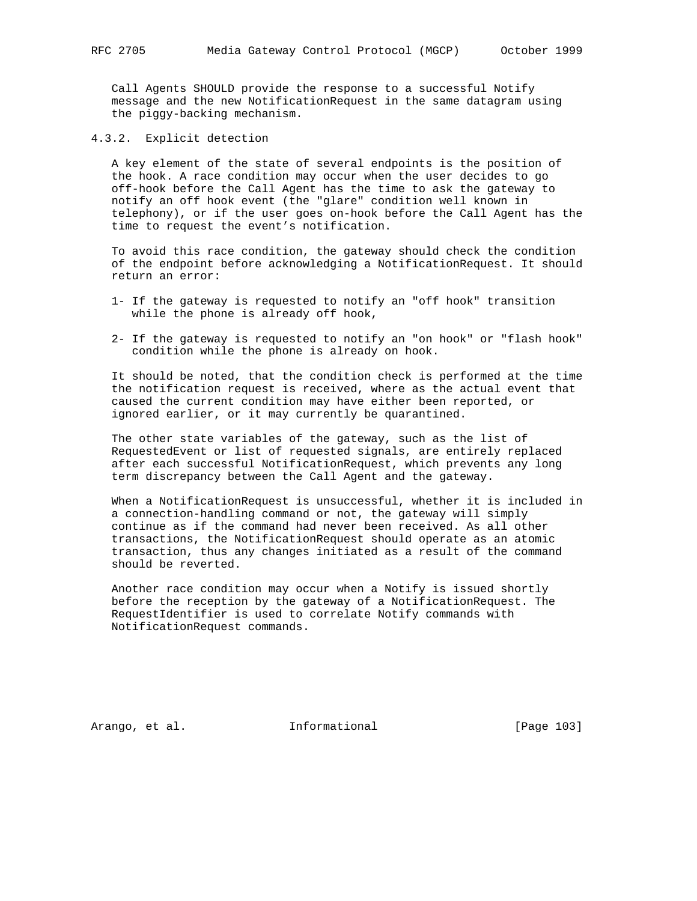Call Agents SHOULD provide the response to a successful Notify message and the new NotificationRequest in the same datagram using the piggy-backing mechanism.

4.3.2. Explicit detection

 A key element of the state of several endpoints is the position of the hook. A race condition may occur when the user decides to go off-hook before the Call Agent has the time to ask the gateway to notify an off hook event (the "glare" condition well known in telephony), or if the user goes on-hook before the Call Agent has the time to request the event's notification.

 To avoid this race condition, the gateway should check the condition of the endpoint before acknowledging a NotificationRequest. It should return an error:

- 1- If the gateway is requested to notify an "off hook" transition while the phone is already off hook,
- 2- If the gateway is requested to notify an "on hook" or "flash hook" condition while the phone is already on hook.

 It should be noted, that the condition check is performed at the time the notification request is received, where as the actual event that caused the current condition may have either been reported, or ignored earlier, or it may currently be quarantined.

 The other state variables of the gateway, such as the list of RequestedEvent or list of requested signals, are entirely replaced after each successful NotificationRequest, which prevents any long term discrepancy between the Call Agent and the gateway.

 When a NotificationRequest is unsuccessful, whether it is included in a connection-handling command or not, the gateway will simply continue as if the command had never been received. As all other transactions, the NotificationRequest should operate as an atomic transaction, thus any changes initiated as a result of the command should be reverted.

 Another race condition may occur when a Notify is issued shortly before the reception by the gateway of a NotificationRequest. The RequestIdentifier is used to correlate Notify commands with NotificationRequest commands.

Arango, et al. **Informational** [Page 103]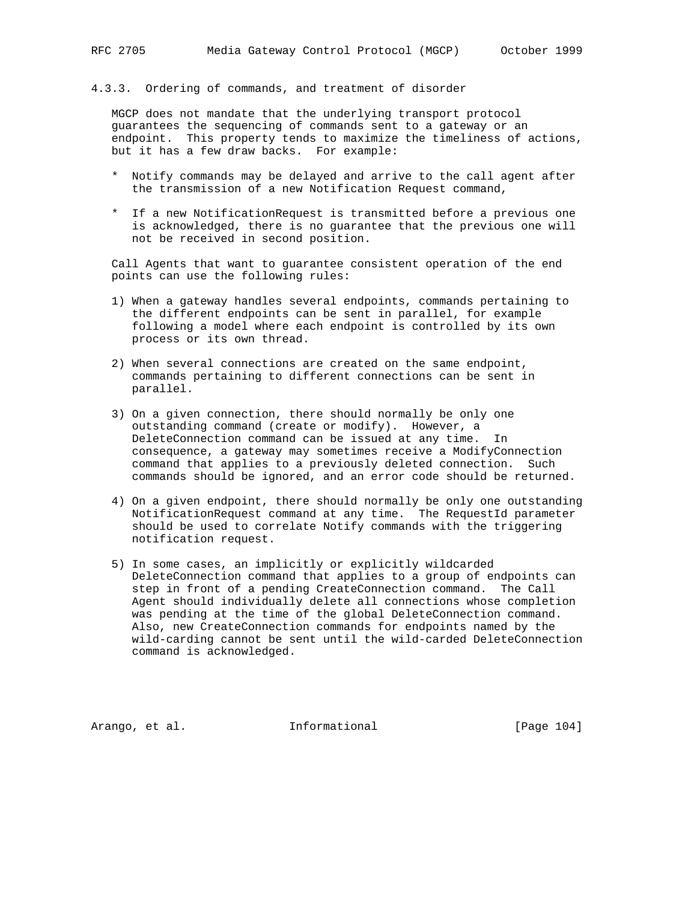4.3.3. Ordering of commands, and treatment of disorder

 MGCP does not mandate that the underlying transport protocol guarantees the sequencing of commands sent to a gateway or an endpoint. This property tends to maximize the timeliness of actions, but it has a few draw backs. For example:

- \* Notify commands may be delayed and arrive to the call agent after the transmission of a new Notification Request command,
- \* If a new NotificationRequest is transmitted before a previous one is acknowledged, there is no guarantee that the previous one will not be received in second position.

 Call Agents that want to guarantee consistent operation of the end points can use the following rules:

- 1) When a gateway handles several endpoints, commands pertaining to the different endpoints can be sent in parallel, for example following a model where each endpoint is controlled by its own process or its own thread.
- 2) When several connections are created on the same endpoint, commands pertaining to different connections can be sent in parallel.
- 3) On a given connection, there should normally be only one outstanding command (create or modify). However, a DeleteConnection command can be issued at any time. In consequence, a gateway may sometimes receive a ModifyConnection command that applies to a previously deleted connection. Such commands should be ignored, and an error code should be returned.
- 4) On a given endpoint, there should normally be only one outstanding NotificationRequest command at any time. The RequestId parameter should be used to correlate Notify commands with the triggering notification request.
- 5) In some cases, an implicitly or explicitly wildcarded DeleteConnection command that applies to a group of endpoints can step in front of a pending CreateConnection command. The Call Agent should individually delete all connections whose completion was pending at the time of the global DeleteConnection command. Also, new CreateConnection commands for endpoints named by the wild-carding cannot be sent until the wild-carded DeleteConnection command is acknowledged.

Arango, et al. **Informational** [Page 104]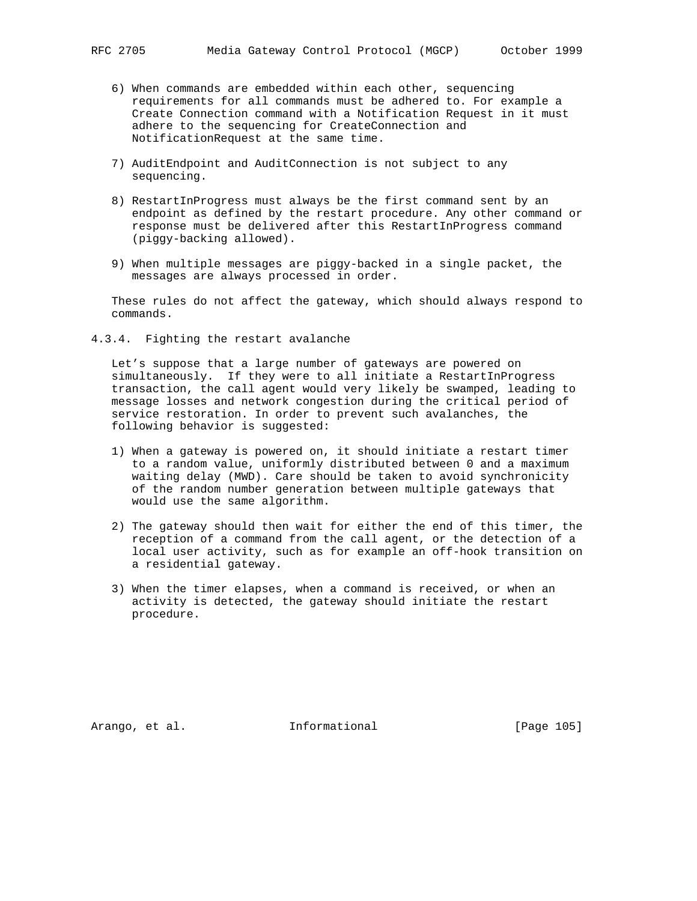- 6) When commands are embedded within each other, sequencing requirements for all commands must be adhered to. For example a Create Connection command with a Notification Request in it must adhere to the sequencing for CreateConnection and NotificationRequest at the same time.
- 7) AuditEndpoint and AuditConnection is not subject to any sequencing.
- 8) RestartInProgress must always be the first command sent by an endpoint as defined by the restart procedure. Any other command or response must be delivered after this RestartInProgress command (piggy-backing allowed).
- 9) When multiple messages are piggy-backed in a single packet, the messages are always processed in order.

 These rules do not affect the gateway, which should always respond to commands.

4.3.4. Fighting the restart avalanche

 Let's suppose that a large number of gateways are powered on simultaneously. If they were to all initiate a RestartInProgress transaction, the call agent would very likely be swamped, leading to message losses and network congestion during the critical period of service restoration. In order to prevent such avalanches, the following behavior is suggested:

- 1) When a gateway is powered on, it should initiate a restart timer to a random value, uniformly distributed between 0 and a maximum waiting delay (MWD). Care should be taken to avoid synchronicity of the random number generation between multiple gateways that would use the same algorithm.
- 2) The gateway should then wait for either the end of this timer, the reception of a command from the call agent, or the detection of a local user activity, such as for example an off-hook transition on a residential gateway.
- 3) When the timer elapses, when a command is received, or when an activity is detected, the gateway should initiate the restart procedure.

Arango, et al. 100 Informational 105 [Page 105]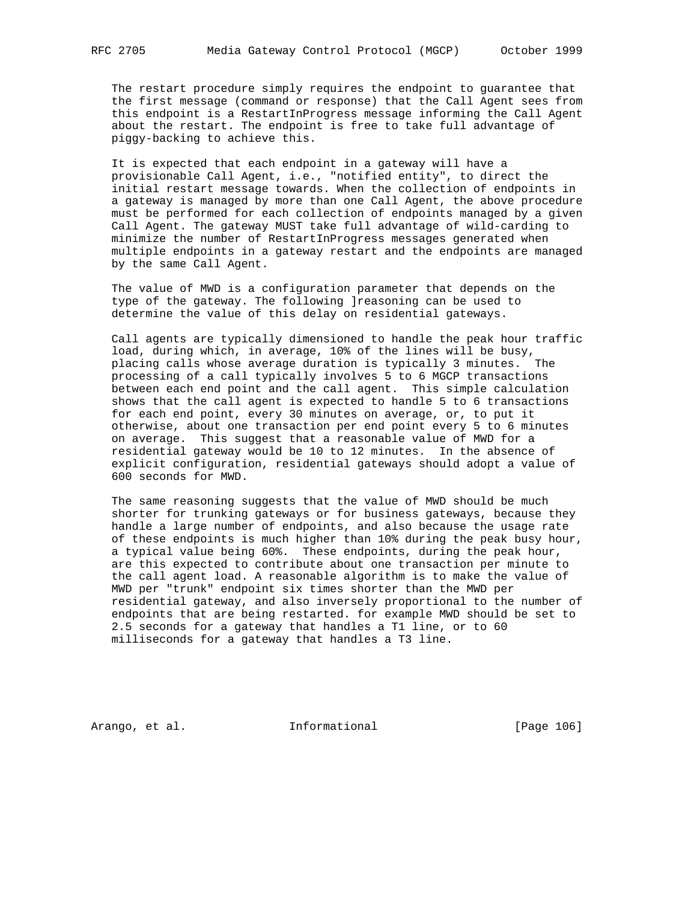The restart procedure simply requires the endpoint to guarantee that the first message (command or response) that the Call Agent sees from this endpoint is a RestartInProgress message informing the Call Agent about the restart. The endpoint is free to take full advantage of piggy-backing to achieve this.

 It is expected that each endpoint in a gateway will have a provisionable Call Agent, i.e., "notified entity", to direct the initial restart message towards. When the collection of endpoints in a gateway is managed by more than one Call Agent, the above procedure must be performed for each collection of endpoints managed by a given Call Agent. The gateway MUST take full advantage of wild-carding to minimize the number of RestartInProgress messages generated when multiple endpoints in a gateway restart and the endpoints are managed by the same Call Agent.

 The value of MWD is a configuration parameter that depends on the type of the gateway. The following ]reasoning can be used to determine the value of this delay on residential gateways.

 Call agents are typically dimensioned to handle the peak hour traffic load, during which, in average, 10% of the lines will be busy, placing calls whose average duration is typically 3 minutes. The processing of a call typically involves 5 to 6 MGCP transactions between each end point and the call agent. This simple calculation shows that the call agent is expected to handle 5 to 6 transactions for each end point, every 30 minutes on average, or, to put it otherwise, about one transaction per end point every 5 to 6 minutes on average. This suggest that a reasonable value of MWD for a residential gateway would be 10 to 12 minutes. In the absence of explicit configuration, residential gateways should adopt a value of 600 seconds for MWD.

 The same reasoning suggests that the value of MWD should be much shorter for trunking gateways or for business gateways, because they handle a large number of endpoints, and also because the usage rate of these endpoints is much higher than 10% during the peak busy hour, a typical value being 60%. These endpoints, during the peak hour, are this expected to contribute about one transaction per minute to the call agent load. A reasonable algorithm is to make the value of MWD per "trunk" endpoint six times shorter than the MWD per residential gateway, and also inversely proportional to the number of endpoints that are being restarted. for example MWD should be set to 2.5 seconds for a gateway that handles a T1 line, or to 60 milliseconds for a gateway that handles a T3 line.

Arango, et al. 100 Informational 100 [Page 106]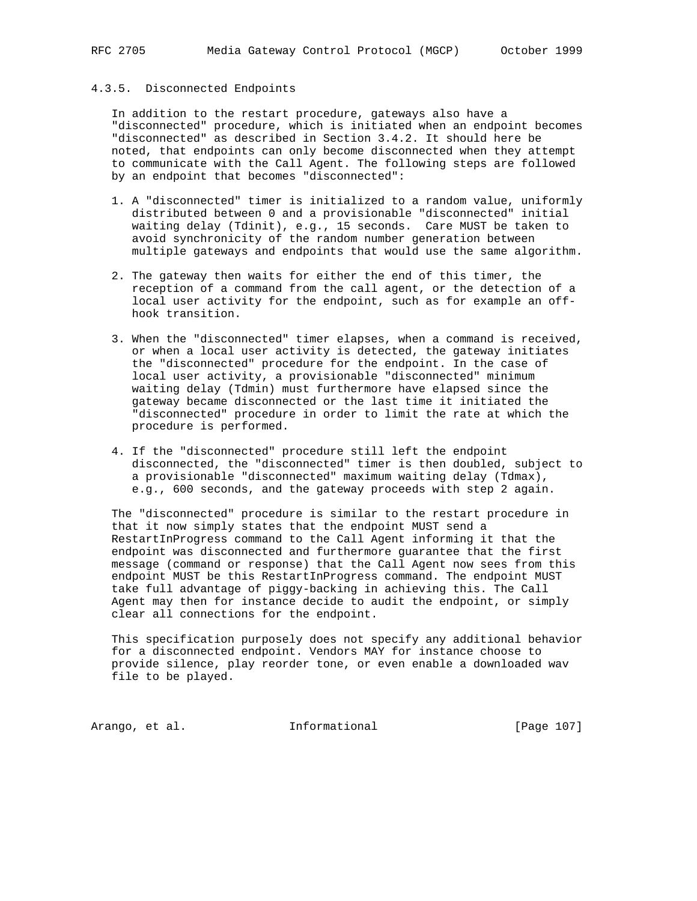### 4.3.5. Disconnected Endpoints

 In addition to the restart procedure, gateways also have a "disconnected" procedure, which is initiated when an endpoint becomes "disconnected" as described in Section 3.4.2. It should here be noted, that endpoints can only become disconnected when they attempt to communicate with the Call Agent. The following steps are followed by an endpoint that becomes "disconnected":

- 1. A "disconnected" timer is initialized to a random value, uniformly distributed between 0 and a provisionable "disconnected" initial waiting delay (Tdinit), e.g., 15 seconds. Care MUST be taken to avoid synchronicity of the random number generation between multiple gateways and endpoints that would use the same algorithm.
- 2. The gateway then waits for either the end of this timer, the reception of a command from the call agent, or the detection of a local user activity for the endpoint, such as for example an off hook transition.
- 3. When the "disconnected" timer elapses, when a command is received, or when a local user activity is detected, the gateway initiates the "disconnected" procedure for the endpoint. In the case of local user activity, a provisionable "disconnected" minimum waiting delay (Tdmin) must furthermore have elapsed since the gateway became disconnected or the last time it initiated the "disconnected" procedure in order to limit the rate at which the procedure is performed.
- 4. If the "disconnected" procedure still left the endpoint disconnected, the "disconnected" timer is then doubled, subject to a provisionable "disconnected" maximum waiting delay (Tdmax), e.g., 600 seconds, and the gateway proceeds with step 2 again.

 The "disconnected" procedure is similar to the restart procedure in that it now simply states that the endpoint MUST send a RestartInProgress command to the Call Agent informing it that the endpoint was disconnected and furthermore guarantee that the first message (command or response) that the Call Agent now sees from this endpoint MUST be this RestartInProgress command. The endpoint MUST take full advantage of piggy-backing in achieving this. The Call Agent may then for instance decide to audit the endpoint, or simply clear all connections for the endpoint.

 This specification purposely does not specify any additional behavior for a disconnected endpoint. Vendors MAY for instance choose to provide silence, play reorder tone, or even enable a downloaded wav file to be played.

Arango, et al. 1nformational [Page 107]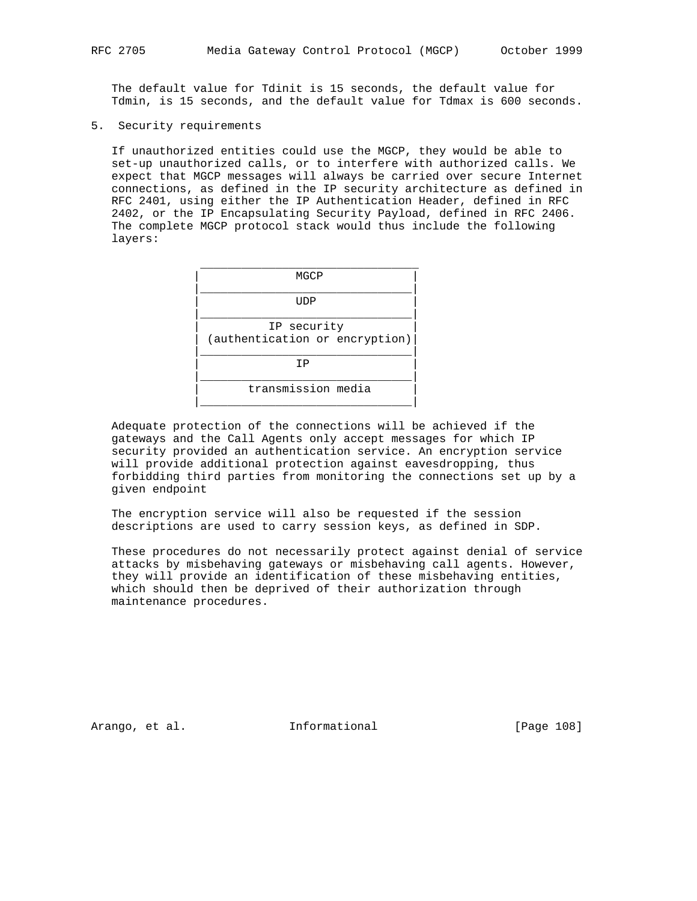The default value for Tdinit is 15 seconds, the default value for Tdmin, is 15 seconds, and the default value for Tdmax is 600 seconds.

5. Security requirements

 If unauthorized entities could use the MGCP, they would be able to set-up unauthorized calls, or to interfere with authorized calls. We expect that MGCP messages will always be carried over secure Internet connections, as defined in the IP security architecture as defined in RFC 2401, using either the IP Authentication Header, defined in RFC 2402, or the IP Encapsulating Security Payload, defined in RFC 2406. The complete MGCP protocol stack would thus include the following layers:



 Adequate protection of the connections will be achieved if the gateways and the Call Agents only accept messages for which IP security provided an authentication service. An encryption service will provide additional protection against eavesdropping, thus forbidding third parties from monitoring the connections set up by a given endpoint

 The encryption service will also be requested if the session descriptions are used to carry session keys, as defined in SDP.

 These procedures do not necessarily protect against denial of service attacks by misbehaving gateways or misbehaving call agents. However, they will provide an identification of these misbehaving entities, which should then be deprived of their authorization through maintenance procedures.

Arango, et al. 1nformational [Page 108]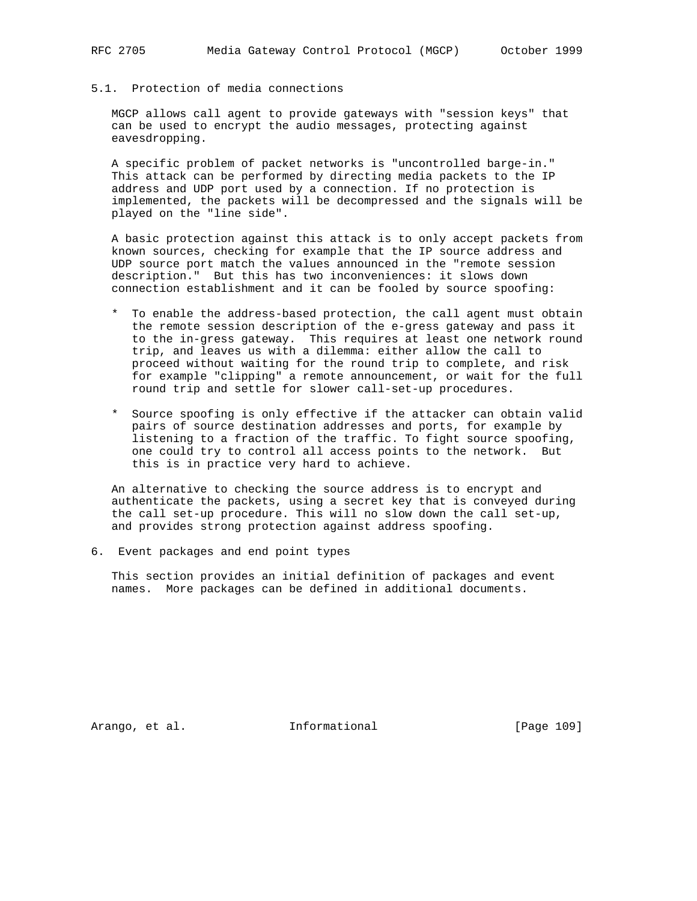### 5.1. Protection of media connections

 MGCP allows call agent to provide gateways with "session keys" that can be used to encrypt the audio messages, protecting against eavesdropping.

 A specific problem of packet networks is "uncontrolled barge-in." This attack can be performed by directing media packets to the IP address and UDP port used by a connection. If no protection is implemented, the packets will be decompressed and the signals will be played on the "line side".

 A basic protection against this attack is to only accept packets from known sources, checking for example that the IP source address and UDP source port match the values announced in the "remote session description." But this has two inconveniences: it slows down connection establishment and it can be fooled by source spoofing:

- \* To enable the address-based protection, the call agent must obtain the remote session description of the e-gress gateway and pass it to the in-gress gateway. This requires at least one network round trip, and leaves us with a dilemma: either allow the call to proceed without waiting for the round trip to complete, and risk for example "clipping" a remote announcement, or wait for the full round trip and settle for slower call-set-up procedures.
- \* Source spoofing is only effective if the attacker can obtain valid pairs of source destination addresses and ports, for example by listening to a fraction of the traffic. To fight source spoofing, one could try to control all access points to the network. But this is in practice very hard to achieve.

 An alternative to checking the source address is to encrypt and authenticate the packets, using a secret key that is conveyed during the call set-up procedure. This will no slow down the call set-up, and provides strong protection against address spoofing.

6. Event packages and end point types

 This section provides an initial definition of packages and event names. More packages can be defined in additional documents.

Arango, et al. **Informational** [Page 109]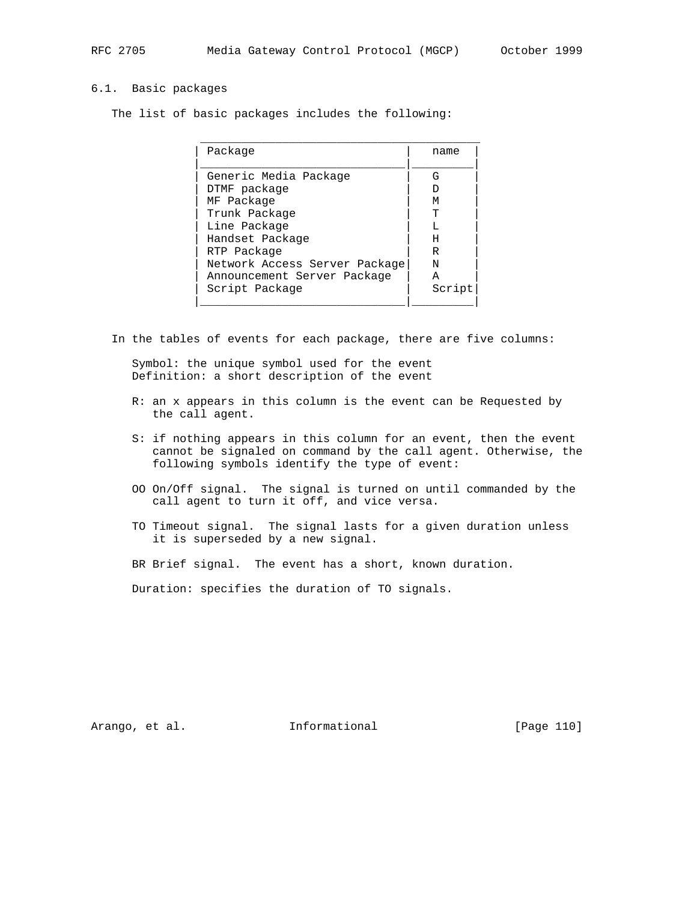# 6.1. Basic packages

The list of basic packages includes the following:

| Package                       | name   |
|-------------------------------|--------|
| Generic Media Package         | G      |
| DTMF package                  | D      |
| MF Package                    | M      |
| Trunk Package                 | т      |
| Line Package                  |        |
| Handset Package               | Η      |
| RTP Package                   | R      |
| Network Access Server Package | N      |
| Announcement Server Package   | A      |
| Script Package                | Script |

In the tables of events for each package, there are five columns:

 Symbol: the unique symbol used for the event Definition: a short description of the event

- R: an x appears in this column is the event can be Requested by the call agent.
- S: if nothing appears in this column for an event, then the event cannot be signaled on command by the call agent. Otherwise, the following symbols identify the type of event:
- OO On/Off signal. The signal is turned on until commanded by the call agent to turn it off, and vice versa.
- TO Timeout signal. The signal lasts for a given duration unless it is superseded by a new signal.

BR Brief signal. The event has a short, known duration.

Duration: specifies the duration of TO signals.

Arango, et al. 10 Informational 10 [Page 110]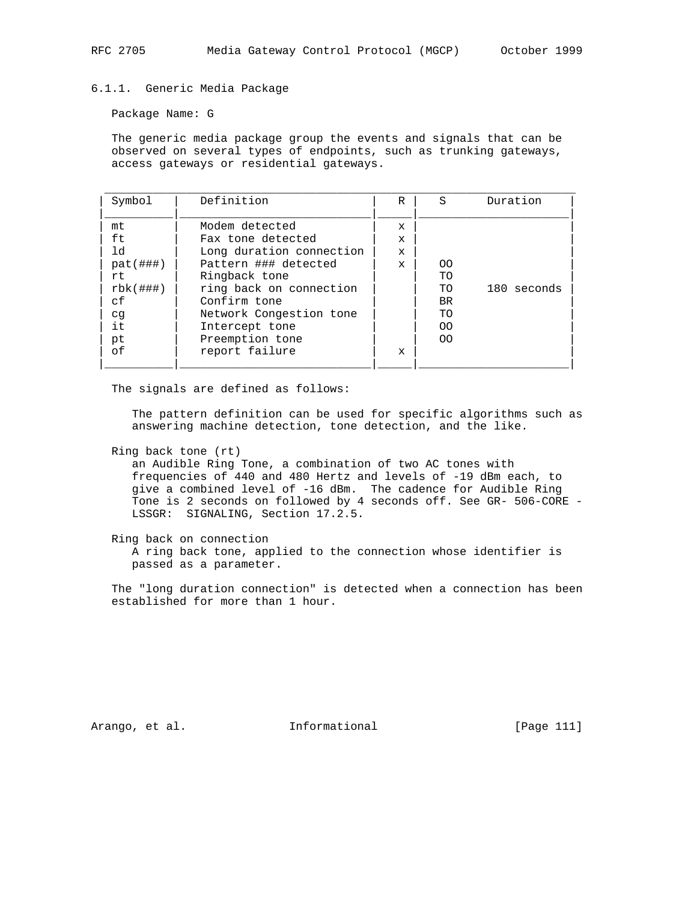# 6.1.1. Generic Media Package

Package Name: G

 The generic media package group the events and signals that can be observed on several types of endpoints, such as trunking gateways, access gateways or residential gateways.

| Symbol            | Definition               | R            | S              | Duration    |
|-------------------|--------------------------|--------------|----------------|-------------|
| mt.               | Modem detected           | X            |                |             |
| ft                | Fax tone detected        | $\mathbf{x}$ |                |             |
| 1d                | Long duration connection | $\mathbf{x}$ |                |             |
| pat(###)          | Pattern ### detected     | $\mathbf{x}$ | O <sub>O</sub> |             |
| rt                | Ringback tone            |              | TO             |             |
| $rbk$ $($ ### $)$ | ring back on connection  |              | TO             | 180 seconds |
| сf                | Confirm tone             |              | <b>BR</b>      |             |
| cq                | Network Congestion tone  |              | TO             |             |
| it                | Intercept tone           |              | O <sub>O</sub> |             |
| pt                | Preemption tone          |              | O <sub>O</sub> |             |
| оf                | report failure           | X            |                |             |
|                   |                          |              |                |             |

The signals are defined as follows:

 The pattern definition can be used for specific algorithms such as answering machine detection, tone detection, and the like.

Ring back tone (rt)

 an Audible Ring Tone, a combination of two AC tones with frequencies of 440 and 480 Hertz and levels of -19 dBm each, to give a combined level of -16 dBm. The cadence for Audible Ring Tone is 2 seconds on followed by 4 seconds off. See GR- 506-CORE - LSSGR: SIGNALING, Section 17.2.5.

Ring back on connection

 A ring back tone, applied to the connection whose identifier is passed as a parameter.

 The "long duration connection" is detected when a connection has been established for more than 1 hour.

Arango, et al. Informational [Page 111]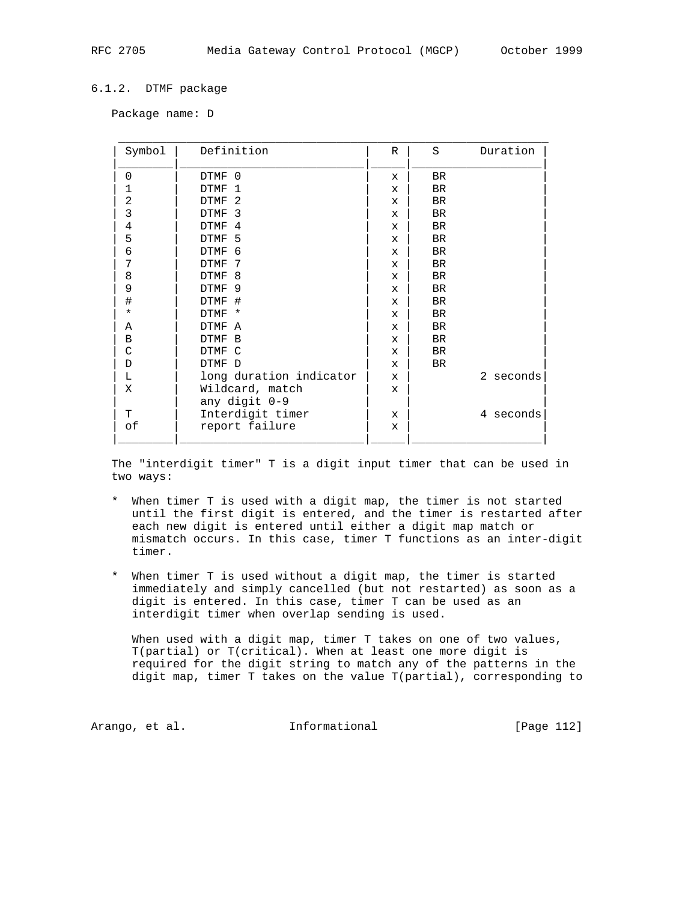# 6.1.2. DTMF package

Package name: D

| Symbol         | Definition                       | R            | S         | Duration  |
|----------------|----------------------------------|--------------|-----------|-----------|
| $\Omega$       | - 0<br><b>DTMF</b>               | X            | <b>BR</b> |           |
| 1              | DTMF<br>$\overline{1}$           | $\mathbf x$  | <b>BR</b> |           |
| $\overline{2}$ | - 2.<br>DTMF                     | $\mathbf x$  | <b>BR</b> |           |
| 3              | DTMF<br>3                        | X            | <b>BR</b> |           |
| 4              | DTMF<br>-4                       | X            | <b>BR</b> |           |
| 5              | - 5<br>DTMF                      | $\mathbf{x}$ | <b>BR</b> |           |
| 6              | DTMF<br>- 6                      | $\mathbf x$  | <b>BR</b> |           |
| 7              | DTMF<br>7                        | $\mathbf{x}$ | <b>BR</b> |           |
| 8              | 8<br>DTMF                        | $\mathbf x$  | <b>BR</b> |           |
| 9              | - 9<br>DTMF                      | $\mathbf{x}$ | <b>BR</b> |           |
| $\#$           | <b>DTMF</b><br>#                 | X            | <b>BR</b> |           |
| $^\star$       | $^\star$<br>DTMF                 | $\mathbf{x}$ | <b>BR</b> |           |
| Α              | DTMF<br>A                        | $\mathbf x$  | <b>BR</b> |           |
| B              | DTMF<br>В                        | $\mathbf{x}$ | <b>BR</b> |           |
| C              | DTMF C                           | X            | <b>BR</b> |           |
| D              | DTMF<br>D                        | $\mathbf x$  | <b>BR</b> |           |
| L              | long duration indicator          | X            |           | 2 seconds |
| X              | Wildcard, match<br>any digit 0-9 | $\mathbf{x}$ |           |           |
| T              | Interdigit timer                 | X            |           | 4 seconds |
| оf             | report failure                   | X            |           |           |
|                |                                  |              |           |           |

 The "interdigit timer" T is a digit input timer that can be used in two ways:

- \* When timer T is used with a digit map, the timer is not started until the first digit is entered, and the timer is restarted after each new digit is entered until either a digit map match or mismatch occurs. In this case, timer T functions as an inter-digit timer.
- \* When timer T is used without a digit map, the timer is started immediately and simply cancelled (but not restarted) as soon as a digit is entered. In this case, timer T can be used as an interdigit timer when overlap sending is used.

 When used with a digit map, timer T takes on one of two values, T(partial) or T(critical). When at least one more digit is required for the digit string to match any of the patterns in the digit map, timer T takes on the value T(partial), corresponding to

Arango, et al. 10 Informational 10 [Page 112]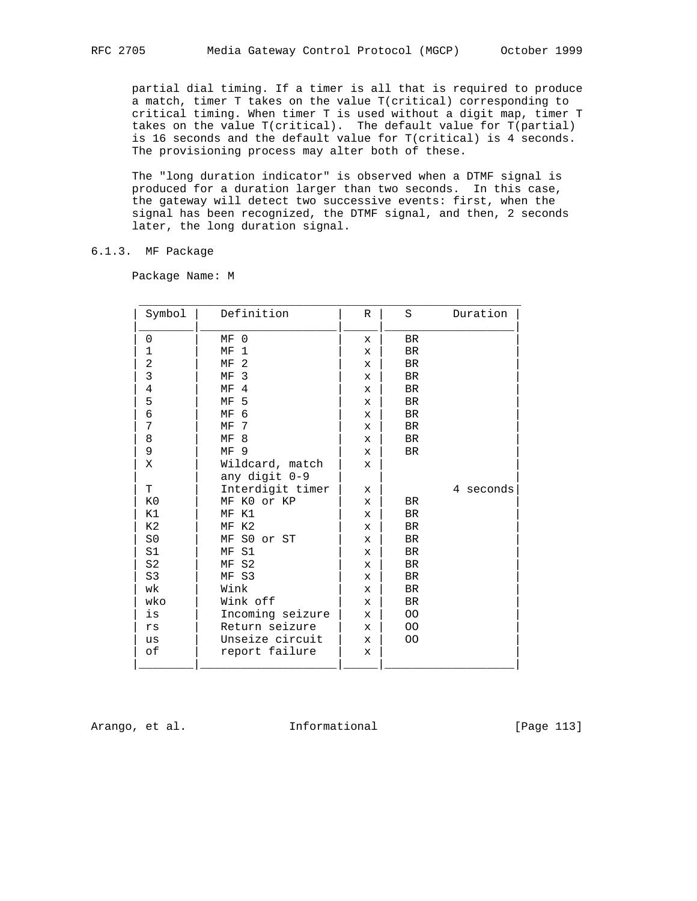partial dial timing. If a timer is all that is required to produce a match, timer T takes on the value T(critical) corresponding to critical timing. When timer T is used without a digit map, timer T takes on the value T(critical). The default value for T(partial) is 16 seconds and the default value for T(critical) is 4 seconds. The provisioning process may alter both of these.

 The "long duration indicator" is observed when a DTMF signal is produced for a duration larger than two seconds. In this case, the gateway will detect two successive events: first, when the signal has been recognized, the DTMF signal, and then, 2 seconds later, the long duration signal.

### 6.1.3. MF Package

Package Name: M

| Symbol         | Definition       | R            | S         | Duration  |
|----------------|------------------|--------------|-----------|-----------|
| $\Omega$       | $MF$ 0           | x            | <b>BR</b> |           |
| 1              | MF <sub>1</sub>  | x            | <b>BR</b> |           |
| $\overline{2}$ | MF <sub>2</sub>  | $\mathbf{x}$ | <b>BR</b> |           |
| 3              | MF <sub>3</sub>  | $\mathbf{x}$ | <b>BR</b> |           |
| $\overline{4}$ | $MF$ 4           | $\mathbf{x}$ | <b>BR</b> |           |
| 5              | MF <sub>5</sub>  | $\mathbf{x}$ | <b>BR</b> |           |
| 6              | MF 6             | $\mathbf{x}$ | <b>BR</b> |           |
| 7              | $MF$ 7           | $\mathbf{x}$ | BR        |           |
| 8              | MF <sub>8</sub>  | X            | BR        |           |
| 9              | MF 9             | $\mathbf{x}$ | <b>BR</b> |           |
| Χ              | Wildcard, match  | X            |           |           |
|                | any digit 0-9    |              |           |           |
| T              | Interdigit timer | $\mathbf x$  |           | 4 seconds |
| K0             | MF K0 or KP      | $\mathbf{x}$ | <b>BR</b> |           |
| K1             | MF K1            | x            | <b>BR</b> |           |
| K2             | $MF$ K2          | $\mathbf{x}$ | <b>BR</b> |           |
| S0             | MF S0 or ST      | X            | <b>BR</b> |           |
| S1             | MF S1            | $\mathbf{x}$ | <b>BR</b> |           |
| S <sub>2</sub> | MF S2            | x            | <b>BR</b> |           |
| S3             | MF S3            | $\mathbf{x}$ | <b>BR</b> |           |
| wk             | Wink             | $\mathbf{x}$ | <b>BR</b> |           |
| wko            | Wink off         | X            | <b>BR</b> |           |
| is             | Incoming seizure | X            | OO.       |           |
| rs             | Return seizure   | $\mathbf{x}$ | OO.       |           |
| us             | Unseize circuit  | $\mathbf{x}$ | 00        |           |
| оf             | report failure   | X            |           |           |

Arango, et al. 10 Informational 1999 [Page 113]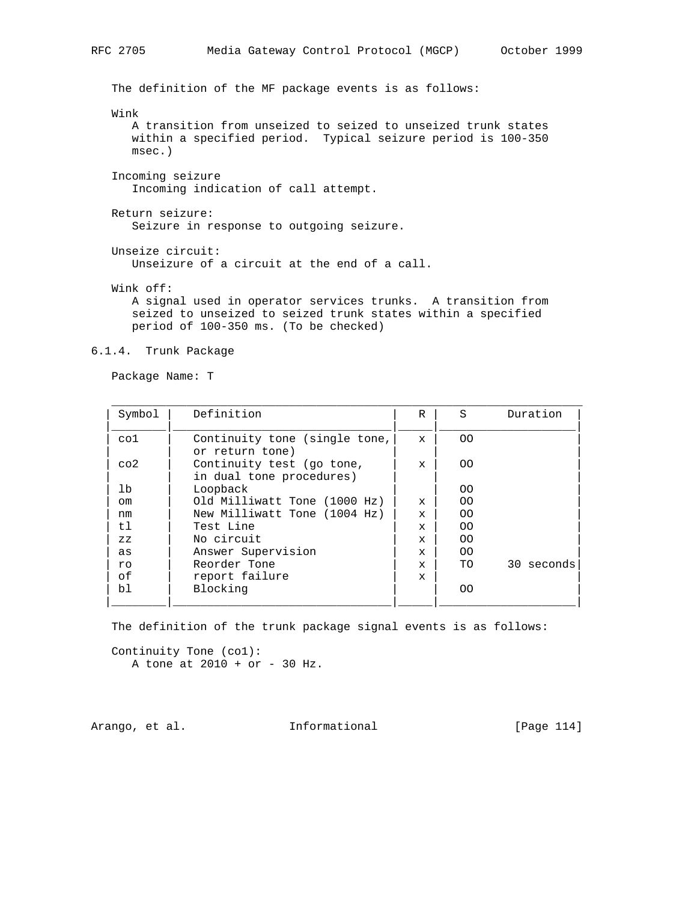The definition of the MF package events is as follows:

Wink

 A transition from unseized to seized to unseized trunk states within a specified period. Typical seizure period is 100-350 msec.)

 Incoming seizure Incoming indication of call attempt.

 Return seizure: Seizure in response to outgoing seizure.

 Unseize circuit: Unseizure of a circuit at the end of a call.

 Wink off: A signal used in operator services trunks. A transition from seized to unseized to seized trunk states within a specified period of 100-350 ms. (To be checked)

6.1.4. Trunk Package

Package Name: T

| Symbol          | Definition                                            | R            | S.     | Duration   |
|-----------------|-------------------------------------------------------|--------------|--------|------------|
| co1             | Continuity tone (single tone,<br>or return tone)      | $\mathbf{x}$ | OO     |            |
| CO <sub>2</sub> | Continuity test (go tone,<br>in dual tone procedures) | $\mathbf{x}$ | OO     |            |
| 1b              | Loopback                                              |              | OO     |            |
| $\cap$ m        | Old Milliwatt Tone (1000 Hz)                          | $\mathbf{x}$ | $00\,$ |            |
| nm              | New Milliwatt Tone (1004 Hz)                          | $\mathbf x$  | OO     |            |
| t.1             | Test Line                                             | x            | $00\,$ |            |
| ZZ              | No circuit                                            | X            | OO     |            |
| as              | Answer Supervision                                    | x            | OO     |            |
| ro              | Reorder Tone                                          | x            | TO     | 30 seconds |
| оf              | report failure                                        | x            |        |            |
| bl              | Blocking                                              |              | OO     |            |
|                 |                                                       |              |        |            |

The definition of the trunk package signal events is as follows:

 Continuity Tone (co1): A tone at 2010 + or - 30 Hz.

Arango, et al. **Informational** [Page 114]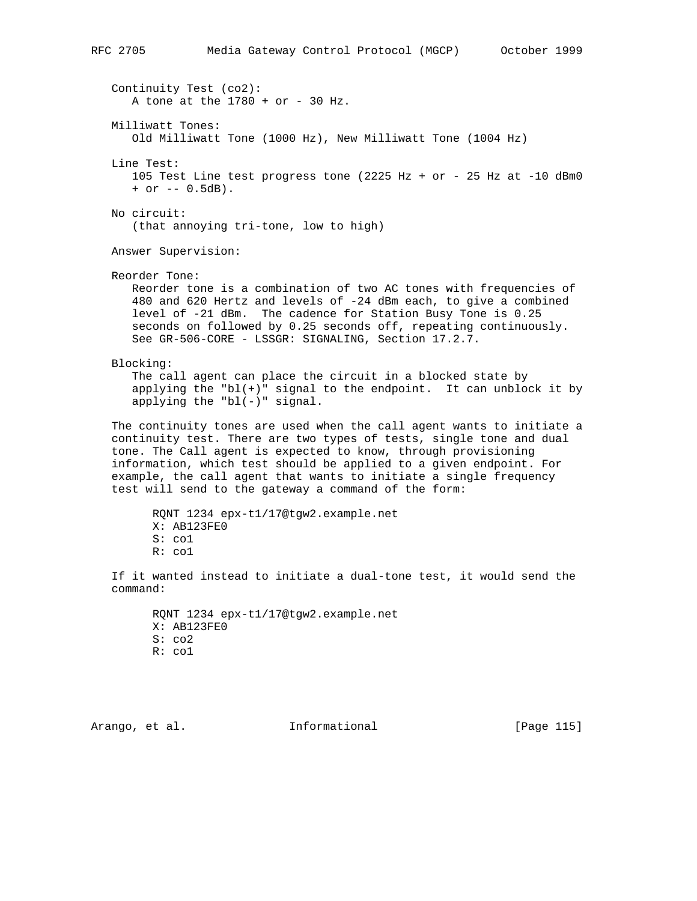```
 Continuity Test (co2):
     A tone at the 1780 + or - 30 Hz.
   Milliwatt Tones:
       Old Milliwatt Tone (1000 Hz), New Milliwatt Tone (1004 Hz)
   Line Test:
      105 Test Line test progress tone (2225 Hz + or - 25 Hz at -10 dBm0
      + or - 0.5dB).
   No circuit:
      (that annoying tri-tone, low to high)
   Answer Supervision:
   Reorder Tone:
      Reorder tone is a combination of two AC tones with frequencies of
       480 and 620 Hertz and levels of -24 dBm each, to give a combined
       level of -21 dBm. The cadence for Station Busy Tone is 0.25
       seconds on followed by 0.25 seconds off, repeating continuously.
       See GR-506-CORE - LSSGR: SIGNALING, Section 17.2.7.
    Blocking:
      The call agent can place the circuit in a blocked state by
      applying the "bl(+)" signal to the endpoint. It can unblock it by
      applying the "bl(-)" signal.
    The continuity tones are used when the call agent wants to initiate a
    continuity test. There are two types of tests, single tone and dual
    tone. The Call agent is expected to know, through provisioning
    information, which test should be applied to a given endpoint. For
    example, the call agent that wants to initiate a single frequency
    test will send to the gateway a command of the form:
         RQNT 1234 epx-t1/17@tgw2.example.net
         X: AB123FE0
         S: co1
         R: co1
    If it wanted instead to initiate a dual-tone test, it would send the
    command:
         RQNT 1234 epx-t1/17@tgw2.example.net
         X: AB123FE0
         S: co2
         R: co1
Arango, et al. Informational [Page 115]
```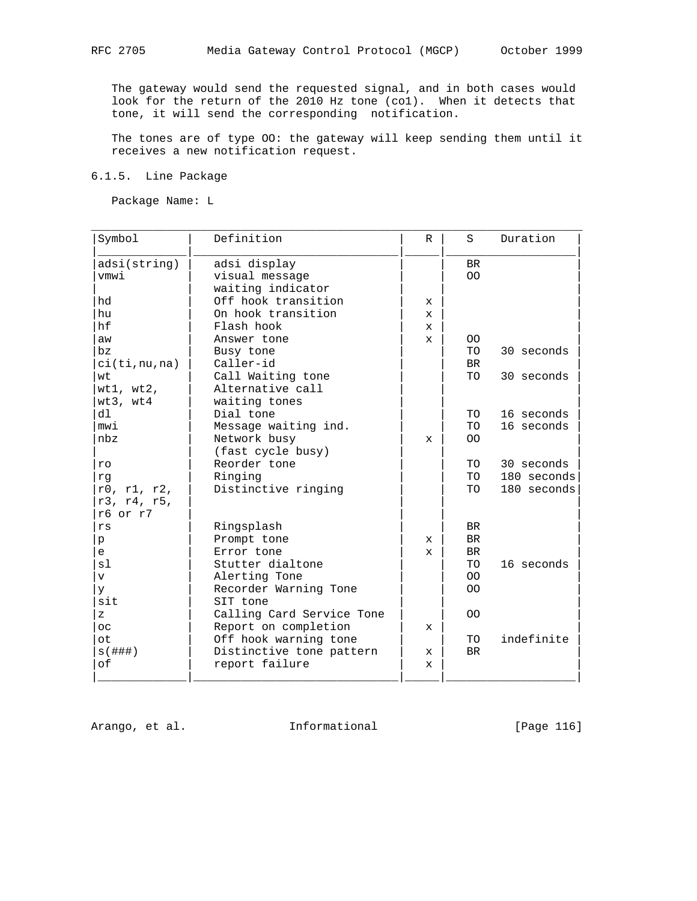The gateway would send the requested signal, and in both cases would look for the return of the 2010 Hz tone (co1). When it detects that tone, it will send the corresponding notification.

 The tones are of type OO: the gateway will keep sending them until it receives a new notification request.

6.1.5. Line Package

Package Name: L

| Symbol          | Definition                | R            | S.              | Duration    |
|-----------------|---------------------------|--------------|-----------------|-------------|
| adsi(string)    | adsi display              |              | <b>BR</b>       |             |
| vmwi            | visual message            |              | O <sub>O</sub>  |             |
|                 | waiting indicator         |              |                 |             |
| hd              | Off hook transition       | $\mathbf{x}$ |                 |             |
| hu              | On hook transition        | x            |                 |             |
| hf              | Flash hook                | $\mathbf{x}$ |                 |             |
| aw              | Answer tone               | $\mathbf{x}$ | $00\,$          |             |
| bz              | Busy tone                 |              | TO              | 30 seconds  |
| ci(ti, nu, na)  | Caller-id                 |              | BR.             |             |
| wt              | Call Waiting tone         |              | TO              | 30 seconds  |
| $wt1$ , $wt2$ , | Alternative call          |              |                 |             |
| $wt3$ , $wt4$   | waiting tones             |              |                 |             |
| d1              | Dial tone                 |              | TO              | 16 seconds  |
| mwi             | Message waiting ind.      |              | TO              | 16 seconds  |
| nbz             | Network busy              | $\mathbf{x}$ | OO              |             |
|                 | (fast cycle busy)         |              |                 |             |
| ro              | Reorder tone              |              | TO              | 30 seconds  |
| rq              | Ringing                   |              | TO              | 180 seconds |
| r0, r1, r2,     | Distinctive ringing       |              | TO              | 180 seconds |
| r3, r4, r5,     |                           |              |                 |             |
| r6 or r7        |                           |              |                 |             |
| rs              | Ringsplash                |              | BR.             |             |
| p               | Prompt tone               | $\mathbf{x}$ | BR.             |             |
| e               | Error tone                | $\mathbf x$  | <b>BR</b>       |             |
| sl              | Stutter dialtone          |              | TO              | 16 seconds  |
| $\mathbf v$     | Alerting Tone             |              | O <sub>O</sub>  |             |
| y               | Recorder Warning Tone     |              | O <sub>O</sub>  |             |
| sit             | SIT tone                  |              |                 |             |
| $\mathbf{z}$    | Calling Card Service Tone |              | $\overline{O}O$ |             |
| OC              | Report on completion      | $\mathbf{x}$ |                 |             |
| ot              | Off hook warning tone     |              | TO              | indefinite  |
| $s$ $($ ### $)$ | Distinctive tone pattern  | $\mathbf{x}$ | BR              |             |
| of              | report failure            | $\mathbf{x}$ |                 |             |
|                 |                           |              |                 |             |

Arango, et al. 10 Informational 10 [Page 116]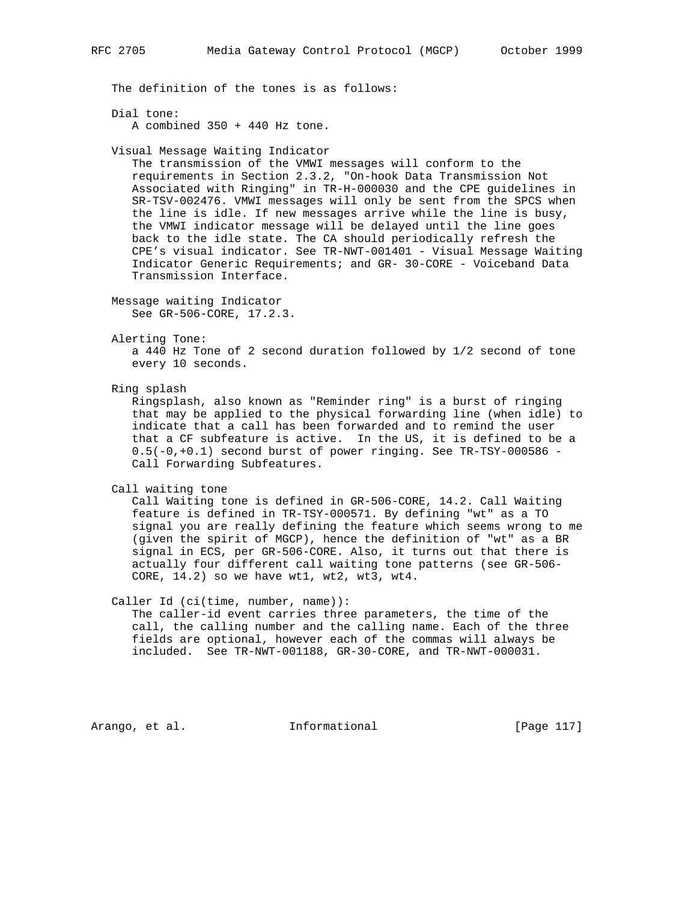The definition of the tones is as follows: Dial tone: A combined 350 + 440 Hz tone. Visual Message Waiting Indicator The transmission of the VMWI messages will conform to the requirements in Section 2.3.2, "On-hook Data Transmission Not Associated with Ringing" in TR-H-000030 and the CPE guidelines in SR-TSV-002476. VMWI messages will only be sent from the SPCS when the line is idle. If new messages arrive while the line is busy, the VMWI indicator message will be delayed until the line goes back to the idle state. The CA should periodically refresh the CPE's visual indicator. See TR-NWT-001401 - Visual Message Waiting

 Indicator Generic Requirements; and GR- 30-CORE - Voiceband Data Transmission Interface. Message waiting Indicator

See GR-506-CORE, 17.2.3.

Alerting Tone:

 a 440 Hz Tone of 2 second duration followed by 1/2 second of tone every 10 seconds.

Ring splash

 Ringsplash, also known as "Reminder ring" is a burst of ringing that may be applied to the physical forwarding line (when idle) to indicate that a call has been forwarded and to remind the user that a CF subfeature is active. In the US, it is defined to be a  $0.5(-0,+0.1)$  second burst of power ringing. See TR-TSY-000586 -Call Forwarding Subfeatures.

Call waiting tone

 Call Waiting tone is defined in GR-506-CORE, 14.2. Call Waiting feature is defined in TR-TSY-000571. By defining "wt" as a TO signal you are really defining the feature which seems wrong to me (given the spirit of MGCP), hence the definition of "wt" as a BR signal in ECS, per GR-506-CORE. Also, it turns out that there is actually four different call waiting tone patterns (see GR-506- CORE, 14.2) so we have wt1, wt2, wt3, wt4.

### Caller Id (ci(time, number, name)):

 The caller-id event carries three parameters, the time of the call, the calling number and the calling name. Each of the three fields are optional, however each of the commas will always be included. See TR-NWT-001188, GR-30-CORE, and TR-NWT-000031.

Arango, et al. 10 Informational 1999 [Page 117]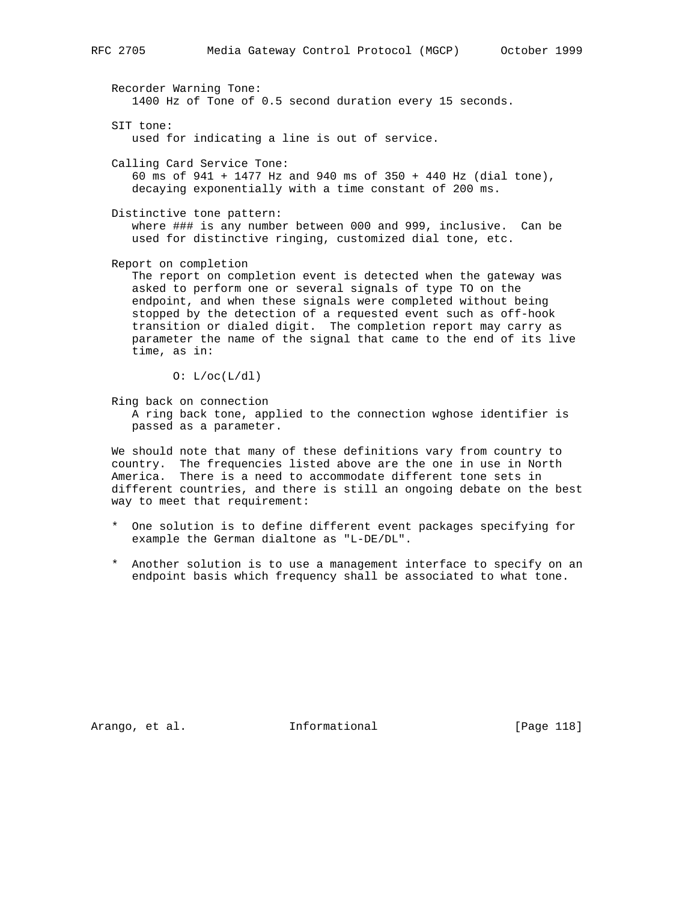Recorder Warning Tone: 1400 Hz of Tone of 0.5 second duration every 15 seconds. SIT tone: used for indicating a line is out of service. Calling Card Service Tone: 60 ms of 941 + 1477 Hz and 940 ms of 350 + 440 Hz (dial tone), decaying exponentially with a time constant of 200 ms. Distinctive tone pattern: where ### is any number between 000 and 999, inclusive. Can be used for distinctive ringing, customized dial tone, etc. Report on completion The report on completion event is detected when the gateway was asked to perform one or several signals of type TO on the endpoint, and when these signals were completed without being stopped by the detection of a requested event such as off-hook transition or dialed digit. The completion report may carry as parameter the name of the signal that came to the end of its live time, as in:  $0: L/oc(L/d1)$  Ring back on connection A ring back tone, applied to the connection wghose identifier is passed as a parameter. We should note that many of these definitions vary from country to

 country. The frequencies listed above are the one in use in North America. There is a need to accommodate different tone sets in different countries, and there is still an ongoing debate on the best way to meet that requirement:

- \* One solution is to define different event packages specifying for example the German dialtone as "L-DE/DL".
- \* Another solution is to use a management interface to specify on an endpoint basis which frequency shall be associated to what tone.

Arango, et al. **Informational** [Page 118]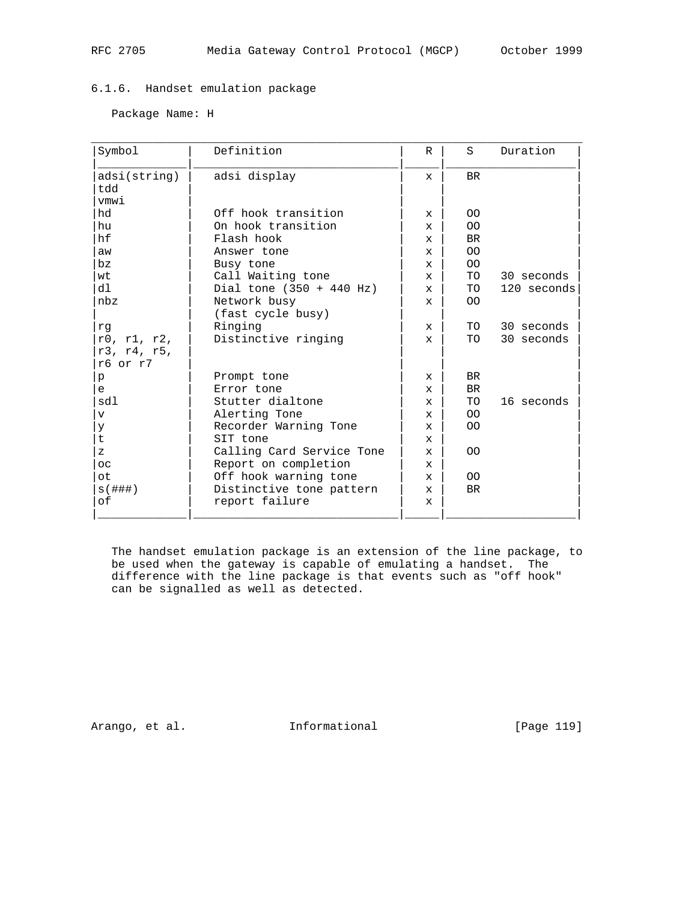# 6.1.6. Handset emulation package

Package Name: H

| Symbol       | Definition                         | R            | S              | Duration    |
|--------------|------------------------------------|--------------|----------------|-------------|
| adsi(string) | adsi display                       | x            | <b>BR</b>      |             |
| tdd          |                                    |              |                |             |
| vmwi         |                                    |              |                |             |
| hd           | Off hook transition                | x            | 00             |             |
| hu           | On hook transition                 | $\mathbf{x}$ | $00 \,$        |             |
| hf           | Flash hook                         | x            | <b>BR</b>      |             |
| aw           | Answer tone                        | x            | 00             |             |
| bz           | Busy tone                          | $\mathbf{x}$ | $00\,$         |             |
| wt           | Call Waiting tone                  | x            | TO             | 30 seconds  |
| d1           | Dial tone $(350 + 440 \text{ Hz})$ | x            | TO             | 120 seconds |
| nbz          | Network busy                       | x            | 00             |             |
|              | (fast cycle busy)                  |              |                |             |
| rq           | Ringing                            | $\mathbf{x}$ | TO             | 30 seconds  |
| r0, r1, r2,  | Distinctive ringing                | $\mathbf{x}$ | TO             | 30 seconds  |
| r3, r4, r5,  |                                    |              |                |             |
| r6 or r7     |                                    |              |                |             |
| p            | Prompt tone                        | x            | <b>BR</b>      |             |
| e            | Error tone                         | x            | <b>BR</b>      |             |
| sdl          | Stutter dialtone                   | x            | TO             | 16 seconds  |
| $\mathbf v$  | Alerting Tone                      | $\mathbf{x}$ | $00 \,$        |             |
| У            | Recorder Warning Tone              | $\mathbf{x}$ | 00             |             |
| t            | SIT tone                           | x            |                |             |
| $\mathbf{z}$ | Calling Card Service Tone          | x            | O <sub>O</sub> |             |
| OC           | Report on completion               | x            |                |             |
| ot           | Off hook warning tone              | x            | $00\,$         |             |
| $s$ (###)    | Distinctive tone pattern           | $\mathbf{x}$ | <b>BR</b>      |             |
| of           | report failure                     | x            |                |             |
|              |                                    |              |                |             |

 The handset emulation package is an extension of the line package, to be used when the gateway is capable of emulating a handset. The difference with the line package is that events such as "off hook" can be signalled as well as detected.

Arango, et al. 1nformational [Page 119]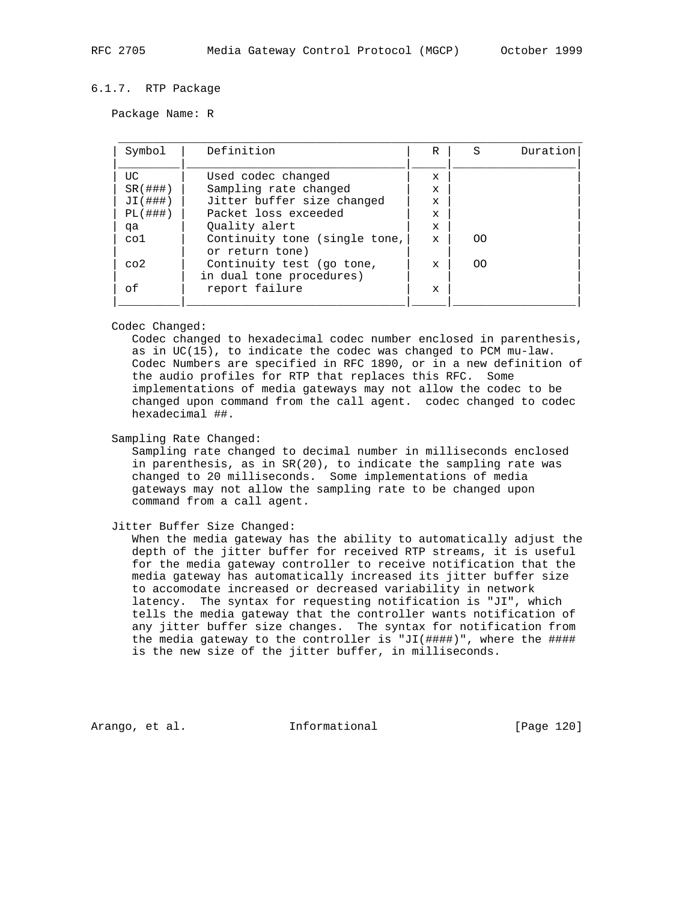### 6.1.7. RTP Package

Package Name: R

| Symbol           | Definition                                            | R            | S               | Duration |
|------------------|-------------------------------------------------------|--------------|-----------------|----------|
| UC.              | Used codec changed                                    | X            |                 |          |
| SR(H##           | Sampling rate changed                                 | $\mathbf{x}$ |                 |          |
| JI (###)         | Jitter buffer size changed                            | $\mathbf{x}$ |                 |          |
| $PL$ $($ ### $)$ | Packet loss exceeded                                  | $\mathbf{x}$ |                 |          |
| qa               | Ouality alert                                         | $\mathbf x$  |                 |          |
| co1              | Continuity tone (single tone,<br>or return tone)      | $\mathbf{x}$ | OO.             |          |
| CO <sub>2</sub>  | Continuity test (go tone,<br>in dual tone procedures) | $\mathbf{x}$ | $\overline{O}O$ |          |
| οf               | report failure                                        | $\mathbf x$  |                 |          |
|                  |                                                       |              |                 |          |

Codec Changed:

 Codec changed to hexadecimal codec number enclosed in parenthesis, as in UC(15), to indicate the codec was changed to PCM mu-law. Codec Numbers are specified in RFC 1890, or in a new definition of the audio profiles for RTP that replaces this RFC. Some implementations of media gateways may not allow the codec to be changed upon command from the call agent. codec changed to codec hexadecimal ##.

Sampling Rate Changed:

 Sampling rate changed to decimal number in milliseconds enclosed in parenthesis, as in SR(20), to indicate the sampling rate was changed to 20 milliseconds. Some implementations of media gateways may not allow the sampling rate to be changed upon command from a call agent.

Jitter Buffer Size Changed:

 When the media gateway has the ability to automatically adjust the depth of the jitter buffer for received RTP streams, it is useful for the media gateway controller to receive notification that the media gateway has automatically increased its jitter buffer size to accomodate increased or decreased variability in network latency. The syntax for requesting notification is "JI", which tells the media gateway that the controller wants notification of any jitter buffer size changes. The syntax for notification from the media gateway to the controller is "JI(####)", where the #### is the new size of the jitter buffer, in milliseconds.

Arango, et al. **Informational** [Page 120]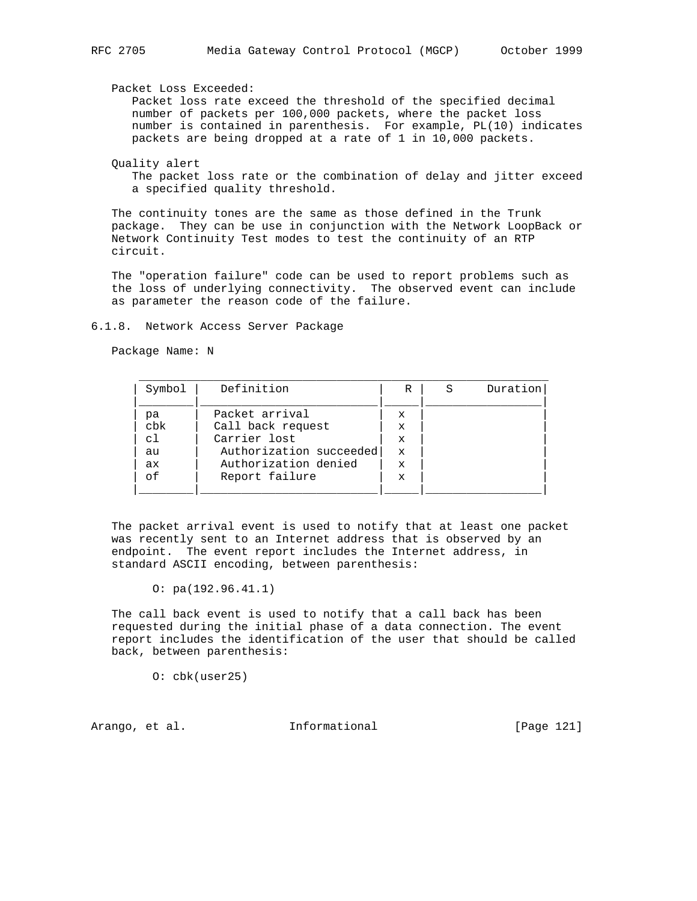Packet Loss Exceeded:

 Packet loss rate exceed the threshold of the specified decimal number of packets per 100,000 packets, where the packet loss number is contained in parenthesis. For example, PL(10) indicates packets are being dropped at a rate of 1 in 10,000 packets.

Quality alert

 The packet loss rate or the combination of delay and jitter exceed a specified quality threshold.

 The continuity tones are the same as those defined in the Trunk package. They can be use in conjunction with the Network LoopBack or Network Continuity Test modes to test the continuity of an RTP circuit.

 The "operation failure" code can be used to report problems such as the loss of underlying connectivity. The observed event can include as parameter the reason code of the failure.

6.1.8. Network Access Server Package

Package Name: N

| Symbol | Definition              | R            | S | Duration |
|--------|-------------------------|--------------|---|----------|
| pa     | Packet arrival          | $\mathbf x$  |   |          |
| cbk    | Call back request       | $\mathbf{x}$ |   |          |
| сl     | Carrier lost            | $\mathbf{x}$ |   |          |
| au     | Authorization succeeded | $\mathbf{x}$ |   |          |
| ax.    | Authorization denied    | $\mathbf{x}$ |   |          |
| οf     | Report failure          | $\mathbf{x}$ |   |          |

 The packet arrival event is used to notify that at least one packet was recently sent to an Internet address that is observed by an endpoint. The event report includes the Internet address, in standard ASCII encoding, between parenthesis:

O: pa(192.96.41.1)

 The call back event is used to notify that a call back has been requested during the initial phase of a data connection. The event report includes the identification of the user that should be called back, between parenthesis:

O: cbk(user25)

Arango, et al. **Informational** [Page 121]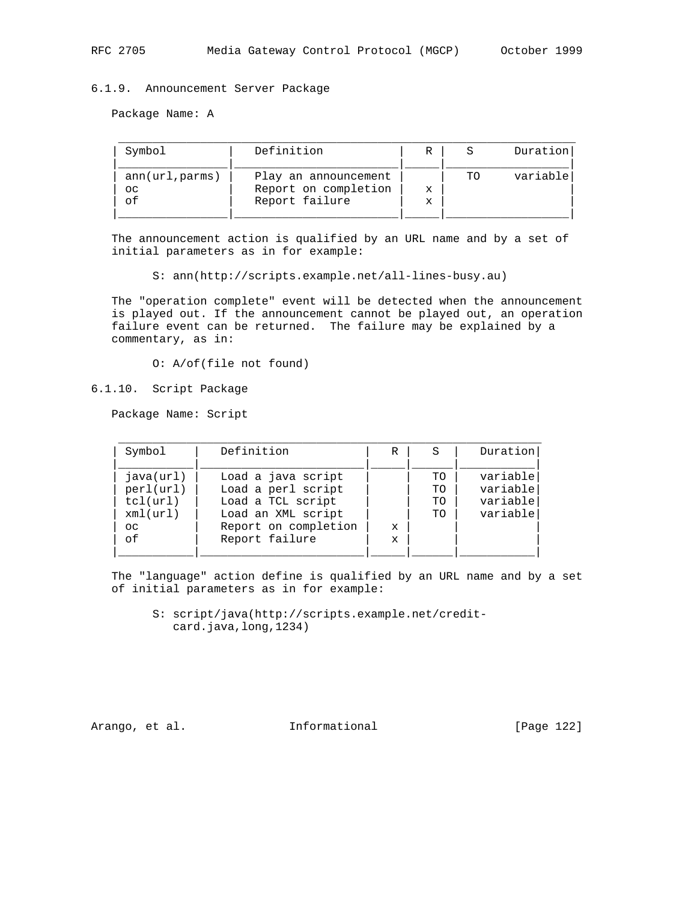## 6.1.9. Announcement Server Package

Package Name: A

| Symbol          | Definition           | R |    | Duration |
|-----------------|----------------------|---|----|----------|
| ann(url,params) | Play an announcement |   | TΟ | variable |
| $_{\rm OC}$     | Report on completion | X |    |          |
| of              | Report failure       | X |    |          |

 The announcement action is qualified by an URL name and by a set of initial parameters as in for example:

S: ann(http://scripts.example.net/all-lines-busy.au)

 The "operation complete" event will be detected when the announcement is played out. If the announcement cannot be played out, an operation failure event can be returned. The failure may be explained by a commentary, as in:

O: A/of(file not found)

6.1.10. Script Package

Package Name: Script

| Symbol    | Definition           | R            | S  | Duration |
|-----------|----------------------|--------------|----|----------|
| java(url) | Load a java script   |              | TO | variable |
| perl(url) | Load a perl script   |              | TO | variable |
| tcl(url)  | Load a TCL script    |              | TO | variable |
| xml(url)  | Load an XML script   |              | TO | variable |
| OC        | Report on completion | $\mathbf{x}$ |    |          |
| of        | Report failure       | $\mathbf x$  |    |          |

 The "language" action define is qualified by an URL name and by a set of initial parameters as in for example:

 S: script/java(http://scripts.example.net/credit card.java,long,1234)

Arango, et al. 1nformational 1999 [Page 122]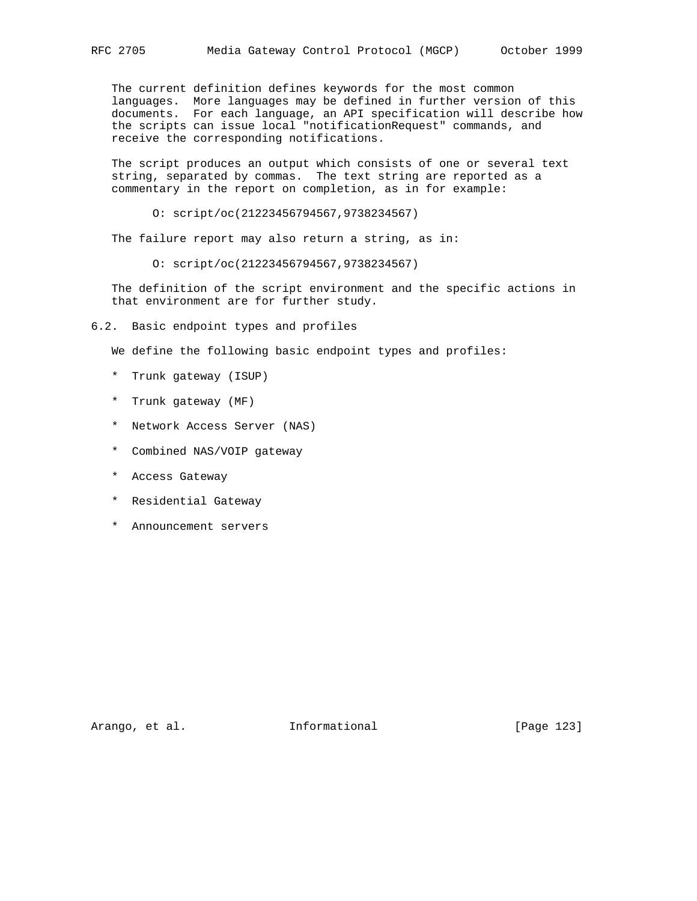The current definition defines keywords for the most common languages. More languages may be defined in further version of this documents. For each language, an API specification will describe how the scripts can issue local "notificationRequest" commands, and receive the corresponding notifications.

 The script produces an output which consists of one or several text string, separated by commas. The text string are reported as a commentary in the report on completion, as in for example:

O: script/oc(21223456794567,9738234567)

The failure report may also return a string, as in:

O: script/oc(21223456794567,9738234567)

 The definition of the script environment and the specific actions in that environment are for further study.

6.2. Basic endpoint types and profiles

We define the following basic endpoint types and profiles:

- \* Trunk gateway (ISUP)
- \* Trunk gateway (MF)
- \* Network Access Server (NAS)
- \* Combined NAS/VOIP gateway
- \* Access Gateway
- \* Residential Gateway
- \* Announcement servers

Arango, et al. 1nformational [Page 123]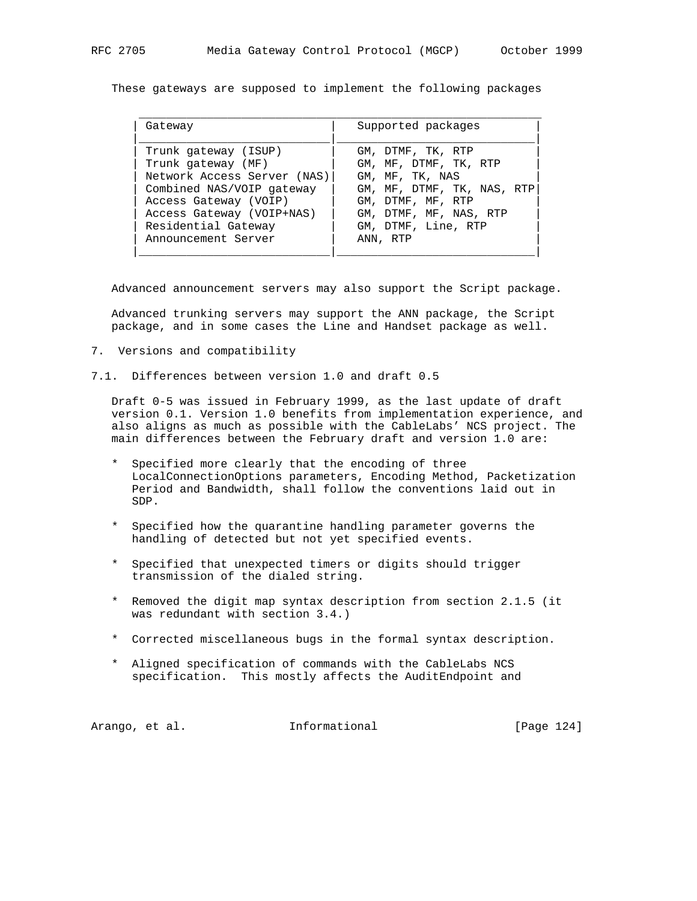These gateways are supposed to implement the following packages

| Gateway                     | Supported packages         |
|-----------------------------|----------------------------|
| Trunk qateway (ISUP)        | GM, DTMF, TK, RTP          |
| Trunk gateway (MF)          | GM, MF, DTMF, TK, RTP      |
| Network Access Server (NAS) | GM, MF, TK, NAS            |
| Combined NAS/VOIP gateway   | GM, MF, DTMF, TK, NAS, RTP |
| Access Gateway (VOIP)       | GM, DTMF, MF, RTP          |
| Access Gateway (VOIP+NAS)   | GM, DTMF, MF, NAS, RTP     |
| Residential Gateway         | GM, DTMF, Line, RTP        |
| Announcement Server         | ANN, RTP                   |

Advanced announcement servers may also support the Script package.

 Advanced trunking servers may support the ANN package, the Script package, and in some cases the Line and Handset package as well.

- 7. Versions and compatibility
- 7.1. Differences between version 1.0 and draft 0.5

 Draft 0-5 was issued in February 1999, as the last update of draft version 0.1. Version 1.0 benefits from implementation experience, and also aligns as much as possible with the CableLabs' NCS project. The main differences between the February draft and version 1.0 are:

- \* Specified more clearly that the encoding of three LocalConnectionOptions parameters, Encoding Method, Packetization Period and Bandwidth, shall follow the conventions laid out in SDP.
- \* Specified how the quarantine handling parameter governs the handling of detected but not yet specified events.
- \* Specified that unexpected timers or digits should trigger transmission of the dialed string.
- \* Removed the digit map syntax description from section 2.1.5 (it was redundant with section 3.4.)
- \* Corrected miscellaneous bugs in the formal syntax description.
- \* Aligned specification of commands with the CableLabs NCS specification. This mostly affects the AuditEndpoint and

Arango, et al. 1nformational [Page 124]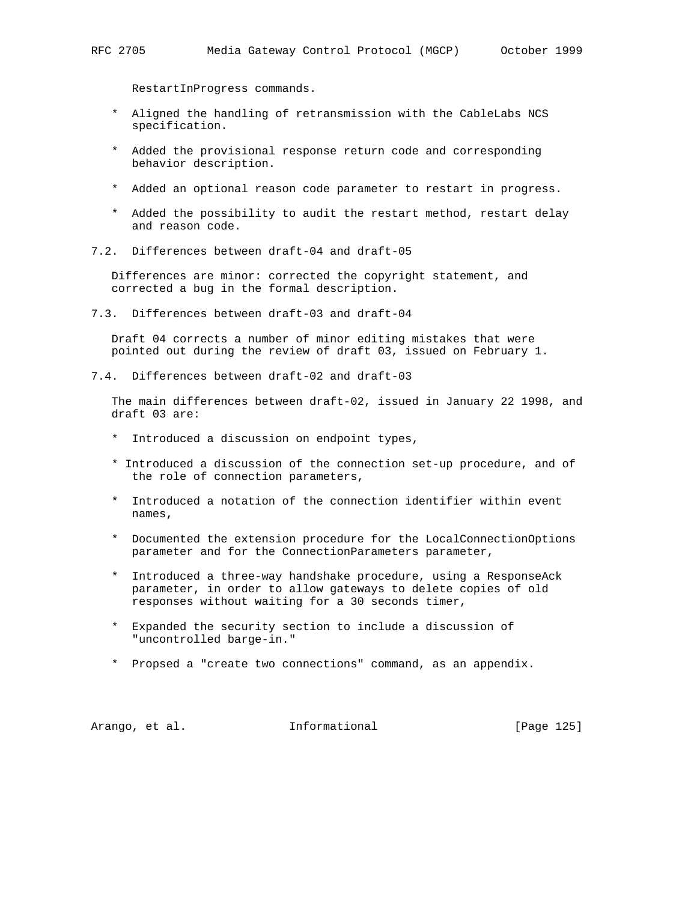RestartInProgress commands.

- \* Aligned the handling of retransmission with the CableLabs NCS specification.
- \* Added the provisional response return code and corresponding behavior description.
- \* Added an optional reason code parameter to restart in progress.
- \* Added the possibility to audit the restart method, restart delay and reason code.
- 7.2. Differences between draft-04 and draft-05

 Differences are minor: corrected the copyright statement, and corrected a bug in the formal description.

7.3. Differences between draft-03 and draft-04

 Draft 04 corrects a number of minor editing mistakes that were pointed out during the review of draft 03, issued on February 1.

7.4. Differences between draft-02 and draft-03

 The main differences between draft-02, issued in January 22 1998, and draft 03 are:

- \* Introduced a discussion on endpoint types,
- \* Introduced a discussion of the connection set-up procedure, and of the role of connection parameters,
- \* Introduced a notation of the connection identifier within event names,
- \* Documented the extension procedure for the LocalConnectionOptions parameter and for the ConnectionParameters parameter,
- \* Introduced a three-way handshake procedure, using a ResponseAck parameter, in order to allow gateways to delete copies of old responses without waiting for a 30 seconds timer,
- \* Expanded the security section to include a discussion of "uncontrolled barge-in."
- \* Propsed a "create two connections" command, as an appendix.

Arango, et al. **Informational** [Page 125]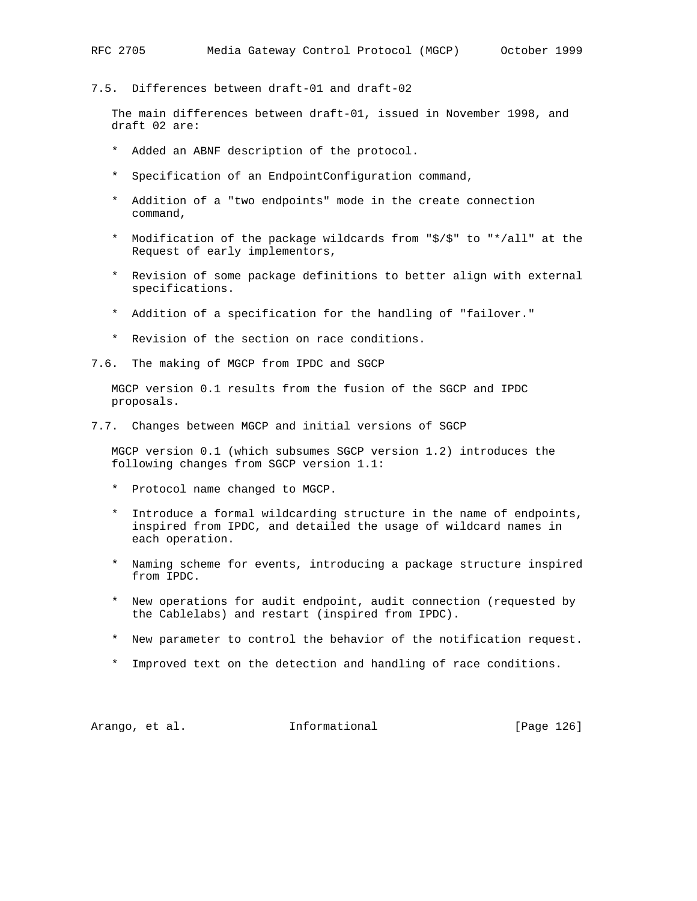7.5. Differences between draft-01 and draft-02

 The main differences between draft-01, issued in November 1998, and draft 02 are:

- \* Added an ABNF description of the protocol.
- \* Specification of an EndpointConfiguration command,
- \* Addition of a "two endpoints" mode in the create connection command,
- \* Modification of the package wildcards from "\$/\$" to "\*/all" at the Request of early implementors,
- \* Revision of some package definitions to better align with external specifications.
- \* Addition of a specification for the handling of "failover."
- \* Revision of the section on race conditions.
- 7.6. The making of MGCP from IPDC and SGCP

 MGCP version 0.1 results from the fusion of the SGCP and IPDC proposals.

7.7. Changes between MGCP and initial versions of SGCP

 MGCP version 0.1 (which subsumes SGCP version 1.2) introduces the following changes from SGCP version 1.1:

- \* Protocol name changed to MGCP.
- \* Introduce a formal wildcarding structure in the name of endpoints, inspired from IPDC, and detailed the usage of wildcard names in each operation.
- \* Naming scheme for events, introducing a package structure inspired from IPDC.
- \* New operations for audit endpoint, audit connection (requested by the Cablelabs) and restart (inspired from IPDC).
- \* New parameter to control the behavior of the notification request.
- \* Improved text on the detection and handling of race conditions.

Arango, et al. **Informational** [Page 126]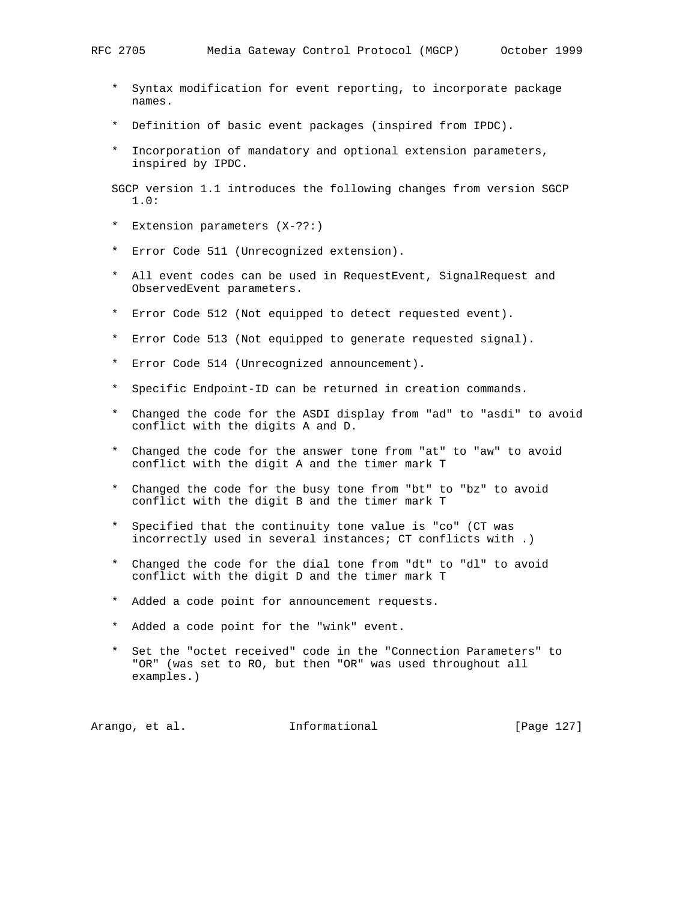- \* Syntax modification for event reporting, to incorporate package names.
- \* Definition of basic event packages (inspired from IPDC).
- \* Incorporation of mandatory and optional extension parameters, inspired by IPDC.

 SGCP version 1.1 introduces the following changes from version SGCP 1.0:

- \* Extension parameters (X-??:)
- \* Error Code 511 (Unrecognized extension).
- \* All event codes can be used in RequestEvent, SignalRequest and ObservedEvent parameters.
- \* Error Code 512 (Not equipped to detect requested event).
- \* Error Code 513 (Not equipped to generate requested signal).
- \* Error Code 514 (Unrecognized announcement).
- \* Specific Endpoint-ID can be returned in creation commands.
- \* Changed the code for the ASDI display from "ad" to "asdi" to avoid conflict with the digits A and D.
- \* Changed the code for the answer tone from "at" to "aw" to avoid conflict with the digit A and the timer mark T
- \* Changed the code for the busy tone from "bt" to "bz" to avoid conflict with the digit B and the timer mark T
- \* Specified that the continuity tone value is "co" (CT was incorrectly used in several instances; CT conflicts with .)
- \* Changed the code for the dial tone from "dt" to "dl" to avoid conflict with the digit D and the timer mark T
- \* Added a code point for announcement requests.
- \* Added a code point for the "wink" event.
- \* Set the "octet received" code in the "Connection Parameters" to "OR" (was set to RO, but then "OR" was used throughout all examples.)

Arango, et al. **Informational** [Page 127]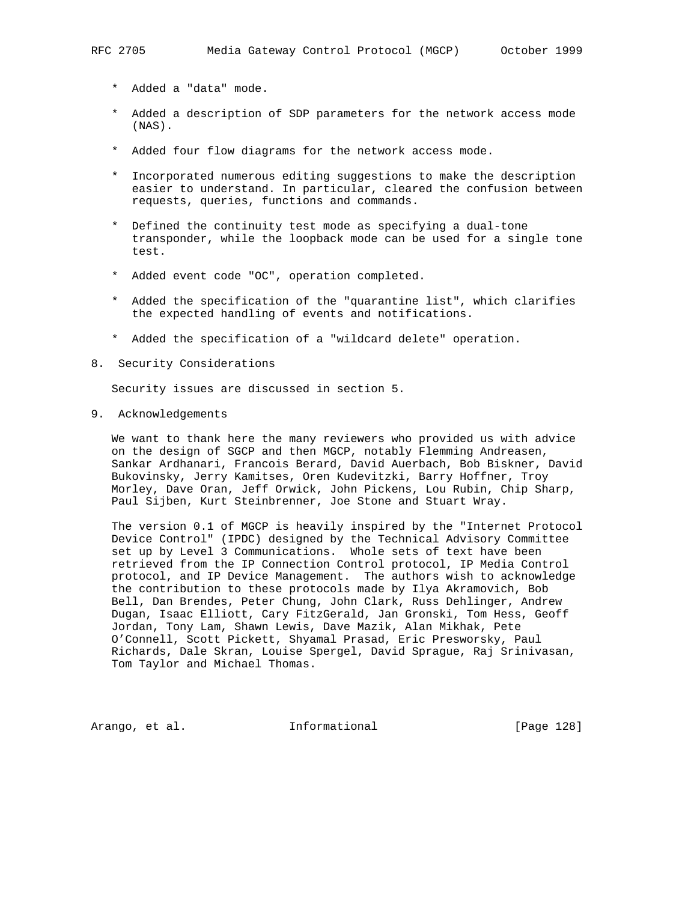- - \* Added a "data" mode.
	- \* Added a description of SDP parameters for the network access mode (NAS).
	- \* Added four flow diagrams for the network access mode.
	- \* Incorporated numerous editing suggestions to make the description easier to understand. In particular, cleared the confusion between requests, queries, functions and commands.
	- \* Defined the continuity test mode as specifying a dual-tone transponder, while the loopback mode can be used for a single tone test.
	- \* Added event code "OC", operation completed.
	- \* Added the specification of the "quarantine list", which clarifies the expected handling of events and notifications.
	- \* Added the specification of a "wildcard delete" operation.
- 8. Security Considerations

Security issues are discussed in section 5.

9. Acknowledgements

 We want to thank here the many reviewers who provided us with advice on the design of SGCP and then MGCP, notably Flemming Andreasen, Sankar Ardhanari, Francois Berard, David Auerbach, Bob Biskner, David Bukovinsky, Jerry Kamitses, Oren Kudevitzki, Barry Hoffner, Troy Morley, Dave Oran, Jeff Orwick, John Pickens, Lou Rubin, Chip Sharp, Paul Sijben, Kurt Steinbrenner, Joe Stone and Stuart Wray.

 The version 0.1 of MGCP is heavily inspired by the "Internet Protocol Device Control" (IPDC) designed by the Technical Advisory Committee set up by Level 3 Communications. Whole sets of text have been retrieved from the IP Connection Control protocol, IP Media Control protocol, and IP Device Management. The authors wish to acknowledge the contribution to these protocols made by Ilya Akramovich, Bob Bell, Dan Brendes, Peter Chung, John Clark, Russ Dehlinger, Andrew Dugan, Isaac Elliott, Cary FitzGerald, Jan Gronski, Tom Hess, Geoff Jordan, Tony Lam, Shawn Lewis, Dave Mazik, Alan Mikhak, Pete O'Connell, Scott Pickett, Shyamal Prasad, Eric Presworsky, Paul Richards, Dale Skran, Louise Spergel, David Sprague, Raj Srinivasan, Tom Taylor and Michael Thomas.

Arango, et al. **Informational** [Page 128]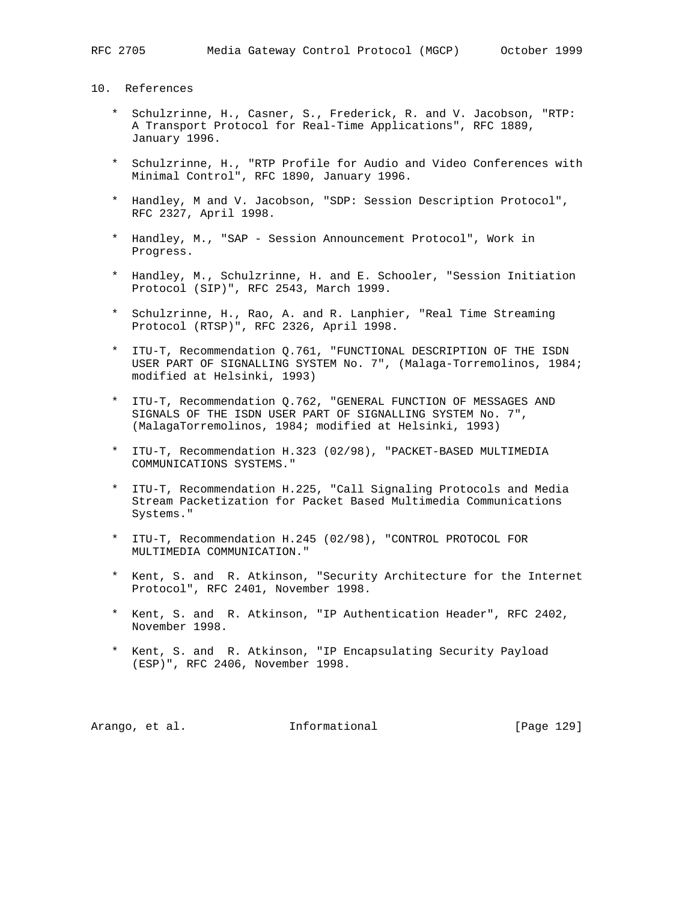10. References

- \* Schulzrinne, H., Casner, S., Frederick, R. and V. Jacobson, "RTP: A Transport Protocol for Real-Time Applications", RFC 1889, January 1996.
- \* Schulzrinne, H., "RTP Profile for Audio and Video Conferences with Minimal Control", RFC 1890, January 1996.
- \* Handley, M and V. Jacobson, "SDP: Session Description Protocol", RFC 2327, April 1998.
- \* Handley, M., "SAP Session Announcement Protocol", Work in Progress.
- \* Handley, M., Schulzrinne, H. and E. Schooler, "Session Initiation Protocol (SIP)", RFC 2543, March 1999.
- \* Schulzrinne, H., Rao, A. and R. Lanphier, "Real Time Streaming Protocol (RTSP)", RFC 2326, April 1998.
- \* ITU-T, Recommendation Q.761, "FUNCTIONAL DESCRIPTION OF THE ISDN USER PART OF SIGNALLING SYSTEM No. 7", (Malaga-Torremolinos, 1984; modified at Helsinki, 1993)
- \* ITU-T, Recommendation Q.762, "GENERAL FUNCTION OF MESSAGES AND SIGNALS OF THE ISDN USER PART OF SIGNALLING SYSTEM No. 7", (MalagaTorremolinos, 1984; modified at Helsinki, 1993)
- \* ITU-T, Recommendation H.323 (02/98), "PACKET-BASED MULTIMEDIA COMMUNICATIONS SYSTEMS."
- \* ITU-T, Recommendation H.225, "Call Signaling Protocols and Media Stream Packetization for Packet Based Multimedia Communications Systems."
- \* ITU-T, Recommendation H.245 (02/98), "CONTROL PROTOCOL FOR MULTIMEDIA COMMUNICATION."
- \* Kent, S. and R. Atkinson, "Security Architecture for the Internet Protocol", RFC 2401, November 1998.
- \* Kent, S. and R. Atkinson, "IP Authentication Header", RFC 2402, November 1998.
- \* Kent, S. and R. Atkinson, "IP Encapsulating Security Payload (ESP)", RFC 2406, November 1998.

Arango, et al. 1nformational 1991 [Page 129]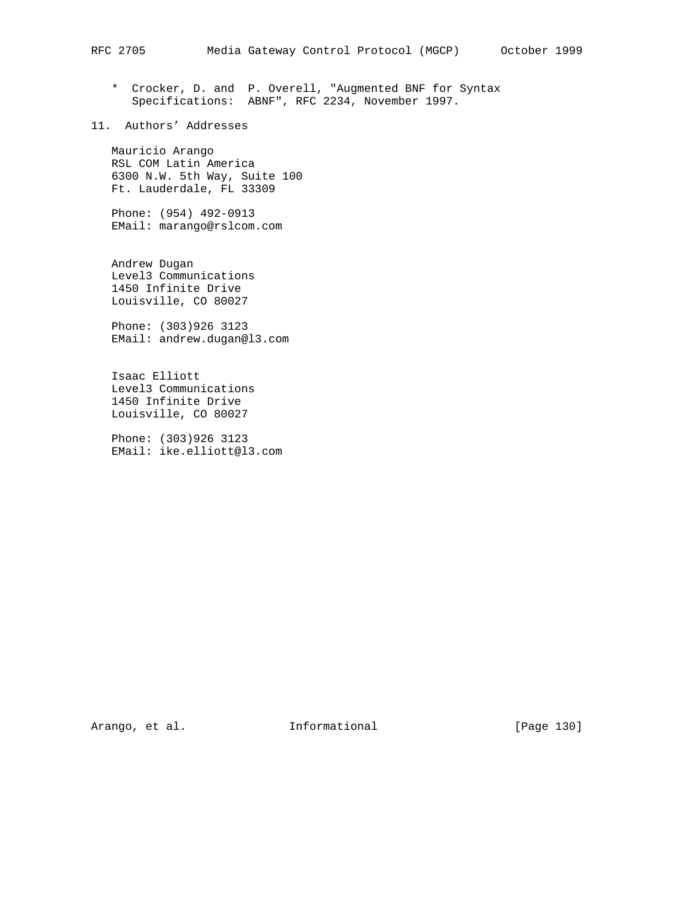- \* Crocker, D. and P. Overell, "Augmented BNF for Syntax Specifications: ABNF", RFC 2234, November 1997.
- 11. Authors' Addresses

 Mauricio Arango RSL COM Latin America 6300 N.W. 5th Way, Suite 100 Ft. Lauderdale, FL 33309

 Phone: (954) 492-0913 EMail: marango@rslcom.com

 Andrew Dugan Level3 Communications 1450 Infinite Drive Louisville, CO 80027

 Phone: (303)926 3123 EMail: andrew.dugan@l3.com

 Isaac Elliott Level3 Communications 1450 Infinite Drive Louisville, CO 80027

 Phone: (303)926 3123 EMail: ike.elliott@l3.com

Arango, et al. 10 Informational 1999 [Page 130]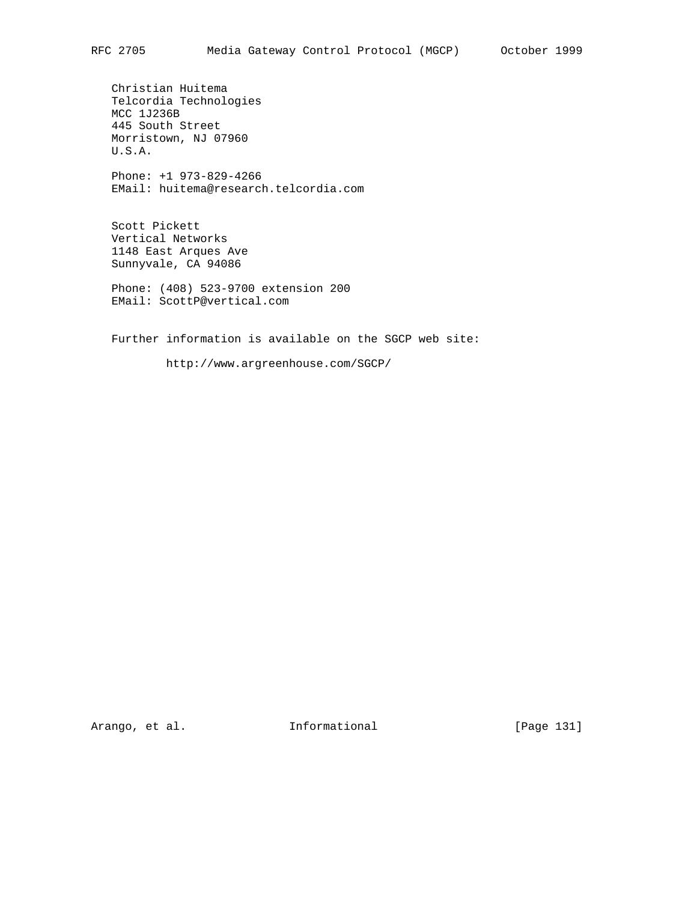Christian Huitema Telcordia Technologies MCC 1J236B 445 South Street Morristown, NJ 07960 U.S.A.

 Phone: +1 973-829-4266 EMail: huitema@research.telcordia.com

 Scott Pickett Vertical Networks 1148 East Arques Ave Sunnyvale, CA 94086

 Phone: (408) 523-9700 extension 200 EMail: ScottP@vertical.com

Further information is available on the SGCP web site:

http://www.argreenhouse.com/SGCP/

Arango, et al. 100 Informational 100 [Page 131]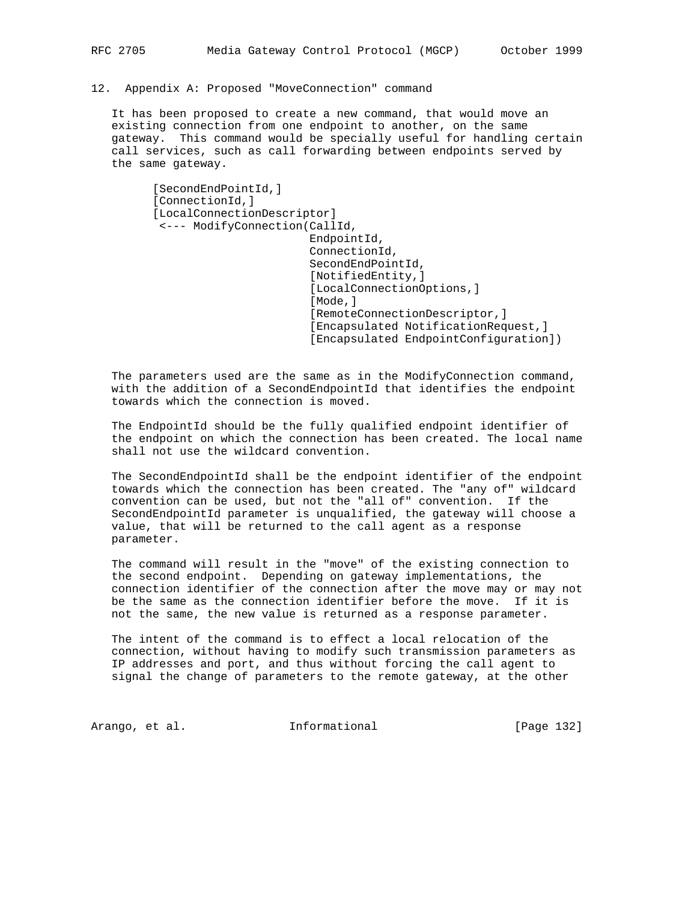12. Appendix A: Proposed "MoveConnection" command

 It has been proposed to create a new command, that would move an existing connection from one endpoint to another, on the same gateway. This command would be specially useful for handling certain call services, such as call forwarding between endpoints served by the same gateway.

```
 [SecondEndPointId,]
 [ConnectionId,]
 [LocalConnectionDescriptor]
 <--- ModifyConnection(CallId,
                         EndpointId,
                         ConnectionId,
                         SecondEndPointId,
                         [NotifiedEntity,]
                         [LocalConnectionOptions,]
                         [Mode,]
                         [RemoteConnectionDescriptor,]
                         [Encapsulated NotificationRequest,]
                         [Encapsulated EndpointConfiguration])
```
 The parameters used are the same as in the ModifyConnection command, with the addition of a SecondEndpointId that identifies the endpoint towards which the connection is moved.

 The EndpointId should be the fully qualified endpoint identifier of the endpoint on which the connection has been created. The local name shall not use the wildcard convention.

 The SecondEndpointId shall be the endpoint identifier of the endpoint towards which the connection has been created. The "any of" wildcard convention can be used, but not the "all of" convention. If the SecondEndpointId parameter is unqualified, the gateway will choose a value, that will be returned to the call agent as a response parameter.

 The command will result in the "move" of the existing connection to the second endpoint. Depending on gateway implementations, the connection identifier of the connection after the move may or may not be the same as the connection identifier before the move. If it is not the same, the new value is returned as a response parameter.

 The intent of the command is to effect a local relocation of the connection, without having to modify such transmission parameters as IP addresses and port, and thus without forcing the call agent to signal the change of parameters to the remote gateway, at the other

Arango, et al. 1nformational 1999 [Page 132]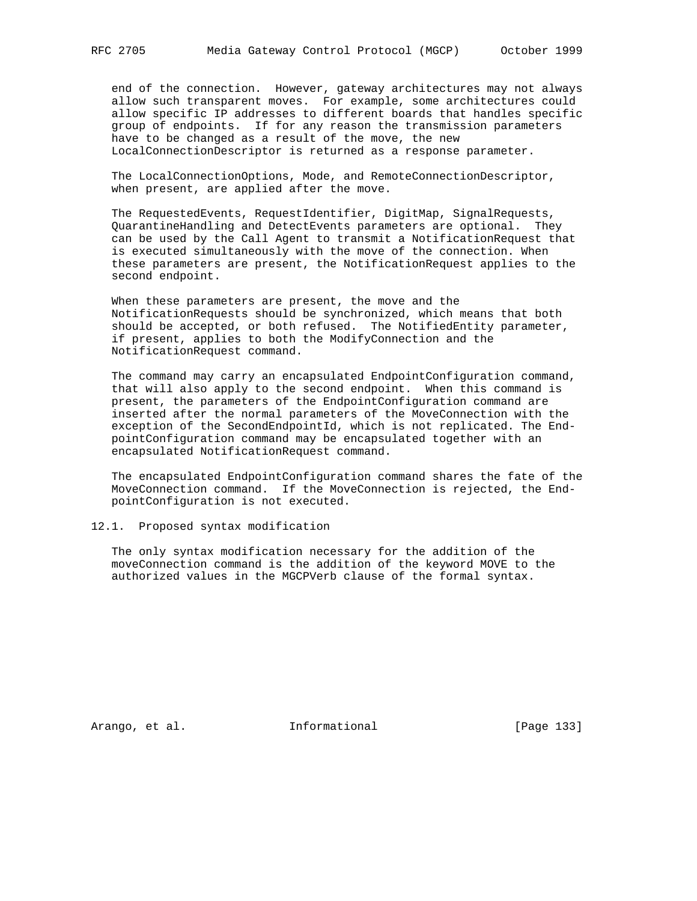end of the connection. However, gateway architectures may not always allow such transparent moves. For example, some architectures could allow specific IP addresses to different boards that handles specific group of endpoints. If for any reason the transmission parameters have to be changed as a result of the move, the new LocalConnectionDescriptor is returned as a response parameter.

 The LocalConnectionOptions, Mode, and RemoteConnectionDescriptor, when present, are applied after the move.

 The RequestedEvents, RequestIdentifier, DigitMap, SignalRequests, QuarantineHandling and DetectEvents parameters are optional. They can be used by the Call Agent to transmit a NotificationRequest that is executed simultaneously with the move of the connection. When these parameters are present, the NotificationRequest applies to the second endpoint.

 When these parameters are present, the move and the NotificationRequests should be synchronized, which means that both should be accepted, or both refused. The NotifiedEntity parameter, if present, applies to both the ModifyConnection and the NotificationRequest command.

 The command may carry an encapsulated EndpointConfiguration command, that will also apply to the second endpoint. When this command is present, the parameters of the EndpointConfiguration command are inserted after the normal parameters of the MoveConnection with the exception of the SecondEndpointId, which is not replicated. The End pointConfiguration command may be encapsulated together with an encapsulated NotificationRequest command.

 The encapsulated EndpointConfiguration command shares the fate of the MoveConnection command. If the MoveConnection is rejected, the End pointConfiguration is not executed.

#### 12.1. Proposed syntax modification

 The only syntax modification necessary for the addition of the moveConnection command is the addition of the keyword MOVE to the authorized values in the MGCPVerb clause of the formal syntax.

Arango, et al. 1nformational [Page 133]